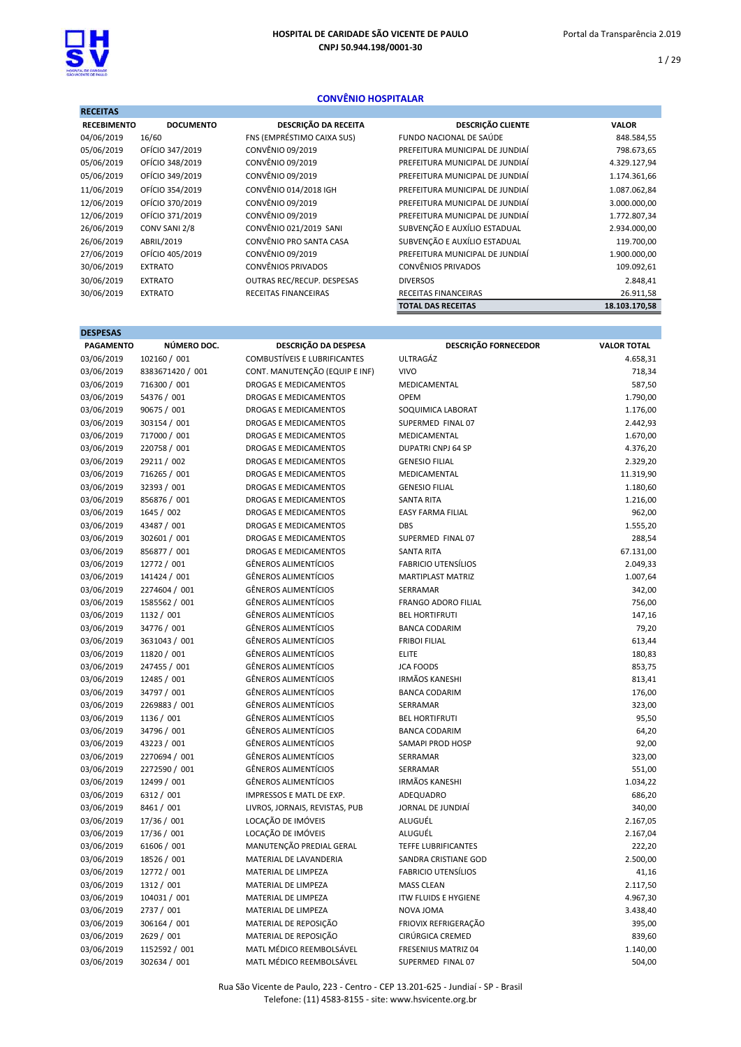### CONVÊNIO HOSPITALAR

| <b>RECEITAS</b>    |                  |                            |                                 |               |
|--------------------|------------------|----------------------------|---------------------------------|---------------|
| <b>RECEBIMENTO</b> | <b>DOCUMENTO</b> | DESCRIÇÃO DA RECEITA       | <b>DESCRIÇÃO CLIENTE</b>        | <b>VALOR</b>  |
| 04/06/2019         | 16/60            | FNS (EMPRÉSTIMO CAIXA SUS) | FUNDO NACIONAL DE SAÚDE         | 848.584,55    |
| 05/06/2019         | OFÍCIO 347/2019  | CONVÊNIO 09/2019           | PREFEITURA MUNICIPAL DE JUNDIAÍ | 798.673,65    |
| 05/06/2019         | OFÍCIO 348/2019  | CONVÊNIO 09/2019           | PREFEITURA MUNICIPAL DE JUNDIAÍ | 4.329.127,94  |
| 05/06/2019         | OFÍCIO 349/2019  | CONVÊNIO 09/2019           | PREFEITURA MUNICIPAL DE JUNDIAÍ | 1.174.361,66  |
| 11/06/2019         | OFÍCIO 354/2019  | CONVÊNIO 014/2018 IGH      | PREFEITURA MUNICIPAL DE JUNDIAÍ | 1.087.062,84  |
| 12/06/2019         | OFÍCIO 370/2019  | CONVÊNIO 09/2019           | PREFEITURA MUNICIPAL DE JUNDIAÍ | 3.000.000,00  |
| 12/06/2019         | OFÍCIO 371/2019  | CONVÊNIO 09/2019           | PREFEITURA MUNICIPAL DE JUNDIAÍ | 1.772.807,34  |
| 26/06/2019         | CONV SANI 2/8    | CONVÊNIO 021/2019 SANI     | SUBVENÇÃO E AUXÍLIO ESTADUAL    | 2.934.000,00  |
| 26/06/2019         | ABRIL/2019       | CONVÊNIO PRO SANTA CASA    | SUBVENÇÃO E AUXÍLIO ESTADUAL    | 119.700,00    |
| 27/06/2019         | OFÍCIO 405/2019  | CONVÊNIO 09/2019           | PREFEITURA MUNICIPAL DE JUNDIAÍ | 1.900.000,00  |
| 30/06/2019         | <b>EXTRATO</b>   | <b>CONVÊNIOS PRIVADOS</b>  | <b>CONVÊNIOS PRIVADOS</b>       | 109.092,61    |
| 30/06/2019         | <b>EXTRATO</b>   | OUTRAS REC/RECUP. DESPESAS | <b>DIVERSOS</b>                 | 2.848,41      |
| 30/06/2019         | <b>EXTRATO</b>   | RECEITAS FINANCEIRAS       | <b>RECEITAS FINANCEIRAS</b>     | 26.911,58     |
|                    |                  |                            | <b>TOTAL DAS RECEITAS</b>       | 18.103.170,58 |

| <b>DESPESAS</b>  |                  |                                     |                             |                    |
|------------------|------------------|-------------------------------------|-----------------------------|--------------------|
| <b>PAGAMENTO</b> | NÚMERO DOC.      | DESCRIÇÃO DA DESPESA                | <b>DESCRIÇÃO FORNECEDOR</b> | <b>VALOR TOTAL</b> |
| 03/06/2019       | 102160 / 001     | <b>COMBUSTÍVEIS E LUBRIFICANTES</b> | <b>ULTRAGÁZ</b>             | 4.658,31           |
| 03/06/2019       | 8383671420 / 001 | CONT. MANUTENÇÃO (EQUIP E INF)      | <b>VIVO</b>                 | 718,34             |
| 03/06/2019       | 716300 / 001     | <b>DROGAS E MEDICAMENTOS</b>        | MEDICAMENTAL                | 587,50             |
| 03/06/2019       | 54376 / 001      | <b>DROGAS E MEDICAMENTOS</b>        | OPEM                        | 1.790,00           |
| 03/06/2019       | 90675 / 001      | <b>DROGAS E MEDICAMENTOS</b>        | SOQUIMICA LABORAT           | 1.176,00           |
| 03/06/2019       | 303154 / 001     | <b>DROGAS E MEDICAMENTOS</b>        | SUPERMED FINAL 07           | 2.442,93           |
| 03/06/2019       | 717000 / 001     | <b>DROGAS E MEDICAMENTOS</b>        | MEDICAMENTAL                | 1.670,00           |
| 03/06/2019       | 220758 / 001     | <b>DROGAS E MEDICAMENTOS</b>        | <b>DUPATRI CNPJ 64 SP</b>   | 4.376,20           |
| 03/06/2019       | 29211 / 002      | <b>DROGAS E MEDICAMENTOS</b>        | <b>GENESIO FILIAL</b>       | 2.329,20           |
| 03/06/2019       | 716265 / 001     | <b>DROGAS E MEDICAMENTOS</b>        | MEDICAMENTAL                | 11.319,90          |
| 03/06/2019       | 32393 / 001      | <b>DROGAS E MEDICAMENTOS</b>        | <b>GENESIO FILIAL</b>       | 1.180,60           |
| 03/06/2019       | 856876 / 001     | <b>DROGAS E MEDICAMENTOS</b>        | <b>SANTA RITA</b>           | 1.216,00           |
| 03/06/2019       | 1645 / 002       | <b>DROGAS E MEDICAMENTOS</b>        | <b>EASY FARMA FILIAL</b>    | 962,00             |
| 03/06/2019       | 43487 / 001      | <b>DROGAS E MEDICAMENTOS</b>        | <b>DBS</b>                  | 1.555,20           |
| 03/06/2019       | 302601 / 001     | <b>DROGAS E MEDICAMENTOS</b>        | SUPERMED FINAL 07           | 288,54             |
| 03/06/2019       | 856877 / 001     | <b>DROGAS E MEDICAMENTOS</b>        | <b>SANTA RITA</b>           | 67.131,00          |
| 03/06/2019       | 12772 / 001      | <b>GÊNEROS ALIMENTÍCIOS</b>         | <b>FABRICIO UTENSÍLIOS</b>  | 2.049,33           |
| 03/06/2019       | 141424 / 001     | <b>GÊNEROS ALIMENTÍCIOS</b>         | <b>MARTIPLAST MATRIZ</b>    | 1.007,64           |
| 03/06/2019       | 2274604 / 001    | <b>GÊNEROS ALIMENTÍCIOS</b>         | SERRAMAR                    | 342,00             |
| 03/06/2019       | 1585562 / 001    | <b>GÊNEROS ALIMENTÍCIOS</b>         | <b>FRANGO ADORO FILIAL</b>  | 756,00             |
| 03/06/2019       | 1132 / 001       | <b>GÊNEROS ALIMENTÍCIOS</b>         | <b>BEL HORTIFRUTI</b>       | 147,16             |
| 03/06/2019       | 34776 / 001      | <b>GÊNEROS ALIMENTÍCIOS</b>         | <b>BANCA CODARIM</b>        | 79,20              |
| 03/06/2019       | 3631043 / 001    | <b>GÊNEROS ALIMENTÍCIOS</b>         | <b>FRIBOI FILIAL</b>        | 613,44             |
| 03/06/2019       | 11820 / 001      | <b>GÊNEROS ALIMENTÍCIOS</b>         | <b>ELITE</b>                | 180,83             |
| 03/06/2019       | 247455 / 001     | <b>GÊNEROS ALIMENTÍCIOS</b>         | <b>JCA FOODS</b>            | 853,75             |
| 03/06/2019       | 12485 / 001      | <b>GÊNEROS ALIMENTÍCIOS</b>         | <b>IRMÃOS KANESHI</b>       | 813,41             |
| 03/06/2019       | 34797 / 001      | <b>GÊNEROS ALIMENTÍCIOS</b>         | <b>BANCA CODARIM</b>        | 176,00             |
| 03/06/2019       | 2269883 / 001    | <b>GÊNEROS ALIMENTÍCIOS</b>         | SERRAMAR                    | 323,00             |
| 03/06/2019       | 1136 / 001       | <b>GÊNEROS ALIMENTÍCIOS</b>         | <b>BEL HORTIFRUTI</b>       | 95,50              |
| 03/06/2019       | 34796 / 001      | <b>GÊNEROS ALIMENTÍCIOS</b>         | <b>BANCA CODARIM</b>        | 64,20              |
| 03/06/2019       | 43223 / 001      | <b>GÊNEROS ALIMENTÍCIOS</b>         | <b>SAMAPI PROD HOSP</b>     | 92,00              |
| 03/06/2019       | 2270694 / 001    | <b>GÊNEROS ALIMENTÍCIOS</b>         | SERRAMAR                    | 323,00             |
| 03/06/2019       | 2272590 / 001    | <b>GÊNEROS ALIMENTÍCIOS</b>         | SERRAMAR                    | 551,00             |
| 03/06/2019       | 12499 / 001      | <b>GÊNEROS ALIMENTÍCIOS</b>         | <b>IRMÃOS KANESHI</b>       | 1.034,22           |
| 03/06/2019       | 6312 / 001       | IMPRESSOS E MATL DE EXP.            | ADEQUADRO                   | 686,20             |
| 03/06/2019       | 8461 / 001       | LIVROS, JORNAIS, REVISTAS, PUB      | JORNAL DE JUNDIAÍ           | 340,00             |
| 03/06/2019       | 17/36 / 001      | LOCAÇÃO DE IMÓVEIS                  | ALUGUÉL                     | 2.167,05           |
| 03/06/2019       | 17/36 / 001      | LOCAÇÃO DE IMÓVEIS                  | ALUGUÉL                     | 2.167,04           |
| 03/06/2019       | 61606 / 001      | MANUTENÇÃO PREDIAL GERAL            | <b>TEFFE LUBRIFICANTES</b>  | 222,20             |
| 03/06/2019       | 18526 / 001      | MATERIAL DE LAVANDERIA              | SANDRA CRISTIANE GOD        | 2.500,00           |
| 03/06/2019       | 12772 / 001      | MATERIAL DE LIMPEZA                 | <b>FABRICIO UTENSÍLIOS</b>  | 41,16              |
| 03/06/2019       | 1312 / 001       | MATERIAL DE LIMPEZA                 | <b>MASS CLEAN</b>           | 2.117,50           |
| 03/06/2019       | 104031 / 001     | MATERIAL DE LIMPEZA                 | <b>ITW FLUIDS E HYGIENE</b> | 4.967,30           |
| 03/06/2019       | 2737 / 001       | MATERIAL DE LIMPEZA                 | NOVA JOMA                   | 3.438,40           |
| 03/06/2019       | 306164 / 001     | MATERIAL DE REPOSIÇÃO               | FRIOVIX REFRIGERAÇÃO        | 395,00             |
| 03/06/2019       | 2629 / 001       | MATERIAL DE REPOSIÇÃO               | CIRÚRGICA CREMED            | 839,60             |
| 03/06/2019       | 1152592 / 001    | MATL MÉDICO REEMBOLSÁVEL            | <b>FRESENIUS MATRIZ 04</b>  | 1.140,00           |
| 03/06/2019       | 302634 / 001     | MATL MÉDICO REEMBOLSÁVEL            | SUPERMED FINAL 07           | 504,00             |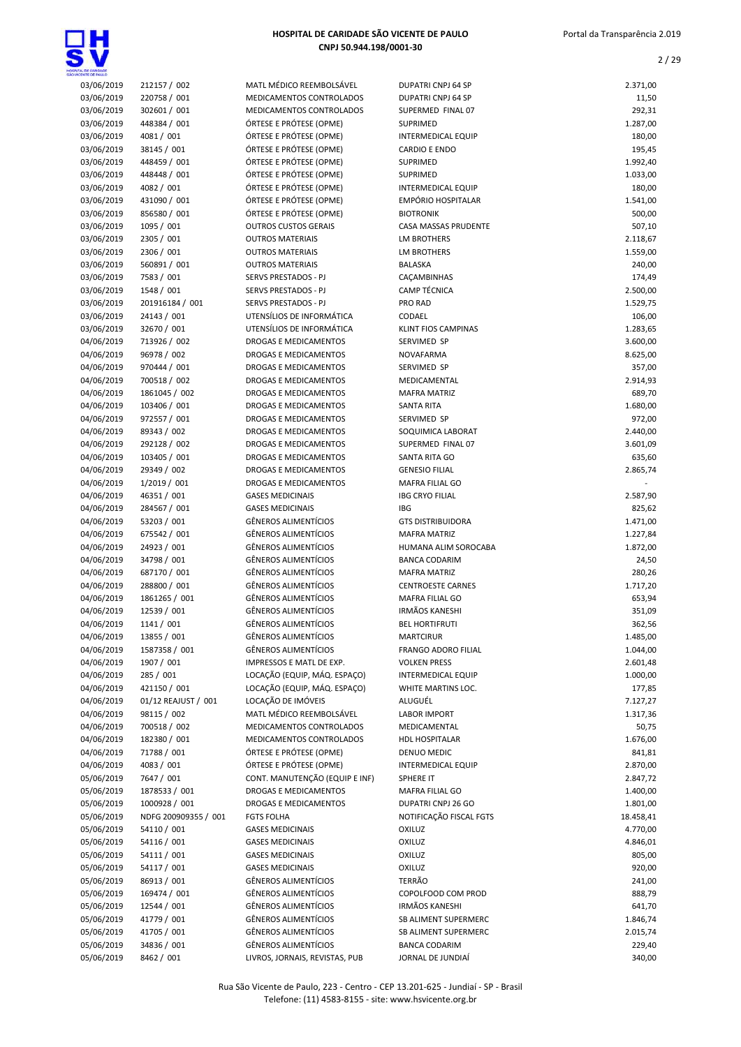



| HOSPITAL DE GARDADE<br>SÃO VICENTE DE FAILLO |                              |                                                        |                                               |                    |
|----------------------------------------------|------------------------------|--------------------------------------------------------|-----------------------------------------------|--------------------|
| 03/06/2019                                   | 212157 / 002                 | MATL MÉDICO REEMBOLSÁVEL                               | DUPATRI CNPJ 64 SP                            | 2.371,00           |
| 03/06/2019                                   | 220758 / 001                 | MEDICAMENTOS CONTROLADOS                               | <b>DUPATRI CNPJ 64 SP</b>                     | 11,50              |
| 03/06/2019                                   | 302601 / 001                 | MEDICAMENTOS CONTROLADOS                               | SUPERMED FINAL 07                             | 292,31             |
| 03/06/2019                                   | 448384 / 001                 | ÓRTESE E PRÓTESE (OPME)                                | SUPRIMED                                      | 1.287,00           |
| 03/06/2019                                   | 4081 / 001                   | ÓRTESE E PRÓTESE (OPME)                                | <b>INTERMEDICAL EQUIP</b>                     | 180,00             |
| 03/06/2019                                   | 38145 / 001                  | ÓRTESE E PRÓTESE (OPME)                                | <b>CARDIO E ENDO</b>                          | 195,45             |
| 03/06/2019                                   | 448459 / 001                 | ÓRTESE E PRÓTESE (OPME)                                | <b>SUPRIMED</b>                               | 1.992,40           |
| 03/06/2019                                   | 448448 / 001                 | ÓRTESE E PRÓTESE (OPME)                                | <b>SUPRIMED</b>                               | 1.033,00           |
| 03/06/2019                                   | 4082 / 001                   | ÓRTESE E PRÓTESE (OPME)                                | <b>INTERMEDICAL EQUIP</b>                     | 180,00             |
| 03/06/2019                                   | 431090 / 001                 | ÓRTESE E PRÓTESE (OPME)                                | <b>EMPÓRIO HOSPITALAR</b><br><b>BIOTRONIK</b> | 1.541,00           |
| 03/06/2019<br>03/06/2019                     | 856580 / 001                 | ÓRTESE E PRÓTESE (OPME)                                | <b>CASA MASSAS PRUDENTE</b>                   | 500,00             |
| 03/06/2019                                   | 1095 / 001<br>2305 / 001     | <b>OUTROS CUSTOS GERAIS</b><br><b>OUTROS MATERIAIS</b> | <b>LM BROTHERS</b>                            | 507,10<br>2.118,67 |
| 03/06/2019                                   | 2306 / 001                   | <b>OUTROS MATERIAIS</b>                                | <b>LM BROTHERS</b>                            | 1.559,00           |
| 03/06/2019                                   | 560891 / 001                 | <b>OUTROS MATERIAIS</b>                                | <b>BALASKA</b>                                | 240,00             |
| 03/06/2019                                   | 7583 / 001                   | SERVS PRESTADOS - PJ                                   | CAÇAMBINHAS                                   | 174,49             |
| 03/06/2019                                   | 1548 / 001                   | SERVS PRESTADOS - PJ                                   | <b>CAMP TÉCNICA</b>                           | 2.500,00           |
| 03/06/2019                                   | 201916184 / 001              | SERVS PRESTADOS - PJ                                   | PRO RAD                                       | 1.529,75           |
| 03/06/2019                                   | 24143 / 001                  | UTENSÍLIOS DE INFORMÁTICA                              | CODAEL                                        | 106,00             |
| 03/06/2019                                   | 32670 / 001                  | UTENSÍLIOS DE INFORMÁTICA                              | <b>KLINT FIOS CAMPINAS</b>                    | 1.283,65           |
| 04/06/2019                                   | 713926 / 002                 | DROGAS E MEDICAMENTOS                                  | SERVIMED SP                                   | 3.600,00           |
| 04/06/2019                                   | 96978 / 002                  | DROGAS E MEDICAMENTOS                                  | <b>NOVAFARMA</b>                              | 8.625,00           |
| 04/06/2019                                   | 970444 / 001                 | <b>DROGAS E MEDICAMENTOS</b>                           | SERVIMED SP                                   | 357,00             |
| 04/06/2019                                   | 700518 / 002                 | DROGAS E MEDICAMENTOS                                  | MEDICAMENTAL                                  | 2.914,93           |
| 04/06/2019                                   | 1861045 / 002                | DROGAS E MEDICAMENTOS                                  | <b>MAFRA MATRIZ</b>                           | 689,70             |
| 04/06/2019                                   | 103406 / 001                 | DROGAS E MEDICAMENTOS                                  | <b>SANTA RITA</b>                             | 1.680,00           |
| 04/06/2019                                   | 972557 / 001                 | DROGAS E MEDICAMENTOS                                  | SERVIMED SP                                   | 972,00             |
| 04/06/2019                                   | 89343 / 002                  | DROGAS E MEDICAMENTOS                                  | SOQUIMICA LABORAT                             | 2.440,00           |
| 04/06/2019                                   | 292128 / 002                 | <b>DROGAS E MEDICAMENTOS</b>                           | SUPERMED FINAL 07                             | 3.601,09           |
| 04/06/2019                                   | 103405 / 001                 | DROGAS E MEDICAMENTOS                                  | SANTA RITA GO                                 | 635,60             |
| 04/06/2019                                   | 29349 / 002                  | DROGAS E MEDICAMENTOS                                  | <b>GENESIO FILIAL</b>                         | 2.865,74           |
| 04/06/2019                                   | 1/2019 / 001                 | DROGAS E MEDICAMENTOS                                  | MAFRA FILIAL GO                               |                    |
| 04/06/2019                                   | 46351 / 001                  | <b>GASES MEDICINAIS</b>                                | <b>IBG CRYO FILIAL</b>                        | 2.587,90           |
| 04/06/2019                                   | 284567 / 001                 | <b>GASES MEDICINAIS</b>                                | <b>IBG</b>                                    | 825,62             |
| 04/06/2019                                   | 53203 / 001                  | <b>GÊNEROS ALIMENTÍCIOS</b>                            | <b>GTS DISTRIBUIDORA</b>                      | 1.471,00           |
| 04/06/2019                                   | 675542 / 001                 | <b>GÊNEROS ALIMENTÍCIOS</b>                            | <b>MAFRA MATRIZ</b>                           | 1.227,84           |
| 04/06/2019                                   | 24923 / 001                  | <b>GÊNEROS ALIMENTÍCIOS</b>                            | HUMANA ALIM SOROCABA                          | 1.872,00           |
| 04/06/2019                                   | 34798 / 001                  | <b>GÊNEROS ALIMENTÍCIOS</b>                            | <b>BANCA CODARIM</b>                          | 24,50              |
| 04/06/2019                                   | 687170 / 001                 | GÊNEROS ALIMENTÍCIOS                                   | <b>MAFRA MATRIZ</b>                           | 280,26             |
| 04/06/2019                                   | 288800 / 001                 | <b>GÊNEROS ALIMENTÍCIOS</b>                            | <b>CENTROESTE CARNES</b>                      | 1.717,20           |
| 04/06/2019                                   | 1861265 / 001                | <b>GÊNEROS ALIMENTÍCIOS</b>                            | <b>MAFRA FILIAL GO</b>                        | 653,94             |
| 04/06/2019                                   | 12539 / 001                  | <b>GÊNEROS ALIMENTÍCIOS</b>                            | <b>IRMÃOS KANESHI</b>                         | 351,09             |
| 04/06/2019                                   | 1141 / 001                   | <b>GÊNEROS ALIMENTÍCIOS</b>                            | <b>BEL HORTIFRUTI</b>                         | 362,56             |
| 04/06/2019                                   | 13855 / 001                  | <b>GÊNEROS ALIMENTÍCIOS</b>                            | <b>MARTCIRUR</b>                              | 1.485,00           |
| 04/06/2019                                   | 1587358 / 001                | <b>GÊNEROS ALIMENTÍCIOS</b>                            | FRANGO ADORO FILIAL                           | 1.044,00           |
| 04/06/2019                                   | 1907 / 001                   | IMPRESSOS E MATL DE EXP.                               | <b>VOLKEN PRESS</b>                           | 2.601,48           |
| 04/06/2019                                   | 285 / 001                    | LOCAÇÃO (EQUIP, MÁQ. ESPAÇO)                           | <b>INTERMEDICAL EQUIP</b>                     | 1.000,00           |
| 04/06/2019                                   | 421150 / 001                 | LOCAÇÃO (EQUIP, MÁQ. ESPAÇO)<br>LOCAÇÃO DE IMÓVEIS     | WHITE MARTINS LOC.<br>ALUGUÉL                 | 177,85             |
| 04/06/2019                                   | 01/12 REAJUST / 001          |                                                        |                                               | 7.127,27           |
| 04/06/2019                                   | 98115 / 002                  | MATL MÉDICO REEMBOLSÁVEL<br>MEDICAMENTOS CONTROLADOS   | <b>LABOR IMPORT</b>                           | 1.317,36           |
| 04/06/2019<br>04/06/2019                     | 700518 / 002<br>182380 / 001 | MEDICAMENTOS CONTROLADOS                               | MEDICAMENTAL<br><b>HDL HOSPITALAR</b>         | 50,75<br>1.676,00  |
| 04/06/2019                                   | 71788 / 001                  | ÓRTESE E PRÓTESE (OPME)                                | DENUO MEDIC                                   | 841,81             |
| 04/06/2019                                   | 4083 / 001                   | ÓRTESE E PRÓTESE (OPME)                                | <b>INTERMEDICAL EQUIP</b>                     | 2.870,00           |
| 05/06/2019                                   | 7647 / 001                   | CONT. MANUTENÇÃO (EQUIP E INF)                         | SPHERE IT                                     | 2.847,72           |
| 05/06/2019                                   | 1878533 / 001                | DROGAS E MEDICAMENTOS                                  | MAFRA FILIAL GO                               | 1.400,00           |
| 05/06/2019                                   | 1000928 / 001                | DROGAS E MEDICAMENTOS                                  | DUPATRI CNPJ 26 GO                            | 1.801,00           |
| 05/06/2019                                   | NDFG 200909355 / 001         | <b>FGTS FOLHA</b>                                      | NOTIFICAÇÃO FISCAL FGTS                       | 18.458,41          |
| 05/06/2019                                   | 54110 / 001                  | <b>GASES MEDICINAIS</b>                                | <b>OXILUZ</b>                                 | 4.770,00           |
| 05/06/2019                                   | 54116 / 001                  | <b>GASES MEDICINAIS</b>                                | <b>OXILUZ</b>                                 | 4.846,01           |
| 05/06/2019                                   | 54111 / 001                  | <b>GASES MEDICINAIS</b>                                | <b>OXILUZ</b>                                 | 805,00             |
| 05/06/2019                                   | 54117 / 001                  | <b>GASES MEDICINAIS</b>                                | <b>OXILUZ</b>                                 | 920,00             |
| 05/06/2019                                   | 86913 / 001                  | <b>GÊNEROS ALIMENTÍCIOS</b>                            | TERRÃO                                        | 241,00             |
| 05/06/2019                                   | 169474 / 001                 | GÊNEROS ALIMENTÍCIOS                                   | COPOLFOOD COM PROD                            | 888,79             |
| 05/06/2019                                   | 12544 / 001                  | GÊNEROS ALIMENTÍCIOS                                   | <b>IRMÃOS KANESHI</b>                         | 641,70             |
| 05/06/2019                                   | 41779 / 001                  | <b>GÊNEROS ALIMENTÍCIOS</b>                            | SB ALIMENT SUPERMERC                          | 1.846,74           |
| 05/06/2019                                   | 41705 / 001                  | <b>GÊNEROS ALIMENTÍCIOS</b>                            | SB ALIMENT SUPERMERC                          | 2.015,74           |
| 05/06/2019                                   | 34836 / 001                  | <b>GÊNEROS ALIMENTÍCIOS</b>                            | <b>BANCA CODARIM</b>                          | 229,40             |
| 05/06/2019                                   | 8462 / 001                   | LIVROS, JORNAIS, REVISTAS, PUB                         | JORNAL DE JUNDIAÍ                             | 340,00             |
|                                              |                              |                                                        |                                               |                    |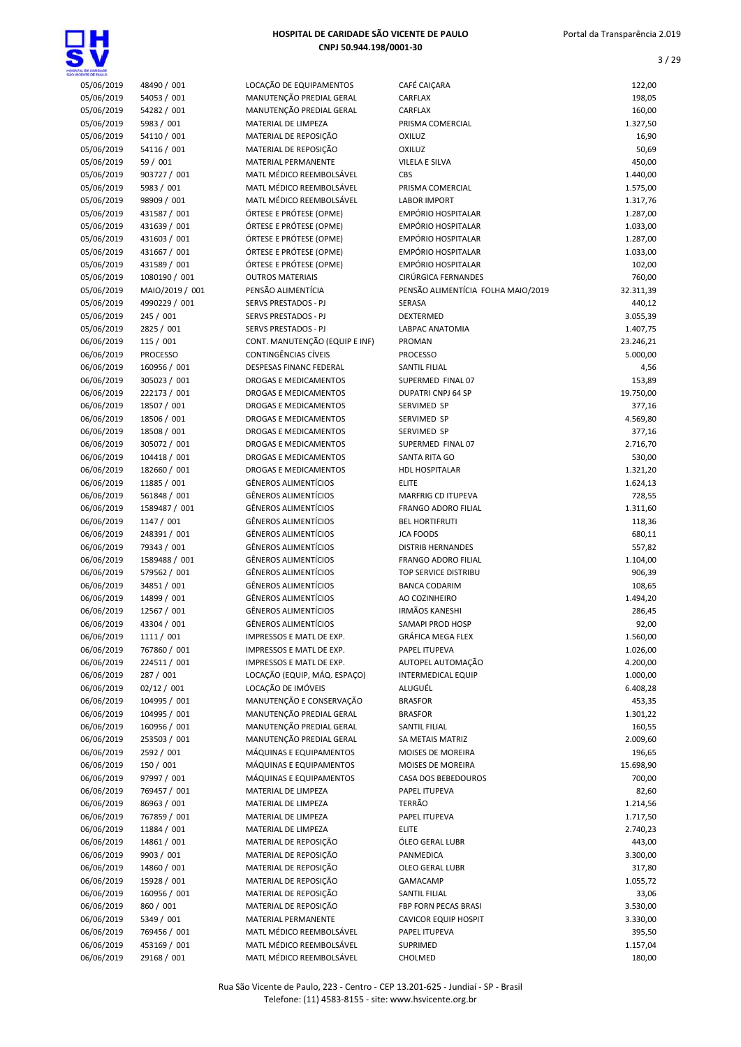



| <b>NORWITE CA SALLE CO</b> |                 |                                |
|----------------------------|-----------------|--------------------------------|
| 05/06/2019                 | 48490 / 001     | LOCAÇÃO DE EQUIPAMENTOS        |
| 05/06/2019                 | 54053 / 001     | MANUTENÇÃO PREDIAL GERAL       |
| 05/06/2019                 | 54282 / 001     | MANUTENÇÃO PREDIAL GERAL       |
| 05/06/2019                 | 5983 / 001      | MATERIAL DE LIMPEZA            |
| 05/06/2019                 | 54110 / 001     | MATERIAL DE REPOSIÇÃO          |
|                            |                 |                                |
| 05/06/2019                 | 54116 / 001     | MATERIAL DE REPOSIÇÃO          |
| 05/06/2019                 | 59 / 001        | <b>MATERIAL PERMANENTE</b>     |
| 05/06/2019                 | 903727 / 001    | MATL MÉDICO REEMBOLSÁVEL       |
| 05/06/2019                 | 5983 / 001      | MATL MÉDICO REEMBOLSÁVEL       |
| 05/06/2019                 | 98909 / 001     | MATL MÉDICO REEMBOLSÁVEL       |
| 05/06/2019                 | 431587 / 001    | ÓRTESE E PRÓTESE (OPME)        |
| 05/06/2019                 | 431639 / 001    | ÓRTESE E PRÓTESE (OPME)        |
| 05/06/2019                 | 431603 / 001    | ÓRTESE E PRÓTESE (OPME)        |
| 05/06/2019                 | 431667/001      | ÓRTESE E PRÓTESE (OPME)        |
| 05/06/2019                 | 431589 / 001    | ÓRTESE E PRÓTESE (OPME)        |
| 05/06/2019                 | 1080190 / 001   | <b>OUTROS MATERIAIS</b>        |
| 05/06/2019                 | MAIO/2019 / 001 | PENSÃO ALIMENTÍCIA             |
|                            |                 |                                |
| 05/06/2019                 | 4990229 / 001   | <b>SERVS PRESTADOS - PJ</b>    |
| 05/06/2019                 | 245 / 001       | <b>SERVS PRESTADOS - PJ</b>    |
| 05/06/2019                 | 2825 / 001      | SERVS PRESTADOS - PJ           |
| 06/06/2019                 | 115 / 001       | CONT. MANUTENÇÃO (EQUIP E      |
| 06/06/2019                 | <b>PROCESSO</b> | <b>CONTINGÊNCIAS CÍVEIS</b>    |
| 06/06/2019                 | 160956 / 001    | <b>DESPESAS FINANC FEDERAL</b> |
| 06/06/2019                 | 305023 / 001    | <b>DROGAS E MEDICAMENTOS</b>   |
| 06/06/2019                 | 222173 / 001    | <b>DROGAS E MEDICAMENTOS</b>   |
| 06/06/2019                 | 18507 / 001     | <b>DROGAS E MEDICAMENTOS</b>   |
| 06/06/2019                 | 18506 / 001     | <b>DROGAS E MEDICAMENTOS</b>   |
| 06/06/2019                 | 18508 / 001     | <b>DROGAS E MEDICAMENTOS</b>   |
| 06/06/2019                 | 305072 / 001    | <b>DROGAS E MEDICAMENTOS</b>   |
| 06/06/2019                 | 104418 / 001    | <b>DROGAS E MEDICAMENTOS</b>   |
|                            |                 |                                |
| 06/06/2019                 | 182660 / 001    | <b>DROGAS E MEDICAMENTOS</b>   |
| 06/06/2019                 | 11885 / 001     | <b>GÊNEROS ALIMENTÍCIOS</b>    |
| 06/06/2019                 | 561848 / 001    | <b>GÊNEROS ALIMENTÍCIOS</b>    |
| 06/06/2019                 | 1589487 / 001   | <b>GÊNEROS ALIMENTÍCIOS</b>    |
| 06/06/2019                 | 1147 / 001      | <b>GÊNEROS ALIMENTÍCIOS</b>    |
| 06/06/2019                 | 248391 / 001    | <b>GÊNEROS ALIMENTÍCIOS</b>    |
| 06/06/2019                 | 79343 / 001     | <b>GÊNEROS ALIMENTÍCIOS</b>    |
| 06/06/2019                 | 1589488 / 001   | <b>GÊNEROS ALIMENTÍCIOS</b>    |
| 06/06/2019                 | 579562 / 001    | <b>GÊNEROS ALIMENTÍCIOS</b>    |
| 06/06/2019                 | 34851 / 001     | <b>GÊNEROS ALIMENTÍCIOS</b>    |
| 06/06/2019                 | 14899 / 001     | <b>GÊNEROS ALIMENTÍCIOS</b>    |
| 06/06/2019                 | 12567 / 001     | <b>GÊNEROS ALIMENTÍCIOS</b>    |
| 06/06/2019                 | 43304 / 001     | <b>GÊNEROS ALIMENTÍCIOS</b>    |
| 06/06/2019                 | 1111 / 001      | IMPRESSOS E MATL DE EXP.       |
|                            |                 |                                |
| 06/06/2019                 | 767860 / 001    | IMPRESSOS E MATL DE EXP.       |
| 06/06/2019                 | 224511/001      | IMPRESSOS E MATL DE EXP.       |
| 06/06/2019                 | 287 / 001       | LOCAÇÃO (EQUIP, MÁQ. ESPAÇ     |
| 06/06/2019                 | 02/12 / 001     | LOCAÇÃO DE IMÓVEIS             |
| 06/06/2019                 | 104995 / 001    | MANUTENÇÃO E CONSERVAÇÃO       |
| 06/06/2019                 | 104995 / 001    | MANUTENÇÃO PREDIAL GERAL       |
| 06/06/2019                 | 160956 / 001    | MANUTENÇÃO PREDIAL GERAL       |
| 06/06/2019                 | 253503 / 001    | MANUTENÇÃO PREDIAL GERAL       |
| 06/06/2019                 | 2592 / 001      | MÁQUINAS E EQUIPAMENTOS        |
| 06/06/2019                 | 150 / 001       | MÁQUINAS E EQUIPAMENTOS        |
| 06/06/2019                 | 97997 / 001     | MÁQUINAS E EQUIPAMENTOS        |
| 06/06/2019                 | 769457 / 001    | MATERIAL DE LIMPEZA            |
| 06/06/2019                 | 86963 / 001     | MATERIAL DE LIMPEZA            |
| 06/06/2019                 |                 | MATERIAL DE LIMPEZA            |
|                            | 767859/001      |                                |
| 06/06/2019                 | 11884 / 001     | MATERIAL DE LIMPEZA            |
| 06/06/2019                 | 14861 / 001     | MATERIAL DE REPOSIÇÃO          |
| 06/06/2019                 | 9903 / 001      | MATERIAL DE REPOSIÇÃO          |
| 06/06/2019                 | 14860 / 001     | MATERIAL DE REPOSIÇÃO          |
| 06/06/2019                 | 15928 / 001     | MATERIAL DE REPOSIÇÃO          |
| 06/06/2019                 | 160956 / 001    | MATERIAL DE REPOSIÇÃO          |
| 06/06/2019                 | 860 / 001       | MATERIAL DE REPOSIÇÃO          |
| 06/06/2019                 | 5349 / 001      | MATERIAL PERMANENTE            |
| 06/06/2019                 | 769456 / 001    | MATL MÉDICO REEMBOLSÁVEL       |
| 06/06/2019                 | 453169 / 001    | MATL MÉDICO REEMBOLSÁVEL       |
| 06/06/2019                 | 29168 / 001     | MATL MÉDICO REEMBOLSÁVEL       |
|                            |                 |                                |

| ENTE CE PAULO            |                            |                                               |                                    |                    |
|--------------------------|----------------------------|-----------------------------------------------|------------------------------------|--------------------|
| 05/06/2019               | 48490 / 001                | LOCAÇÃO DE EQUIPAMENTOS                       | CAFÉ CAIÇARA                       | 122,00             |
| 05/06/2019               | 54053 / 001                | MANUTENÇÃO PREDIAL GERAL                      | CARFLAX                            | 198,05             |
| 05/06/2019               | 54282 / 001                | MANUTENÇÃO PREDIAL GERAL                      | CARFLAX                            | 160,00             |
| 05/06/2019               | 5983 / 001                 | MATERIAL DE LIMPEZA                           | PRISMA COMERCIAL                   | 1.327,50           |
| 05/06/2019               | 54110 / 001                | MATERIAL DE REPOSIÇÃO                         | <b>OXILUZ</b>                      | 16,90              |
| 05/06/2019               | 54116 / 001                | MATERIAL DE REPOSIÇÃO                         | OXILUZ                             | 50,69              |
| 05/06/2019               | 59 / 001                   | MATERIAL PERMANENTE                           | VILELA E SILVA                     | 450,00             |
| 05/06/2019               | 903727 / 001               | MATL MÉDICO REEMBOLSÁVEL                      | CBS                                | 1.440,00           |
| 05/06/2019               | 5983 / 001                 | MATL MÉDICO REEMBOLSÁVEL                      | PRISMA COMERCIAL                   | 1.575,00           |
| 05/06/2019               | 98909 / 001                | MATL MÉDICO REEMBOLSÁVEL                      | <b>LABOR IMPORT</b>                | 1.317,76           |
| 05/06/2019               | 431587 / 001               | ÓRTESE E PRÓTESE (OPME)                       | <b>EMPÓRIO HOSPITALAR</b>          | 1.287,00           |
| 05/06/2019               | 431639 / 001               | ÓRTESE E PRÓTESE (OPME)                       | <b>EMPÓRIO HOSPITALAR</b>          | 1.033,00           |
| 05/06/2019               | 431603 / 001               | ÓRTESE E PRÓTESE (OPME)                       | <b>EMPÓRIO HOSPITALAR</b>          | 1.287,00           |
| 05/06/2019               | 431667 / 001               | ÓRTESE E PRÓTESE (OPME)                       | <b>EMPÓRIO HOSPITALAR</b>          | 1.033,00           |
| 05/06/2019               | 431589 / 001               | ÓRTESE E PRÓTESE (OPME)                       | <b>EMPÓRIO HOSPITALAR</b>          | 102,00             |
| 05/06/2019               | 1080190 / 001              | <b>OUTROS MATERIAIS</b><br>PENSÃO ALIMENTÍCIA | CIRÚRGICA FERNANDES                | 760,00             |
| 05/06/2019               | MAIO/2019 / 001            | SERVS PRESTADOS - PJ                          | PENSÃO ALIMENTÍCIA FOLHA MAIO/2019 | 32.311,39          |
| 05/06/2019<br>05/06/2019 | 4990229 / 001<br>245 / 001 | <b>SERVS PRESTADOS - PJ</b>                   | SERASA<br>DEXTERMED                | 440,12<br>3.055,39 |
| 05/06/2019               | 2825 / 001                 | SERVS PRESTADOS - PJ                          | <b>LABPAC ANATOMIA</b>             | 1.407,75           |
| 06/06/2019               | 115 / 001                  | CONT. MANUTENÇÃO (EQUIP E INF)                | PROMAN                             | 23.246,21          |
| 06/06/2019               | <b>PROCESSO</b>            | <b>CONTINGÊNCIAS CÍVEIS</b>                   | <b>PROCESSO</b>                    | 5.000,00           |
| 06/06/2019               | 160956 / 001               | DESPESAS FINANC FEDERAL                       | SANTIL FILIAL                      | 4,56               |
| 06/06/2019               | 305023 / 001               | <b>DROGAS E MEDICAMENTOS</b>                  | SUPERMED FINAL 07                  | 153,89             |
| 06/06/2019               | 222173 / 001               | DROGAS E MEDICAMENTOS                         | DUPATRI CNPJ 64 SP                 | 19.750,00          |
| 06/06/2019               | 18507 / 001                | <b>DROGAS E MEDICAMENTOS</b>                  | SERVIMED SP                        | 377,16             |
| 06/06/2019               | 18506 / 001                | DROGAS E MEDICAMENTOS                         | <b>SERVIMED SP</b>                 | 4.569,80           |
| 06/06/2019               | 18508 / 001                | DROGAS E MEDICAMENTOS                         | SERVIMED SP                        | 377,16             |
| 06/06/2019               | 305072 / 001               | DROGAS E MEDICAMENTOS                         | SUPERMED FINAL 07                  | 2.716,70           |
| 06/06/2019               | 104418 / 001               | DROGAS E MEDICAMENTOS                         | SANTA RITA GO                      | 530,00             |
| 06/06/2019               | 182660 / 001               | DROGAS E MEDICAMENTOS                         | <b>HDL HOSPITALAR</b>              | 1.321,20           |
| 06/06/2019               | 11885 / 001                | <b>GÊNEROS ALIMENTÍCIOS</b>                   | <b>ELITE</b>                       | 1.624,13           |
| 06/06/2019               | 561848 / 001               | <b>GÊNEROS ALIMENTÍCIOS</b>                   | MARFRIG CD ITUPEVA                 | 728,55             |
| 06/06/2019               | 1589487 / 001              | <b>GÊNEROS ALIMENTÍCIOS</b>                   | <b>FRANGO ADORO FILIAL</b>         | 1.311,60           |
| 06/06/2019               | 1147 / 001                 | <b>GÊNEROS ALIMENTÍCIOS</b>                   | <b>BEL HORTIFRUTI</b>              | 118,36             |
| 06/06/2019               | 248391 / 001               | <b>GÊNEROS ALIMENTÍCIOS</b>                   | <b>JCA FOODS</b>                   | 680,11             |
| 06/06/2019               | 79343 / 001                | <b>GÊNEROS ALIMENTÍCIOS</b>                   | <b>DISTRIB HERNANDES</b>           | 557,82             |
| 06/06/2019               | 1589488 / 001              | <b>GÊNEROS ALIMENTÍCIOS</b>                   | <b>FRANGO ADORO FILIAL</b>         | 1.104,00           |
| 06/06/2019               | 579562 / 001               | <b>GÊNEROS ALIMENTÍCIOS</b>                   | TOP SERVICE DISTRIBU               | 906,39             |
| 06/06/2019               | 34851 / 001                | <b>GÊNEROS ALIMENTÍCIOS</b>                   | <b>BANCA CODARIM</b>               | 108,65             |
| 06/06/2019               | 14899 / 001                | <b>GÊNEROS ALIMENTÍCIOS</b>                   | AO COZINHEIRO                      | 1.494,20           |
| 06/06/2019               | 12567 / 001                | <b>GÊNEROS ALIMENTÍCIOS</b>                   | <b>IRMÃOS KANESHI</b>              | 286,45             |
| 06/06/2019               | 43304 / 001                | <b>GÊNEROS ALIMENTÍCIOS</b>                   | SAMAPI PROD HOSP                   | 92,00              |
| 06/06/2019               | 1111 / 001                 | IMPRESSOS E MATL DE EXP.                      | GRÁFICA MEGA FLEX                  | 1.560,00           |
| 06/06/2019               | 767860 / 001               | IMPRESSOS E MATL DE EXP.                      | PAPEL ITUPEVA                      | 1.026,00           |
| 06/06/2019               | 224511 / 001               | IMPRESSOS E MATL DE EXP.                      | AUTOPEL AUTOMAÇÃO                  | 4.200,00           |
| 06/06/2019               | 287 / 001                  | LOCAÇÃO (EQUIP, MÁQ. ESPAÇO)                  | <b>INTERMEDICAL EQUIP</b>          | 1.000,00           |
| 06/06/2019               | 02/12 / 001                | LOCAÇÃO DE IMÓVEIS                            | ALUGUÉL                            | 6.408,28           |
| 06/06/2019               | 104995 / 001               | MANUTENÇÃO E CONSERVAÇÃO                      | <b>BRASFOR</b>                     | 453,35             |
| 06/06/2019               | 104995 / 001               | MANUTENÇÃO PREDIAL GERAL                      | <b>BRASFOR</b>                     | 1.301,22           |
| 06/06/2019               | 160956 / 001               | MANUTENÇÃO PREDIAL GERAL                      | SANTIL FILIAL                      | 160,55             |
| 06/06/2019               | 253503 / 001               | MANUTENÇÃO PREDIAL GERAL                      | SA METAIS MATRIZ                   | 2.009,60           |
| 06/06/2019               | 2592 / 001                 | MÁQUINAS E EQUIPAMENTOS                       | MOISES DE MOREIRA                  | 196,65             |
| 06/06/2019               | 150 / 001                  | MÁQUINAS E EQUIPAMENTOS                       | MOISES DE MOREIRA                  | 15.698,90          |
| 06/06/2019               | 97997 / 001                | MÁQUINAS E EQUIPAMENTOS                       | CASA DOS BEBEDOUROS                | 700,00             |
| 06/06/2019               | 769457 / 001               | MATERIAL DE LIMPEZA                           | PAPEL ITUPEVA                      | 82,60              |
| 06/06/2019               | 86963 / 001                | MATERIAL DE LIMPEZA                           | <b>TERRÃO</b>                      | 1.214,56           |
| 06/06/2019               | 767859 / 001               | MATERIAL DE LIMPEZA                           | PAPEL ITUPEVA                      | 1.717,50           |
| 06/06/2019               | 11884 / 001                | MATERIAL DE LIMPEZA                           | <b>ELITE</b>                       | 2.740,23           |
| 06/06/2019               | 14861 / 001                | MATERIAL DE REPOSIÇÃO                         | ÓLEO GERAL LUBR                    | 443,00             |
| 06/06/2019               | 9903 / 001                 | MATERIAL DE REPOSIÇÃO                         | PANMEDICA                          | 3.300,00           |
| 06/06/2019               | 14860 / 001                | MATERIAL DE REPOSIÇÃO                         | OLEO GERAL LUBR                    | 317,80             |
| 06/06/2019               | 15928 / 001                | MATERIAL DE REPOSIÇÃO                         | GAMACAMP                           | 1.055,72           |
| 06/06/2019               | 160956 / 001               | MATERIAL DE REPOSIÇÃO                         | SANTIL FILIAL                      | 33,06              |
| 06/06/2019               | 860 / 001                  | MATERIAL DE REPOSIÇÃO                         | FBP FORN PECAS BRASI               | 3.530,00           |
| 06/06/2019               | 5349 / 001                 | MATERIAL PERMANENTE                           | <b>CAVICOR EQUIP HOSPIT</b>        | 3.330,00           |
| 06/06/2019               | 769456 / 001               | MATL MÉDICO REEMBOLSÁVEL                      | PAPEL ITUPEVA                      | 395,50             |
| 06/06/2019               | 453169 / 001               | MATL MÉDICO REEMBOLSÁVEL                      | SUPRIMED                           | 1.157,04           |
| 06/06/2019               | 29168 / 001                | MATL MÉDICO REEMBOLSÁVEL                      | CHOLMED                            | 180,00             |
|                          |                            |                                               |                                    |                    |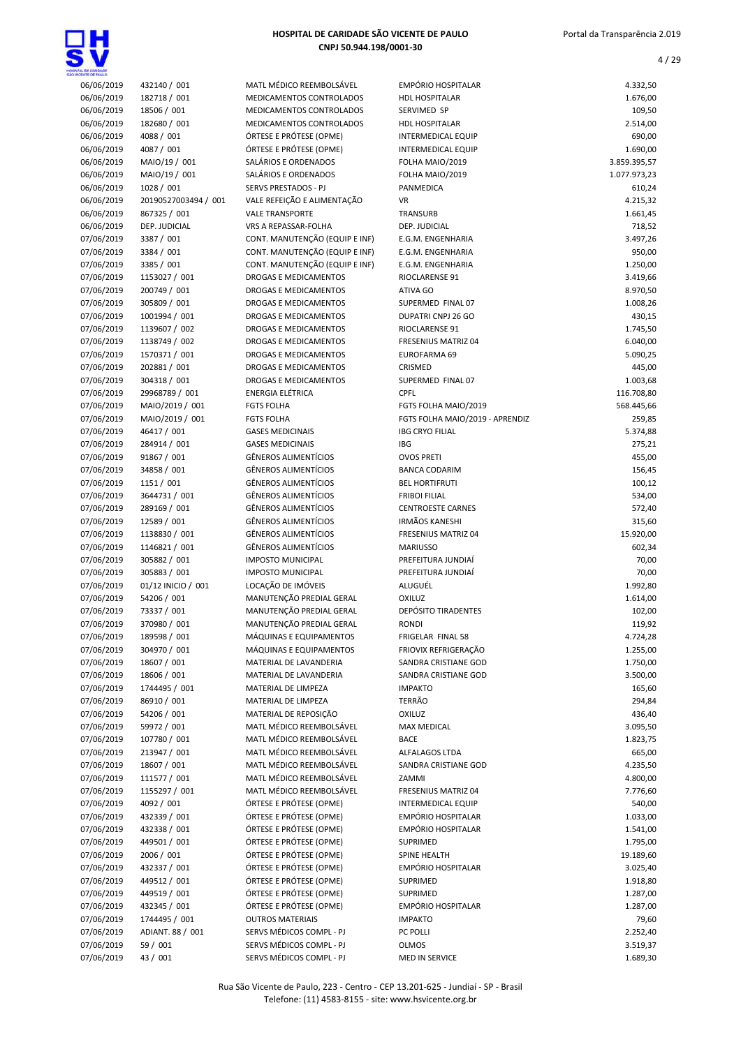4 / 29

| TAL DE CARDADE           |                                   |                                                     |                                                  |                          |
|--------------------------|-----------------------------------|-----------------------------------------------------|--------------------------------------------------|--------------------------|
| 06/06/2019               | 432140 / 001                      | MATL MÉDICO REEMBOLSÁVEL                            | <b>EMPÓRIO HOSPITALAR</b>                        | 4.332,50                 |
| 06/06/2019               | 182718 / 001                      | MEDICAMENTOS CONTROLADOS                            | <b>HDL HOSPITALAR</b>                            | 1.676,00                 |
| 06/06/2019               | 18506 / 001                       | MEDICAMENTOS CONTROLADOS                            | SERVIMED SP                                      | 109,50                   |
| 06/06/2019               | 182680 / 001                      | MEDICAMENTOS CONTROLADOS                            | <b>HDL HOSPITALAR</b>                            | 2.514,00                 |
| 06/06/2019               | 4088 / 001<br>4087 / 001          | ÓRTESE E PRÓTESE (OPME)<br>ÓRTESE E PRÓTESE (OPME)  | <b>INTERMEDICAL EQUIP</b>                        | 690,00                   |
| 06/06/2019<br>06/06/2019 | MAIO/19 / 001                     | SALÁRIOS E ORDENADOS                                | <b>INTERMEDICAL EQUIP</b><br>FOLHA MAIO/2019     | 1.690,00<br>3.859.395,57 |
| 06/06/2019               | MAIO/19 / 001                     | SALÁRIOS E ORDENADOS                                | FOLHA MAIO/2019                                  | 1.077.973,23             |
| 06/06/2019               | 1028 / 001                        | SERVS PRESTADOS - PJ                                | <b>PANMEDICA</b>                                 | 610,24                   |
| 06/06/2019               | 20190527003494 / 001              | VALE REFEIÇÃO E ALIMENTAÇÃO                         | <b>VR</b>                                        | 4.215,32                 |
| 06/06/2019               | 867325 / 001                      | <b>VALE TRANSPORTE</b>                              | TRANSURB                                         | 1.661,45                 |
| 06/06/2019               | DEP. JUDICIAL                     | VRS A REPASSAR-FOLHA                                | DEP. JUDICIAL                                    | 718,52                   |
| 07/06/2019               | 3387 / 001                        | CONT. MANUTENÇÃO (EQUIP E INF)                      | E.G.M. ENGENHARIA                                | 3.497,26                 |
| 07/06/2019               | 3384 / 001                        | CONT. MANUTENÇÃO (EQUIP E INF)                      | E.G.M. ENGENHARIA                                | 950,00                   |
| 07/06/2019               | 3385 / 001                        | CONT. MANUTENÇÃO (EQUIP E INF)                      | E.G.M. ENGENHARIA                                | 1.250,00                 |
| 07/06/2019               | 1153027 / 001                     | <b>DROGAS E MEDICAMENTOS</b>                        | RIOCLARENSE 91                                   | 3.419,66                 |
| 07/06/2019               | 200749 / 001                      | DROGAS E MEDICAMENTOS                               | ATIVA GO                                         | 8.970,50                 |
| 07/06/2019               | 305809 / 001                      | DROGAS E MEDICAMENTOS                               | SUPERMED FINAL 07                                | 1.008,26                 |
| 07/06/2019               | 1001994 / 001                     | DROGAS E MEDICAMENTOS                               | DUPATRI CNPJ 26 GO                               | 430,15                   |
| 07/06/2019               | 1139607 / 002                     | DROGAS E MEDICAMENTOS                               | RIOCLARENSE 91                                   | 1.745,50                 |
| 07/06/2019               | 1138749 / 002                     | DROGAS E MEDICAMENTOS                               | <b>FRESENIUS MATRIZ 04</b>                       | 6.040,00                 |
| 07/06/2019<br>07/06/2019 | 1570371 / 001<br>202881 / 001     | DROGAS E MEDICAMENTOS<br>DROGAS E MEDICAMENTOS      | EUROFARMA 69<br>CRISMED                          | 5.090,25                 |
| 07/06/2019               | 304318 / 001                      | <b>DROGAS E MEDICAMENTOS</b>                        | SUPERMED FINAL 07                                | 445,00<br>1.003,68       |
| 07/06/2019               | 29968789 / 001                    | <b>ENERGIA ELÉTRICA</b>                             | <b>CPFL</b>                                      | 116.708,80               |
| 07/06/2019               | MAIO/2019 / 001                   | <b>FGTS FOLHA</b>                                   | FGTS FOLHA MAIO/2019                             | 568.445,66               |
| 07/06/2019               | MAIO/2019 / 001                   | <b>FGTS FOLHA</b>                                   | FGTS FOLHA MAIO/2019 - APRENDIZ                  | 259,85                   |
| 07/06/2019               | 46417 / 001                       | <b>GASES MEDICINAIS</b>                             | <b>IBG CRYO FILIAL</b>                           | 5.374,88                 |
| 07/06/2019               | 284914 / 001                      | <b>GASES MEDICINAIS</b>                             | <b>IBG</b>                                       | 275,21                   |
| 07/06/2019               | 91867 / 001                       | <b>GÊNEROS ALIMENTÍCIOS</b>                         | <b>OVOS PRETI</b>                                | 455,00                   |
| 07/06/2019               | 34858 / 001                       | <b>GÊNEROS ALIMENTÍCIOS</b>                         | <b>BANCA CODARIM</b>                             | 156,45                   |
| 07/06/2019               | 1151 / 001                        | <b>GÊNEROS ALIMENTÍCIOS</b>                         | <b>BEL HORTIFRUTI</b>                            | 100,12                   |
| 07/06/2019               | 3644731 / 001                     | <b>GÊNEROS ALIMENTÍCIOS</b>                         | <b>FRIBOI FILIAL</b>                             | 534,00                   |
| 07/06/2019               | 289169 / 001                      | <b>GÊNEROS ALIMENTÍCIOS</b>                         | <b>CENTROESTE CARNES</b>                         | 572,40                   |
| 07/06/2019               | 12589 / 001                       | <b>GÊNEROS ALIMENTÍCIOS</b>                         | <b>IRMÃOS KANESHI</b>                            | 315,60                   |
| 07/06/2019               | 1138830 / 001                     | <b>GÊNEROS ALIMENTÍCIOS</b>                         | <b>FRESENIUS MATRIZ 04</b>                       | 15.920,00                |
| 07/06/2019               | 1146821 / 001                     | <b>GÊNEROS ALIMENTÍCIOS</b>                         | <b>MARIUSSO</b>                                  | 602,34                   |
| 07/06/2019               | 305882 / 001                      | <b>IMPOSTO MUNICIPAL</b>                            | PREFEITURA JUNDIAÍ                               | 70,00                    |
| 07/06/2019               | 305883 / 001                      | <b>IMPOSTO MUNICIPAL</b>                            | PREFEITURA JUNDIAÍ<br>ALUGUÉL                    | 70,00                    |
| 07/06/2019<br>07/06/2019 | 01/12 INICIO / 001<br>54206 / 001 | LOCAÇÃO DE IMÓVEIS<br>MANUTENÇÃO PREDIAL GERAL      | OXILUZ                                           | 1.992,80<br>1.614,00     |
| 07/06/2019               | 73337 / 001                       | MANUTENÇÃO PREDIAL GERAL                            | <b>DEPÓSITO TIRADENTES</b>                       | 102,00                   |
| 07/06/2019               | 370980 / 001                      | MANUTENÇÃO PREDIAL GERAL                            | <b>RONDI</b>                                     | 119,92                   |
| 07/06/2019               | 189598 / 001                      | MÁQUINAS E EQUIPAMENTOS                             | FRIGELAR FINAL 58                                | 4.724,28                 |
| 07/06/2019               | 304970 / 001                      | MÁQUINAS E EQUIPAMENTOS                             | FRIOVIX REFRIGERAÇÃO                             | 1.255,00                 |
| 07/06/2019               | 18607 / 001                       | MATERIAL DE LAVANDERIA                              | SANDRA CRISTIANE GOD                             | 1.750,00                 |
| 07/06/2019               | 18606 / 001                       | MATERIAL DE LAVANDERIA                              | SANDRA CRISTIANE GOD                             | 3.500,00                 |
| 07/06/2019               | 1744495 / 001                     | MATERIAL DE LIMPEZA                                 | <b>IMPAKTO</b>                                   | 165,60                   |
| 07/06/2019               | 86910 / 001                       | MATERIAL DE LIMPEZA                                 | <b>TERRÃO</b>                                    | 294,84                   |
| 07/06/2019               | 54206 / 001                       | MATERIAL DE REPOSIÇÃO                               | OXILUZ                                           | 436,40                   |
| 07/06/2019               | 59972 / 001                       | MATL MÉDICO REEMBOLSÁVEL                            | <b>MAX MEDICAL</b>                               | 3.095,50                 |
| 07/06/2019               | 107780 / 001                      | MATL MÉDICO REEMBOLSÁVEL                            | <b>BACE</b>                                      | 1.823,75                 |
| 07/06/2019               | 213947 / 001                      | MATL MÉDICO REEMBOLSÁVEL                            | ALFALAGOS LTDA                                   | 665,00                   |
| 07/06/2019               | 18607 / 001                       | MATL MÉDICO REEMBOLSÁVEL                            | SANDRA CRISTIANE GOD                             | 4.235,50                 |
| 07/06/2019               | 111577 / 001                      | MATL MÉDICO REEMBOLSÁVEL                            | ZAMMI                                            | 4.800,00                 |
| 07/06/2019<br>07/06/2019 | 1155297 / 001<br>4092 / 001       | MATL MÉDICO REEMBOLSÁVEL<br>ÓRTESE E PRÓTESE (OPME) | FRESENIUS MATRIZ 04<br><b>INTERMEDICAL EQUIP</b> | 7.776,60<br>540,00       |
| 07/06/2019               | 432339 / 001                      | ÓRTESE E PRÓTESE (OPME)                             | EMPÓRIO HOSPITALAR                               | 1.033,00                 |
| 07/06/2019               | 432338 / 001                      | ÓRTESE E PRÓTESE (OPME)                             | EMPÓRIO HOSPITALAR                               | 1.541,00                 |
| 07/06/2019               | 449501 / 001                      | ÓRTESE E PRÓTESE (OPME)                             | SUPRIMED                                         | 1.795,00                 |
| 07/06/2019               | 2006 / 001                        | ÓRTESE E PRÓTESE (OPME)                             | SPINE HEALTH                                     | 19.189,60                |
| 07/06/2019               | 432337 / 001                      | ÓRTESE E PRÓTESE (OPME)                             | EMPÓRIO HOSPITALAR                               | 3.025,40                 |
| 07/06/2019               | 449512 / 001                      | ÓRTESE E PRÓTESE (OPME)                             | SUPRIMED                                         | 1.918,80                 |
| 07/06/2019               | 449519 / 001                      | ÓRTESE E PRÓTESE (OPME)                             | SUPRIMED                                         | 1.287,00                 |
| 07/06/2019               | 432345 / 001                      | ÓRTESE E PRÓTESE (OPME)                             | EMPÓRIO HOSPITALAR                               | 1.287,00                 |
| 07/06/2019               | 1744495 / 001                     | <b>OUTROS MATERIAIS</b>                             | <b>IMPAKTO</b>                                   | 79,60                    |
| 07/06/2019               | ADIANT. 88 / 001                  | SERVS MÉDICOS COMPL - PJ                            | PC POLLI                                         | 2.252,40                 |
| 07/06/2019               | 59 / 001                          | SERVS MÉDICOS COMPL - PJ                            | <b>OLMOS</b>                                     | 3.519,37                 |
| 07/06/2019               | 43 / 001                          | SERVS MÉDICOS COMPL - PJ                            | MED IN SERVICE                                   | 1.689,30                 |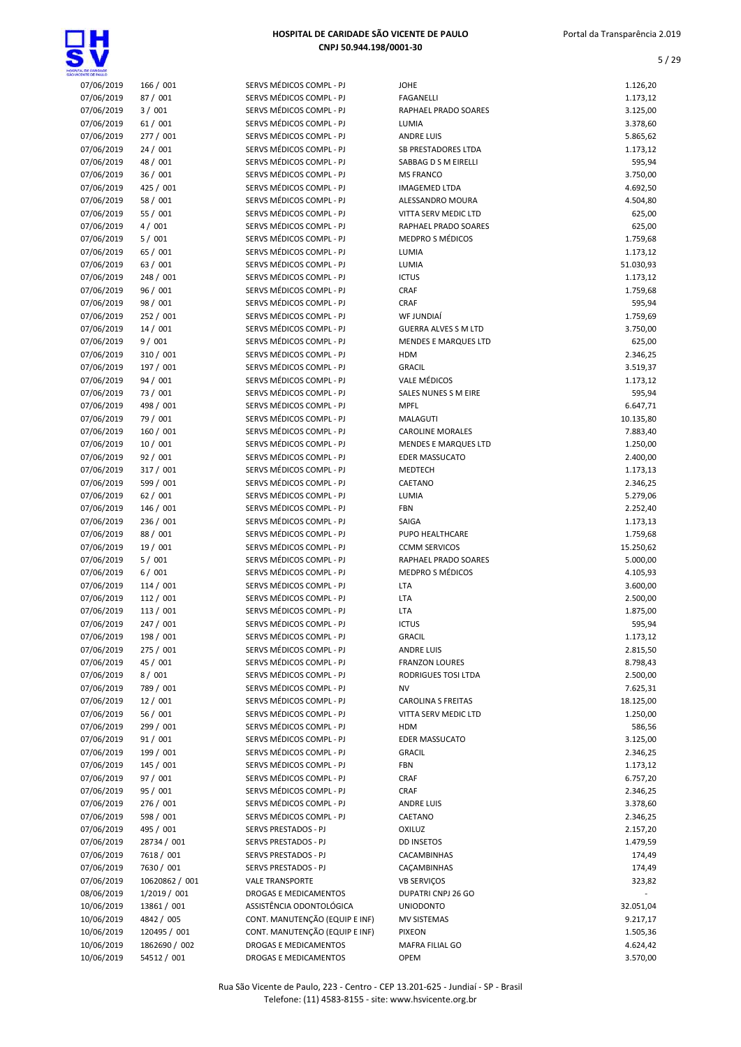

| WOENTE CE PAULO |                |                                |                             |           |
|-----------------|----------------|--------------------------------|-----------------------------|-----------|
| 07/06/2019      | 166 / 001      | SERVS MÉDICOS COMPL - PJ       | <b>JOHE</b>                 | 1.126,20  |
| 07/06/2019      | 87 / 001       | SERVS MÉDICOS COMPL - PJ       | <b>FAGANELLI</b>            | 1.173,12  |
| 07/06/2019      | 3/001          | SERVS MÉDICOS COMPL - PJ       | RAPHAEL PRADO SOARES        | 3.125,00  |
| 07/06/2019      | 61/001         | SERVS MÉDICOS COMPL - PJ       | LUMIA                       | 3.378,60  |
| 07/06/2019      | 277 / 001      | SERVS MÉDICOS COMPL - PJ       | <b>ANDRE LUIS</b>           | 5.865,62  |
| 07/06/2019      | 24/001         | SERVS MÉDICOS COMPL - PJ       | <b>SB PRESTADORES LTDA</b>  | 1.173,12  |
| 07/06/2019      | 48 / 001       | SERVS MÉDICOS COMPL - PJ       | SABBAG D S M EIRELLI        | 595,94    |
| 07/06/2019      | 36/001         | SERVS MÉDICOS COMPL - PJ       | <b>MS FRANCO</b>            | 3.750,00  |
| 07/06/2019      | 425 / 001      | SERVS MÉDICOS COMPL - PJ       | <b>IMAGEMED LTDA</b>        | 4.692,50  |
| 07/06/2019      | 58 / 001       | SERVS MÉDICOS COMPL - PJ       | ALESSANDRO MOURA            | 4.504,80  |
| 07/06/2019      | 55 / 001       | SERVS MÉDICOS COMPL - PJ       | VITTA SERV MEDIC LTD        | 625,00    |
| 07/06/2019      | 4/001          | SERVS MÉDICOS COMPL - PJ       | RAPHAEL PRADO SOARES        | 625,00    |
| 07/06/2019      | 5/001          | SERVS MÉDICOS COMPL - PJ       | <b>MEDPRO S MÉDICOS</b>     | 1.759,68  |
| 07/06/2019      | 65 / 001       | SERVS MÉDICOS COMPL - PJ       | LUMIA                       | 1.173,12  |
| 07/06/2019      | 63 / 001       | SERVS MÉDICOS COMPL - PJ       | LUMIA                       | 51.030,93 |
| 07/06/2019      | 248 / 001      | SERVS MÉDICOS COMPL - PJ       | <b>ICTUS</b>                | 1.173,12  |
| 07/06/2019      | 96 / 001       | SERVS MÉDICOS COMPL - PJ       | <b>CRAF</b>                 | 1.759,68  |
| 07/06/2019      | 98 / 001       | SERVS MÉDICOS COMPL - PJ       | <b>CRAF</b>                 | 595,94    |
| 07/06/2019      | 252 / 001      | SERVS MÉDICOS COMPL - PJ       | WF JUNDIAÍ                  | 1.759,69  |
| 07/06/2019      | 14 / 001       | SERVS MÉDICOS COMPL - PJ       | <b>GUERRA ALVES S M LTD</b> | 3.750,00  |
| 07/06/2019      | 9/001          | SERVS MÉDICOS COMPL - PJ       | <b>MENDES E MARQUES LTD</b> | 625,00    |
| 07/06/2019      | 310 / 001      | SERVS MÉDICOS COMPL - PJ       | <b>HDM</b>                  | 2.346,25  |
| 07/06/2019      | 197 / 001      | SERVS MÉDICOS COMPL - PJ       | <b>GRACIL</b>               | 3.519,37  |
| 07/06/2019      | 94 / 001       | SERVS MÉDICOS COMPL - PJ       | <b>VALE MÉDICOS</b>         | 1.173,12  |
| 07/06/2019      | 73 / 001       | SERVS MÉDICOS COMPL - PJ       | SALES NUNES S M EIRE        | 595,94    |
| 07/06/2019      | 498 / 001      | SERVS MÉDICOS COMPL - PJ       | <b>MPFL</b>                 | 6.647,71  |
| 07/06/2019      | 79 / 001       | SERVS MÉDICOS COMPL - PJ       | <b>MALAGUTI</b>             | 10.135,80 |
| 07/06/2019      | 160 / 001      | SERVS MÉDICOS COMPL - PJ       | <b>CAROLINE MORALES</b>     | 7.883,40  |
| 07/06/2019      | 10/001         | SERVS MÉDICOS COMPL - PJ       | MENDES E MARQUES LTD        | 1.250,00  |
| 07/06/2019      | 92/001         | SERVS MÉDICOS COMPL - PJ       | <b>EDER MASSUCATO</b>       | 2.400,00  |
| 07/06/2019      | 317 / 001      | SERVS MÉDICOS COMPL - PJ       | MEDTECH                     | 1.173,13  |
| 07/06/2019      | 599 / 001      | SERVS MÉDICOS COMPL - PJ       | CAETANO                     | 2.346,25  |
| 07/06/2019      | 62/001         | SERVS MÉDICOS COMPL - PJ       | LUMIA                       | 5.279,06  |
| 07/06/2019      | 146 / 001      | SERVS MÉDICOS COMPL - PJ       | FBN                         | 2.252,40  |
| 07/06/2019      | 236 / 001      | SERVS MÉDICOS COMPL - PJ       | SAIGA                       | 1.173,13  |
| 07/06/2019      | 88 / 001       | SERVS MÉDICOS COMPL - PJ       | PUPO HEALTHCARE             | 1.759,68  |
| 07/06/2019      | 19 / 001       | SERVS MÉDICOS COMPL - PJ       | <b>CCMM SERVICOS</b>        | 15.250,62 |
| 07/06/2019      | 5/001          | SERVS MÉDICOS COMPL - PJ       | RAPHAEL PRADO SOARES        | 5.000,00  |
| 07/06/2019      | 6/001          | SERVS MÉDICOS COMPL - PJ       | <b>MEDPRO S MÉDICOS</b>     | 4.105,93  |
| 07/06/2019      | 114/001        | SERVS MÉDICOS COMPL - PJ       | LTA                         | 3.600,00  |
| 07/06/2019      | 112 / 001      | SERVS MÉDICOS COMPL - PJ       | LTA                         | 2.500,00  |
| 07/06/2019      | 113 / 001      | SERVS MÉDICOS COMPL - PJ       | <b>LTA</b>                  | 1.875,00  |
| 07/06/2019      | 247 / 001      | SERVS MÉDICOS COMPL - PJ       | <b>ICTUS</b>                | 595,94    |
| 07/06/2019      | 198 / 001      | SERVS MÉDICOS COMPL - PJ       | <b>GRACIL</b>               | 1.173,12  |
| 07/06/2019      | 275 / 001      | SERVS MÉDICOS COMPL - PJ       | <b>ANDRE LUIS</b>           | 2.815,50  |
| 07/06/2019      | 45 / 001       | SERVS MÉDICOS COMPL - PJ       | <b>FRANZON LOURES</b>       | 8.798,43  |
| 07/06/2019      | 8/001          | SERVS MÉDICOS COMPL - PJ       | RODRIGUES TOSI LTDA         | 2.500,00  |
| 07/06/2019      | 789 / 001      | SERVS MÉDICOS COMPL - PJ       | ΝV                          | 7.625,31  |
| 07/06/2019      | 12/001         | SERVS MÉDICOS COMPL - PJ       | <b>CAROLINA S FREITAS</b>   | 18.125,00 |
| 07/06/2019      | 56 / 001       | SERVS MÉDICOS COMPL - PJ       | VITTA SERV MEDIC LTD        | 1.250,00  |
| 07/06/2019      | 299 / 001      | SERVS MÉDICOS COMPL - PJ       | <b>HDM</b>                  | 586,56    |
| 07/06/2019      | 91/001         | SERVS MÉDICOS COMPL - PJ       | <b>EDER MASSUCATO</b>       | 3.125,00  |
| 07/06/2019      | 199 / 001      | SERVS MÉDICOS COMPL - PJ       | <b>GRACIL</b>               | 2.346,25  |
| 07/06/2019      | 145 / 001      | SERVS MÉDICOS COMPL - PJ       | FBN                         | 1.173,12  |
| 07/06/2019      | 97 / 001       | SERVS MÉDICOS COMPL - PJ       | <b>CRAF</b>                 | 6.757,20  |
| 07/06/2019      | 95 / 001       | SERVS MÉDICOS COMPL - PJ       | <b>CRAF</b>                 | 2.346,25  |
| 07/06/2019      | 276 / 001      | SERVS MÉDICOS COMPL - PJ       | <b>ANDRE LUIS</b>           | 3.378,60  |
| 07/06/2019      | 598 / 001      | SERVS MÉDICOS COMPL - PJ       | CAETANO                     | 2.346,25  |
| 07/06/2019      | 495 / 001      | SERVS PRESTADOS - PJ           | <b>OXILUZ</b>               | 2.157,20  |
| 07/06/2019      | 28734 / 001    | SERVS PRESTADOS - PJ           | <b>DD INSETOS</b>           | 1.479,59  |
| 07/06/2019      | 7618 / 001     | SERVS PRESTADOS - PJ           | CACAMBINHAS                 | 174,49    |
| 07/06/2019      | 7630 / 001     | SERVS PRESTADOS - PJ           | CAÇAMBINHAS                 | 174,49    |
| 07/06/2019      | 10620862 / 001 | <b>VALE TRANSPORTE</b>         | <b>VB SERVIÇOS</b>          | 323,82    |
| 08/06/2019      | 1/2019 / 001   | DROGAS E MEDICAMENTOS          | DUPATRI CNPJ 26 GO          |           |
| 10/06/2019      | 13861 / 001    | ASSISTÊNCIA ODONTOLÓGICA       | <b>UNIODONTO</b>            | 32.051,04 |
| 10/06/2019      | 4842 / 005     | CONT. MANUTENÇÃO (EQUIP E INF) | MV SISTEMAS                 | 9.217,17  |
| 10/06/2019      | 120495 / 001   | CONT. MANUTENÇÃO (EQUIP E INF) | <b>PIXEON</b>               | 1.505,36  |
| 10/06/2019      | 1862690 / 002  | DROGAS E MEDICAMENTOS          | MAFRA FILIAL GO             | 4.624,42  |
| 10/06/2019      | 54512 / 001    | DROGAS E MEDICAMENTOS          | <b>OPEM</b>                 | 3.570,00  |
|                 |                |                                |                             |           |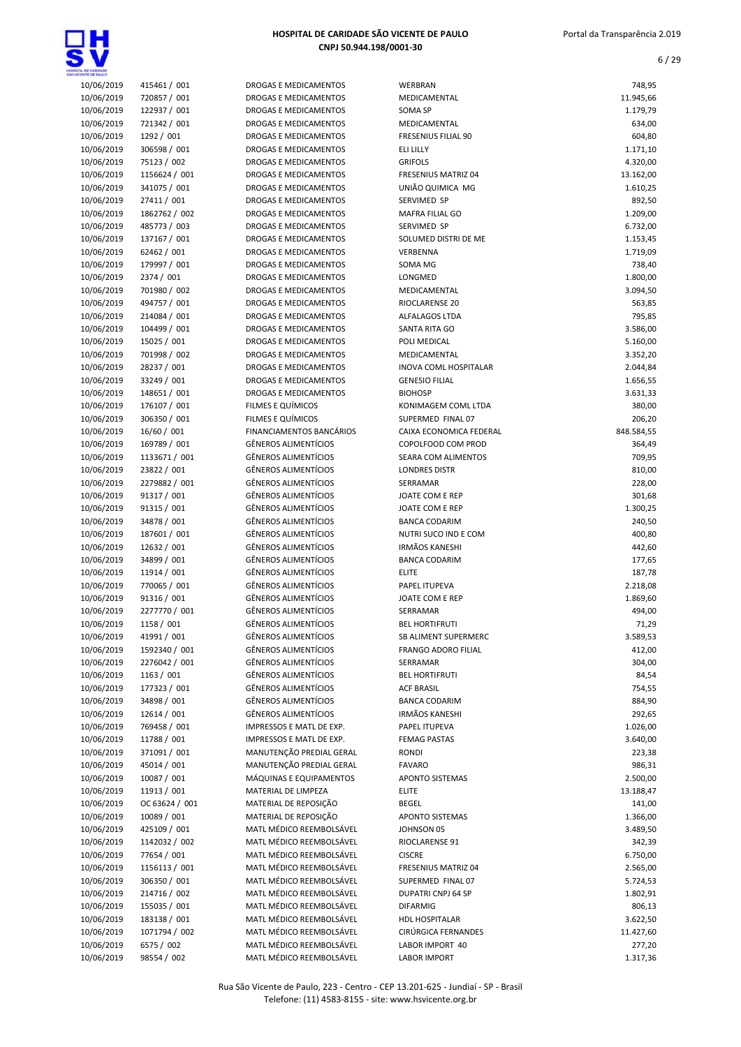

| HOSPITAL DE CARIDADE SÃO VICENTE DE PAULO |  |
|-------------------------------------------|--|
| CNPJ 50.944.198/0001-30                   |  |

| 10/06/2019 | 415461 / 001   | DROGAS E MEDICAMENTOS        | WERBRAN                    | 748,95     |
|------------|----------------|------------------------------|----------------------------|------------|
| 10/06/2019 | 720857 / 001   | DROGAS E MEDICAMENTOS        | MEDICAMENTAL               | 11.945,66  |
| 10/06/2019 | 122937 / 001   | DROGAS E MEDICAMENTOS        | SOMA SP                    | 1.179,79   |
| 10/06/2019 | 721342 / 001   | DROGAS E MEDICAMENTOS        | MEDICAMENTAL               | 634,00     |
| 10/06/2019 | 1292 / 001     | DROGAS E MEDICAMENTOS        | <b>FRESENIUS FILIAL 90</b> | 604,80     |
| 10/06/2019 | 306598 / 001   | DROGAS E MEDICAMENTOS        | <b>ELI LILLY</b>           | 1.171,10   |
| 10/06/2019 | 75123 / 002    | DROGAS E MEDICAMENTOS        | <b>GRIFOLS</b>             | 4.320,00   |
| 10/06/2019 | 1156624 / 001  | DROGAS E MEDICAMENTOS        | FRESENIUS MATRIZ 04        | 13.162,00  |
| 10/06/2019 | 341075 / 001   | DROGAS E MEDICAMENTOS        | UNIÃO QUIMICA MG           | 1.610,25   |
| 10/06/2019 | 27411 / 001    | DROGAS E MEDICAMENTOS        | SERVIMED SP                | 892,50     |
| 10/06/2019 | 1862762 / 002  | DROGAS E MEDICAMENTOS        | <b>MAFRA FILIAL GO</b>     | 1.209,00   |
| 10/06/2019 | 485773 / 003   | DROGAS E MEDICAMENTOS        | SERVIMED SP                | 6.732,00   |
| 10/06/2019 | 137167 / 001   | DROGAS E MEDICAMENTOS        | SOLUMED DISTRI DE ME       | 1.153,45   |
| 10/06/2019 | 62462 / 001    | DROGAS E MEDICAMENTOS        | VERBENNA                   | 1.719,09   |
| 10/06/2019 | 179997 / 001   | DROGAS E MEDICAMENTOS        | SOMA MG                    | 738,40     |
| 10/06/2019 | 2374 / 001     | DROGAS E MEDICAMENTOS        | LONGMED                    | 1.800,00   |
| 10/06/2019 | 701980 / 002   | DROGAS E MEDICAMENTOS        | MEDICAMENTAL               | 3.094,50   |
| 10/06/2019 | 494757 / 001   | DROGAS E MEDICAMENTOS        | RIOCLARENSE 20             | 563,85     |
| 10/06/2019 | 214084 / 001   | DROGAS E MEDICAMENTOS        | ALFALAGOS LTDA             | 795,85     |
|            |                | <b>DROGAS E MEDICAMENTOS</b> | <b>SANTA RITA GO</b>       |            |
| 10/06/2019 | 104499 / 001   |                              |                            | 3.586,00   |
| 10/06/2019 | 15025 / 001    | DROGAS E MEDICAMENTOS        | POLI MEDICAL               | 5.160,00   |
| 10/06/2019 | 701998 / 002   | <b>DROGAS E MEDICAMENTOS</b> | MEDICAMENTAL               | 3.352,20   |
| 10/06/2019 | 28237 / 001    | DROGAS E MEDICAMENTOS        | INOVA COML HOSPITALAR      | 2.044,84   |
| 10/06/2019 | 33249 / 001    | DROGAS E MEDICAMENTOS        | <b>GENESIO FILIAL</b>      | 1.656,55   |
| 10/06/2019 | 148651 / 001   | DROGAS E MEDICAMENTOS        | <b>BIOHOSP</b>             | 3.631,33   |
| 10/06/2019 | 176107 / 001   | FILMES E QUÍMICOS            | KONIMAGEM COML LTDA        | 380,00     |
| 10/06/2019 | 306350 / 001   | FILMES E QUÍMICOS            | SUPERMED FINAL 07          | 206,20     |
| 10/06/2019 | 16/60 / 001    | FINANCIAMENTOS BANCÁRIOS     | CAIXA ECONOMICA FEDERAL    | 848.584,55 |
| 10/06/2019 | 169789 / 001   | <b>GÊNEROS ALIMENTÍCIOS</b>  | COPOLFOOD COM PROD         | 364,49     |
| 10/06/2019 | 1133671 / 001  | <b>GÊNEROS ALIMENTÍCIOS</b>  | SEARA COM ALIMENTOS        | 709,95     |
| 10/06/2019 | 23822 / 001    | <b>GÊNEROS ALIMENTÍCIOS</b>  | <b>LONDRES DISTR</b>       | 810,00     |
| 10/06/2019 | 2279882 / 001  | <b>GËNEROS ALIMENTÍCIOS</b>  | SERRAMAR                   | 228,00     |
| 10/06/2019 | 91317 / 001    | <b>GÊNEROS ALIMENTÍCIOS</b>  | JOATE COM E REP            | 301,68     |
| 10/06/2019 | 91315 / 001    | <b>GÊNEROS ALIMENTÍCIOS</b>  | JOATE COM E REP            | 1.300,25   |
| 10/06/2019 | 34878 / 001    | <b>GÊNEROS ALIMENTÍCIOS</b>  | <b>BANCA CODARIM</b>       | 240,50     |
| 10/06/2019 | 187601 / 001   | <b>GÊNEROS ALIMENTÍCIOS</b>  | NUTRI SUCO IND E COM       | 400,80     |
| 10/06/2019 | 12632 / 001    | <b>GÊNEROS ALIMENTÍCIOS</b>  | <b>IRMÃOS KANESHI</b>      | 442,60     |
| 10/06/2019 | 34899 / 001    | <b>GÊNEROS ALIMENTÍCIOS</b>  | <b>BANCA CODARIM</b>       | 177,65     |
| 10/06/2019 | 11914 / 001    | <b>GÊNEROS ALIMENTÍCIOS</b>  | <b>ELITE</b>               | 187,78     |
| 10/06/2019 | 770065 / 001   | <b>GÊNEROS ALIMENTÍCIOS</b>  | PAPEL ITUPEVA              | 2.218,08   |
| 10/06/2019 | 91316 / 001    | <b>GÊNEROS ALIMENTÍCIOS</b>  | JOATE COM E REP            | 1.869,60   |
| 10/06/2019 | 2277770 / 001  | <b>GÊNEROS ALIMENTÍCIOS</b>  | SERRAMAR                   | 494,00     |
| 10/06/2019 | 1158 / 001     | <b>GÊNEROS ALIMENTÍCIOS</b>  | <b>BEL HORTIFRUTI</b>      | 71,29      |
| 10/06/2019 | 41991 / 001    | <b>GÊNEROS ALIMENTÍCIOS</b>  | SB ALIMENT SUPERMERC       | 3.589,53   |
| 10/06/2019 | 1592340 / 001  | <b>GÊNEROS ALIMENTÍCIOS</b>  | FRANGO ADORO FILIAL        | 412,00     |
| 10/06/2019 | 2276042 / 001  | <b>GÊNEROS ALIMENTÍCIOS</b>  | SERRAMAR                   | 304,00     |
| 10/06/2019 | 1163 / 001     | <b>GÊNEROS ALIMENTÍCIOS</b>  | <b>BEL HORTIFRUTI</b>      | 84,54      |
|            |                |                              |                            |            |
| 10/06/2019 | 177323 / 001   | <b>GÊNEROS ALIMENTÍCIOS</b>  | <b>ACF BRASIL</b>          | 754,55     |
| 10/06/2019 | 34898 / 001    | <b>GÊNEROS ALIMENTÍCIOS</b>  | <b>BANCA CODARIM</b>       | 884,90     |
| 10/06/2019 | 12614 / 001    | <b>GÊNEROS ALIMENTÍCIOS</b>  | <b>IRMÃOS KANESHI</b>      | 292,65     |
| 10/06/2019 | 769458 / 001   | IMPRESSOS E MATL DE EXP.     | PAPEL ITUPEVA              | 1.026,00   |
| 10/06/2019 | 11788 / 001    | IMPRESSOS E MATL DE EXP.     | <b>FEMAG PASTAS</b>        | 3.640,00   |
| 10/06/2019 | 371091 / 001   | MANUTENÇÃO PREDIAL GERAL     | <b>RONDI</b>               | 223,38     |
| 10/06/2019 | 45014 / 001    | MANUTENÇÃO PREDIAL GERAL     | <b>FAVARO</b>              | 986,31     |
| 10/06/2019 | 10087 / 001    | MÁQUINAS E EQUIPAMENTOS      | APONTO SISTEMAS            | 2.500,00   |
| 10/06/2019 | 11913 / 001    | MATERIAL DE LIMPEZA          | <b>ELITE</b>               | 13.188,47  |
| 10/06/2019 | OC 63624 / 001 | MATERIAL DE REPOSIÇÃO        | <b>BEGEL</b>               | 141,00     |
| 10/06/2019 | 10089 / 001    | MATERIAL DE REPOSIÇÃO        | APONTO SISTEMAS            | 1.366,00   |
| 10/06/2019 | 425109 / 001   | MATL MÉDICO REEMBOLSÁVEL     | JOHNSON 05                 | 3.489,50   |
| 10/06/2019 | 1142032 / 002  | MATL MÉDICO REEMBOLSÁVEL     | RIOCLARENSE 91             | 342,39     |
| 10/06/2019 | 77654 / 001    | MATL MÉDICO REEMBOLSÁVEL     | <b>CISCRE</b>              | 6.750,00   |
| 10/06/2019 | 1156113 / 001  | MATL MÉDICO REEMBOLSÁVEL     | FRESENIUS MATRIZ 04        | 2.565,00   |
| 10/06/2019 | 306350 / 001   | MATL MÉDICO REEMBOLSÁVEL     | SUPERMED FINAL 07          | 5.724,53   |
| 10/06/2019 | 214716 / 002   | MATL MÉDICO REEMBOLSÁVEL     | DUPATRI CNPJ 64 SP         | 1.802,91   |
| 10/06/2019 | 155035 / 001   | MATL MÉDICO REEMBOLSÁVEL     | <b>DIFARMIG</b>            | 806,13     |
| 10/06/2019 | 183138 / 001   | MATL MÉDICO REEMBOLSÁVEL     | <b>HDL HOSPITALAR</b>      | 3.622,50   |
| 10/06/2019 | 1071794 / 002  | MATL MÉDICO REEMBOLSÁVEL     | CIRÚRGICA FERNANDES        | 11.427,60  |
| 10/06/2019 | 6575 / 002     | MATL MÉDICO REEMBOLSÁVEL     | LABOR IMPORT 40            | 277,20     |
| 10/06/2019 | 98554 / 002    | MATL MÉDICO REEMBOLSÁVEL     | <b>LABOR IMPORT</b>        | 1.317,36   |
|            |                |                              |                            |            |
|            |                |                              |                            |            |

| 10/06/2019 | 415461 / 001   | DROGAS E MEDICAMENTOS           | WERBRAN                      | 748,95     |
|------------|----------------|---------------------------------|------------------------------|------------|
| 10/06/2019 | 720857 / 001   | <b>DROGAS E MEDICAMENTOS</b>    | MEDICAMENTAL                 | 11.945,66  |
| 10/06/2019 | 122937 / 001   | <b>DROGAS E MEDICAMENTOS</b>    | <b>SOMA SP</b>               | 1.179,79   |
| 10/06/2019 | 721342 / 001   | DROGAS E MEDICAMENTOS           | MEDICAMENTAL                 | 634,00     |
| 10/06/2019 | 1292 / 001     | DROGAS E MEDICAMENTOS           | <b>FRESENIUS FILIAL 90</b>   | 604,80     |
| 10/06/2019 | 306598 / 001   |                                 | ELI LILLY                    |            |
|            |                | DROGAS E MEDICAMENTOS           |                              | 1.171,10   |
| 10/06/2019 | 75123 / 002    | DROGAS E MEDICAMENTOS           | <b>GRIFOLS</b>               | 4.320,00   |
| 10/06/2019 | 1156624 / 001  | DROGAS E MEDICAMENTOS           | FRESENIUS MATRIZ 04          | 13.162,00  |
| 10/06/2019 | 341075 / 001   | DROGAS E MEDICAMENTOS           | UNIÃO QUIMICA MG             | 1.610,25   |
| 10/06/2019 | 27411 / 001    | DROGAS E MEDICAMENTOS           | SERVIMED SP                  | 892,50     |
| 10/06/2019 | 1862762 / 002  | DROGAS E MEDICAMENTOS           | MAFRA FILIAL GO              | 1.209,00   |
| 10/06/2019 | 485773 / 003   | <b>DROGAS E MEDICAMENTOS</b>    | SERVIMED SP                  | 6.732,00   |
| 10/06/2019 | 137167 / 001   | DROGAS E MEDICAMENTOS           | SOLUMED DISTRI DE ME         | 1.153,45   |
| 10/06/2019 | 62462 / 001    | DROGAS E MEDICAMENTOS           | <b>VERBENNA</b>              | 1.719,09   |
| 10/06/2019 | 179997 / 001   | DROGAS E MEDICAMENTOS           | SOMA MG                      | 738,40     |
| 10/06/2019 | 2374 / 001     | DROGAS E MEDICAMENTOS           | LONGMED                      | 1.800,00   |
| 10/06/2019 | 701980 / 002   | DROGAS E MEDICAMENTOS           | MEDICAMENTAL                 | 3.094,50   |
| 10/06/2019 | 494757 / 001   | DROGAS E MEDICAMENTOS           | RIOCLARENSE 20               | 563,85     |
| 10/06/2019 | 214084 / 001   | <b>DROGAS E MEDICAMENTOS</b>    | ALFALAGOS LTDA               | 795,85     |
| 10/06/2019 | 104499 / 001   |                                 | <b>SANTA RITA GO</b>         |            |
|            |                | DROGAS E MEDICAMENTOS           |                              | 3.586,00   |
| 10/06/2019 | 15025 / 001    | DROGAS E MEDICAMENTOS           | POLI MEDICAL                 | 5.160,00   |
| 10/06/2019 | 701998 / 002   | <b>DROGAS E MEDICAMENTOS</b>    | MEDICAMENTAL                 | 3.352,20   |
| 10/06/2019 | 28237 / 001    | <b>DROGAS E MEDICAMENTOS</b>    | <b>INOVA COML HOSPITALAR</b> | 2.044,84   |
| 10/06/2019 | 33249 / 001    | <b>DROGAS E MEDICAMENTOS</b>    | <b>GENESIO FILIAL</b>        | 1.656,55   |
| 10/06/2019 | 148651 / 001   | DROGAS E MEDICAMENTOS           | <b>BIOHOSP</b>               | 3.631,33   |
| 10/06/2019 | 176107 / 001   | FILMES E QUÍMICOS               | KONIMAGEM COML LTDA          | 380,00     |
| 10/06/2019 | 306350 / 001   | FILMES E QUÍMICOS               | SUPERMED FINAL 07            | 206,20     |
| 10/06/2019 | 16/60 / 001    | <b>FINANCIAMENTOS BANCÁRIOS</b> | CAIXA ECONOMICA FEDERAL      | 848.584,55 |
| 10/06/2019 | 169789 / 001   | <b>GÊNEROS ALIMENTÍCIOS</b>     | COPOLFOOD COM PROD           | 364,49     |
| 10/06/2019 | 1133671 / 001  | <b>GÊNEROS ALIMENTÍCIOS</b>     | SEARA COM ALIMENTOS          | 709,95     |
| 10/06/2019 | 23822 / 001    | <b>GÊNEROS ALIMENTÍCIOS</b>     | <b>LONDRES DISTR</b>         | 810,00     |
| 10/06/2019 | 2279882 / 001  | <b>GÊNEROS ALIMENTÍCIOS</b>     | SERRAMAR                     | 228,00     |
| 10/06/2019 | 91317 / 001    | <b>GÊNEROS ALIMENTÍCIOS</b>     | JOATE COM E REP              | 301,68     |
| 10/06/2019 | 91315 / 001    | <b>GÊNEROS ALIMENTÍCIOS</b>     | JOATE COM E REP              | 1.300,25   |
|            |                |                                 |                              |            |
| 10/06/2019 | 34878 / 001    | <b>GÊNEROS ALIMENTÍCIOS</b>     | <b>BANCA CODARIM</b>         | 240,50     |
| 10/06/2019 | 187601 / 001   | <b>GÊNEROS ALIMENTÍCIOS</b>     | NUTRI SUCO IND E COM         | 400,80     |
| 10/06/2019 | 12632 / 001    | <b>GÊNEROS ALIMENTÍCIOS</b>     | <b>IRMÃOS KANESHI</b>        | 442,60     |
| 10/06/2019 | 34899 / 001    | <b>GÊNEROS ALIMENTÍCIOS</b>     | <b>BANCA CODARIM</b>         | 177,65     |
| 10/06/2019 | 11914 / 001    | <b>GÊNEROS ALIMENTÍCIOS</b>     | <b>ELITE</b>                 | 187,78     |
| 10/06/2019 | 770065 / 001   | <b>GÊNEROS ALIMENTÍCIOS</b>     | PAPEL ITUPEVA                | 2.218,08   |
| 10/06/2019 | 91316 / 001    | <b>GÊNEROS ALIMENTÍCIOS</b>     | JOATE COM E REP              | 1.869,60   |
| 10/06/2019 | 2277770 / 001  | <b>GÊNEROS ALIMENTÍCIOS</b>     | SERRAMAR                     | 494,00     |
| 10/06/2019 | 1158 / 001     | <b>GÊNEROS ALIMENTÍCIOS</b>     | <b>BEL HORTIFRUTI</b>        | 71,29      |
| 10/06/2019 | 41991 / 001    | <b>GÊNEROS ALIMENTÍCIOS</b>     | SB ALIMENT SUPERMERC         | 3.589,53   |
| 10/06/2019 | 1592340 / 001  | <b>GÊNEROS ALIMENTÍCIOS</b>     | FRANGO ADORO FILIAL          | 412,00     |
| 10/06/2019 | 2276042 / 001  | <b>GÊNEROS ALIMENTÍCIOS</b>     | SERRAMAR                     | 304,00     |
| 10/06/2019 | 1163 / 001     | <b>GÊNEROS ALIMENTÍCIOS</b>     | <b>BEL HORTIFRUTI</b>        | 84,54      |
| 10/06/2019 | 177323 / 001   |                                 |                              |            |
|            |                | <b>GÊNEROS ALIMENTÍCIOS</b>     | <b>ACF BRASIL</b>            | 754,55     |
| 10/06/2019 | 34898 / 001    | <b>GÊNEROS ALIMENTÍCIOS</b>     | <b>BANCA CODARIM</b>         | 884,90     |
| 10/06/2019 | 12614 / 001    | <b>GÊNEROS ALIMENTÍCIOS</b>     | <b>IRMÃOS KANESHI</b>        | 292,65     |
| 10/06/2019 | 769458 / 001   | IMPRESSOS E MATL DE EXP.        | PAPEL ITUPEVA                | 1.026,00   |
| 10/06/2019 | 11788 / 001    | IMPRESSOS E MATL DE EXP.        | <b>FEMAG PASTAS</b>          | 3.640,00   |
| 10/06/2019 | 371091 / 001   | MANUTENÇÃO PREDIAL GERAL        | <b>RONDI</b>                 | 223,38     |
| 10/06/2019 | 45014 / 001    | MANUTENÇÃO PREDIAL GERAL        | <b>FAVARO</b>                | 986,31     |
| 10/06/2019 | 10087 / 001    | MÁQUINAS E EQUIPAMENTOS         | <b>APONTO SISTEMAS</b>       | 2.500,00   |
| 10/06/2019 | 11913 / 001    | MATERIAL DE LIMPEZA             | <b>ELITE</b>                 | 13.188,47  |
| 10/06/2019 | OC 63624 / 001 | MATERIAL DE REPOSIÇÃO           | <b>BEGEL</b>                 | 141,00     |
| 10/06/2019 | 10089 / 001    | MATERIAL DE REPOSIÇÃO           | APONTO SISTEMAS              | 1.366,00   |
| 10/06/2019 | 425109 / 001   | MATL MÉDICO REEMBOLSÁVEL        | JOHNSON 05                   | 3.489,50   |
| 10/06/2019 | 1142032 / 002  | MATL MÉDICO REEMBOLSÁVEL        | RIOCLARENSE 91               | 342,39     |
| 10/06/2019 | 77654 / 001    | MATL MÉDICO REEMBOLSÁVEL        |                              |            |
|            |                |                                 | <b>CISCRE</b>                | 6.750,00   |
| 10/06/2019 | 1156113 / 001  | MATL MÉDICO REEMBOLSÁVEL        | FRESENIUS MATRIZ 04          | 2.565,00   |
| 10/06/2019 | 306350 / 001   | MATL MÉDICO REEMBOLSÁVEL        | SUPERMED FINAL 07            | 5.724,53   |
| 10/06/2019 | 214716 / 002   | MATL MÉDICO REEMBOLSÁVEL        | DUPATRI CNPJ 64 SP           | 1.802,91   |
| 10/06/2019 | 155035 / 001   | MATL MÉDICO REEMBOLSÁVEL        | <b>DIFARMIG</b>              | 806,13     |
| 10/06/2019 | 183138 / 001   | MATL MÉDICO REEMBOLSÁVEL        | <b>HDL HOSPITALAR</b>        | 3.622,50   |
| 10/06/2019 | 1071794 / 002  | MATL MÉDICO REEMBOLSÁVEL        | CIRÚRGICA FERNANDES          | 11.427,60  |
| 10/06/2019 | 6575 / 002     | MATL MÉDICO REEMBOLSÁVEL        | LABOR IMPORT 40              | 277,20     |

Rua São Vicente de Paulo, 223 - Centro - CEP 13.201-625 - Jundiaí - SP - Brasil Telefone: (11) 4583-8155 - site: www.hsvicente.org.br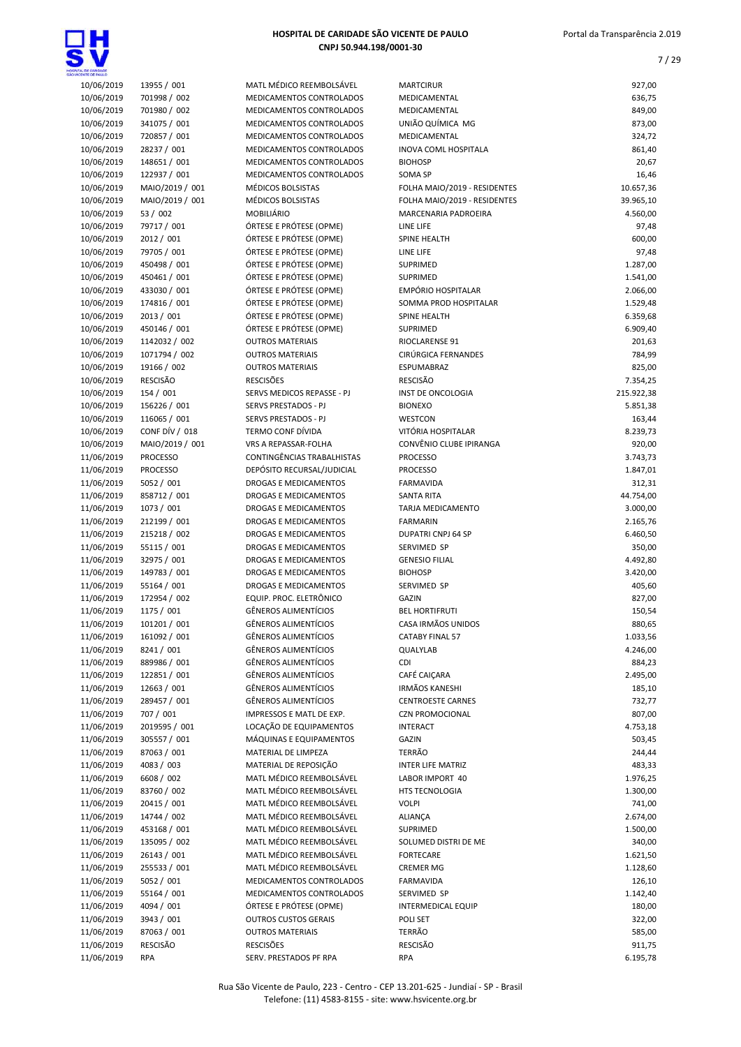

| CENTE CE PAIX O          |                            |                                                      |                                                             |                    |
|--------------------------|----------------------------|------------------------------------------------------|-------------------------------------------------------------|--------------------|
| 10/06/2019               | 13955 / 001                | MATL MÉDICO REEMBOLSÁVEL                             | <b>MARTCIRUR</b>                                            | 927,00             |
| 10/06/2019               | 701998 / 002               | MEDICAMENTOS CONTROLADOS                             | MEDICAMENTAL                                                | 636,75             |
| 10/06/2019               | 701980 / 002               | MEDICAMENTOS CONTROLADOS                             | MEDICAMENTAL                                                | 849,00             |
| 10/06/2019               | 341075 / 001               | MEDICAMENTOS CONTROLADOS                             | UNIÃO QUÍMICA MG                                            | 873,00             |
| 10/06/2019               | 720857 / 001               | MEDICAMENTOS CONTROLADOS                             | MEDICAMENTAL                                                | 324,72             |
| 10/06/2019               | 28237 / 001                | MEDICAMENTOS CONTROLADOS                             | <b>INOVA COML HOSPITALA</b>                                 | 861,40             |
| 10/06/2019               | 148651 / 001               | MEDICAMENTOS CONTROLADOS                             | <b>BIOHOSP</b>                                              | 20,67              |
| 10/06/2019               | 122937 / 001               | MEDICAMENTOS CONTROLADOS                             | SOMA SP                                                     | 16,46              |
| 10/06/2019               | MAIO/2019 / 001            | MÉDICOS BOLSISTAS                                    | FOLHA MAIO/2019 - RESIDENTES                                | 10.657,36          |
| 10/06/2019               | MAIO/2019 / 001            | MÉDICOS BOLSISTAS                                    | FOLHA MAIO/2019 - RESIDENTES<br><b>MARCENARIA PADROEIRA</b> | 39.965,10          |
| 10/06/2019               | 53 / 002                   | <b>MOBILIÁRIO</b><br>ÓRTESE E PRÓTESE (OPME)         |                                                             | 4.560,00           |
| 10/06/2019               | 79717 / 001                |                                                      | LINE LIFE                                                   | 97,48              |
| 10/06/2019               | 2012 / 001<br>79705 / 001  | ÓRTESE E PRÓTESE (OPME)<br>ÓRTESE E PRÓTESE (OPME)   | SPINE HEALTH                                                | 600,00<br>97,48    |
| 10/06/2019<br>10/06/2019 | 450498 / 001               | ÓRTESE E PRÓTESE (OPME)                              | LINE LIFE<br><b>SUPRIMED</b>                                | 1.287,00           |
| 10/06/2019               | 450461 / 001               | ÓRTESE E PRÓTESE (OPME)                              | <b>SUPRIMED</b>                                             | 1.541,00           |
| 10/06/2019               | 433030 / 001               | ÓRTESE E PRÓTESE (OPME)                              | <b>EMPÓRIO HOSPITALAR</b>                                   | 2.066,00           |
| 10/06/2019               | 174816 / 001               | ÓRTESE E PRÓTESE (OPME)                              | SOMMA PROD HOSPITALAR                                       | 1.529,48           |
| 10/06/2019               | 2013 / 001                 | ÓRTESE E PRÓTESE (OPME)                              | SPINE HEALTH                                                | 6.359,68           |
| 10/06/2019               | 450146 / 001               | ÓRTESE E PRÓTESE (OPME)                              | <b>SUPRIMED</b>                                             | 6.909,40           |
| 10/06/2019               | 1142032 / 002              | <b>OUTROS MATERIAIS</b>                              | RIOCLARENSE 91                                              | 201,63             |
| 10/06/2019               | 1071794 / 002              | <b>OUTROS MATERIAIS</b>                              | CIRÚRGICA FERNANDES                                         | 784,99             |
| 10/06/2019               | 19166 / 002                | <b>OUTROS MATERIAIS</b>                              | ESPUMABRAZ                                                  | 825,00             |
| 10/06/2019               | <b>RESCISÃO</b>            | <b>RESCISÕES</b>                                     | <b>RESCISÃO</b>                                             | 7.354,25           |
| 10/06/2019               | 154 / 001                  | SERVS MEDICOS REPASSE - PJ                           | INST DE ONCOLOGIA                                           | 215.922,38         |
| 10/06/2019               | 156226 / 001               | SERVS PRESTADOS - PJ                                 | <b>BIONEXO</b>                                              | 5.851,38           |
| 10/06/2019               | 116065 / 001               | SERVS PRESTADOS - PJ                                 | <b>WESTCON</b>                                              | 163,44             |
| 10/06/2019               | CONF DÍV / 018             | <b>TERMO CONF DÍVIDA</b>                             | VITÓRIA HOSPITALAR                                          | 8.239,73           |
| 10/06/2019               | MAIO/2019 / 001            | VRS A REPASSAR-FOLHA                                 | CONVÊNIO CLUBE IPIRANGA                                     | 920,00             |
| 11/06/2019               | <b>PROCESSO</b>            | CONTINGÊNCIAS TRABALHISTAS                           | <b>PROCESSO</b>                                             | 3.743,73           |
| 11/06/2019               | <b>PROCESSO</b>            | DEPÓSITO RECURSAL/JUDICIAL                           | <b>PROCESSO</b>                                             | 1.847,01           |
| 11/06/2019               | 5052 / 001                 | DROGAS E MEDICAMENTOS                                | <b>FARMAVIDA</b>                                            | 312,31             |
| 11/06/2019               | 858712 / 001               | <b>DROGAS E MEDICAMENTOS</b>                         | <b>SANTA RITA</b>                                           | 44.754,00          |
| 11/06/2019               | 1073 / 001                 | DROGAS E MEDICAMENTOS                                | TARJA MEDICAMENTO                                           | 3.000,00           |
| 11/06/2019               | 212199 / 001               | DROGAS E MEDICAMENTOS                                | <b>FARMARIN</b>                                             | 2.165,76           |
| 11/06/2019               | 215218 / 002               | DROGAS E MEDICAMENTOS                                | <b>DUPATRI CNPJ 64 SP</b>                                   | 6.460,50           |
| 11/06/2019               | 55115 / 001                | DROGAS E MEDICAMENTOS                                | SERVIMED SP                                                 | 350,00             |
| 11/06/2019               | 32975 / 001                | DROGAS E MEDICAMENTOS                                | <b>GENESIO FILIAL</b>                                       | 4.492,80           |
| 11/06/2019               | 149783 / 001               | <b>DROGAS E MEDICAMENTOS</b>                         | <b>BIOHOSP</b>                                              | 3.420,00           |
| 11/06/2019               | 55164 / 001                | DROGAS E MEDICAMENTOS                                | <b>SERVIMED SP</b>                                          | 405,60             |
| 11/06/2019               | 172954 / 002               | EQUIP. PROC. ELETRÔNICO                              | <b>GAZIN</b>                                                | 827,00             |
| 11/06/2019               | 1175 / 001                 | <b>GÊNEROS ALIMENTÍCIOS</b>                          | <b>BEL HORTIFRUTI</b>                                       | 150,54             |
| 11/06/2019               | 101201 / 001               | GÊNEROS ALIMENTÍCIOS                                 | CASA IRMÃOS UNIDOS                                          | 880,65             |
| 11/06/2019               | 161092 / 001               | <b>GÊNEROS ALIMENTÍCIOS</b>                          | <b>CATABY FINAL 57</b>                                      | 1.033,56           |
| 11/06/2019               | 8241 / 001                 | GÊNEROS ALIMENTÍCIOS                                 | QUALYLAB                                                    | 4.246,00           |
| 11/06/2019               | 889986 / 001               | <b>GÊNEROS ALIMENTÍCIOS</b>                          | CDI                                                         | 884,23             |
| 11/06/2019               | 122851 / 001               | GÊNEROS ALIMENTÍCIOS                                 | CAFÉ CAICARA                                                | 2.495,00           |
| 11/06/2019               | 12663 / 001                | <b>GÊNEROS ALIMENTÍCIOS</b>                          | IRMÃOS KANESHI                                              | 185,10             |
| 11/06/2019               | 289457 / 001               | GÊNEROS ALIMENTÍCIOS                                 | <b>CENTROESTE CARNES</b>                                    | 732,77             |
| 11/06/2019               | 707 / 001                  | IMPRESSOS E MATL DE EXP.                             | <b>CZN PROMOCIONAL</b>                                      | 807,00             |
| 11/06/2019               | 2019595 / 001              | LOCAÇÃO DE EQUIPAMENTOS                              | <b>INTERACT</b>                                             | 4.753,18           |
| 11/06/2019               | 305557 / 001               | MÁQUINAS E EQUIPAMENTOS                              | <b>GAZIN</b>                                                | 503,45             |
| 11/06/2019               | 87063 / 001                | MATERIAL DE LIMPEZA                                  | TERRÃO                                                      | 244,44             |
| 11/06/2019               | 4083 / 003                 | MATERIAL DE REPOSIÇÃO                                | <b>INTER LIFE MATRIZ</b>                                    | 483,33             |
| 11/06/2019               | 6608 / 002                 | MATL MÉDICO REEMBOLSÁVEL                             | LABOR IMPORT 40                                             | 1.976,25           |
| 11/06/2019               | 83760 / 002                | MATL MÉDICO REEMBOLSÁVEL                             | <b>HTS TECNOLOGIA</b>                                       | 1.300,00           |
| 11/06/2019               | 20415 / 001                | MATL MÉDICO REEMBOLSÁVEL                             | <b>VOLPI</b>                                                | 741,00             |
| 11/06/2019               | 14744 / 002                | MATL MÉDICO REEMBOLSÁVEL                             | ALIANÇA                                                     | 2.674,00           |
| 11/06/2019               | 453168 / 001               | MATL MÉDICO REEMBOLSÁVEL                             | SUPRIMED                                                    | 1.500,00           |
| 11/06/2019               | 135095 / 002               | MATL MÉDICO REEMBOLSÁVEL                             | SOLUMED DISTRI DE ME                                        | 340,00             |
| 11/06/2019               | 26143 / 001                | MATL MÉDICO REEMBOLSÁVEL                             | <b>FORTECARE</b>                                            | 1.621,50           |
| 11/06/2019               | 255533 / 001<br>5052 / 001 | MATL MÉDICO REEMBOLSÁVEL<br>MEDICAMENTOS CONTROLADOS | <b>CREMER MG</b>                                            | 1.128,60<br>126,10 |
| 11/06/2019<br>11/06/2019 | 55164 / 001                | MEDICAMENTOS CONTROLADOS                             | <b>FARMAVIDA</b><br>SERVIMED SP                             | 1.142,40           |
| 11/06/2019               | 4094 / 001                 | ÓRTESE E PRÓTESE (OPME)                              | <b>INTERMEDICAL EQUIP</b>                                   | 180,00             |
| 11/06/2019               | 3943 / 001                 | <b>OUTROS CUSTOS GERAIS</b>                          | POLI SET                                                    | 322,00             |
| 11/06/2019               | 87063 / 001                | <b>OUTROS MATERIAIS</b>                              | <b>TERRÃO</b>                                               | 585,00             |
| 11/06/2019               | RESCISÃO                   | <b>RESCISÕES</b>                                     | <b>RESCISÃO</b>                                             | 911,75             |
| 11/06/2019               | <b>RPA</b>                 | SERV. PRESTADOS PF RPA                               | <b>RPA</b>                                                  | 6.195,78           |
|                          |                            |                                                      |                                                             |                    |

| AATL MÉDICO REEMBOLSÁVEL               |
|----------------------------------------|
|                                        |
| <b><i>AEDICAMENTOS CONTROLADOS</i></b> |
| <b><i>AEDICAMENTOS CONTROLADOS</i></b> |
| <i><b>IEDICAMENTOS CONTROLADOS</b></i> |
| <b><i>AEDICAMENTOS CONTROLADOS</i></b> |
|                                        |
| <b><i>AEDICAMENTOS CONTROLADOS</i></b> |
| <b><i>AEDICAMENTOS CONTROLADOS</i></b> |
| <b><i>AEDICAMENTOS CONTROLADOS</i></b> |
| <i><b>IÉDICOS BOLSISTAS</b></i>        |
|                                        |
| <i><b>IÉDICOS BOLSISTAS</b></i>        |
| AOBILIÁRIO                             |
| <b>DRTESE E PRÓTESE (OPME)</b>         |
| <b>DRTESE E PRÓTESE (OPME)</b>         |
|                                        |
| )RTESE E PRÓTESE (OPME)                |
| )RTESE E PRÓTESE (OPME)                |
| )RTESE E PRÓTESE (OPME)                |
| )RTESE E PRÓTESE (OPME)                |
|                                        |
| )RTESE E PRÓTESE (OPME)                |
| )RTESE E PRÓTESE (OPME)                |
| )RTESE E PRÓTESE (OPME)                |
| <b>UTROS MATERIAIS</b>                 |
|                                        |
| <b>UTROS MATERIAIS</b>                 |
| <b>UTROS MATERIAIS</b>                 |
| <b>ESCISÕES</b>                        |
| ERVS MEDICOS REPASSE - PJ              |
|                                        |
| ERVS PRESTADOS - PJ                    |
| <b>ERVS PRESTADOS - PJ</b>             |
| ERMO CONF DÍVIDA                       |
| 'RS A REPASSAR-FOLHA                   |
| ONTINGÊNCIAS TRABALHISTAS:             |
|                                        |
| EPÓSITO RECURSAL/JUDICIAL              |
| ROGAS E MEDICAMENTOS                   |
| ROGAS E MEDICAMENTOS                   |
| ROGAS E MEDICAMENTOS                   |
|                                        |
| ROGAS E MEDICAMENTOS                   |
| ROGAS E MEDICAMENTOS                   |
| ROGAS E MEDICAMENTOS                   |
| ROGAS E MEDICAMENTOS                   |
| ROGAS E MEDICAMENTOS                   |
|                                        |
| ROGAS E MEDICAMENTOS                   |
| QUIP. PROC. ELETRÔNICO                 |
| iÊNEROS ALIMENTÍCIOS                   |
| iÊNEROS ALIMENTÍCIOS                   |
| ÉNEROS ALIMENTÍCIOS                    |
|                                        |
| <b>iÊNEROS ALIMENTÍCIOS</b>            |
| <b>iÊNEROS ALIMENTÍCIOS</b>            |
| iÊNEROS ALIMENTÍCIOS                   |
| <b>iÊNEROS ALIMENTÍCIOS</b>            |
|                                        |
| <b>iÊNEROS ALIMENTÍCIOS</b>            |
| <b>MPRESSOS E MATL DE EXP.</b>         |
| OCAÇÃO DE EQUIPAMENTOS                 |
| <i>A</i> ÁQUINAS E EQUIPAMENTOS        |
|                                        |
| <b>AATERIAL DE LIMPEZA</b>             |
| AATERIAL DE REPOSIÇÃO                  |
| <b>AATL MÉDICO REEMBOLSÁVEL</b>        |
| AATL MÉDICO REEMBOLSÁVEL               |
|                                        |
| AATL MÉDICO REEMBOLSÁVEL               |
| MATL MÉDICO REEMBOLSÁVEL               |
| <b>AATL MÉDICO REEMBOLSÁVEL</b>        |
| AATL MÉDICO REEMBOLSÁVEL               |
|                                        |
| AATL MÉDICO REEMBOLSÁVEL               |
| AATL MÉDICO REEMBOLSÁVEL               |
| <b><i>AEDICAMENTOS CONTROLADOS</i></b> |
| <b><i>AEDICAMENTOS CONTROLADOS</i></b> |
| <b>NRTESE E PRÓTESE (OPME)</b>         |
|                                        |
| <b>UTROS CUSTOS GERAIS</b>             |
| <b>UTROS MATERIAIS</b>                 |
| ESCISÕES                               |
|                                        |

| LOE CANDADE              |                              |                                                        |                                           |                       |
|--------------------------|------------------------------|--------------------------------------------------------|-------------------------------------------|-----------------------|
| 10/06/2019               | 13955 / 001                  | MATL MÉDICO REEMBOLSÁVEL                               | <b>MARTCIRUR</b>                          | 927,00                |
| 10/06/2019               | 701998 / 002                 | MEDICAMENTOS CONTROLADOS                               | MEDICAMENTAL                              | 636,75                |
| 10/06/2019               | 701980 / 002                 | MEDICAMENTOS CONTROLADOS                               | MEDICAMENTAL                              | 849,00                |
| 10/06/2019<br>10/06/2019 | 341075 / 001<br>720857 / 001 | MEDICAMENTOS CONTROLADOS<br>MEDICAMENTOS CONTROLADOS   | UNIÃO QUÍMICA MG<br>MEDICAMENTAL          | 873,00<br>324,72      |
| 10/06/2019               | 28237 / 001                  | MEDICAMENTOS CONTROLADOS                               | <b>INOVA COML HOSPITALA</b>               | 861,40                |
| 10/06/2019               | 148651 / 001                 | MEDICAMENTOS CONTROLADOS                               | <b>BIOHOSP</b>                            | 20,67                 |
| 10/06/2019               | 122937 / 001                 | MEDICAMENTOS CONTROLADOS                               | <b>SOMA SP</b>                            | 16,46                 |
| 10/06/2019               | MAIO/2019 / 001              | MÉDICOS BOLSISTAS                                      | FOLHA MAIO/2019 - RESIDENTES              | 10.657,36             |
| 10/06/2019               | MAIO/2019 / 001              | MÉDICOS BOLSISTAS                                      | FOLHA MAIO/2019 - RESIDENTES              | 39.965,10             |
| 10/06/2019               | 53 / 002                     | <b>MOBILIÁRIO</b>                                      | MARCENARIA PADROEIRA                      | 4.560,00              |
| 10/06/2019               | 79717 / 001                  | ÓRTESE E PRÓTESE (OPME)                                | LINE LIFE                                 | 97,48                 |
| 10/06/2019               | 2012 / 001                   | ÓRTESE E PRÓTESE (OPME)                                | <b>SPINE HEALTH</b>                       | 600,00                |
| 10/06/2019<br>10/06/2019 | 79705 / 001<br>450498 / 001  | ÓRTESE E PRÓTESE (OPME)<br>ÓRTESE E PRÓTESE (OPME)     | LINE LIFE<br><b>SUPRIMED</b>              | 97,48<br>1.287,00     |
| 10/06/2019               | 450461 / 001                 | ÓRTESE E PRÓTESE (OPME)                                | <b>SUPRIMED</b>                           | 1.541,00              |
| 10/06/2019               | 433030 / 001                 | ÓRTESE E PRÓTESE (OPME)                                | <b>EMPÓRIO HOSPITALAR</b>                 | 2.066,00              |
| 10/06/2019               | 174816 / 001                 | ÓRTESE E PRÓTESE (OPME)                                | SOMMA PROD HOSPITALAR                     | 1.529,48              |
| 10/06/2019               | 2013 / 001                   | ÓRTESE E PRÓTESE (OPME)                                | <b>SPINE HEALTH</b>                       | 6.359,68              |
| 10/06/2019               | 450146 / 001                 | ÓRTESE E PRÓTESE (OPME)                                | <b>SUPRIMED</b>                           | 6.909,40              |
| 10/06/2019               | 1142032 / 002                | <b>OUTROS MATERIAIS</b>                                | <b>RIOCLARENSE 91</b>                     | 201,63                |
| 10/06/2019               | 1071794 / 002                | <b>OUTROS MATERIAIS</b>                                | CIRÚRGICA FERNANDES                       | 784,99                |
| 10/06/2019<br>10/06/2019 | 19166 / 002<br>RESCISÃO      | <b>OUTROS MATERIAIS</b><br><b>RESCISÕES</b>            | ESPUMABRAZ<br><b>RESCISÃO</b>             | 825,00<br>7.354,25    |
| 10/06/2019               | 154 / 001                    | SERVS MEDICOS REPASSE - PJ                             | INST DE ONCOLOGIA                         | 215.922,38            |
| 10/06/2019               | 156226 / 001                 | SERVS PRESTADOS - PJ                                   | <b>BIONEXO</b>                            | 5.851,38              |
| 10/06/2019               | 116065 / 001                 | SERVS PRESTADOS - PJ                                   | <b>WESTCON</b>                            | 163,44                |
| 10/06/2019               | CONF DÍV / 018               | <b>TERMO CONF DÍVIDA</b>                               | VITÓRIA HOSPITALAR                        | 8.239,73              |
| 10/06/2019               | MAIO/2019 / 001              | VRS A REPASSAR-FOLHA                                   | CONVÊNIO CLUBE IPIRANGA                   | 920,00                |
| 11/06/2019               | <b>PROCESSO</b>              | CONTINGÊNCIAS TRABALHISTAS                             | <b>PROCESSO</b>                           | 3.743,73              |
| 11/06/2019               | <b>PROCESSO</b>              | DEPÓSITO RECURSAL/JUDICIAL                             | <b>PROCESSO</b>                           | 1.847,01              |
| 11/06/2019               | 5052 / 001<br>858712 / 001   | <b>DROGAS E MEDICAMENTOS</b>                           | <b>FARMAVIDA</b>                          | 312,31                |
| 11/06/2019<br>11/06/2019 | 1073 / 001                   | DROGAS E MEDICAMENTOS<br>DROGAS E MEDICAMENTOS         | <b>SANTA RITA</b><br>TARJA MEDICAMENTO    | 44.754,00<br>3.000,00 |
| 11/06/2019               | 212199 / 001                 | DROGAS E MEDICAMENTOS                                  | <b>FARMARIN</b>                           | 2.165,76              |
| 11/06/2019               | 215218 / 002                 | DROGAS E MEDICAMENTOS                                  | DUPATRI CNPJ 64 SP                        | 6.460,50              |
| 11/06/2019               | 55115 / 001                  | DROGAS E MEDICAMENTOS                                  | SERVIMED SP                               | 350,00                |
| 11/06/2019               | 32975 / 001                  | DROGAS E MEDICAMENTOS                                  | <b>GENESIO FILIAL</b>                     | 4.492,80              |
| 11/06/2019               | 149783 / 001                 | DROGAS E MEDICAMENTOS                                  | <b>BIOHOSP</b>                            | 3.420,00              |
| 11/06/2019               | 55164 / 001                  | DROGAS E MEDICAMENTOS                                  | SERVIMED SP                               | 405,60                |
| 11/06/2019               | 172954 / 002                 | EQUIP. PROC. ELETRÔNICO<br><b>GÊNEROS ALIMENTÍCIOS</b> | <b>GAZIN</b><br><b>BEL HORTIFRUTI</b>     | 827,00                |
| 11/06/2019<br>11/06/2019 | 1175 / 001<br>101201 / 001   | <b>GÊNEROS ALIMENTÍCIOS</b>                            | CASA IRMÃOS UNIDOS                        | 150,54<br>880,65      |
| 11/06/2019               | 161092 / 001                 | GÊNEROS ALIMENTÍCIOS                                   | <b>CATABY FINAL 57</b>                    | 1.033,56              |
| 11/06/2019               | 8241 / 001                   | GÊNEROS ALIMENTÍCIOS                                   | QUALYLAB                                  | 4.246,00              |
| 11/06/2019               | 889986 / 001                 | GÊNEROS ALIMENTÍCIOS                                   | CDI                                       | 884,23                |
| 11/06/2019               | 122851/001                   | <b>GÊNEROS ALIMENTÍCIOS</b>                            | CAFÉ CAIÇARA                              | 2.495,00              |
| 11/06/2019               | 12663 / 001                  | <b>GÊNEROS ALIMENTÍCIOS</b>                            | <b>IRMÃOS KANESHI</b>                     | 185,10                |
| 11/06/2019               | 289457 / 001                 | <b>GÊNEROS ALIMENTÍCIOS</b>                            | <b>CENTROESTE CARNES</b>                  | 732,77                |
| 11/06/2019<br>11/06/2019 | 707 / 001<br>2019595 / 001   | IMPRESSOS E MATL DE EXP.<br>LOCAÇÃO DE EQUIPAMENTOS    | <b>CZN PROMOCIONAL</b><br><b>INTERACT</b> | 807,00<br>4.753,18    |
| 11/06/2019               | 305557 / 001                 | MÁQUINAS E EQUIPAMENTOS                                | <b>GAZIN</b>                              | 503,45                |
| 11/06/2019               | 87063 / 001                  | MATERIAL DE LIMPEZA                                    | TERRÃO                                    | 244,44                |
| 11/06/2019               | 4083 / 003                   | MATERIAL DE REPOSIÇÃO                                  | <b>INTER LIFE MATRIZ</b>                  | 483,33                |
| 11/06/2019               | 6608 / 002                   | MATL MÉDICO REEMBOLSÁVEL                               | LABOR IMPORT 40                           | 1.976,25              |
| 11/06/2019               | 83760 / 002                  | MATL MÉDICO REEMBOLSÁVEL                               | HTS TECNOLOGIA                            | 1.300,00              |
| 11/06/2019               | 20415 / 001                  | MATL MÉDICO REEMBOLSÁVEL                               | <b>VOLPI</b>                              | 741,00                |
| 11/06/2019               | 14744 / 002                  | MATL MÉDICO REEMBOLSÁVEL                               | ALIANÇA                                   | 2.674,00              |
| 11/06/2019<br>11/06/2019 | 453168 / 001<br>135095 / 002 | MATL MÉDICO REEMBOLSÁVEL<br>MATL MÉDICO REEMBOLSÁVEL   | <b>SUPRIMED</b><br>SOLUMED DISTRI DE ME   | 1.500,00              |
| 11/06/2019               | 26143 / 001                  | MATL MÉDICO REEMBOLSÁVEL                               | <b>FORTECARE</b>                          | 340,00<br>1.621,50    |
| 11/06/2019               | 255533 / 001                 | MATL MÉDICO REEMBOLSÁVEL                               | <b>CREMER MG</b>                          | 1.128,60              |
| 11/06/2019               | 5052 / 001                   | MEDICAMENTOS CONTROLADOS                               | <b>FARMAVIDA</b>                          | 126,10                |
| 11/06/2019               | 55164 / 001                  | MEDICAMENTOS CONTROLADOS                               | SERVIMED SP                               | 1.142,40              |
| 11/06/2019               | 4094 / 001                   | ÓRTESE E PRÓTESE (OPME)                                | <b>INTERMEDICAL EQUIP</b>                 | 180,00                |
| 11/06/2019               | 3943 / 001                   | <b>OUTROS CUSTOS GERAIS</b>                            | POLI SET                                  | 322,00                |
| 11/06/2019               | 87063 / 001                  | <b>OUTROS MATERIAIS</b>                                | <b>TERRÃO</b>                             | 585,00                |
| 11/06/2019               | RESCISÃO                     | RESCISÕES                                              | <b>RESCISÃO</b>                           | 911,75                |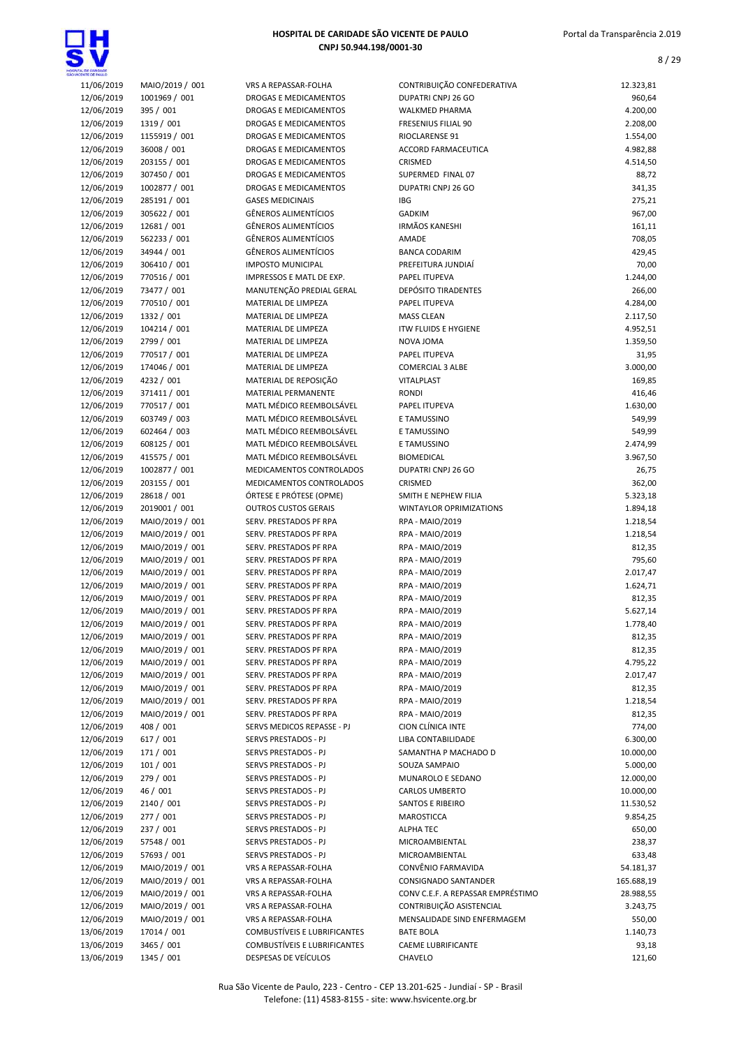



| CENTE CE PALLO           |                            |
|--------------------------|----------------------------|
| 11/06/2019               | MAIO/2019 / 001            |
| 12/06/2019               | 1001969 / 001              |
| 12/06/2019               | 395 / 001                  |
| 12/06/2019               | 1319 / 001                 |
| 12/06/2019               | 1155919 / 001              |
| 12/06/2019               | 36008 / 001                |
| 12/06/2019               | 203155 / 001               |
| 12/06/2019               | 307450 / 001               |
| 12/06/2019               | 1002877 / 001              |
| 12/06/2019               | 285191 / 001               |
| 12/06/2019               | 305622 / 001               |
| 12/06/2019               | 12681 / 001                |
| 12/06/2019               | 562233 / 001               |
| 12/06/2019               | 34944 / 001                |
| 12/06/2019               | 306410 / 001               |
| 12/06/2019               | 770516 / 001               |
| 12/06/2019               | 73477 / 001                |
| 12/06/2019               | 770510 / 001               |
| 12/06/2019               | 1332 / 001                 |
| 12/06/2019               | 104214 / 001               |
| 12/06/2019               | 2799 / 001                 |
| 12/06/2019               | 770517 / 001               |
| 12/06/2019               | 174046 / 001<br>4232 / 001 |
| 12/06/2019               | 371411 / 001               |
| 12/06/2019<br>12/06/2019 | 770517 / 001               |
| 12/06/2019               | 603749 / 003               |
| 12/06/2019               | 602464 / 003               |
| 12/06/2019               | 608125 / 001               |
| 12/06/2019               | 415575 / 001               |
| 12/06/2019               | 1002877 / 001              |
| 12/06/2019               | 203155 / 001               |
| 12/06/2019               | 28618 / 001                |
| 12/06/2019               | 2019001 / 001              |
| 12/06/2019               | MAIO/2019 / 001            |
| 12/06/2019               | MAIO/2019 / 001            |
| 12/06/2019               | MAIO/2019 / 001            |
| 12/06/2019               | MAIO/2019 / 001            |
| 12/06/2019               | MAIO/2019 / 001            |
| 12/06/2019               | MAIO/2019 / 001            |
| 12/06/2019               | MAIO/2019 / 001            |
| 12/06/2019               | MAIO/2019 / 001            |
| 12/06/2019               | MAIO/2019 / 001            |
| 12/06/2019               | MAIO/2019 / 001            |
| 12/06/2019               | MAIO/2019 / 001            |
| 12/06/2019               | MAIO/2019 / 001            |
| 12/06/2019               | MAIO/2019 / 001            |
| 12/06/2019               | MAIO/2019 / 001            |
| 12/06/2019               | MAIO/2019 / 001            |
| 12/06/2019               | MAIO/2019 / 001            |
| 12/06/2019               | 408 / 001                  |
| 12/06/2019               | 617 / 001                  |
| 12/06/2019               | 171 / 001                  |
| 12/06/2019               | 101 / 001                  |
| 12/06/2019               | 279 / 001                  |
| 12/06/2019               | 46 / 001                   |
| 12/06/2019               | 2140 / 001                 |
| 12/06/2019               | 277 / 001                  |
| 12/06/2019               | 237 / 001                  |
| 12/06/2019               | 57548 / 001                |
| 12/06/2019               | 57693 / 001                |
| 12/06/2019               | MAIO/2019 / 001            |
| 12/06/2019               | MAIO/2019 / 001            |
| 12/06/2019               | MAIO/2019 / 001            |
| 12/06/2019               | MAIO/2019 / 001            |
| 12/06/2019               | MAIO/2019 / 001            |
| 13/06/2019               | 17014 / 001                |
| 13/06/2019               | 3465 / 001                 |
| 13/06/2019               | 1345 / 001                 |

| L DE CARDADE             |                               |                                                              |                                              |                       |
|--------------------------|-------------------------------|--------------------------------------------------------------|----------------------------------------------|-----------------------|
| 11/06/2019               | MAIO/2019 / 001               | VRS A REPASSAR-FOLHA                                         | CONTRIBUIÇÃO CONFEDERATIVA                   | 12.323,81             |
| 12/06/2019               | 1001969 / 001                 | DROGAS E MEDICAMENTOS                                        | DUPATRI CNPJ 26 GO                           | 960,64                |
| 12/06/2019               | 395 / 001                     | <b>DROGAS E MEDICAMENTOS</b>                                 | WALKMED PHARMA                               | 4.200,00              |
| 12/06/2019               | 1319 / 001                    | DROGAS E MEDICAMENTOS                                        | FRESENIUS FILIAL 90                          | 2.208,00              |
| 12/06/2019<br>12/06/2019 | 1155919 / 001<br>36008 / 001  | <b>DROGAS E MEDICAMENTOS</b><br><b>DROGAS E MEDICAMENTOS</b> | RIOCLARENSE 91<br><b>ACCORD FARMACEUTICA</b> | 1.554,00<br>4.982,88  |
| 12/06/2019               | 203155 / 001                  | <b>DROGAS E MEDICAMENTOS</b>                                 | <b>CRISMED</b>                               | 4.514,50              |
| 12/06/2019               | 307450 / 001                  | <b>DROGAS E MEDICAMENTOS</b>                                 | SUPERMED FINAL 07                            | 88,72                 |
| 12/06/2019               | 1002877 / 001                 | <b>DROGAS E MEDICAMENTOS</b>                                 | DUPATRI CNPJ 26 GO                           | 341,35                |
| 12/06/2019               | 285191 / 001                  | <b>GASES MEDICINAIS</b>                                      | IBG                                          | 275,21                |
| 12/06/2019               | 305622 / 001                  | <b>GÊNEROS ALIMENTÍCIOS</b>                                  | <b>GADKIM</b>                                | 967,00                |
| 12/06/2019               | 12681 / 001                   | <b>GÊNEROS ALIMENTÍCIOS</b>                                  | <b>IRMÃOS KANESHI</b>                        | 161,11                |
| 12/06/2019               | 562233 / 001                  | <b>GÊNEROS ALIMENTÍCIOS</b>                                  | AMADE                                        | 708,05                |
| 12/06/2019               | 34944 / 001                   | <b>GÊNEROS ALIMENTÍCIOS</b>                                  | <b>BANCA CODARIM</b>                         | 429,45                |
| 12/06/2019               | 306410 / 001                  | <b>IMPOSTO MUNICIPAL</b>                                     | PREFEITURA JUNDIAÍ                           | 70,00                 |
| 12/06/2019               | 770516 / 001                  | IMPRESSOS E MATL DE EXP.                                     | PAPEL ITUPEVA                                | 1.244,00              |
| 12/06/2019               | 73477 / 001                   | MANUTENÇÃO PREDIAL GERAL                                     | <b>DEPÓSITO TIRADENTES</b>                   | 266,00                |
| 12/06/2019               | 770510 / 001                  | MATERIAL DE LIMPEZA                                          | PAPEL ITUPEVA                                | 4.284,00              |
| 12/06/2019               | 1332 / 001                    | MATERIAL DE LIMPEZA                                          | <b>MASS CLEAN</b>                            | 2.117,50              |
| 12/06/2019               | 104214 / 001                  | MATERIAL DE LIMPEZA                                          | <b>ITW FLUIDS E HYGIENE</b>                  | 4.952,51              |
| 12/06/2019               | 2799 / 001                    | MATERIAL DE LIMPEZA                                          | NOVA JOMA                                    | 1.359,50              |
| 12/06/2019               | 770517 / 001                  | MATERIAL DE LIMPEZA                                          | PAPEL ITUPEVA                                | 31,95                 |
| 12/06/2019               | 174046 / 001                  | MATERIAL DE LIMPEZA                                          | <b>COMERCIAL 3 ALBE</b>                      | 3.000,00              |
| 12/06/2019               | 4232 / 001                    | MATERIAL DE REPOSIÇÃO                                        | <b>VITALPLAST</b>                            | 169,85                |
| 12/06/2019               | 371411 / 001                  | MATERIAL PERMANENTE                                          | <b>RONDI</b>                                 | 416,46                |
| 12/06/2019               | 770517 / 001                  | MATL MÉDICO REEMBOLSÁVEL                                     | PAPEL ITUPEVA                                | 1.630,00              |
| 12/06/2019               | 603749 / 003                  | MATL MÉDICO REEMBOLSÁVEL                                     | E TAMUSSINO                                  | 549,99                |
| 12/06/2019               | 602464 / 003                  | MATL MÉDICO REEMBOLSÁVEL                                     | E TAMUSSINO                                  | 549,99                |
| 12/06/2019               | 608125 / 001                  | MATL MÉDICO REEMBOLSÁVEL                                     | E TAMUSSINO                                  | 2.474,99              |
| 12/06/2019<br>12/06/2019 | 415575 / 001<br>1002877 / 001 | MATL MÉDICO REEMBOLSÁVEL<br>MEDICAMENTOS CONTROLADOS         | <b>BIOMEDICAL</b><br>DUPATRI CNPJ 26 GO      | 3.967,50<br>26,75     |
| 12/06/2019               | 203155 / 001                  | MEDICAMENTOS CONTROLADOS                                     | CRISMED                                      | 362,00                |
| 12/06/2019               | 28618 / 001                   | ÓRTESE E PRÓTESE (OPME)                                      | SMITH E NEPHEW FILIA                         | 5.323,18              |
| 12/06/2019               | 2019001 / 001                 | <b>OUTROS CUSTOS GERAIS</b>                                  | <b>WINTAYLOR OPRIMIZATIONS</b>               | 1.894,18              |
| 12/06/2019               | MAIO/2019 / 001               | SERV. PRESTADOS PF RPA                                       | RPA - MAIO/2019                              | 1.218,54              |
| 12/06/2019               | MAIO/2019 / 001               | SERV. PRESTADOS PF RPA                                       | RPA - MAIO/2019                              | 1.218,54              |
| 12/06/2019               | MAIO/2019 / 001               | SERV. PRESTADOS PF RPA                                       | RPA - MAIO/2019                              | 812,35                |
| 12/06/2019               | MAIO/2019 / 001               | SERV. PRESTADOS PF RPA                                       | RPA - MAIO/2019                              | 795,60                |
| 12/06/2019               | MAIO/2019 / 001               | SERV. PRESTADOS PF RPA                                       | RPA - MAIO/2019                              | 2.017,47              |
| 12/06/2019               | MAIO/2019 / 001               | SERV. PRESTADOS PF RPA                                       | RPA - MAIO/2019                              | 1.624,71              |
| 12/06/2019               | MAIO/2019 / 001               | SERV. PRESTADOS PF RPA                                       | RPA - MAIO/2019                              | 812,35                |
| 12/06/2019               | MAIO/2019 / 001               | SERV. PRESTADOS PF RPA                                       | RPA - MAIO/2019                              | 5.627,14              |
| 12/06/2019               | MAIO/2019 / 001               | SERV. PRESTADOS PF RPA                                       | <b>RPA - MAIO/2019</b>                       | 1.778,40              |
| 12/06/2019               | MAIO/2019 / 001               | SERV. PRESTADOS PF RPA                                       | RPA - MAIO/2019                              | 812,35                |
| 12/06/2019               | MAIO/2019 / 001               | SERV. PRESTADOS PF RPA                                       | RPA - MAIO/2019                              | 812,35                |
| 12/06/2019               | MAIO/2019 / 001               | SERV. PRESTADOS PF RPA                                       | RPA - MAIO/2019                              | 4.795,22              |
| 12/06/2019               | MAIO/2019 / 001               | SERV. PRESTADOS PF RPA                                       | RPA - MAIO/2019                              | 2.017,47              |
| 12/06/2019               | MAIO/2019 / 001               | SERV. PRESTADOS PF RPA                                       | RPA - MAIO/2019                              | 812,35                |
| 12/06/2019               | MAIO/2019 / 001               | SERV. PRESTADOS PF RPA                                       | RPA - MAIO/2019                              | 1.218,54              |
| 12/06/2019               | MAIO/2019 / 001               | SERV. PRESTADOS PF RPA                                       | RPA - MAIO/2019                              | 812,35                |
| 12/06/2019               | 408 / 001                     | SERVS MEDICOS REPASSE - PJ                                   | CION CLÍNICA INTE                            | 774,00                |
| 12/06/2019<br>12/06/2019 | 617 / 001<br>171 / 001        | SERVS PRESTADOS - PJ<br>SERVS PRESTADOS - PJ                 | LIBA CONTABILIDADE<br>SAMANTHA P MACHADO D   | 6.300,00              |
| 12/06/2019               | 101 / 001                     | SERVS PRESTADOS - PJ                                         | SOUZA SAMPAIO                                | 10.000,00<br>5.000,00 |
| 12/06/2019               | 279 / 001                     | SERVS PRESTADOS - PJ                                         | MUNAROLO E SEDANO                            | 12.000,00             |
| 12/06/2019               | 46 / 001                      | SERVS PRESTADOS - PJ                                         | CARLOS UMBERTO                               | 10.000,00             |
| 12/06/2019               | 2140 / 001                    | SERVS PRESTADOS - PJ                                         | <b>SANTOS E RIBEIRO</b>                      | 11.530,52             |
| 12/06/2019               | 277 / 001                     | SERVS PRESTADOS - PJ                                         | MAROSTICCA                                   | 9.854,25              |
| 12/06/2019               | 237 / 001                     | SERVS PRESTADOS - PJ                                         | ALPHA TEC                                    | 650,00                |
| 12/06/2019               | 57548 / 001                   | SERVS PRESTADOS - PJ                                         | MICROAMBIENTAL                               | 238,37                |
| 12/06/2019               | 57693 / 001                   | SERVS PRESTADOS - PJ                                         | MICROAMBIENTAL                               | 633,48                |
| 12/06/2019               | MAIO/2019 / 001               | VRS A REPASSAR-FOLHA                                         | CONVÊNIO FARMAVIDA                           | 54.181,37             |
| 12/06/2019               | MAIO/2019 / 001               | VRS A REPASSAR-FOLHA                                         | CONSIGNADO SANTANDER                         | 165.688,19            |
| 12/06/2019               | MAIO/2019 / 001               | VRS A REPASSAR-FOLHA                                         | CONV C.E.F. A REPASSAR EMPRÉSTIMO            | 28.988,55             |
| 12/06/2019               | MAIO/2019 / 001               | VRS A REPASSAR-FOLHA                                         | CONTRIBUIÇÃO ASISTENCIAL                     | 3.243,75              |
| 12/06/2019               | MAIO/2019 / 001               | VRS A REPASSAR-FOLHA                                         | MENSALIDADE SIND ENFERMAGEM                  | 550,00                |
| 13/06/2019               | 17014 / 001                   | COMBUSTÍVEIS E LUBRIFICANTES                                 | <b>BATE BOLA</b>                             | 1.140,73              |
| 13/06/2019               | 3465 / 001                    | COMBUSTÍVEIS E LUBRIFICANTES                                 | <b>CAEME LUBRIFICANTE</b>                    | 93,18                 |
| 13/06/2019               | 1345 / 001                    | DESPESAS DE VEÍCULOS                                         | CHAVELO                                      | 121,60                |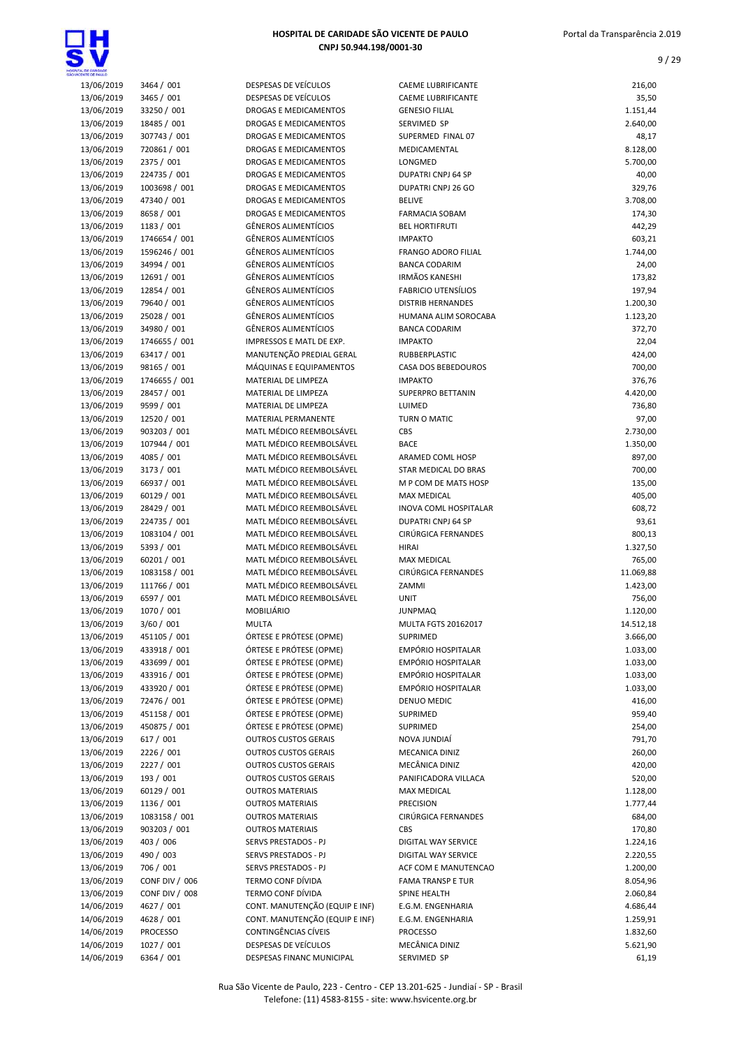

| <b>TAL DE CARDADE</b> |                |                             |                              |           |
|-----------------------|----------------|-----------------------------|------------------------------|-----------|
| 13/06/2019            | 3464 / 001     | DESPESAS DE VEÍCULOS        | <b>CAEME LUBRIFICANTE</b>    | 216,00    |
| 13/06/2019            | 3465 / 001     | DESPESAS DE VEÍCULOS        | <b>CAEME LUBRIFICANTE</b>    | 35,50     |
| 13/06/2019            | 33250 / 001    | DROGAS E MEDICAMENTOS       | <b>GENESIO FILIAL</b>        | 1.151,44  |
| 13/06/2019            | 18485 / 001    | DROGAS E MEDICAMENTOS       | SERVIMED SP                  | 2.640,00  |
| 13/06/2019            | 307743 / 001   | DROGAS E MEDICAMENTOS       | SUPERMED FINAL 07            | 48,17     |
| 13/06/2019            | 720861 / 001   | DROGAS E MEDICAMENTOS       | MEDICAMENTAL                 | 8.128,00  |
| 13/06/2019            | 2375 / 001     | DROGAS E MEDICAMENTOS       | LONGMED                      | 5.700,00  |
| 13/06/2019            | 224735 / 001   | DROGAS E MEDICAMENTOS       | DUPATRI CNPJ 64 SP           | 40,00     |
| 13/06/2019            | 1003698 / 001  | DROGAS E MEDICAMENTOS       | DUPATRI CNPJ 26 GO           | 329,76    |
| 13/06/2019            | 47340 / 001    | DROGAS E MEDICAMENTOS       | <b>BELIVE</b>                | 3.708,00  |
| 13/06/2019            | 8658 / 001     | DROGAS E MEDICAMENTOS       | <b>FARMACIA SOBAM</b>        | 174,30    |
| 13/06/2019            | 1183 / 001     | <b>GÊNEROS ALIMENTÍCIOS</b> | <b>BEL HORTIFRUTI</b>        | 442,29    |
| 13/06/2019            | 1746654 / 001  | <b>GÊNEROS ALIMENTÍCIOS</b> | <b>IMPAKTO</b>               | 603,21    |
| 13/06/2019            | 1596246 / 001  | <b>GÊNEROS ALIMENTÍCIOS</b> | FRANGO ADORO FILIAL          | 1.744,00  |
| 13/06/2019            | 34994 / 001    | <b>GÊNEROS ALIMENTÍCIOS</b> | <b>BANCA CODARIM</b>         | 24,00     |
| 13/06/2019            | 12691 / 001    | <b>GÊNEROS ALIMENTÍCIOS</b> | <b>IRMÃOS KANESHI</b>        | 173,82    |
| 13/06/2019            | 12854 / 001    | <b>GÊNEROS ALIMENTÍCIOS</b> | <b>FABRICIO UTENSÍLIOS</b>   | 197,94    |
| 13/06/2019            | 79640 / 001    | <b>GÊNEROS ALIMENTÍCIOS</b> | <b>DISTRIB HERNANDES</b>     | 1.200,30  |
| 13/06/2019            | 25028 / 001    | <b>GÊNEROS ALIMENTÍCIOS</b> | HUMANA ALIM SOROCABA         | 1.123,20  |
| 13/06/2019            | 34980 / 001    | <b>GÊNEROS ALIMENTÍCIOS</b> | <b>BANCA CODARIM</b>         | 372,70    |
| 13/06/2019            | 1746655 / 001  | IMPRESSOS E MATL DE EXP.    | <b>IMPAKTO</b>               | 22,04     |
| 13/06/2019            | 63417 / 001    | MANUTENÇÃO PREDIAL GERAL    | RUBBERPLASTIC                | 424,00    |
| 13/06/2019            | 98165 / 001    | MÁQUINAS E EQUIPAMENTOS     | CASA DOS BEBEDOUROS          | 700,00    |
| 13/06/2019            | 1746655 / 001  | MATERIAL DE LIMPEZA         | <b>IMPAKTO</b>               | 376,76    |
| 13/06/2019            | 28457 / 001    | MATERIAL DE LIMPEZA         | <b>SUPERPRO BETTANIN</b>     | 4.420,00  |
| 13/06/2019            | 9599 / 001     | MATERIAL DE LIMPEZA         | LUIMED                       | 736,80    |
| 13/06/2019            | 12520 / 001    | <b>MATERIAL PERMANENTE</b>  | TURN O MATIC                 | 97,00     |
| 13/06/2019            | 903203 / 001   | MATL MÉDICO REEMBOLSÁVEL    | CBS                          | 2.730,00  |
| 13/06/2019            | 107944 / 001   | MATL MÉDICO REEMBOLSÁVEL    | <b>BACE</b>                  | 1.350,00  |
| 13/06/2019            | 4085 / 001     | MATL MÉDICO REEMBOLSÁVEL    | ARAMED COML HOSP             | 897,00    |
| 13/06/2019            | 3173 / 001     | MATL MÉDICO REEMBOLSÁVEL    | STAR MEDICAL DO BRAS         | 700,00    |
| 13/06/2019            | 66937 / 001    | MATL MÉDICO REEMBOLSÁVEL    | M P COM DE MATS HOSP         | 135,00    |
| 13/06/2019            | 60129 / 001    | MATL MÉDICO REEMBOLSÁVEL    | <b>MAX MEDICAL</b>           | 405,00    |
| 13/06/2019            | 28429 / 001    | MATL MÉDICO REEMBOLSÁVEL    | <b>INOVA COML HOSPITALAR</b> | 608,72    |
| 13/06/2019            | 224735 / 001   | MATL MÉDICO REEMBOLSÁVEL    | <b>DUPATRI CNPJ 64 SP</b>    | 93,61     |
| 13/06/2019            | 1083104 / 001  | MATL MÉDICO REEMBOLSÁVEL    | CIRÚRGICA FERNANDES          | 800,13    |
| 13/06/2019            | 5393 / 001     | MATL MÉDICO REEMBOLSÁVEL    | <b>HIRAI</b>                 | 1.327,50  |
| 13/06/2019            | 60201 / 001    | MATL MÉDICO REEMBOLSÁVEL    | <b>MAX MEDICAL</b>           | 765,00    |
| 13/06/2019            | 1083158 / 001  | MATL MÉDICO REEMBOLSÁVEL    | CIRÚRGICA FERNANDES          | 11.069,88 |
| 13/06/2019            | 111766 / 001   | MATL MÉDICO REEMBOLSÁVEL    | ZAMMI                        | 1.423,00  |
| 13/06/2019            | 6597 / 001     | MATL MÉDICO REEMBOLSÁVEL    | <b>UNIT</b>                  | 756,00    |
| 13/06/2019            | 1070 / 001     | MOBILIÁRIO                  | <b>JUNPMAQ</b>               | 1.120,00  |
| 13/06/2019            | 3/60 / 001     | <b>MULTA</b>                | MULTA FGTS 20162017          | 14.512,18 |
| 13/06/2019            | 451105 / 001   | ÓRTESE E PRÓTESE (OPME)     | SUPRIMED                     | 3.666,00  |
| 13/06/2019            | 433918 / 001   | ÓRTESE E PRÓTESE (OPME)     | EMPÓRIO HOSPITALAR           | 1.033,00  |
| 13/06/2019            | 433699 / 001   | ÓRTESE E PRÓTESE (OPME)     | EMPÓRIO HOSPITALAR           | 1.033,00  |
| 13/06/2019            | 433916 / 001   | ÓRTESE E PRÓTESE (OPME)     | EMPÓRIO HOSPITALAR           | 1.033,00  |
| 13/06/2019            | 433920 / 001   | ÓRTESE E PRÓTESE (OPME)     | EMPÓRIO HOSPITALAR           | 1.033,00  |
| 13/06/2019            | 72476 / 001    | ÓRTESE E PRÓTESE (OPME)     | DENUO MEDIC                  | 416,00    |
| 13/06/2019            | 451158 / 001   | ÓRTESE E PRÓTESE (OPME)     | <b>SUPRIMED</b>              | 959,40    |
| 13/06/2019            | 450875 / 001   | ÓRTESE E PRÓTESE (OPME)     | <b>SUPRIMED</b>              | 254,00    |
| 13/06/2019            | 617 / 001      | <b>OUTROS CUSTOS GERAIS</b> | NOVA JUNDIAÍ                 | 791,70    |
| 13/06/2019            | 2226 / 001     | <b>OUTROS CUSTOS GERAIS</b> | MECANICA DINIZ               | 260,00    |
| 13/06/2019            | 2227 / 001     | <b>OUTROS CUSTOS GERAIS</b> | MECÂNICA DINIZ               | 420,00    |
| 13/06/2019            | 193 / 001      | <b>OUTROS CUSTOS GERAIS</b> | PANIFICADORA VILLACA         | 520,00    |
| 13/06/2019            | 60129 / 001    | <b>OUTROS MATERIAIS</b>     | <b>MAX MEDICAL</b>           | 1.128,00  |
| 13/06/2019            | 1136 / 001     | <b>OUTROS MATERIAIS</b>     | <b>PRECISION</b>             | 1.777,44  |
| 13/06/2019            | 1083158 / 001  | <b>OUTROS MATERIAIS</b>     | CIRÚRGICA FERNANDES          | 684,00    |
| 13/06/2019            | 903203 / 001   | <b>OUTROS MATERIAIS</b>     | CBS                          | 170,80    |
| 13/06/2019            | 403 / 006      | SERVS PRESTADOS - PJ        | DIGITAL WAY SERVICE          | 1.224,16  |
| 13/06/2019            | 490 / 003      | SERVS PRESTADOS - PJ        | DIGITAL WAY SERVICE          | 2.220,55  |
| 13/06/2019            | 706 / 001      | SERVS PRESTADOS - PJ        | ACF COM E MANUTENCAO         | 1.200,00  |
| 13/06/2019            | CONF DIV / 006 | TERMO CONF DÍVIDA           | <b>FAMA TRANSP E TUR</b>     | 8.054,96  |
| 13/06/2019            | CONF DIV / 008 | TERMO CONF DÍVIDA           | SPINE HEALTH                 | 2.060,84  |

### HOSPITAL DE CARIDAD CNPI 50.944

|            |               |                              | HOSPITAL DE CARIDADE SÃO VICENTE DE PAULO<br>CNPJ 50.944.198/0001-30 |           |  |
|------------|---------------|------------------------------|----------------------------------------------------------------------|-----------|--|
| 13/06/2019 | 3464 / 001    | DESPESAS DE VEÍCULOS         | <b>CAEME LUBRIFICANTE</b>                                            | 216,00    |  |
| 13/06/2019 | 3465 / 001    | DESPESAS DE VEÍCULOS         | <b>CAEME LUBRIFICANTE</b>                                            | 35,50     |  |
| 13/06/2019 | 33250 / 001   | DROGAS E MEDICAMENTOS        | <b>GENESIO FILIAL</b>                                                | 1.151,44  |  |
| 13/06/2019 | 18485 / 001   | DROGAS E MEDICAMENTOS        | SERVIMED SP                                                          | 2.640,00  |  |
| 13/06/2019 | 307743 / 001  | DROGAS E MEDICAMENTOS        | SUPERMED FINAL 07                                                    | 48,17     |  |
| 13/06/2019 | 720861 / 001  | DROGAS E MEDICAMENTOS        | MEDICAMENTAL                                                         | 8.128,00  |  |
| 13/06/2019 | 2375 / 001    | <b>DROGAS E MEDICAMENTOS</b> | LONGMED                                                              | 5.700,00  |  |
| 13/06/2019 | 224735 / 001  | <b>DROGAS E MEDICAMENTOS</b> | <b>DUPATRI CNPJ 64 SP</b>                                            | 40,00     |  |
| 13/06/2019 | 1003698 / 001 | DROGAS E MEDICAMENTOS        | DUPATRI CNPJ 26 GO                                                   | 329,76    |  |
| 13/06/2019 | 47340 / 001   | DROGAS E MEDICAMENTOS        | <b>BELIVE</b>                                                        | 3.708,00  |  |
| 13/06/2019 | 8658 / 001    | DROGAS E MEDICAMENTOS        | <b>FARMACIA SOBAM</b>                                                | 174,30    |  |
| 13/06/2019 | 1183 / 001    | <b>GÊNEROS ALIMENTÍCIOS</b>  | <b>BEL HORTIFRUTI</b>                                                | 442,29    |  |
| 13/06/2019 | 1746654 / 001 | <b>GÊNEROS ALIMENTÍCIOS</b>  | <b>IMPAKTO</b>                                                       | 603,21    |  |
| 13/06/2019 | 1596246 / 001 | <b>GÊNEROS ALIMENTÍCIOS</b>  | <b>FRANGO ADORO FILIAL</b>                                           | 1.744,00  |  |
| 13/06/2019 | 34994 / 001   | <b>GÊNEROS ALIMENTÍCIOS</b>  | <b>BANCA CODARIM</b>                                                 | 24,00     |  |
| 13/06/2019 | 12691 / 001   | <b>GÊNEROS ALIMENTÍCIOS</b>  | <b>IRMÃOS KANESHI</b>                                                | 173,82    |  |
| 13/06/2019 | 12854 / 001   | <b>GÊNEROS ALIMENTÍCIOS</b>  | <b>FABRICIO UTENSÍLIOS</b>                                           | 197,94    |  |
| 13/06/2019 | 79640 / 001   | <b>GÊNEROS ALIMENTÍCIOS</b>  | <b>DISTRIB HERNANDES</b>                                             | 1.200,30  |  |
| 13/06/2019 | 25028 / 001   | <b>GÊNEROS ALIMENTÍCIOS</b>  | HUMANA ALIM SOROCABA                                                 | 1.123,20  |  |
| 13/06/2019 | 34980 / 001   | <b>GÊNEROS ALIMENTÍCIOS</b>  | <b>BANCA CODARIM</b>                                                 | 372,70    |  |
| 13/06/2019 | 1746655 / 001 | IMPRESSOS E MATL DE EXP.     | <b>IMPAKTO</b>                                                       | 22,04     |  |
| 13/06/2019 | 63417 / 001   | MANUTENÇÃO PREDIAL GERAL     | RUBBERPLASTIC                                                        | 424,00    |  |
| 13/06/2019 | 98165 / 001   | MÁQUINAS E EQUIPAMENTOS      | CASA DOS BEBEDOUROS                                                  | 700,00    |  |
| 13/06/2019 | 1746655 / 001 | MATERIAL DE LIMPEZA          | <b>IMPAKTO</b>                                                       | 376,76    |  |
| 13/06/2019 | 28457 / 001   | MATERIAL DE LIMPEZA          | <b>SUPERPRO BETTANIN</b>                                             | 4.420,00  |  |
| 13/06/2019 | 9599 / 001    | MATERIAL DE LIMPEZA          | LUIMED                                                               | 736,80    |  |
| 13/06/2019 | 12520 / 001   | MATERIAL PERMANENTE          | TURN O MATIC                                                         | 97,00     |  |
| 13/06/2019 | 903203 / 001  | MATL MÉDICO REEMBOLSÁVEL     | CBS                                                                  | 2.730,00  |  |
| 13/06/2019 | 107944 / 001  | MATL MÉDICO REEMBOLSÁVEL     | <b>BACE</b>                                                          | 1.350,00  |  |
| 13/06/2019 | 4085 / 001    | MATL MÉDICO REEMBOLSÁVEL     | ARAMED COML HOSP                                                     | 897,00    |  |
| 13/06/2019 | 3173 / 001    | MATL MÉDICO REEMBOLSÁVEL     | STAR MEDICAL DO BRAS                                                 | 700,00    |  |
| 13/06/2019 | 66937 / 001   | MATL MÉDICO REEMBOLSÁVEL     | M P COM DE MATS HOSP                                                 | 135,00    |  |
| 13/06/2019 | 60129 / 001   | MATL MÉDICO REEMBOLSÁVEL     | <b>MAX MEDICAL</b>                                                   | 405,00    |  |
| 13/06/2019 | 28429 / 001   | MATL MÉDICO REEMBOLSÁVEL     | INOVA COML HOSPITALAR                                                | 608,72    |  |
| 13/06/2019 | 224735 / 001  | MATL MÉDICO REEMBOLSÁVEL     | <b>DUPATRI CNPJ 64 SP</b>                                            | 93,61     |  |
| 13/06/2019 | 1083104 / 001 | MATL MÉDICO REEMBOLSÁVEL     | CIRÚRGICA FERNANDES                                                  | 800,13    |  |
| 13/06/2019 | 5393 / 001    | MATL MÉDICO REEMBOLSÁVEL     | <b>HIRAI</b>                                                         | 1.327,50  |  |
| 13/06/2019 | 60201 / 001   | MATL MÉDICO REEMBOLSÁVEL     | <b>MAX MEDICAL</b>                                                   | 765,00    |  |
| 13/06/2019 | 1083158 / 001 | MATL MÉDICO REEMBOLSÁVEL     | CIRÚRGICA FERNANDES                                                  | 11.069,88 |  |
| 13/06/2019 | 111766 / 001  | MATL MÉDICO REEMBOLSÁVEL     | ZAMMI                                                                | 1.423,00  |  |
| 13/06/2019 | 6597 / 001    | MATL MÉDICO REEMBOLSÁVEL     | <b>UNIT</b>                                                          | 756,00    |  |
| 13/06/2019 | 1070 / 001    | MOBILIÁRIO                   | <b>JUNPMAQ</b>                                                       | 1.120,00  |  |
| 13/06/2019 | 3/60 / 001    | <b>MULTA</b>                 | <b>MULTA FGTS 20162017</b>                                           | 14.512,18 |  |
| 13/06/2019 | 451105 / 001  | ÓRTESE E PRÓTESE (OPME)      | <b>SUPRIMED</b>                                                      | 3.666,00  |  |
| 13/06/2019 | 433918 / 001  | ÓRTESE E PRÓTESE (OPME)      | EMPÓRIO HOSPITALAR                                                   | 1.033,00  |  |
| 13/06/2019 | 433699 / 001  | ÓRTESE E PRÓTESE (OPME)      | EMPÓRIO HOSPITALAR                                                   | 1.033,00  |  |
| 13/06/2019 | 433916 / 001  | ÓRTESE E PRÓTESE (OPME)      | EMPÓRIO HOSPITALAR                                                   | 1.033,00  |  |
| 13/06/2019 | 433920 / 001  | ÓRTESE E PRÓTESE (OPME)      | <b>EMPÓRIO HOSPITALAR</b>                                            | 1.033,00  |  |
| 13/06/2019 | 72476 / 001   | ÓRTESE E PRÓTESE (OPME)      | DENUO MEDIC                                                          | 416,00    |  |
| 13/06/2019 | 451158 / 001  | ÓRTESE E PRÓTESE (OPME)      | SUPRIMED                                                             | 959,40    |  |
| 13/06/2019 | 450875 / 001  | ÓRTESE E PRÓTESE (OPME)      | <b>SUPRIMED</b>                                                      | 254,00    |  |
| 13/06/2019 | 617 / 001     | <b>OUTROS CUSTOS GERAIS</b>  | NOVA JUNDIAÍ                                                         | 791,70    |  |
| 13/06/2019 | 2226 / 001    | <b>OUTROS CUSTOS GERAIS</b>  | MECANICA DINIZ                                                       | 260,00    |  |

13/06/2019 490 / 003 SERVS PRESTADOS - PJ DIGITAL WAY SERVICE 2.220,55 13/06/2019 706 / 001 SERVS PRESTADOS - PJ ACF COM E MANUTENCAO 1.200,00 13/06/2019 CONF DIV / 006 TERMO CONF DÍVIDA FAMA TRANSP E TUR CONF DIVIDA B.054,96 13/06/2019 CONF DIV / 008 TERMO CONF DÍVIDA SPINE HEALTH 2.060,84<br>13/06/2010 CONT. MANUTENÇÃO (EQUIP E INF) E.G.M. ENGENHARIA 14/06/2019 4627 / 001 CONT. MANUTENÇÃO (EQUIP E INF) E.G.M. ENGENHARIA 4.686,44 14/06/2019 4628 / 001 CONT. MANUTENÇÃO (EQUIP E INF) E.G.M. ENGENHARIA 1.259,91 14/06/2019 PROCESSO CONTINGÊNCIAS CÍVEIS PROCESSO 1.832,60 14/06/2019 1027 / 001 DESPESAS DE VEÍCULOS MECÂNICA DINIZ 5.621,90 14/06/2019 6364 / 001 DESPESAS FINANC MUNICIPAL SERVIMED SP 61.19

### Rua São Vicente de Paulo, 223 - Centro - CEP 13.201-625 - Jundiaí - SP - Brasil Telefone: (11) 4583-8155 - site: www.hsvicente.org.br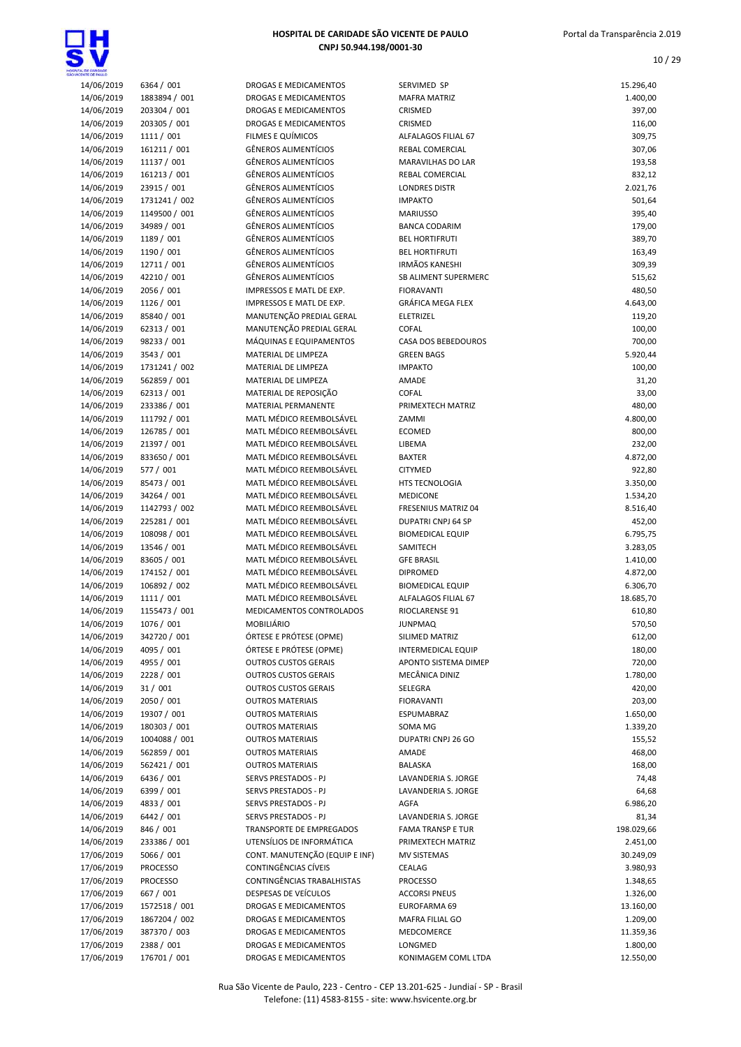

| 14/06/2019<br>6364 / 001<br>DROGAS E MEDICAMENTOS<br>SERVIMED SP<br>14/06/2019<br>1883894 / 001<br>DROGAS E MEDICAMENTOS<br><b>MAFRA MATRIZ</b><br>14/06/2019<br>203304 / 001<br>DROGAS E MEDICAMENTOS<br>CRISMED<br>14/06/2019<br>203305 / 001<br>DROGAS E MEDICAMENTOS<br>CRISMED<br>14/06/2019<br>1111 / 001<br>FILMES E QUÍMICOS<br>ALFALAGOS FILIAL 67<br>14/06/2019<br>161211 / 001<br><b>GÊNEROS ALIMENTÍCIOS</b><br><b>REBAL COMERCIAL</b><br>14/06/2019<br>11137 / 001<br><b>GÊNEROS ALIMENTÍCIOS</b><br><b>MARAVILHAS DO LAR</b><br>14/06/2019<br>161213 / 001<br><b>GÊNEROS ALIMENTÍCIOS</b><br>REBAL COMERCIAL<br>14/06/2019<br>23915 / 001<br><b>GÊNEROS ALIMENTÍCIOS</b><br><b>LONDRES DISTR</b><br>14/06/2019<br>1731241 / 002<br><b>GÊNEROS ALIMENTÍCIOS</b><br><b>IMPAKTO</b><br>14/06/2019<br><b>GÊNEROS ALIMENTÍCIOS</b><br>1149500 / 001<br><b>MARIUSSO</b><br>34989 / 001<br><b>GÊNEROS ALIMENTÍCIOS</b><br>14/06/2019<br><b>BANCA CODARIM</b><br>1189 / 001<br><b>GÊNEROS ALIMENTÍCIOS</b><br>14/06/2019<br><b>BEL HORTIFRUTI</b><br>14/06/2019<br>1190 / 001<br><b>GÊNEROS ALIMENTÍCIOS</b><br><b>BEL HORTIFRUTI</b><br>12711 / 001<br><b>GÊNEROS ALIMENTÍCIOS</b><br><b>IRMÃOS KANESHI</b><br>14/06/2019<br>14/06/2019<br>42210 / 001<br><b>GÊNEROS ALIMENTÍCIOS</b><br>SB ALIMENT SUPERMERC<br>14/06/2019<br>2056 / 001<br><b>FIORAVANTI</b><br>IMPRESSOS E MATL DE EXP.<br>14/06/2019<br>1126 / 001<br>IMPRESSOS E MATL DE EXP.<br><b>GRÁFICA MEGA FLEX</b><br>MANUTENÇÃO PREDIAL GERAL<br>14/06/2019<br>85840 / 001<br><b>ELETRIZEL</b><br>62313 / 001<br>MANUTENÇÃO PREDIAL GERAL<br>14/06/2019<br>COFAL<br>14/06/2019<br>98233 / 001<br>MÁQUINAS E EQUIPAMENTOS<br>CASA DOS BEBEDOUROS<br>14/06/2019<br>3543 / 001<br>MATERIAL DE LIMPEZA<br><b>GREEN BAGS</b><br>14/06/2019<br>1731241 / 002<br>MATERIAL DE LIMPEZA<br><b>IMPAKTO</b><br>14/06/2019<br>562859 / 001<br>MATERIAL DE LIMPEZA<br>AMADE<br>14/06/2019<br>62313 / 001<br>MATERIAL DE REPOSIÇÃO<br>COFAL<br>14/06/2019<br>233386 / 001<br>MATERIAL PERMANENTE<br>PRIMEXTECH MATRIZ<br>14/06/2019<br>111792 / 001<br>MATL MÉDICO REEMBOLSÁVEL<br>ZAMMI<br>14/06/2019<br>126785 / 001<br>MATL MÉDICO REEMBOLSÁVEL<br><b>ECOMED</b><br>14/06/2019<br>21397 / 001<br>MATL MÉDICO REEMBOLSÁVEL<br>LIBEMA<br>833650 / 001<br>MATL MÉDICO REEMBOLSÁVEL<br>14/06/2019<br><b>BAXTER</b><br>14/06/2019<br>577 / 001<br>MATL MÉDICO REEMBOLSÁVEL<br><b>CITYMED</b><br>14/06/2019<br>85473 / 001<br>MATL MÉDICO REEMBOLSÁVEL<br>HTS TECNOLOGIA<br>MATL MÉDICO REEMBOLSÁVEL<br>14/06/2019<br>34264 / 001<br><b>MEDICONE</b><br>14/06/2019<br>1142793 / 002<br>MATL MÉDICO REEMBOLSÁVEL<br>FRESENIUS MATRIZ 04<br>14/06/2019<br>225281 / 001<br>MATL MÉDICO REEMBOLSÁVEL<br>DUPATRI CNPJ 64 SP<br>108098 / 001<br>MATL MÉDICO REEMBOLSÁVEL<br>14/06/2019<br><b>BIOMEDICAL EQUIP</b><br>13546 / 001<br>MATL MÉDICO REEMBOLSÁVEL<br>14/06/2019<br>SAMITECH<br>14/06/2019<br>83605 / 001<br>MATL MÉDICO REEMBOLSÁVEL<br><b>GFE BRASIL</b><br>14/06/2019<br>MATL MÉDICO REEMBOLSÁVEL<br>174152 / 001<br><b>DIPROMED</b><br>106892 / 002<br>MATL MÉDICO REEMBOLSÁVEL<br>14/06/2019<br><b>BIOMEDICAL EQUIP</b><br>14/06/2019<br>1111 / 001<br>MATL MÉDICO REEMBOLSÁVEL<br>ALFALAGOS FILIAL 67<br>14/06/2019<br>1155473 / 001<br>MEDICAMENTOS CONTROLADOS<br>RIOCLARENSE 91<br>14/06/2019<br>1076 / 001<br>MOBILIÁRIO<br><b>JUNPMAQ</b><br>14/06/2019<br>342720 / 001<br>ÓRTESE E PRÓTESE (OPME)<br>SILIMED MATRIZ<br>14/06/2019<br>ÓRTESE E PRÓTESE (OPME)<br>4095 / 001<br><b>INTERMEDICAL EQUIP</b><br>14/06/2019<br>4955 / 001<br><b>OUTROS CUSTOS GERAIS</b><br>APONTO SISTEMA DIMEP<br>14/06/2019<br>2228 / 001<br><b>OUTROS CUSTOS GERAIS</b><br>MECÂNICA DINIZ<br>14/06/2019<br>31/001<br><b>OUTROS CUSTOS GERAIS</b><br>SELEGRA<br>14/06/2019<br>2050 / 001<br><b>OUTROS MATERIAIS</b><br><b>FIORAVANTI</b><br>14/06/2019<br>19307 / 001<br><b>OUTROS MATERIAIS</b><br>ESPUMABRAZ<br>14/06/2019<br>180303 / 001<br><b>OUTROS MATERIAIS</b><br>SOMA MG<br>14/06/2019<br>1004088 / 001<br><b>OUTROS MATERIAIS</b><br>DUPATRI CNPJ 26 GO<br>14/06/2019<br>562859 / 001<br><b>OUTROS MATERIAIS</b><br>AMADE<br>562421 / 001<br>14/06/2019<br><b>OUTROS MATERIAIS</b><br><b>BALASKA</b><br>6436 / 001<br>14/06/2019<br>SERVS PRESTADOS - PJ<br>LAVANDERIA S. JORGE<br>14/06/2019<br>6399 / 001<br>SERVS PRESTADOS - PJ<br>LAVANDERIA S. JORGE<br>14/06/2019<br>4833 / 001<br>SERVS PRESTADOS - PJ<br>AGFA<br>14/06/2019<br>6442 / 001<br>SERVS PRESTADOS - PJ<br>LAVANDERIA S. JORGE<br>14/06/2019<br>846 / 001<br>TRANSPORTE DE EMPREGADOS<br><b>FAMA TRANSP E TUR</b><br>14/06/2019<br>233386 / 001<br>UTENSÍLIOS DE INFORMÁTICA<br>PRIMEXTECH MATRIZ<br>17/06/2019<br>5066 / 001<br>CONT. MANUTENÇÃO (EQUIP E INF)<br><b>MV SISTEMAS</b><br>CONTINGÊNCIAS CÍVEIS<br>17/06/2019<br><b>PROCESSO</b><br>CEALAG<br>17/06/2019<br>CONTINGÊNCIAS TRABALHISTAS<br><b>PROCESSO</b><br><b>PROCESSO</b><br>17/06/2019<br>DESPESAS DE VEÍCULOS<br>667 / 001<br><b>ACCORSI PNEUS</b><br>17/06/2019<br>1572518 / 001<br>DROGAS E MEDICAMENTOS<br>EUROFARMA 69<br>17/06/2019<br>1867204 / 002<br>DROGAS E MEDICAMENTOS<br>MAFRA FILIAL GO<br>17/06/2019<br>387370 / 003<br>DROGAS E MEDICAMENTOS<br>MEDCOMERCE<br>17/06/2019<br>2388 / 001<br>DROGAS E MEDICAMENTOS<br>LONGMED<br>17/06/2019<br>176701 / 001<br>DROGAS E MEDICAMENTOS<br>KONIMAGEM COML LTDA |  |  |                      |
|--------------------------------------------------------------------------------------------------------------------------------------------------------------------------------------------------------------------------------------------------------------------------------------------------------------------------------------------------------------------------------------------------------------------------------------------------------------------------------------------------------------------------------------------------------------------------------------------------------------------------------------------------------------------------------------------------------------------------------------------------------------------------------------------------------------------------------------------------------------------------------------------------------------------------------------------------------------------------------------------------------------------------------------------------------------------------------------------------------------------------------------------------------------------------------------------------------------------------------------------------------------------------------------------------------------------------------------------------------------------------------------------------------------------------------------------------------------------------------------------------------------------------------------------------------------------------------------------------------------------------------------------------------------------------------------------------------------------------------------------------------------------------------------------------------------------------------------------------------------------------------------------------------------------------------------------------------------------------------------------------------------------------------------------------------------------------------------------------------------------------------------------------------------------------------------------------------------------------------------------------------------------------------------------------------------------------------------------------------------------------------------------------------------------------------------------------------------------------------------------------------------------------------------------------------------------------------------------------------------------------------------------------------------------------------------------------------------------------------------------------------------------------------------------------------------------------------------------------------------------------------------------------------------------------------------------------------------------------------------------------------------------------------------------------------------------------------------------------------------------------------------------------------------------------------------------------------------------------------------------------------------------------------------------------------------------------------------------------------------------------------------------------------------------------------------------------------------------------------------------------------------------------------------------------------------------------------------------------------------------------------------------------------------------------------------------------------------------------------------------------------------------------------------------------------------------------------------------------------------------------------------------------------------------------------------------------------------------------------------------------------------------------------------------------------------------------------------------------------------------------------------------------------------------------------------------------------------------------------------------------------------------------------------------------------------------------------------------------------------------------------------------------------------------------------------------------------------------------------------------------------------------------------------------------------------------------------------------------------------------------------------------------------------------------------------------------------------------------------------------------------------------------------------------------------------------------------------------------------------------------------------------------------------------------------------------------------------------------------------------------------------------------------------------------------------------------------------------------------------------------------------------------------------------------------------------------------------------------------------------------------------------------------------------------------------------------------------------------------------------------------------------------------------------------|--|--|----------------------|
|                                                                                                                                                                                                                                                                                                                                                                                                                                                                                                                                                                                                                                                                                                                                                                                                                                                                                                                                                                                                                                                                                                                                                                                                                                                                                                                                                                                                                                                                                                                                                                                                                                                                                                                                                                                                                                                                                                                                                                                                                                                                                                                                                                                                                                                                                                                                                                                                                                                                                                                                                                                                                                                                                                                                                                                                                                                                                                                                                                                                                                                                                                                                                                                                                                                                                                                                                                                                                                                                                                                                                                                                                                                                                                                                                                                                                                                                                                                                                                                                                                                                                                                                                                                                                                                                                                                                                                                                                                                                                                                                                                                                                                                                                                                                                                                                                                                                                                                                                                                                                                                                                                                                                                                                                                                                                                                                                                                                                          |  |  | 15.296,40            |
|                                                                                                                                                                                                                                                                                                                                                                                                                                                                                                                                                                                                                                                                                                                                                                                                                                                                                                                                                                                                                                                                                                                                                                                                                                                                                                                                                                                                                                                                                                                                                                                                                                                                                                                                                                                                                                                                                                                                                                                                                                                                                                                                                                                                                                                                                                                                                                                                                                                                                                                                                                                                                                                                                                                                                                                                                                                                                                                                                                                                                                                                                                                                                                                                                                                                                                                                                                                                                                                                                                                                                                                                                                                                                                                                                                                                                                                                                                                                                                                                                                                                                                                                                                                                                                                                                                                                                                                                                                                                                                                                                                                                                                                                                                                                                                                                                                                                                                                                                                                                                                                                                                                                                                                                                                                                                                                                                                                                                          |  |  | 1.400,00             |
|                                                                                                                                                                                                                                                                                                                                                                                                                                                                                                                                                                                                                                                                                                                                                                                                                                                                                                                                                                                                                                                                                                                                                                                                                                                                                                                                                                                                                                                                                                                                                                                                                                                                                                                                                                                                                                                                                                                                                                                                                                                                                                                                                                                                                                                                                                                                                                                                                                                                                                                                                                                                                                                                                                                                                                                                                                                                                                                                                                                                                                                                                                                                                                                                                                                                                                                                                                                                                                                                                                                                                                                                                                                                                                                                                                                                                                                                                                                                                                                                                                                                                                                                                                                                                                                                                                                                                                                                                                                                                                                                                                                                                                                                                                                                                                                                                                                                                                                                                                                                                                                                                                                                                                                                                                                                                                                                                                                                                          |  |  | 397,00               |
|                                                                                                                                                                                                                                                                                                                                                                                                                                                                                                                                                                                                                                                                                                                                                                                                                                                                                                                                                                                                                                                                                                                                                                                                                                                                                                                                                                                                                                                                                                                                                                                                                                                                                                                                                                                                                                                                                                                                                                                                                                                                                                                                                                                                                                                                                                                                                                                                                                                                                                                                                                                                                                                                                                                                                                                                                                                                                                                                                                                                                                                                                                                                                                                                                                                                                                                                                                                                                                                                                                                                                                                                                                                                                                                                                                                                                                                                                                                                                                                                                                                                                                                                                                                                                                                                                                                                                                                                                                                                                                                                                                                                                                                                                                                                                                                                                                                                                                                                                                                                                                                                                                                                                                                                                                                                                                                                                                                                                          |  |  | 116,00               |
|                                                                                                                                                                                                                                                                                                                                                                                                                                                                                                                                                                                                                                                                                                                                                                                                                                                                                                                                                                                                                                                                                                                                                                                                                                                                                                                                                                                                                                                                                                                                                                                                                                                                                                                                                                                                                                                                                                                                                                                                                                                                                                                                                                                                                                                                                                                                                                                                                                                                                                                                                                                                                                                                                                                                                                                                                                                                                                                                                                                                                                                                                                                                                                                                                                                                                                                                                                                                                                                                                                                                                                                                                                                                                                                                                                                                                                                                                                                                                                                                                                                                                                                                                                                                                                                                                                                                                                                                                                                                                                                                                                                                                                                                                                                                                                                                                                                                                                                                                                                                                                                                                                                                                                                                                                                                                                                                                                                                                          |  |  | 309,75               |
|                                                                                                                                                                                                                                                                                                                                                                                                                                                                                                                                                                                                                                                                                                                                                                                                                                                                                                                                                                                                                                                                                                                                                                                                                                                                                                                                                                                                                                                                                                                                                                                                                                                                                                                                                                                                                                                                                                                                                                                                                                                                                                                                                                                                                                                                                                                                                                                                                                                                                                                                                                                                                                                                                                                                                                                                                                                                                                                                                                                                                                                                                                                                                                                                                                                                                                                                                                                                                                                                                                                                                                                                                                                                                                                                                                                                                                                                                                                                                                                                                                                                                                                                                                                                                                                                                                                                                                                                                                                                                                                                                                                                                                                                                                                                                                                                                                                                                                                                                                                                                                                                                                                                                                                                                                                                                                                                                                                                                          |  |  | 307,06               |
|                                                                                                                                                                                                                                                                                                                                                                                                                                                                                                                                                                                                                                                                                                                                                                                                                                                                                                                                                                                                                                                                                                                                                                                                                                                                                                                                                                                                                                                                                                                                                                                                                                                                                                                                                                                                                                                                                                                                                                                                                                                                                                                                                                                                                                                                                                                                                                                                                                                                                                                                                                                                                                                                                                                                                                                                                                                                                                                                                                                                                                                                                                                                                                                                                                                                                                                                                                                                                                                                                                                                                                                                                                                                                                                                                                                                                                                                                                                                                                                                                                                                                                                                                                                                                                                                                                                                                                                                                                                                                                                                                                                                                                                                                                                                                                                                                                                                                                                                                                                                                                                                                                                                                                                                                                                                                                                                                                                                                          |  |  | 193,58               |
|                                                                                                                                                                                                                                                                                                                                                                                                                                                                                                                                                                                                                                                                                                                                                                                                                                                                                                                                                                                                                                                                                                                                                                                                                                                                                                                                                                                                                                                                                                                                                                                                                                                                                                                                                                                                                                                                                                                                                                                                                                                                                                                                                                                                                                                                                                                                                                                                                                                                                                                                                                                                                                                                                                                                                                                                                                                                                                                                                                                                                                                                                                                                                                                                                                                                                                                                                                                                                                                                                                                                                                                                                                                                                                                                                                                                                                                                                                                                                                                                                                                                                                                                                                                                                                                                                                                                                                                                                                                                                                                                                                                                                                                                                                                                                                                                                                                                                                                                                                                                                                                                                                                                                                                                                                                                                                                                                                                                                          |  |  | 832,12               |
|                                                                                                                                                                                                                                                                                                                                                                                                                                                                                                                                                                                                                                                                                                                                                                                                                                                                                                                                                                                                                                                                                                                                                                                                                                                                                                                                                                                                                                                                                                                                                                                                                                                                                                                                                                                                                                                                                                                                                                                                                                                                                                                                                                                                                                                                                                                                                                                                                                                                                                                                                                                                                                                                                                                                                                                                                                                                                                                                                                                                                                                                                                                                                                                                                                                                                                                                                                                                                                                                                                                                                                                                                                                                                                                                                                                                                                                                                                                                                                                                                                                                                                                                                                                                                                                                                                                                                                                                                                                                                                                                                                                                                                                                                                                                                                                                                                                                                                                                                                                                                                                                                                                                                                                                                                                                                                                                                                                                                          |  |  | 2.021,76             |
|                                                                                                                                                                                                                                                                                                                                                                                                                                                                                                                                                                                                                                                                                                                                                                                                                                                                                                                                                                                                                                                                                                                                                                                                                                                                                                                                                                                                                                                                                                                                                                                                                                                                                                                                                                                                                                                                                                                                                                                                                                                                                                                                                                                                                                                                                                                                                                                                                                                                                                                                                                                                                                                                                                                                                                                                                                                                                                                                                                                                                                                                                                                                                                                                                                                                                                                                                                                                                                                                                                                                                                                                                                                                                                                                                                                                                                                                                                                                                                                                                                                                                                                                                                                                                                                                                                                                                                                                                                                                                                                                                                                                                                                                                                                                                                                                                                                                                                                                                                                                                                                                                                                                                                                                                                                                                                                                                                                                                          |  |  | 501,64               |
|                                                                                                                                                                                                                                                                                                                                                                                                                                                                                                                                                                                                                                                                                                                                                                                                                                                                                                                                                                                                                                                                                                                                                                                                                                                                                                                                                                                                                                                                                                                                                                                                                                                                                                                                                                                                                                                                                                                                                                                                                                                                                                                                                                                                                                                                                                                                                                                                                                                                                                                                                                                                                                                                                                                                                                                                                                                                                                                                                                                                                                                                                                                                                                                                                                                                                                                                                                                                                                                                                                                                                                                                                                                                                                                                                                                                                                                                                                                                                                                                                                                                                                                                                                                                                                                                                                                                                                                                                                                                                                                                                                                                                                                                                                                                                                                                                                                                                                                                                                                                                                                                                                                                                                                                                                                                                                                                                                                                                          |  |  | 395,40               |
|                                                                                                                                                                                                                                                                                                                                                                                                                                                                                                                                                                                                                                                                                                                                                                                                                                                                                                                                                                                                                                                                                                                                                                                                                                                                                                                                                                                                                                                                                                                                                                                                                                                                                                                                                                                                                                                                                                                                                                                                                                                                                                                                                                                                                                                                                                                                                                                                                                                                                                                                                                                                                                                                                                                                                                                                                                                                                                                                                                                                                                                                                                                                                                                                                                                                                                                                                                                                                                                                                                                                                                                                                                                                                                                                                                                                                                                                                                                                                                                                                                                                                                                                                                                                                                                                                                                                                                                                                                                                                                                                                                                                                                                                                                                                                                                                                                                                                                                                                                                                                                                                                                                                                                                                                                                                                                                                                                                                                          |  |  | 179,00               |
|                                                                                                                                                                                                                                                                                                                                                                                                                                                                                                                                                                                                                                                                                                                                                                                                                                                                                                                                                                                                                                                                                                                                                                                                                                                                                                                                                                                                                                                                                                                                                                                                                                                                                                                                                                                                                                                                                                                                                                                                                                                                                                                                                                                                                                                                                                                                                                                                                                                                                                                                                                                                                                                                                                                                                                                                                                                                                                                                                                                                                                                                                                                                                                                                                                                                                                                                                                                                                                                                                                                                                                                                                                                                                                                                                                                                                                                                                                                                                                                                                                                                                                                                                                                                                                                                                                                                                                                                                                                                                                                                                                                                                                                                                                                                                                                                                                                                                                                                                                                                                                                                                                                                                                                                                                                                                                                                                                                                                          |  |  | 389,70               |
|                                                                                                                                                                                                                                                                                                                                                                                                                                                                                                                                                                                                                                                                                                                                                                                                                                                                                                                                                                                                                                                                                                                                                                                                                                                                                                                                                                                                                                                                                                                                                                                                                                                                                                                                                                                                                                                                                                                                                                                                                                                                                                                                                                                                                                                                                                                                                                                                                                                                                                                                                                                                                                                                                                                                                                                                                                                                                                                                                                                                                                                                                                                                                                                                                                                                                                                                                                                                                                                                                                                                                                                                                                                                                                                                                                                                                                                                                                                                                                                                                                                                                                                                                                                                                                                                                                                                                                                                                                                                                                                                                                                                                                                                                                                                                                                                                                                                                                                                                                                                                                                                                                                                                                                                                                                                                                                                                                                                                          |  |  | 163,49               |
|                                                                                                                                                                                                                                                                                                                                                                                                                                                                                                                                                                                                                                                                                                                                                                                                                                                                                                                                                                                                                                                                                                                                                                                                                                                                                                                                                                                                                                                                                                                                                                                                                                                                                                                                                                                                                                                                                                                                                                                                                                                                                                                                                                                                                                                                                                                                                                                                                                                                                                                                                                                                                                                                                                                                                                                                                                                                                                                                                                                                                                                                                                                                                                                                                                                                                                                                                                                                                                                                                                                                                                                                                                                                                                                                                                                                                                                                                                                                                                                                                                                                                                                                                                                                                                                                                                                                                                                                                                                                                                                                                                                                                                                                                                                                                                                                                                                                                                                                                                                                                                                                                                                                                                                                                                                                                                                                                                                                                          |  |  | 309,39               |
|                                                                                                                                                                                                                                                                                                                                                                                                                                                                                                                                                                                                                                                                                                                                                                                                                                                                                                                                                                                                                                                                                                                                                                                                                                                                                                                                                                                                                                                                                                                                                                                                                                                                                                                                                                                                                                                                                                                                                                                                                                                                                                                                                                                                                                                                                                                                                                                                                                                                                                                                                                                                                                                                                                                                                                                                                                                                                                                                                                                                                                                                                                                                                                                                                                                                                                                                                                                                                                                                                                                                                                                                                                                                                                                                                                                                                                                                                                                                                                                                                                                                                                                                                                                                                                                                                                                                                                                                                                                                                                                                                                                                                                                                                                                                                                                                                                                                                                                                                                                                                                                                                                                                                                                                                                                                                                                                                                                                                          |  |  | 515,62               |
|                                                                                                                                                                                                                                                                                                                                                                                                                                                                                                                                                                                                                                                                                                                                                                                                                                                                                                                                                                                                                                                                                                                                                                                                                                                                                                                                                                                                                                                                                                                                                                                                                                                                                                                                                                                                                                                                                                                                                                                                                                                                                                                                                                                                                                                                                                                                                                                                                                                                                                                                                                                                                                                                                                                                                                                                                                                                                                                                                                                                                                                                                                                                                                                                                                                                                                                                                                                                                                                                                                                                                                                                                                                                                                                                                                                                                                                                                                                                                                                                                                                                                                                                                                                                                                                                                                                                                                                                                                                                                                                                                                                                                                                                                                                                                                                                                                                                                                                                                                                                                                                                                                                                                                                                                                                                                                                                                                                                                          |  |  | 480,50               |
|                                                                                                                                                                                                                                                                                                                                                                                                                                                                                                                                                                                                                                                                                                                                                                                                                                                                                                                                                                                                                                                                                                                                                                                                                                                                                                                                                                                                                                                                                                                                                                                                                                                                                                                                                                                                                                                                                                                                                                                                                                                                                                                                                                                                                                                                                                                                                                                                                                                                                                                                                                                                                                                                                                                                                                                                                                                                                                                                                                                                                                                                                                                                                                                                                                                                                                                                                                                                                                                                                                                                                                                                                                                                                                                                                                                                                                                                                                                                                                                                                                                                                                                                                                                                                                                                                                                                                                                                                                                                                                                                                                                                                                                                                                                                                                                                                                                                                                                                                                                                                                                                                                                                                                                                                                                                                                                                                                                                                          |  |  | 4.643,00             |
|                                                                                                                                                                                                                                                                                                                                                                                                                                                                                                                                                                                                                                                                                                                                                                                                                                                                                                                                                                                                                                                                                                                                                                                                                                                                                                                                                                                                                                                                                                                                                                                                                                                                                                                                                                                                                                                                                                                                                                                                                                                                                                                                                                                                                                                                                                                                                                                                                                                                                                                                                                                                                                                                                                                                                                                                                                                                                                                                                                                                                                                                                                                                                                                                                                                                                                                                                                                                                                                                                                                                                                                                                                                                                                                                                                                                                                                                                                                                                                                                                                                                                                                                                                                                                                                                                                                                                                                                                                                                                                                                                                                                                                                                                                                                                                                                                                                                                                                                                                                                                                                                                                                                                                                                                                                                                                                                                                                                                          |  |  | 119,20               |
|                                                                                                                                                                                                                                                                                                                                                                                                                                                                                                                                                                                                                                                                                                                                                                                                                                                                                                                                                                                                                                                                                                                                                                                                                                                                                                                                                                                                                                                                                                                                                                                                                                                                                                                                                                                                                                                                                                                                                                                                                                                                                                                                                                                                                                                                                                                                                                                                                                                                                                                                                                                                                                                                                                                                                                                                                                                                                                                                                                                                                                                                                                                                                                                                                                                                                                                                                                                                                                                                                                                                                                                                                                                                                                                                                                                                                                                                                                                                                                                                                                                                                                                                                                                                                                                                                                                                                                                                                                                                                                                                                                                                                                                                                                                                                                                                                                                                                                                                                                                                                                                                                                                                                                                                                                                                                                                                                                                                                          |  |  | 100,00               |
|                                                                                                                                                                                                                                                                                                                                                                                                                                                                                                                                                                                                                                                                                                                                                                                                                                                                                                                                                                                                                                                                                                                                                                                                                                                                                                                                                                                                                                                                                                                                                                                                                                                                                                                                                                                                                                                                                                                                                                                                                                                                                                                                                                                                                                                                                                                                                                                                                                                                                                                                                                                                                                                                                                                                                                                                                                                                                                                                                                                                                                                                                                                                                                                                                                                                                                                                                                                                                                                                                                                                                                                                                                                                                                                                                                                                                                                                                                                                                                                                                                                                                                                                                                                                                                                                                                                                                                                                                                                                                                                                                                                                                                                                                                                                                                                                                                                                                                                                                                                                                                                                                                                                                                                                                                                                                                                                                                                                                          |  |  | 700,00               |
|                                                                                                                                                                                                                                                                                                                                                                                                                                                                                                                                                                                                                                                                                                                                                                                                                                                                                                                                                                                                                                                                                                                                                                                                                                                                                                                                                                                                                                                                                                                                                                                                                                                                                                                                                                                                                                                                                                                                                                                                                                                                                                                                                                                                                                                                                                                                                                                                                                                                                                                                                                                                                                                                                                                                                                                                                                                                                                                                                                                                                                                                                                                                                                                                                                                                                                                                                                                                                                                                                                                                                                                                                                                                                                                                                                                                                                                                                                                                                                                                                                                                                                                                                                                                                                                                                                                                                                                                                                                                                                                                                                                                                                                                                                                                                                                                                                                                                                                                                                                                                                                                                                                                                                                                                                                                                                                                                                                                                          |  |  | 5.920,44             |
|                                                                                                                                                                                                                                                                                                                                                                                                                                                                                                                                                                                                                                                                                                                                                                                                                                                                                                                                                                                                                                                                                                                                                                                                                                                                                                                                                                                                                                                                                                                                                                                                                                                                                                                                                                                                                                                                                                                                                                                                                                                                                                                                                                                                                                                                                                                                                                                                                                                                                                                                                                                                                                                                                                                                                                                                                                                                                                                                                                                                                                                                                                                                                                                                                                                                                                                                                                                                                                                                                                                                                                                                                                                                                                                                                                                                                                                                                                                                                                                                                                                                                                                                                                                                                                                                                                                                                                                                                                                                                                                                                                                                                                                                                                                                                                                                                                                                                                                                                                                                                                                                                                                                                                                                                                                                                                                                                                                                                          |  |  | 100,00               |
|                                                                                                                                                                                                                                                                                                                                                                                                                                                                                                                                                                                                                                                                                                                                                                                                                                                                                                                                                                                                                                                                                                                                                                                                                                                                                                                                                                                                                                                                                                                                                                                                                                                                                                                                                                                                                                                                                                                                                                                                                                                                                                                                                                                                                                                                                                                                                                                                                                                                                                                                                                                                                                                                                                                                                                                                                                                                                                                                                                                                                                                                                                                                                                                                                                                                                                                                                                                                                                                                                                                                                                                                                                                                                                                                                                                                                                                                                                                                                                                                                                                                                                                                                                                                                                                                                                                                                                                                                                                                                                                                                                                                                                                                                                                                                                                                                                                                                                                                                                                                                                                                                                                                                                                                                                                                                                                                                                                                                          |  |  | 31,20                |
|                                                                                                                                                                                                                                                                                                                                                                                                                                                                                                                                                                                                                                                                                                                                                                                                                                                                                                                                                                                                                                                                                                                                                                                                                                                                                                                                                                                                                                                                                                                                                                                                                                                                                                                                                                                                                                                                                                                                                                                                                                                                                                                                                                                                                                                                                                                                                                                                                                                                                                                                                                                                                                                                                                                                                                                                                                                                                                                                                                                                                                                                                                                                                                                                                                                                                                                                                                                                                                                                                                                                                                                                                                                                                                                                                                                                                                                                                                                                                                                                                                                                                                                                                                                                                                                                                                                                                                                                                                                                                                                                                                                                                                                                                                                                                                                                                                                                                                                                                                                                                                                                                                                                                                                                                                                                                                                                                                                                                          |  |  | 33,00                |
|                                                                                                                                                                                                                                                                                                                                                                                                                                                                                                                                                                                                                                                                                                                                                                                                                                                                                                                                                                                                                                                                                                                                                                                                                                                                                                                                                                                                                                                                                                                                                                                                                                                                                                                                                                                                                                                                                                                                                                                                                                                                                                                                                                                                                                                                                                                                                                                                                                                                                                                                                                                                                                                                                                                                                                                                                                                                                                                                                                                                                                                                                                                                                                                                                                                                                                                                                                                                                                                                                                                                                                                                                                                                                                                                                                                                                                                                                                                                                                                                                                                                                                                                                                                                                                                                                                                                                                                                                                                                                                                                                                                                                                                                                                                                                                                                                                                                                                                                                                                                                                                                                                                                                                                                                                                                                                                                                                                                                          |  |  | 480,00               |
|                                                                                                                                                                                                                                                                                                                                                                                                                                                                                                                                                                                                                                                                                                                                                                                                                                                                                                                                                                                                                                                                                                                                                                                                                                                                                                                                                                                                                                                                                                                                                                                                                                                                                                                                                                                                                                                                                                                                                                                                                                                                                                                                                                                                                                                                                                                                                                                                                                                                                                                                                                                                                                                                                                                                                                                                                                                                                                                                                                                                                                                                                                                                                                                                                                                                                                                                                                                                                                                                                                                                                                                                                                                                                                                                                                                                                                                                                                                                                                                                                                                                                                                                                                                                                                                                                                                                                                                                                                                                                                                                                                                                                                                                                                                                                                                                                                                                                                                                                                                                                                                                                                                                                                                                                                                                                                                                                                                                                          |  |  | 4.800,00             |
|                                                                                                                                                                                                                                                                                                                                                                                                                                                                                                                                                                                                                                                                                                                                                                                                                                                                                                                                                                                                                                                                                                                                                                                                                                                                                                                                                                                                                                                                                                                                                                                                                                                                                                                                                                                                                                                                                                                                                                                                                                                                                                                                                                                                                                                                                                                                                                                                                                                                                                                                                                                                                                                                                                                                                                                                                                                                                                                                                                                                                                                                                                                                                                                                                                                                                                                                                                                                                                                                                                                                                                                                                                                                                                                                                                                                                                                                                                                                                                                                                                                                                                                                                                                                                                                                                                                                                                                                                                                                                                                                                                                                                                                                                                                                                                                                                                                                                                                                                                                                                                                                                                                                                                                                                                                                                                                                                                                                                          |  |  | 800,00               |
|                                                                                                                                                                                                                                                                                                                                                                                                                                                                                                                                                                                                                                                                                                                                                                                                                                                                                                                                                                                                                                                                                                                                                                                                                                                                                                                                                                                                                                                                                                                                                                                                                                                                                                                                                                                                                                                                                                                                                                                                                                                                                                                                                                                                                                                                                                                                                                                                                                                                                                                                                                                                                                                                                                                                                                                                                                                                                                                                                                                                                                                                                                                                                                                                                                                                                                                                                                                                                                                                                                                                                                                                                                                                                                                                                                                                                                                                                                                                                                                                                                                                                                                                                                                                                                                                                                                                                                                                                                                                                                                                                                                                                                                                                                                                                                                                                                                                                                                                                                                                                                                                                                                                                                                                                                                                                                                                                                                                                          |  |  | 232,00               |
|                                                                                                                                                                                                                                                                                                                                                                                                                                                                                                                                                                                                                                                                                                                                                                                                                                                                                                                                                                                                                                                                                                                                                                                                                                                                                                                                                                                                                                                                                                                                                                                                                                                                                                                                                                                                                                                                                                                                                                                                                                                                                                                                                                                                                                                                                                                                                                                                                                                                                                                                                                                                                                                                                                                                                                                                                                                                                                                                                                                                                                                                                                                                                                                                                                                                                                                                                                                                                                                                                                                                                                                                                                                                                                                                                                                                                                                                                                                                                                                                                                                                                                                                                                                                                                                                                                                                                                                                                                                                                                                                                                                                                                                                                                                                                                                                                                                                                                                                                                                                                                                                                                                                                                                                                                                                                                                                                                                                                          |  |  | 4.872,00             |
|                                                                                                                                                                                                                                                                                                                                                                                                                                                                                                                                                                                                                                                                                                                                                                                                                                                                                                                                                                                                                                                                                                                                                                                                                                                                                                                                                                                                                                                                                                                                                                                                                                                                                                                                                                                                                                                                                                                                                                                                                                                                                                                                                                                                                                                                                                                                                                                                                                                                                                                                                                                                                                                                                                                                                                                                                                                                                                                                                                                                                                                                                                                                                                                                                                                                                                                                                                                                                                                                                                                                                                                                                                                                                                                                                                                                                                                                                                                                                                                                                                                                                                                                                                                                                                                                                                                                                                                                                                                                                                                                                                                                                                                                                                                                                                                                                                                                                                                                                                                                                                                                                                                                                                                                                                                                                                                                                                                                                          |  |  | 922,80<br>3.350,00   |
|                                                                                                                                                                                                                                                                                                                                                                                                                                                                                                                                                                                                                                                                                                                                                                                                                                                                                                                                                                                                                                                                                                                                                                                                                                                                                                                                                                                                                                                                                                                                                                                                                                                                                                                                                                                                                                                                                                                                                                                                                                                                                                                                                                                                                                                                                                                                                                                                                                                                                                                                                                                                                                                                                                                                                                                                                                                                                                                                                                                                                                                                                                                                                                                                                                                                                                                                                                                                                                                                                                                                                                                                                                                                                                                                                                                                                                                                                                                                                                                                                                                                                                                                                                                                                                                                                                                                                                                                                                                                                                                                                                                                                                                                                                                                                                                                                                                                                                                                                                                                                                                                                                                                                                                                                                                                                                                                                                                                                          |  |  |                      |
|                                                                                                                                                                                                                                                                                                                                                                                                                                                                                                                                                                                                                                                                                                                                                                                                                                                                                                                                                                                                                                                                                                                                                                                                                                                                                                                                                                                                                                                                                                                                                                                                                                                                                                                                                                                                                                                                                                                                                                                                                                                                                                                                                                                                                                                                                                                                                                                                                                                                                                                                                                                                                                                                                                                                                                                                                                                                                                                                                                                                                                                                                                                                                                                                                                                                                                                                                                                                                                                                                                                                                                                                                                                                                                                                                                                                                                                                                                                                                                                                                                                                                                                                                                                                                                                                                                                                                                                                                                                                                                                                                                                                                                                                                                                                                                                                                                                                                                                                                                                                                                                                                                                                                                                                                                                                                                                                                                                                                          |  |  | 1.534,20<br>8.516,40 |
|                                                                                                                                                                                                                                                                                                                                                                                                                                                                                                                                                                                                                                                                                                                                                                                                                                                                                                                                                                                                                                                                                                                                                                                                                                                                                                                                                                                                                                                                                                                                                                                                                                                                                                                                                                                                                                                                                                                                                                                                                                                                                                                                                                                                                                                                                                                                                                                                                                                                                                                                                                                                                                                                                                                                                                                                                                                                                                                                                                                                                                                                                                                                                                                                                                                                                                                                                                                                                                                                                                                                                                                                                                                                                                                                                                                                                                                                                                                                                                                                                                                                                                                                                                                                                                                                                                                                                                                                                                                                                                                                                                                                                                                                                                                                                                                                                                                                                                                                                                                                                                                                                                                                                                                                                                                                                                                                                                                                                          |  |  | 452,00               |
|                                                                                                                                                                                                                                                                                                                                                                                                                                                                                                                                                                                                                                                                                                                                                                                                                                                                                                                                                                                                                                                                                                                                                                                                                                                                                                                                                                                                                                                                                                                                                                                                                                                                                                                                                                                                                                                                                                                                                                                                                                                                                                                                                                                                                                                                                                                                                                                                                                                                                                                                                                                                                                                                                                                                                                                                                                                                                                                                                                                                                                                                                                                                                                                                                                                                                                                                                                                                                                                                                                                                                                                                                                                                                                                                                                                                                                                                                                                                                                                                                                                                                                                                                                                                                                                                                                                                                                                                                                                                                                                                                                                                                                                                                                                                                                                                                                                                                                                                                                                                                                                                                                                                                                                                                                                                                                                                                                                                                          |  |  | 6.795,75             |
|                                                                                                                                                                                                                                                                                                                                                                                                                                                                                                                                                                                                                                                                                                                                                                                                                                                                                                                                                                                                                                                                                                                                                                                                                                                                                                                                                                                                                                                                                                                                                                                                                                                                                                                                                                                                                                                                                                                                                                                                                                                                                                                                                                                                                                                                                                                                                                                                                                                                                                                                                                                                                                                                                                                                                                                                                                                                                                                                                                                                                                                                                                                                                                                                                                                                                                                                                                                                                                                                                                                                                                                                                                                                                                                                                                                                                                                                                                                                                                                                                                                                                                                                                                                                                                                                                                                                                                                                                                                                                                                                                                                                                                                                                                                                                                                                                                                                                                                                                                                                                                                                                                                                                                                                                                                                                                                                                                                                                          |  |  | 3.283,05             |
|                                                                                                                                                                                                                                                                                                                                                                                                                                                                                                                                                                                                                                                                                                                                                                                                                                                                                                                                                                                                                                                                                                                                                                                                                                                                                                                                                                                                                                                                                                                                                                                                                                                                                                                                                                                                                                                                                                                                                                                                                                                                                                                                                                                                                                                                                                                                                                                                                                                                                                                                                                                                                                                                                                                                                                                                                                                                                                                                                                                                                                                                                                                                                                                                                                                                                                                                                                                                                                                                                                                                                                                                                                                                                                                                                                                                                                                                                                                                                                                                                                                                                                                                                                                                                                                                                                                                                                                                                                                                                                                                                                                                                                                                                                                                                                                                                                                                                                                                                                                                                                                                                                                                                                                                                                                                                                                                                                                                                          |  |  | 1.410,00             |
|                                                                                                                                                                                                                                                                                                                                                                                                                                                                                                                                                                                                                                                                                                                                                                                                                                                                                                                                                                                                                                                                                                                                                                                                                                                                                                                                                                                                                                                                                                                                                                                                                                                                                                                                                                                                                                                                                                                                                                                                                                                                                                                                                                                                                                                                                                                                                                                                                                                                                                                                                                                                                                                                                                                                                                                                                                                                                                                                                                                                                                                                                                                                                                                                                                                                                                                                                                                                                                                                                                                                                                                                                                                                                                                                                                                                                                                                                                                                                                                                                                                                                                                                                                                                                                                                                                                                                                                                                                                                                                                                                                                                                                                                                                                                                                                                                                                                                                                                                                                                                                                                                                                                                                                                                                                                                                                                                                                                                          |  |  | 4.872,00             |
|                                                                                                                                                                                                                                                                                                                                                                                                                                                                                                                                                                                                                                                                                                                                                                                                                                                                                                                                                                                                                                                                                                                                                                                                                                                                                                                                                                                                                                                                                                                                                                                                                                                                                                                                                                                                                                                                                                                                                                                                                                                                                                                                                                                                                                                                                                                                                                                                                                                                                                                                                                                                                                                                                                                                                                                                                                                                                                                                                                                                                                                                                                                                                                                                                                                                                                                                                                                                                                                                                                                                                                                                                                                                                                                                                                                                                                                                                                                                                                                                                                                                                                                                                                                                                                                                                                                                                                                                                                                                                                                                                                                                                                                                                                                                                                                                                                                                                                                                                                                                                                                                                                                                                                                                                                                                                                                                                                                                                          |  |  | 6.306,70             |
|                                                                                                                                                                                                                                                                                                                                                                                                                                                                                                                                                                                                                                                                                                                                                                                                                                                                                                                                                                                                                                                                                                                                                                                                                                                                                                                                                                                                                                                                                                                                                                                                                                                                                                                                                                                                                                                                                                                                                                                                                                                                                                                                                                                                                                                                                                                                                                                                                                                                                                                                                                                                                                                                                                                                                                                                                                                                                                                                                                                                                                                                                                                                                                                                                                                                                                                                                                                                                                                                                                                                                                                                                                                                                                                                                                                                                                                                                                                                                                                                                                                                                                                                                                                                                                                                                                                                                                                                                                                                                                                                                                                                                                                                                                                                                                                                                                                                                                                                                                                                                                                                                                                                                                                                                                                                                                                                                                                                                          |  |  | 18.685,70            |
|                                                                                                                                                                                                                                                                                                                                                                                                                                                                                                                                                                                                                                                                                                                                                                                                                                                                                                                                                                                                                                                                                                                                                                                                                                                                                                                                                                                                                                                                                                                                                                                                                                                                                                                                                                                                                                                                                                                                                                                                                                                                                                                                                                                                                                                                                                                                                                                                                                                                                                                                                                                                                                                                                                                                                                                                                                                                                                                                                                                                                                                                                                                                                                                                                                                                                                                                                                                                                                                                                                                                                                                                                                                                                                                                                                                                                                                                                                                                                                                                                                                                                                                                                                                                                                                                                                                                                                                                                                                                                                                                                                                                                                                                                                                                                                                                                                                                                                                                                                                                                                                                                                                                                                                                                                                                                                                                                                                                                          |  |  | 610,80               |
|                                                                                                                                                                                                                                                                                                                                                                                                                                                                                                                                                                                                                                                                                                                                                                                                                                                                                                                                                                                                                                                                                                                                                                                                                                                                                                                                                                                                                                                                                                                                                                                                                                                                                                                                                                                                                                                                                                                                                                                                                                                                                                                                                                                                                                                                                                                                                                                                                                                                                                                                                                                                                                                                                                                                                                                                                                                                                                                                                                                                                                                                                                                                                                                                                                                                                                                                                                                                                                                                                                                                                                                                                                                                                                                                                                                                                                                                                                                                                                                                                                                                                                                                                                                                                                                                                                                                                                                                                                                                                                                                                                                                                                                                                                                                                                                                                                                                                                                                                                                                                                                                                                                                                                                                                                                                                                                                                                                                                          |  |  | 570,50               |
|                                                                                                                                                                                                                                                                                                                                                                                                                                                                                                                                                                                                                                                                                                                                                                                                                                                                                                                                                                                                                                                                                                                                                                                                                                                                                                                                                                                                                                                                                                                                                                                                                                                                                                                                                                                                                                                                                                                                                                                                                                                                                                                                                                                                                                                                                                                                                                                                                                                                                                                                                                                                                                                                                                                                                                                                                                                                                                                                                                                                                                                                                                                                                                                                                                                                                                                                                                                                                                                                                                                                                                                                                                                                                                                                                                                                                                                                                                                                                                                                                                                                                                                                                                                                                                                                                                                                                                                                                                                                                                                                                                                                                                                                                                                                                                                                                                                                                                                                                                                                                                                                                                                                                                                                                                                                                                                                                                                                                          |  |  | 612,00               |
|                                                                                                                                                                                                                                                                                                                                                                                                                                                                                                                                                                                                                                                                                                                                                                                                                                                                                                                                                                                                                                                                                                                                                                                                                                                                                                                                                                                                                                                                                                                                                                                                                                                                                                                                                                                                                                                                                                                                                                                                                                                                                                                                                                                                                                                                                                                                                                                                                                                                                                                                                                                                                                                                                                                                                                                                                                                                                                                                                                                                                                                                                                                                                                                                                                                                                                                                                                                                                                                                                                                                                                                                                                                                                                                                                                                                                                                                                                                                                                                                                                                                                                                                                                                                                                                                                                                                                                                                                                                                                                                                                                                                                                                                                                                                                                                                                                                                                                                                                                                                                                                                                                                                                                                                                                                                                                                                                                                                                          |  |  | 180,00               |
|                                                                                                                                                                                                                                                                                                                                                                                                                                                                                                                                                                                                                                                                                                                                                                                                                                                                                                                                                                                                                                                                                                                                                                                                                                                                                                                                                                                                                                                                                                                                                                                                                                                                                                                                                                                                                                                                                                                                                                                                                                                                                                                                                                                                                                                                                                                                                                                                                                                                                                                                                                                                                                                                                                                                                                                                                                                                                                                                                                                                                                                                                                                                                                                                                                                                                                                                                                                                                                                                                                                                                                                                                                                                                                                                                                                                                                                                                                                                                                                                                                                                                                                                                                                                                                                                                                                                                                                                                                                                                                                                                                                                                                                                                                                                                                                                                                                                                                                                                                                                                                                                                                                                                                                                                                                                                                                                                                                                                          |  |  | 720,00               |
|                                                                                                                                                                                                                                                                                                                                                                                                                                                                                                                                                                                                                                                                                                                                                                                                                                                                                                                                                                                                                                                                                                                                                                                                                                                                                                                                                                                                                                                                                                                                                                                                                                                                                                                                                                                                                                                                                                                                                                                                                                                                                                                                                                                                                                                                                                                                                                                                                                                                                                                                                                                                                                                                                                                                                                                                                                                                                                                                                                                                                                                                                                                                                                                                                                                                                                                                                                                                                                                                                                                                                                                                                                                                                                                                                                                                                                                                                                                                                                                                                                                                                                                                                                                                                                                                                                                                                                                                                                                                                                                                                                                                                                                                                                                                                                                                                                                                                                                                                                                                                                                                                                                                                                                                                                                                                                                                                                                                                          |  |  | 1.780,00             |
|                                                                                                                                                                                                                                                                                                                                                                                                                                                                                                                                                                                                                                                                                                                                                                                                                                                                                                                                                                                                                                                                                                                                                                                                                                                                                                                                                                                                                                                                                                                                                                                                                                                                                                                                                                                                                                                                                                                                                                                                                                                                                                                                                                                                                                                                                                                                                                                                                                                                                                                                                                                                                                                                                                                                                                                                                                                                                                                                                                                                                                                                                                                                                                                                                                                                                                                                                                                                                                                                                                                                                                                                                                                                                                                                                                                                                                                                                                                                                                                                                                                                                                                                                                                                                                                                                                                                                                                                                                                                                                                                                                                                                                                                                                                                                                                                                                                                                                                                                                                                                                                                                                                                                                                                                                                                                                                                                                                                                          |  |  | 420,00               |
|                                                                                                                                                                                                                                                                                                                                                                                                                                                                                                                                                                                                                                                                                                                                                                                                                                                                                                                                                                                                                                                                                                                                                                                                                                                                                                                                                                                                                                                                                                                                                                                                                                                                                                                                                                                                                                                                                                                                                                                                                                                                                                                                                                                                                                                                                                                                                                                                                                                                                                                                                                                                                                                                                                                                                                                                                                                                                                                                                                                                                                                                                                                                                                                                                                                                                                                                                                                                                                                                                                                                                                                                                                                                                                                                                                                                                                                                                                                                                                                                                                                                                                                                                                                                                                                                                                                                                                                                                                                                                                                                                                                                                                                                                                                                                                                                                                                                                                                                                                                                                                                                                                                                                                                                                                                                                                                                                                                                                          |  |  | 203,00               |
|                                                                                                                                                                                                                                                                                                                                                                                                                                                                                                                                                                                                                                                                                                                                                                                                                                                                                                                                                                                                                                                                                                                                                                                                                                                                                                                                                                                                                                                                                                                                                                                                                                                                                                                                                                                                                                                                                                                                                                                                                                                                                                                                                                                                                                                                                                                                                                                                                                                                                                                                                                                                                                                                                                                                                                                                                                                                                                                                                                                                                                                                                                                                                                                                                                                                                                                                                                                                                                                                                                                                                                                                                                                                                                                                                                                                                                                                                                                                                                                                                                                                                                                                                                                                                                                                                                                                                                                                                                                                                                                                                                                                                                                                                                                                                                                                                                                                                                                                                                                                                                                                                                                                                                                                                                                                                                                                                                                                                          |  |  | 1.650,00             |
|                                                                                                                                                                                                                                                                                                                                                                                                                                                                                                                                                                                                                                                                                                                                                                                                                                                                                                                                                                                                                                                                                                                                                                                                                                                                                                                                                                                                                                                                                                                                                                                                                                                                                                                                                                                                                                                                                                                                                                                                                                                                                                                                                                                                                                                                                                                                                                                                                                                                                                                                                                                                                                                                                                                                                                                                                                                                                                                                                                                                                                                                                                                                                                                                                                                                                                                                                                                                                                                                                                                                                                                                                                                                                                                                                                                                                                                                                                                                                                                                                                                                                                                                                                                                                                                                                                                                                                                                                                                                                                                                                                                                                                                                                                                                                                                                                                                                                                                                                                                                                                                                                                                                                                                                                                                                                                                                                                                                                          |  |  | 1.339,20             |
|                                                                                                                                                                                                                                                                                                                                                                                                                                                                                                                                                                                                                                                                                                                                                                                                                                                                                                                                                                                                                                                                                                                                                                                                                                                                                                                                                                                                                                                                                                                                                                                                                                                                                                                                                                                                                                                                                                                                                                                                                                                                                                                                                                                                                                                                                                                                                                                                                                                                                                                                                                                                                                                                                                                                                                                                                                                                                                                                                                                                                                                                                                                                                                                                                                                                                                                                                                                                                                                                                                                                                                                                                                                                                                                                                                                                                                                                                                                                                                                                                                                                                                                                                                                                                                                                                                                                                                                                                                                                                                                                                                                                                                                                                                                                                                                                                                                                                                                                                                                                                                                                                                                                                                                                                                                                                                                                                                                                                          |  |  | 155,52               |
|                                                                                                                                                                                                                                                                                                                                                                                                                                                                                                                                                                                                                                                                                                                                                                                                                                                                                                                                                                                                                                                                                                                                                                                                                                                                                                                                                                                                                                                                                                                                                                                                                                                                                                                                                                                                                                                                                                                                                                                                                                                                                                                                                                                                                                                                                                                                                                                                                                                                                                                                                                                                                                                                                                                                                                                                                                                                                                                                                                                                                                                                                                                                                                                                                                                                                                                                                                                                                                                                                                                                                                                                                                                                                                                                                                                                                                                                                                                                                                                                                                                                                                                                                                                                                                                                                                                                                                                                                                                                                                                                                                                                                                                                                                                                                                                                                                                                                                                                                                                                                                                                                                                                                                                                                                                                                                                                                                                                                          |  |  | 468,00               |
|                                                                                                                                                                                                                                                                                                                                                                                                                                                                                                                                                                                                                                                                                                                                                                                                                                                                                                                                                                                                                                                                                                                                                                                                                                                                                                                                                                                                                                                                                                                                                                                                                                                                                                                                                                                                                                                                                                                                                                                                                                                                                                                                                                                                                                                                                                                                                                                                                                                                                                                                                                                                                                                                                                                                                                                                                                                                                                                                                                                                                                                                                                                                                                                                                                                                                                                                                                                                                                                                                                                                                                                                                                                                                                                                                                                                                                                                                                                                                                                                                                                                                                                                                                                                                                                                                                                                                                                                                                                                                                                                                                                                                                                                                                                                                                                                                                                                                                                                                                                                                                                                                                                                                                                                                                                                                                                                                                                                                          |  |  | 168,00               |
|                                                                                                                                                                                                                                                                                                                                                                                                                                                                                                                                                                                                                                                                                                                                                                                                                                                                                                                                                                                                                                                                                                                                                                                                                                                                                                                                                                                                                                                                                                                                                                                                                                                                                                                                                                                                                                                                                                                                                                                                                                                                                                                                                                                                                                                                                                                                                                                                                                                                                                                                                                                                                                                                                                                                                                                                                                                                                                                                                                                                                                                                                                                                                                                                                                                                                                                                                                                                                                                                                                                                                                                                                                                                                                                                                                                                                                                                                                                                                                                                                                                                                                                                                                                                                                                                                                                                                                                                                                                                                                                                                                                                                                                                                                                                                                                                                                                                                                                                                                                                                                                                                                                                                                                                                                                                                                                                                                                                                          |  |  | 74,48                |
|                                                                                                                                                                                                                                                                                                                                                                                                                                                                                                                                                                                                                                                                                                                                                                                                                                                                                                                                                                                                                                                                                                                                                                                                                                                                                                                                                                                                                                                                                                                                                                                                                                                                                                                                                                                                                                                                                                                                                                                                                                                                                                                                                                                                                                                                                                                                                                                                                                                                                                                                                                                                                                                                                                                                                                                                                                                                                                                                                                                                                                                                                                                                                                                                                                                                                                                                                                                                                                                                                                                                                                                                                                                                                                                                                                                                                                                                                                                                                                                                                                                                                                                                                                                                                                                                                                                                                                                                                                                                                                                                                                                                                                                                                                                                                                                                                                                                                                                                                                                                                                                                                                                                                                                                                                                                                                                                                                                                                          |  |  | 64,68                |
|                                                                                                                                                                                                                                                                                                                                                                                                                                                                                                                                                                                                                                                                                                                                                                                                                                                                                                                                                                                                                                                                                                                                                                                                                                                                                                                                                                                                                                                                                                                                                                                                                                                                                                                                                                                                                                                                                                                                                                                                                                                                                                                                                                                                                                                                                                                                                                                                                                                                                                                                                                                                                                                                                                                                                                                                                                                                                                                                                                                                                                                                                                                                                                                                                                                                                                                                                                                                                                                                                                                                                                                                                                                                                                                                                                                                                                                                                                                                                                                                                                                                                                                                                                                                                                                                                                                                                                                                                                                                                                                                                                                                                                                                                                                                                                                                                                                                                                                                                                                                                                                                                                                                                                                                                                                                                                                                                                                                                          |  |  | 6.986,20             |
|                                                                                                                                                                                                                                                                                                                                                                                                                                                                                                                                                                                                                                                                                                                                                                                                                                                                                                                                                                                                                                                                                                                                                                                                                                                                                                                                                                                                                                                                                                                                                                                                                                                                                                                                                                                                                                                                                                                                                                                                                                                                                                                                                                                                                                                                                                                                                                                                                                                                                                                                                                                                                                                                                                                                                                                                                                                                                                                                                                                                                                                                                                                                                                                                                                                                                                                                                                                                                                                                                                                                                                                                                                                                                                                                                                                                                                                                                                                                                                                                                                                                                                                                                                                                                                                                                                                                                                                                                                                                                                                                                                                                                                                                                                                                                                                                                                                                                                                                                                                                                                                                                                                                                                                                                                                                                                                                                                                                                          |  |  | 81,34                |
|                                                                                                                                                                                                                                                                                                                                                                                                                                                                                                                                                                                                                                                                                                                                                                                                                                                                                                                                                                                                                                                                                                                                                                                                                                                                                                                                                                                                                                                                                                                                                                                                                                                                                                                                                                                                                                                                                                                                                                                                                                                                                                                                                                                                                                                                                                                                                                                                                                                                                                                                                                                                                                                                                                                                                                                                                                                                                                                                                                                                                                                                                                                                                                                                                                                                                                                                                                                                                                                                                                                                                                                                                                                                                                                                                                                                                                                                                                                                                                                                                                                                                                                                                                                                                                                                                                                                                                                                                                                                                                                                                                                                                                                                                                                                                                                                                                                                                                                                                                                                                                                                                                                                                                                                                                                                                                                                                                                                                          |  |  | 198.029,66           |
|                                                                                                                                                                                                                                                                                                                                                                                                                                                                                                                                                                                                                                                                                                                                                                                                                                                                                                                                                                                                                                                                                                                                                                                                                                                                                                                                                                                                                                                                                                                                                                                                                                                                                                                                                                                                                                                                                                                                                                                                                                                                                                                                                                                                                                                                                                                                                                                                                                                                                                                                                                                                                                                                                                                                                                                                                                                                                                                                                                                                                                                                                                                                                                                                                                                                                                                                                                                                                                                                                                                                                                                                                                                                                                                                                                                                                                                                                                                                                                                                                                                                                                                                                                                                                                                                                                                                                                                                                                                                                                                                                                                                                                                                                                                                                                                                                                                                                                                                                                                                                                                                                                                                                                                                                                                                                                                                                                                                                          |  |  | 2.451,00             |
|                                                                                                                                                                                                                                                                                                                                                                                                                                                                                                                                                                                                                                                                                                                                                                                                                                                                                                                                                                                                                                                                                                                                                                                                                                                                                                                                                                                                                                                                                                                                                                                                                                                                                                                                                                                                                                                                                                                                                                                                                                                                                                                                                                                                                                                                                                                                                                                                                                                                                                                                                                                                                                                                                                                                                                                                                                                                                                                                                                                                                                                                                                                                                                                                                                                                                                                                                                                                                                                                                                                                                                                                                                                                                                                                                                                                                                                                                                                                                                                                                                                                                                                                                                                                                                                                                                                                                                                                                                                                                                                                                                                                                                                                                                                                                                                                                                                                                                                                                                                                                                                                                                                                                                                                                                                                                                                                                                                                                          |  |  | 30.249,09            |
|                                                                                                                                                                                                                                                                                                                                                                                                                                                                                                                                                                                                                                                                                                                                                                                                                                                                                                                                                                                                                                                                                                                                                                                                                                                                                                                                                                                                                                                                                                                                                                                                                                                                                                                                                                                                                                                                                                                                                                                                                                                                                                                                                                                                                                                                                                                                                                                                                                                                                                                                                                                                                                                                                                                                                                                                                                                                                                                                                                                                                                                                                                                                                                                                                                                                                                                                                                                                                                                                                                                                                                                                                                                                                                                                                                                                                                                                                                                                                                                                                                                                                                                                                                                                                                                                                                                                                                                                                                                                                                                                                                                                                                                                                                                                                                                                                                                                                                                                                                                                                                                                                                                                                                                                                                                                                                                                                                                                                          |  |  | 3.980,93             |
|                                                                                                                                                                                                                                                                                                                                                                                                                                                                                                                                                                                                                                                                                                                                                                                                                                                                                                                                                                                                                                                                                                                                                                                                                                                                                                                                                                                                                                                                                                                                                                                                                                                                                                                                                                                                                                                                                                                                                                                                                                                                                                                                                                                                                                                                                                                                                                                                                                                                                                                                                                                                                                                                                                                                                                                                                                                                                                                                                                                                                                                                                                                                                                                                                                                                                                                                                                                                                                                                                                                                                                                                                                                                                                                                                                                                                                                                                                                                                                                                                                                                                                                                                                                                                                                                                                                                                                                                                                                                                                                                                                                                                                                                                                                                                                                                                                                                                                                                                                                                                                                                                                                                                                                                                                                                                                                                                                                                                          |  |  | 1.348,65             |
|                                                                                                                                                                                                                                                                                                                                                                                                                                                                                                                                                                                                                                                                                                                                                                                                                                                                                                                                                                                                                                                                                                                                                                                                                                                                                                                                                                                                                                                                                                                                                                                                                                                                                                                                                                                                                                                                                                                                                                                                                                                                                                                                                                                                                                                                                                                                                                                                                                                                                                                                                                                                                                                                                                                                                                                                                                                                                                                                                                                                                                                                                                                                                                                                                                                                                                                                                                                                                                                                                                                                                                                                                                                                                                                                                                                                                                                                                                                                                                                                                                                                                                                                                                                                                                                                                                                                                                                                                                                                                                                                                                                                                                                                                                                                                                                                                                                                                                                                                                                                                                                                                                                                                                                                                                                                                                                                                                                                                          |  |  | 1.326,00             |
|                                                                                                                                                                                                                                                                                                                                                                                                                                                                                                                                                                                                                                                                                                                                                                                                                                                                                                                                                                                                                                                                                                                                                                                                                                                                                                                                                                                                                                                                                                                                                                                                                                                                                                                                                                                                                                                                                                                                                                                                                                                                                                                                                                                                                                                                                                                                                                                                                                                                                                                                                                                                                                                                                                                                                                                                                                                                                                                                                                                                                                                                                                                                                                                                                                                                                                                                                                                                                                                                                                                                                                                                                                                                                                                                                                                                                                                                                                                                                                                                                                                                                                                                                                                                                                                                                                                                                                                                                                                                                                                                                                                                                                                                                                                                                                                                                                                                                                                                                                                                                                                                                                                                                                                                                                                                                                                                                                                                                          |  |  | 13.160,00            |
|                                                                                                                                                                                                                                                                                                                                                                                                                                                                                                                                                                                                                                                                                                                                                                                                                                                                                                                                                                                                                                                                                                                                                                                                                                                                                                                                                                                                                                                                                                                                                                                                                                                                                                                                                                                                                                                                                                                                                                                                                                                                                                                                                                                                                                                                                                                                                                                                                                                                                                                                                                                                                                                                                                                                                                                                                                                                                                                                                                                                                                                                                                                                                                                                                                                                                                                                                                                                                                                                                                                                                                                                                                                                                                                                                                                                                                                                                                                                                                                                                                                                                                                                                                                                                                                                                                                                                                                                                                                                                                                                                                                                                                                                                                                                                                                                                                                                                                                                                                                                                                                                                                                                                                                                                                                                                                                                                                                                                          |  |  | 1.209,00             |
|                                                                                                                                                                                                                                                                                                                                                                                                                                                                                                                                                                                                                                                                                                                                                                                                                                                                                                                                                                                                                                                                                                                                                                                                                                                                                                                                                                                                                                                                                                                                                                                                                                                                                                                                                                                                                                                                                                                                                                                                                                                                                                                                                                                                                                                                                                                                                                                                                                                                                                                                                                                                                                                                                                                                                                                                                                                                                                                                                                                                                                                                                                                                                                                                                                                                                                                                                                                                                                                                                                                                                                                                                                                                                                                                                                                                                                                                                                                                                                                                                                                                                                                                                                                                                                                                                                                                                                                                                                                                                                                                                                                                                                                                                                                                                                                                                                                                                                                                                                                                                                                                                                                                                                                                                                                                                                                                                                                                                          |  |  | 11.359,36            |
|                                                                                                                                                                                                                                                                                                                                                                                                                                                                                                                                                                                                                                                                                                                                                                                                                                                                                                                                                                                                                                                                                                                                                                                                                                                                                                                                                                                                                                                                                                                                                                                                                                                                                                                                                                                                                                                                                                                                                                                                                                                                                                                                                                                                                                                                                                                                                                                                                                                                                                                                                                                                                                                                                                                                                                                                                                                                                                                                                                                                                                                                                                                                                                                                                                                                                                                                                                                                                                                                                                                                                                                                                                                                                                                                                                                                                                                                                                                                                                                                                                                                                                                                                                                                                                                                                                                                                                                                                                                                                                                                                                                                                                                                                                                                                                                                                                                                                                                                                                                                                                                                                                                                                                                                                                                                                                                                                                                                                          |  |  | 1.800,00             |
|                                                                                                                                                                                                                                                                                                                                                                                                                                                                                                                                                                                                                                                                                                                                                                                                                                                                                                                                                                                                                                                                                                                                                                                                                                                                                                                                                                                                                                                                                                                                                                                                                                                                                                                                                                                                                                                                                                                                                                                                                                                                                                                                                                                                                                                                                                                                                                                                                                                                                                                                                                                                                                                                                                                                                                                                                                                                                                                                                                                                                                                                                                                                                                                                                                                                                                                                                                                                                                                                                                                                                                                                                                                                                                                                                                                                                                                                                                                                                                                                                                                                                                                                                                                                                                                                                                                                                                                                                                                                                                                                                                                                                                                                                                                                                                                                                                                                                                                                                                                                                                                                                                                                                                                                                                                                                                                                                                                                                          |  |  | 12.550,00            |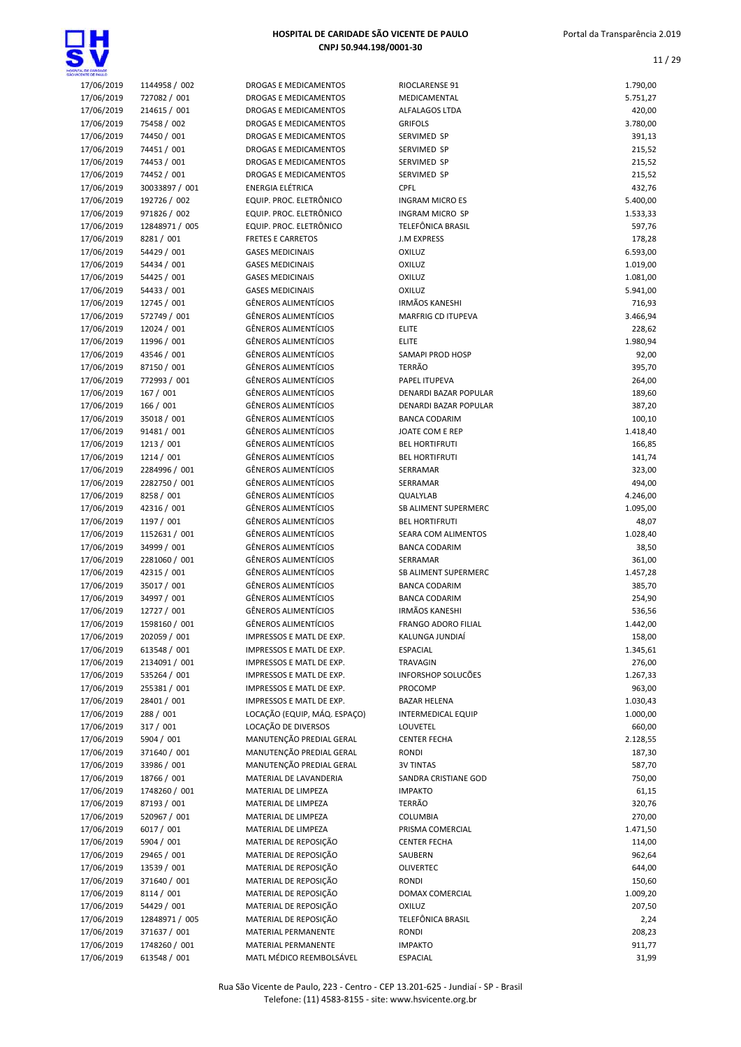

| WOENTE DE PAULO |                |                              |                            |          |
|-----------------|----------------|------------------------------|----------------------------|----------|
| 17/06/2019      | 1144958 / 002  | DROGAS E MEDICAMENTOS        | RIOCLARENSE 91             | 1.790,00 |
| 17/06/2019      | 727082 / 001   | DROGAS E MEDICAMENTOS        | MEDICAMENTAL               | 5.751,27 |
| 17/06/2019      | 214615 / 001   | DROGAS E MEDICAMENTOS        | ALFALAGOS LTDA             | 420,00   |
| 17/06/2019      | 75458 / 002    | DROGAS E MEDICAMENTOS        | <b>GRIFOLS</b>             | 3.780,00 |
| 17/06/2019      | 74450 / 001    | <b>DROGAS E MEDICAMENTOS</b> | SERVIMED SP                | 391,13   |
| 17/06/2019      | 74451 / 001    | DROGAS E MEDICAMENTOS        | SERVIMED SP                | 215,52   |
| 17/06/2019      | 74453 / 001    | DROGAS E MEDICAMENTOS        | SERVIMED SP                | 215,52   |
| 17/06/2019      | 74452 / 001    | <b>DROGAS E MEDICAMENTOS</b> | SERVIMED SP                | 215,52   |
| 17/06/2019      | 30033897 / 001 | <b>ENERGIA ELÉTRICA</b>      | CPFL                       | 432,76   |
| 17/06/2019      | 192726 / 002   | EQUIP. PROC. ELETRÔNICO      | <b>INGRAM MICRO ES</b>     | 5.400,00 |
| 17/06/2019      | 971826 / 002   | EQUIP. PROC. ELETRÔNICO      | <b>INGRAM MICRO SP</b>     | 1.533,33 |
| 17/06/2019      | 12848971 / 005 | EQUIP. PROC. ELETRÔNICO      | TELEFÔNICA BRASIL          | 597,76   |
| 17/06/2019      | 8281/001       | <b>FRETES E CARRETOS</b>     | <b>J.M EXPRESS</b>         | 178,28   |
| 17/06/2019      | 54429 / 001    | <b>GASES MEDICINAIS</b>      | <b>OXILUZ</b>              | 6.593,00 |
| 17/06/2019      | 54434 / 001    | <b>GASES MEDICINAIS</b>      | <b>OXILUZ</b>              | 1.019,00 |
| 17/06/2019      | 54425 / 001    | <b>GASES MEDICINAIS</b>      | <b>OXILUZ</b>              | 1.081,00 |
| 17/06/2019      | 54433 / 001    | <b>GASES MEDICINAIS</b>      | <b>OXILUZ</b>              | 5.941,00 |
| 17/06/2019      | 12745 / 001    | <b>GÊNEROS ALIMENTÍCIOS</b>  | <b>IRMÃOS KANESHI</b>      | 716,93   |
| 17/06/2019      | 572749 / 001   | <b>GÊNEROS ALIMENTÍCIOS</b>  | <b>MARFRIG CD ITUPEVA</b>  | 3.466,94 |
| 17/06/2019      | 12024 / 001    | <b>GÊNEROS ALIMENTÍCIOS</b>  | <b>ELITE</b>               | 228,62   |
| 17/06/2019      | 11996 / 001    | <b>GÊNEROS ALIMENTÍCIOS</b>  | <b>ELITE</b>               | 1.980,94 |
| 17/06/2019      | 43546 / 001    | <b>GÊNEROS ALIMENTÍCIOS</b>  | SAMAPI PROD HOSP           | 92,00    |
| 17/06/2019      | 87150 / 001    | <b>GÊNEROS ALIMENTÍCIOS</b>  | <b>TERRÃO</b>              | 395,70   |
| 17/06/2019      | 772993 / 001   | GÊNEROS ALIMENTÍCIOS         | PAPEL ITUPEVA              | 264,00   |
| 17/06/2019      | 167 / 001      | <b>GÊNEROS ALIMENTÍCIOS</b>  | DENARDI BAZAR POPULAR      | 189,60   |
| 17/06/2019      | 166 / 001      | <b>GÊNEROS ALIMENTÍCIOS</b>  | DENARDI BAZAR POPULAR      | 387,20   |
| 17/06/2019      | 35018 / 001    | <b>GÊNEROS ALIMENTÍCIOS</b>  | <b>BANCA CODARIM</b>       | 100,10   |
| 17/06/2019      | 91481 / 001    | <b>GÊNEROS ALIMENTÍCIOS</b>  | JOATE COM E REP            | 1.418,40 |
| 17/06/2019      | 1213 / 001     | <b>GÊNEROS ALIMENTÍCIOS</b>  | <b>BEL HORTIFRUTI</b>      | 166,85   |
| 17/06/2019      | 1214 / 001     | GÊNEROS ALIMENTÍCIOS         | <b>BEL HORTIFRUTI</b>      | 141,74   |
| 17/06/2019      | 2284996 / 001  | <b>GÊNEROS ALIMENTÍCIOS</b>  | SERRAMAR                   | 323,00   |
| 17/06/2019      | 2282750 / 001  | <b>GÊNEROS ALIMENTÍCIOS</b>  | SERRAMAR                   | 494,00   |
| 17/06/2019      | 8258 / 001     | <b>GÊNEROS ALIMENTÍCIOS</b>  | QUALYLAB                   | 4.246,00 |
| 17/06/2019      | 42316 / 001    | <b>GÊNEROS ALIMENTÍCIOS</b>  | SB ALIMENT SUPERMERC       | 1.095,00 |
| 17/06/2019      | 1197 / 001     | <b>GÊNEROS ALIMENTÍCIOS</b>  | <b>BEL HORTIFRUTI</b>      | 48,07    |
| 17/06/2019      | 1152631 / 001  | <b>GÊNEROS ALIMENTÍCIOS</b>  | SEARA COM ALIMENTOS        | 1.028,40 |
| 17/06/2019      | 34999 / 001    | <b>GÊNEROS ALIMENTÍCIOS</b>  | <b>BANCA CODARIM</b>       | 38,50    |
| 17/06/2019      | 2281060 / 001  | <b>GÊNEROS ALIMENTÍCIOS</b>  | SERRAMAR                   | 361,00   |
| 17/06/2019      | 42315 / 001    | <b>GÊNEROS ALIMENTÍCIOS</b>  | SB ALIMENT SUPERMERC       | 1.457,28 |
| 17/06/2019      | 35017 / 001    | <b>GÊNEROS ALIMENTÍCIOS</b>  | <b>BANCA CODARIM</b>       | 385,70   |
| 17/06/2019      | 34997 / 001    | <b>GÊNEROS ALIMENTÍCIOS</b>  | <b>BANCA CODARIM</b>       | 254,90   |
| 17/06/2019      | 12727 / 001    | <b>GÊNEROS ALIMENTÍCIOS</b>  | <b>IRMÃOS KANESHI</b>      | 536,56   |
| 17/06/2019      | 1598160 / 001  | <b>GÊNEROS ALIMENTÍCIOS</b>  | <b>FRANGO ADORO FILIAL</b> | 1.442,00 |
| 17/06/2019      | 202059 / 001   | IMPRESSOS E MATL DE EXP.     | KALUNGA JUNDIAÍ            | 158,00   |
| 17/06/2019      | 613548 / 001   | IMPRESSOS E MATL DE EXP.     | <b>ESPACIAL</b>            | 1.345,61 |
| 17/06/2019      | 2134091 / 001  | IMPRESSOS E MATL DE EXP.     | TRAVAGIN                   | 276,00   |
| 17/06/2019      | 535264 / 001   | IMPRESSOS E MATL DE EXP.     | INFORSHOP SOLUCÕES         | 1.267,33 |
| 17/06/2019      | 255381 / 001   | IMPRESSOS E MATL DE EXP.     | PROCOMP                    | 963,00   |
| 17/06/2019      | 28401 / 001    | IMPRESSOS E MATL DE EXP.     | <b>BAZAR HELENA</b>        | 1.030,43 |
| 17/06/2019      | 288 / 001      | LOCAÇÃO (EQUIP, MÁQ. ESPAÇO) | <b>INTERMEDICAL EQUIP</b>  | 1.000,00 |
| 17/06/2019      | 317 / 001      | LOCAÇÃO DE DIVERSOS          | LOUVETEL                   | 660,00   |
| 17/06/2019      | 5904 / 001     | MANUTENÇÃO PREDIAL GERAL     | <b>CENTER FECHA</b>        | 2.128,55 |
| 17/06/2019      | 371640 / 001   | MANUTENÇÃO PREDIAL GERAL     | <b>RONDI</b>               | 187,30   |
| 17/06/2019      | 33986 / 001    | MANUTENÇÃO PREDIAL GERAL     | <b>3V TINTAS</b>           | 587,70   |
| 17/06/2019      | 18766 / 001    | MATERIAL DE LAVANDERIA       | SANDRA CRISTIANE GOD       | 750,00   |
| 17/06/2019      | 1748260 / 001  | MATERIAL DE LIMPEZA          | <b>IMPAKTO</b>             | 61,15    |
| 17/06/2019      | 87193 / 001    | MATERIAL DE LIMPEZA          | TERRÃO                     | 320,76   |
| 17/06/2019      | 520967 / 001   | MATERIAL DE LIMPEZA          | <b>COLUMBIA</b>            | 270,00   |
| 17/06/2019      | 6017 / 001     | MATERIAL DE LIMPEZA          | PRISMA COMERCIAL           | 1.471,50 |
| 17/06/2019      | 5904 / 001     | MATERIAL DE REPOSIÇÃO        | <b>CENTER FECHA</b>        | 114,00   |
| 17/06/2019      | 29465 / 001    | MATERIAL DE REPOSIÇÃO        | SAUBERN                    | 962,64   |
| 17/06/2019      | 13539 / 001    | MATERIAL DE REPOSIÇÃO        | <b>OLIVERTEC</b>           | 644,00   |
| 17/06/2019      | 371640 / 001   | MATERIAL DE REPOSIÇÃO        | <b>RONDI</b>               | 150,60   |
| 17/06/2019      | 8114 / 001     | MATERIAL DE REPOSIÇÃO        | DOMAX COMERCIAL            | 1.009,20 |
| 17/06/2019      | 54429 / 001    | MATERIAL DE REPOSIÇÃO        | <b>OXILUZ</b>              | 207,50   |
| 17/06/2019      | 12848971 / 005 | MATERIAL DE REPOSIÇÃO        | TELEFÔNICA BRASIL          | 2,24     |
| 17/06/2019      | 371637 / 001   | MATERIAL PERMANENTE          | <b>RONDI</b>               | 208,23   |
| 17/06/2019      | 1748260 / 001  | MATERIAL PERMANENTE          | <b>IMPAKTO</b>             | 911,77   |
| 17/06/2019      | 613548 / 001   | MATL MÉDICO REEMBOLSÁVEL     | <b>ESPACIAL</b>            | 31,99    |
|                 |                |                              |                            |          |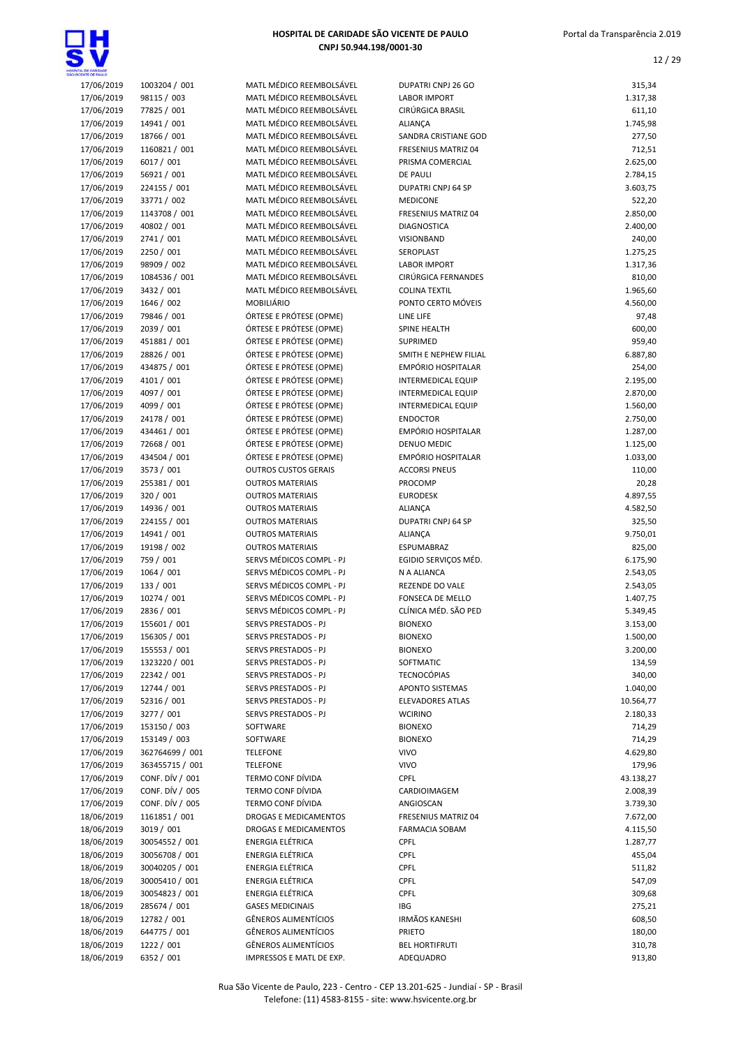

| 17/06/2019 | 1003204 / 001   | MATL MÉDICO REEMBOLSÁVEL    | DUPATRI CNPJ 26 GO        | 315,34    |
|------------|-----------------|-----------------------------|---------------------------|-----------|
| 17/06/2019 | 98115 / 003     | MATL MÉDICO REEMBOLSÁVEL    | <b>LABOR IMPORT</b>       | 1.317,38  |
| 17/06/2019 | 77825 / 001     | MATL MÉDICO REEMBOLSÁVEL    | CIRÚRGICA BRASIL          | 611,10    |
|            |                 | MATL MÉDICO REEMBOLSÁVEL    |                           | 1.745,98  |
| 17/06/2019 | 14941 / 001     |                             | <b>ALIANÇA</b>            |           |
| 17/06/2019 | 18766 / 001     | MATL MÉDICO REEMBOLSÁVEL    | SANDRA CRISTIANE GOD      | 277,50    |
| 17/06/2019 | 1160821 / 001   | MATL MÉDICO REEMBOLSÁVEL    | FRESENIUS MATRIZ 04       | 712,51    |
| 17/06/2019 | 6017 / 001      | MATL MÉDICO REEMBOLSÁVEL    | PRISMA COMERCIAL          | 2.625,00  |
| 17/06/2019 | 56921 / 001     | MATL MÉDICO REEMBOLSÁVEL    | <b>DE PAULI</b>           | 2.784,15  |
| 17/06/2019 | 224155 / 001    | MATL MÉDICO REEMBOLSÁVEL    | DUPATRI CNPJ 64 SP        | 3.603,75  |
| 17/06/2019 | 33771 / 002     | MATL MÉDICO REEMBOLSÁVEL    | <b>MEDICONE</b>           | 522,20    |
| 17/06/2019 | 1143708 / 001   | MATL MÉDICO REEMBOLSÁVEL    | FRESENIUS MATRIZ 04       | 2.850,00  |
| 17/06/2019 | 40802 / 001     | MATL MÉDICO REEMBOLSÁVEL    | <b>DIAGNOSTICA</b>        | 2.400,00  |
| 17/06/2019 | 2741 / 001      | MATL MÉDICO REEMBOLSÁVEL    | VISIONBAND                | 240,00    |
| 17/06/2019 | 2250 / 001      | MATL MÉDICO REEMBOLSÁVEL    | SEROPLAST                 | 1.275,25  |
| 17/06/2019 | 98909 / 002     | MATL MÉDICO REEMBOLSÁVEL    | <b>LABOR IMPORT</b>       | 1.317,36  |
| 17/06/2019 | 1084536 / 001   | MATL MÉDICO REEMBOLSÁVEL    | CIRÚRGICA FERNANDES       | 810,00    |
| 17/06/2019 | 3432 / 001      | MATL MÉDICO REEMBOLSÁVEL    | <b>COLINA TEXTIL</b>      | 1.965,60  |
| 17/06/2019 | 1646 / 002      | <b>MOBILIÁRIO</b>           | PONTO CERTO MÓVEIS        | 4.560,00  |
| 17/06/2019 | 79846 / 001     | ÓRTESE E PRÓTESE (OPME)     | LINE LIFE                 | 97,48     |
| 17/06/2019 | 2039 / 001      | ÓRTESE E PRÓTESE (OPME)     | SPINE HEALTH              | 600,00    |
| 17/06/2019 | 451881 / 001    | ÓRTESE E PRÓTESE (OPME)     | SUPRIMED                  | 959,40    |
| 17/06/2019 | 28826 / 001     | ÓRTESE E PRÓTESE (OPME)     | SMITH E NEPHEW FILIAL     | 6.887,80  |
| 17/06/2019 | 434875 / 001    | ÓRTESE E PRÓTESE (OPME)     | EMPÓRIO HOSPITALAR        | 254,00    |
| 17/06/2019 | 4101 / 001      | ÓRTESE E PRÓTESE (OPME)     | <b>INTERMEDICAL EQUIP</b> | 2.195,00  |
|            |                 |                             |                           |           |
| 17/06/2019 | 4097 / 001      | ÓRTESE E PRÓTESE (OPME)     | <b>INTERMEDICAL EQUIP</b> | 2.870,00  |
| 17/06/2019 | 4099 / 001      | ÓRTESE E PRÓTESE (OPME)     | <b>INTERMEDICAL EQUIP</b> | 1.560,00  |
| 17/06/2019 | 24178 / 001     | ÓRTESE E PRÓTESE (OPME)     | <b>ENDOCTOR</b>           | 2.750,00  |
| 17/06/2019 | 434461 / 001    | ÓRTESE E PRÓTESE (OPME)     | EMPÓRIO HOSPITALAR        | 1.287,00  |
| 17/06/2019 | 72668 / 001     | ÓRTESE E PRÓTESE (OPME)     | DENUO MEDIC               | 1.125,00  |
| 17/06/2019 | 434504 / 001    | ÓRTESE E PRÓTESE (OPME)     | EMPÓRIO HOSPITALAR        | 1.033,00  |
| 17/06/2019 | 3573 / 001      | <b>OUTROS CUSTOS GERAIS</b> | <b>ACCORSI PNEUS</b>      | 110,00    |
| 17/06/2019 | 255381 / 001    | <b>OUTROS MATERIAIS</b>     | PROCOMP                   | 20,28     |
| 17/06/2019 | 320 / 001       | <b>OUTROS MATERIAIS</b>     | <b>EURODESK</b>           | 4.897,55  |
| 17/06/2019 | 14936 / 001     | <b>OUTROS MATERIAIS</b>     | <b>ALIANÇA</b>            | 4.582,50  |
| 17/06/2019 | 224155 / 001    | <b>OUTROS MATERIAIS</b>     | DUPATRI CNPJ 64 SP        | 325,50    |
| 17/06/2019 | 14941 / 001     | <b>OUTROS MATERIAIS</b>     | ALIANÇA                   | 9.750,01  |
| 17/06/2019 | 19198 / 002     | <b>OUTROS MATERIAIS</b>     | ESPUMABRAZ                | 825,00    |
| 17/06/2019 | 759 / 001       | SERVS MÉDICOS COMPL - PJ    | EGIDIO SERVIÇOS MÉD.      | 6.175,90  |
| 17/06/2019 | 1064 / 001      | SERVS MÉDICOS COMPL - PJ    | N A ALIANCA               | 2.543,05  |
| 17/06/2019 | 133 / 001       | SERVS MÉDICOS COMPL - PJ    | <b>REZENDE DO VALE</b>    | 2.543,05  |
| 17/06/2019 | 10274 / 001     | SERVS MÉDICOS COMPL - PJ    | FONSECA DE MELLO          | 1.407,75  |
| 17/06/2019 | 2836 / 001      | SERVS MÉDICOS COMPL - PJ    | CLÍNICA MÉD. SÃO PED      | 5.349,45  |
| 17/06/2019 | 155601 / 001    | SERVS PRESTADOS - PJ        | <b>BIONEXO</b>            | 3.153,00  |
| 17/06/2019 | 156305 / 001    | SERVS PRESTADOS - PJ        | <b>BIONEXO</b>            | 1.500,00  |
| 17/06/2019 | 155553 / 001    | SERVS PRESTADOS - PJ        | <b>BIONEXO</b>            | 3.200,00  |
| 17/06/2019 | 1323220 / 001   | SERVS PRESTADOS - PJ        | SOFTMATIC                 | 134,59    |
|            | 22342 / 001     |                             | <b>TECNOCÓPIAS</b>        |           |
| 17/06/2019 |                 | SERVS PRESTADOS - PJ        |                           | 340,00    |
| 17/06/2019 | 12744 / 001     | SERVS PRESTADOS - PJ        | APONTO SISTEMAS           | 1.040,00  |
| 17/06/2019 | 52316 / 001     | SERVS PRESTADOS - PJ        | <b>ELEVADORES ATLAS</b>   | 10.564,77 |
| 17/06/2019 | 3277 / 001      | SERVS PRESTADOS - PJ        | <b>WCIRINO</b>            | 2.180,33  |
| 17/06/2019 | 153150 / 003    | SOFTWARE                    | <b>BIONEXO</b>            | 714,29    |
| 17/06/2019 | 153149 / 003    | SOFTWARE                    | <b>BIONEXO</b>            | 714,29    |
| 17/06/2019 | 362764699 / 001 | <b>TELEFONE</b>             | <b>VIVO</b>               | 4.629,80  |
| 17/06/2019 | 363455715 / 001 | <b>TELEFONE</b>             | <b>VIVO</b>               | 179,96    |
| 17/06/2019 | CONF. DÍV / 001 | TERMO CONF DÍVIDA           | CPFL                      | 43.138,27 |
| 17/06/2019 | CONF. DÍV / 005 | TERMO CONF DÍVIDA           | CARDIOIMAGEM              | 2.008,39  |
| 17/06/2019 | CONF. DÍV / 005 | TERMO CONF DÍVIDA           | ANGIOSCAN                 | 3.739,30  |
| 18/06/2019 | 1161851 / 001   | DROGAS E MEDICAMENTOS       | FRESENIUS MATRIZ 04       | 7.672,00  |
| 18/06/2019 | 3019 / 001      | DROGAS E MEDICAMENTOS       | <b>FARMACIA SOBAM</b>     | 4.115,50  |
| 18/06/2019 | 30054552 / 001  | ENERGIA ELÉTRICA            | <b>CPFL</b>               | 1.287,77  |
| 18/06/2019 | 30056708 / 001  | ENERGIA ELÉTRICA            | CPFL                      | 455,04    |
| 18/06/2019 | 30040205 / 001  | <b>ENERGIA ELÉTRICA</b>     | CPFL                      | 511,82    |
| 18/06/2019 | 30005410 / 001  | ENERGIA ELÉTRICA            | CPFL                      | 547,09    |
| 18/06/2019 | 30054823 / 001  | <b>ENERGIA ELÉTRICA</b>     | <b>CPFL</b>               | 309,68    |
|            |                 |                             |                           |           |
| 18/06/2019 | 285674 / 001    | <b>GASES MEDICINAIS</b>     | IBG                       | 275,21    |
| 18/06/2019 | 12782 / 001     | <b>GÊNEROS ALIMENTÍCIOS</b> | <b>IRMÃOS KANESHI</b>     | 608,50    |
| 18/06/2019 | 644775 / 001    | <b>GÊNEROS ALIMENTÍCIOS</b> | <b>PRIETO</b>             | 180,00    |
| 18/06/2019 | 1222 / 001      | GÊNEROS ALIMENTÍCIOS        | <b>BEL HORTIFRUTI</b>     | 310,78    |
| 18/06/2019 | 6352 / 001      | IMPRESSOS E MATL DE EXP.    | ADEQUADRO                 | 913,80    |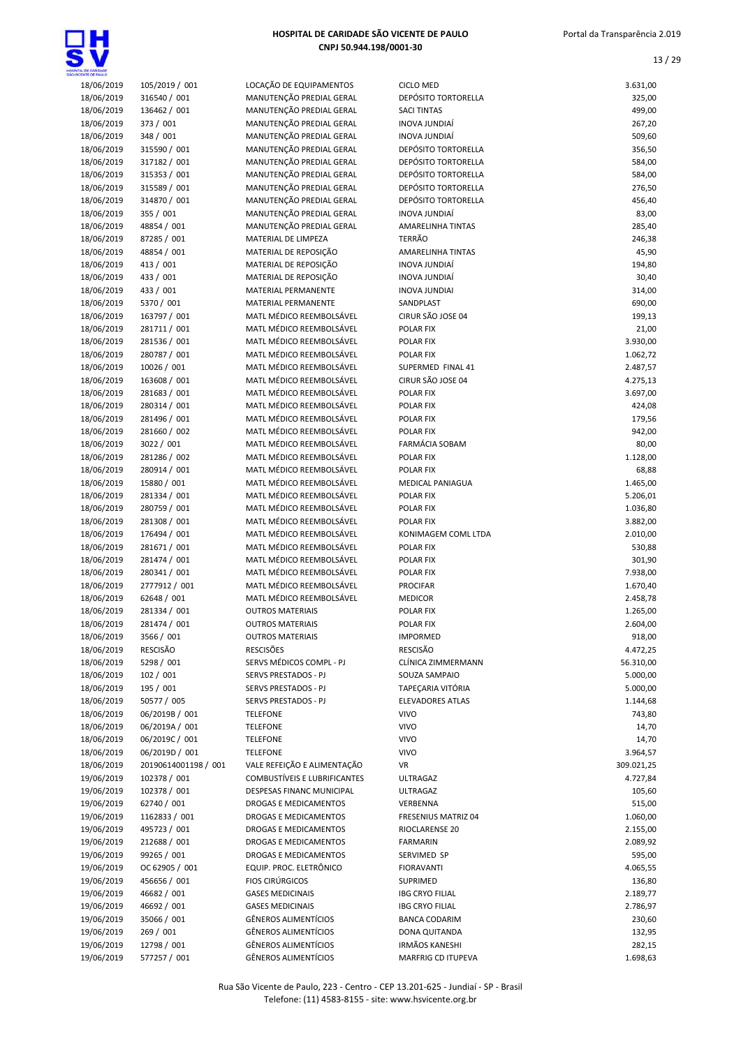

| 18/06/2019 | 105/2019 / 001       | LOCAÇÃO DE EQUIPAMENTOS             | <b>CICLO MED</b>           | 3.631,00   |
|------------|----------------------|-------------------------------------|----------------------------|------------|
| 18/06/2019 | 316540 / 001         | MANUTENÇÃO PREDIAL GERAL            | DEPÓSITO TORTORELLA        | 325,00     |
| 18/06/2019 | 136462 / 001         | MANUTENÇÃO PREDIAL GERAL            | <b>SACI TINTAS</b>         | 499,00     |
| 18/06/2019 | 373 / 001            | MANUTENÇÃO PREDIAL GERAL            | INOVA JUNDIAÍ              | 267,20     |
|            |                      | MANUTENÇÃO PREDIAL GERAL            |                            | 509,60     |
| 18/06/2019 | 348 / 001            | MANUTENÇÃO PREDIAL GERAL            | <b>INOVA JUNDIAÍ</b>       |            |
| 18/06/2019 | 315590 / 001         |                                     | DEPÓSITO TORTORELLA        | 356,50     |
| 18/06/2019 | 317182 / 001         | MANUTENÇÃO PREDIAL GERAL            | DEPÓSITO TORTORELLA        | 584,00     |
| 18/06/2019 | 315353 / 001         | MANUTENÇÃO PREDIAL GERAL            | DEPÓSITO TORTORELLA        | 584,00     |
| 18/06/2019 | 315589 / 001         | MANUTENÇÃO PREDIAL GERAL            | DEPÓSITO TORTORELLA        | 276,50     |
| 18/06/2019 | 314870 / 001         | MANUTENÇÃO PREDIAL GERAL            | <b>DEPÓSITO TORTORELLA</b> | 456,40     |
| 18/06/2019 | 355 / 001            | MANUTENÇÃO PREDIAL GERAL            | INOVA JUNDIAÍ              | 83,00      |
| 18/06/2019 | 48854 / 001          | MANUTENÇÃO PREDIAL GERAL            | AMARELINHA TINTAS          | 285,40     |
| 18/06/2019 | 87285 / 001          | MATERIAL DE LIMPEZA                 | <b>TERRÃO</b>              | 246,38     |
| 18/06/2019 | 48854 / 001          | MATERIAL DE REPOSIÇÃO               | <b>AMARELINHA TINTAS</b>   | 45,90      |
| 18/06/2019 | 413 / 001            | MATERIAL DE REPOSIÇÃO               | INOVA JUNDIAÍ              | 194,80     |
| 18/06/2019 | 433 / 001            | MATERIAL DE REPOSIÇÃO               | INOVA JUNDIAÍ              | 30,40      |
| 18/06/2019 | 433 / 001            | MATERIAL PERMANENTE                 | <b>INOVA JUNDIAI</b>       | 314,00     |
| 18/06/2019 | 5370 / 001           | MATERIAL PERMANENTE                 | SANDPLAST                  | 690,00     |
| 18/06/2019 | 163797 / 001         | MATL MÉDICO REEMBOLSÁVEL            | CIRUR SÃO JOSE 04          | 199,13     |
| 18/06/2019 | 281711 / 001         | MATL MÉDICO REEMBOLSÁVEL            | POLAR FIX                  | 21,00      |
| 18/06/2019 | 281536 / 001         | MATL MÉDICO REEMBOLSÁVEL            | POLAR FIX                  | 3.930,00   |
| 18/06/2019 | 280787 / 001         | MATL MÉDICO REEMBOLSÁVEL            | POLAR FIX                  | 1.062,72   |
|            | 10026 / 001          | MATL MÉDICO REEMBOLSÁVEL            | SUPERMED FINAL 41          | 2.487,57   |
| 18/06/2019 |                      | MATL MÉDICO REEMBOLSÁVEL            | CIRUR SÃO JOSE 04          |            |
| 18/06/2019 | 163608 / 001         |                                     |                            | 4.275,13   |
| 18/06/2019 | 281683 / 001         | MATL MÉDICO REEMBOLSÁVEL            | <b>POLAR FIX</b>           | 3.697,00   |
| 18/06/2019 | 280314 / 001         | MATL MÉDICO REEMBOLSÁVEL            | POLAR FIX                  | 424,08     |
| 18/06/2019 | 281496 / 001         | MATL MÉDICO REEMBOLSÁVEL            | POLAR FIX                  | 179,56     |
| 18/06/2019 | 281660 / 002         | MATL MÉDICO REEMBOLSÁVEL            | POLAR FIX                  | 942,00     |
| 18/06/2019 | 3022 / 001           | MATL MÉDICO REEMBOLSÁVEL            | <b>FARMÁCIA SOBAM</b>      | 80,00      |
| 18/06/2019 | 281286 / 002         | MATL MÉDICO REEMBOLSÁVEL            | POLAR FIX                  | 1.128,00   |
| 18/06/2019 | 280914 / 001         | MATL MÉDICO REEMBOLSÁVEL            | POLAR FIX                  | 68,88      |
| 18/06/2019 | 15880 / 001          | MATL MÉDICO REEMBOLSÁVEL            | MEDICAL PANIAGUA           | 1.465,00   |
| 18/06/2019 | 281334 / 001         | MATL MÉDICO REEMBOLSÁVEL            | <b>POLAR FIX</b>           | 5.206,01   |
| 18/06/2019 | 280759 / 001         | MATL MÉDICO REEMBOLSÁVEL            | POLAR FIX                  | 1.036,80   |
| 18/06/2019 | 281308 / 001         | MATL MÉDICO REEMBOLSÁVEL            | <b>POLAR FIX</b>           | 3.882,00   |
| 18/06/2019 | 176494 / 001         | MATL MÉDICO REEMBOLSÁVEL            | KONIMAGEM COML LTDA        | 2.010,00   |
| 18/06/2019 | 281671 / 001         | MATL MÉDICO REEMBOLSÁVEL            | POLAR FIX                  | 530,88     |
| 18/06/2019 | 281474 / 001         | MATL MÉDICO REEMBOLSÁVEL            | POLAR FIX                  | 301,90     |
| 18/06/2019 | 280341 / 001         | MATL MÉDICO REEMBOLSÁVEL            | POLAR FIX                  | 7.938,00   |
| 18/06/2019 | 2777912 / 001        | MATL MÉDICO REEMBOLSÁVEL            | <b>PROCIFAR</b>            | 1.670,40   |
| 18/06/2019 | 62648 / 001          | MATL MÉDICO REEMBOLSÁVEL            | <b>MEDICOR</b>             | 2.458,78   |
| 18/06/2019 | 281334 / 001         | <b>OUTROS MATERIAIS</b>             | POLAR FIX                  | 1.265,00   |
| 18/06/2019 |                      | <b>OUTROS MATERIAIS</b>             | <b>POLAR FIX</b>           | 2.604,00   |
|            | 281474 / 001         |                                     |                            |            |
| 18/06/2019 | 3566 / 001           | <b>OUTROS MATERIAIS</b>             | <b>IMPORMED</b>            | 918,00     |
| 18/06/2019 | <b>RESCISÃO</b>      | <b>RESCISÕES</b>                    | <b>RESCISÃO</b>            | 4.472,25   |
| 18/06/2019 | 5298 / 001           | SERVS MÉDICOS COMPL - PJ            | CLÍNICA ZIMMERMANN         | 56.310,00  |
| 18/06/2019 | 102 / 001            | SERVS PRESTADOS - PJ                | SOUZA SAMPAIO              | 5.000,00   |
| 18/06/2019 | 195 / 001            | SERVS PRESTADOS - PJ                | TAPEÇARIA VITÓRIA          | 5.000,00   |
| 18/06/2019 | 50577 / 005          | SERVS PRESTADOS - PJ                | <b>ELEVADORES ATLAS</b>    | 1.144,68   |
| 18/06/2019 | 06/2019B / 001       | <b>TELEFONE</b>                     | <b>VIVO</b>                | 743,80     |
| 18/06/2019 | 06/2019A / 001       | <b>TELEFONE</b>                     | <b>VIVO</b>                | 14,70      |
| 18/06/2019 | 06/2019C / 001       | <b>TELEFONE</b>                     | <b>VIVO</b>                | 14,70      |
| 18/06/2019 | 06/2019D / 001       | <b>TELEFONE</b>                     | <b>VIVO</b>                | 3.964,57   |
| 18/06/2019 | 20190614001198 / 001 | VALE REFEIÇÃO E ALIMENTAÇÃO         | VR                         | 309.021,25 |
| 19/06/2019 | 102378 / 001         | <b>COMBUSTÍVEIS E LUBRIFICANTES</b> | <b>ULTRAGAZ</b>            | 4.727,84   |
| 19/06/2019 | 102378 / 001         | DESPESAS FINANC MUNICIPAL           | <b>ULTRAGAZ</b>            | 105,60     |
| 19/06/2019 | 62740 / 001          | DROGAS E MEDICAMENTOS               | VERBENNA                   | 515,00     |
| 19/06/2019 | 1162833 / 001        | DROGAS E MEDICAMENTOS               | FRESENIUS MATRIZ 04        | 1.060,00   |
| 19/06/2019 | 495723 / 001         | DROGAS E MEDICAMENTOS               | RIOCLARENSE 20             | 2.155,00   |
| 19/06/2019 | 212688 / 001         | DROGAS E MEDICAMENTOS               | <b>FARMARIN</b>            | 2.089,92   |
|            |                      |                                     |                            |            |
| 19/06/2019 | 99265 / 001          | DROGAS E MEDICAMENTOS               | SERVIMED SP                | 595,00     |
| 19/06/2019 | OC 62905 / 001       | EQUIP. PROC. ELETRÔNICO             | <b>FIORAVANTI</b>          | 4.065,55   |
| 19/06/2019 | 456656 / 001         | <b>FIOS CIRÚRGICOS</b>              | <b>SUPRIMED</b>            | 136,80     |
| 19/06/2019 | 46682 / 001          | <b>GASES MEDICINAIS</b>             | <b>IBG CRYO FILIAL</b>     | 2.189,77   |
| 19/06/2019 | 46692 / 001          | <b>GASES MEDICINAIS</b>             | <b>IBG CRYO FILIAL</b>     | 2.786,97   |
| 19/06/2019 | 35066 / 001          | <b>GÊNEROS ALIMENTÍCIOS</b>         | <b>BANCA CODARIM</b>       | 230,60     |
| 19/06/2019 | 269 / 001            | <b>GÊNEROS ALIMENTÍCIOS</b>         | DONA QUITANDA              | 132,95     |
| 19/06/2019 | 12798 / 001          | <b>GÊNEROS ALIMENTÍCIOS</b>         | <b>IRMÃOS KANESHI</b>      | 282,15     |
| 19/06/2019 | 577257 / 001         | <b>GÊNEROS ALIMENTÍCIOS</b>         | MARFRIG CD ITUPEVA         | 1.698,63   |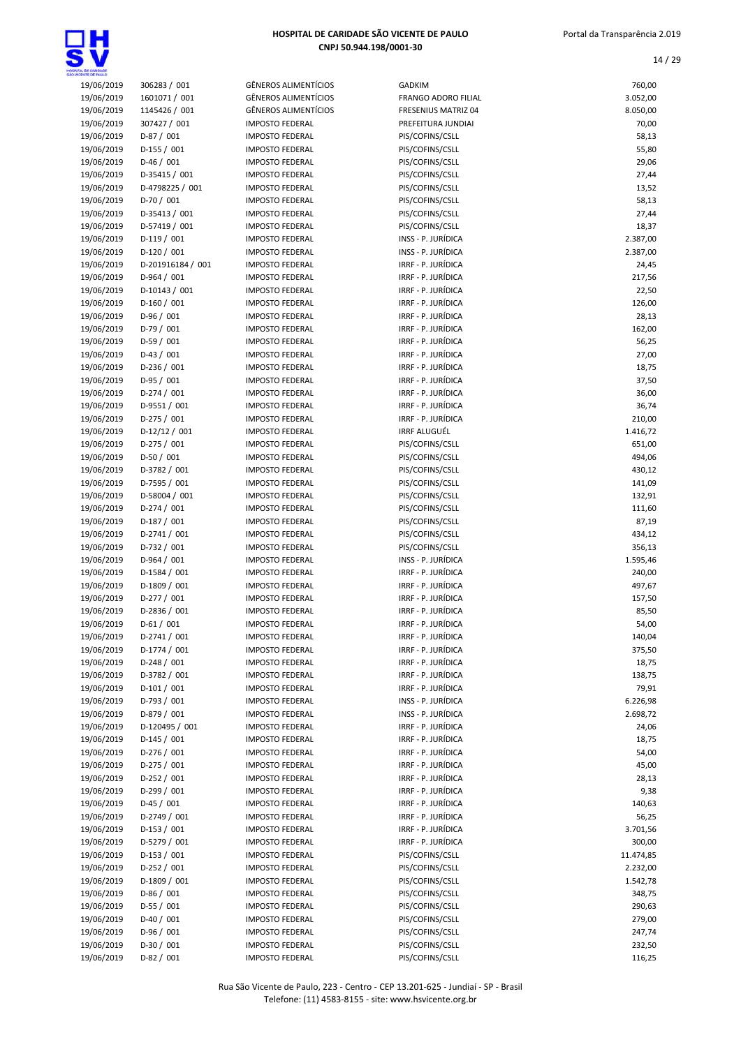| 19/06/2019 | 306283 / 001      | <b>GÊNEROS ALIMENTÍCIOS</b> | <b>GADKIM</b>              | 760,00    |
|------------|-------------------|-----------------------------|----------------------------|-----------|
| 19/06/2019 | 1601071 / 001     | <b>GÊNEROS ALIMENTÍCIOS</b> | <b>FRANGO ADORO FILIAL</b> | 3.052,00  |
| 19/06/2019 | 1145426 / 001     | <b>GÊNEROS ALIMENTÍCIOS</b> | FRESENIUS MATRIZ 04        | 8.050,00  |
| 19/06/2019 | 307427 / 001      | <b>IMPOSTO FEDERAL</b>      | PREFEITURA JUNDIAI         | 70,00     |
| 19/06/2019 | $D-87/001$        | <b>IMPOSTO FEDERAL</b>      | PIS/COFINS/CSLL            | 58,13     |
| 19/06/2019 | $D-155 / 001$     | <b>IMPOSTO FEDERAL</b>      | PIS/COFINS/CSLL            | 55,80     |
| 19/06/2019 | $D-46/001$        | <b>IMPOSTO FEDERAL</b>      | PIS/COFINS/CSLL            | 29,06     |
| 19/06/2019 | D-35415 / 001     | <b>IMPOSTO FEDERAL</b>      | PIS/COFINS/CSLL            | 27,44     |
| 19/06/2019 | D-4798225 / 001   | <b>IMPOSTO FEDERAL</b>      | PIS/COFINS/CSLL            | 13,52     |
|            |                   |                             |                            |           |
| 19/06/2019 | $D-70/001$        | <b>IMPOSTO FEDERAL</b>      | PIS/COFINS/CSLL            | 58,13     |
| 19/06/2019 | D-35413 / 001     | <b>IMPOSTO FEDERAL</b>      | PIS/COFINS/CSLL            | 27,44     |
| 19/06/2019 | D-57419 / 001     | <b>IMPOSTO FEDERAL</b>      | PIS/COFINS/CSLL            | 18,37     |
| 19/06/2019 | $D-119/001$       | <b>IMPOSTO FEDERAL</b>      | INSS - P. JURÍDICA         | 2.387,00  |
| 19/06/2019 | $D-120/001$       | <b>IMPOSTO FEDERAL</b>      | INSS - P. JURÍDICA         | 2.387,00  |
| 19/06/2019 | D-201916184 / 001 | <b>IMPOSTO FEDERAL</b>      | IRRF - P. JURÍDICA         | 24,45     |
| 19/06/2019 | $D-964 / 001$     | <b>IMPOSTO FEDERAL</b>      | IRRF - P. JURÍDICA         | 217,56    |
| 19/06/2019 | $D-10143 / 001$   | <b>IMPOSTO FEDERAL</b>      | IRRF - P. JURÍDICA         | 22,50     |
| 19/06/2019 | $D-160/001$       | <b>IMPOSTO FEDERAL</b>      | IRRF - P. JURÍDICA         | 126,00    |
|            |                   | <b>IMPOSTO FEDERAL</b>      | IRRF - P. JURÍDICA         |           |
| 19/06/2019 | $D-96/001$        |                             |                            | 28,13     |
| 19/06/2019 | $D-79/001$        | <b>IMPOSTO FEDERAL</b>      | IRRF - P. JURÍDICA         | 162,00    |
| 19/06/2019 | $D-59/001$        | <b>IMPOSTO FEDERAL</b>      | IRRF - P. JURÍDICA         | 56,25     |
| 19/06/2019 | $D-43 / 001$      | <b>IMPOSTO FEDERAL</b>      | IRRF - P. JURÍDICA         | 27,00     |
| 19/06/2019 | D-236 / 001       | <b>IMPOSTO FEDERAL</b>      | IRRF - P. JURÍDICA         | 18,75     |
| 19/06/2019 | $D-95/001$        | <b>IMPOSTO FEDERAL</b>      | IRRF - P. JURÍDICA         | 37,50     |
| 19/06/2019 | $D-274/001$       | <b>IMPOSTO FEDERAL</b>      | IRRF - P. JURÍDICA         | 36,00     |
| 19/06/2019 | $D-9551/001$      | <b>IMPOSTO FEDERAL</b>      | IRRF - P. JURÍDICA         | 36,74     |
|            | $D-275/001$       | <b>IMPOSTO FEDERAL</b>      | IRRF - P. JURÍDICA         | 210,00    |
| 19/06/2019 |                   |                             |                            |           |
| 19/06/2019 | $D-12/12/001$     | <b>IMPOSTO FEDERAL</b>      | <b>IRRF ALUGUÉL</b>        | 1.416,72  |
| 19/06/2019 | $D-275/001$       | <b>IMPOSTO FEDERAL</b>      | PIS/COFINS/CSLL            | 651,00    |
| 19/06/2019 | $D-50/001$        | <b>IMPOSTO FEDERAL</b>      | PIS/COFINS/CSLL            | 494,06    |
| 19/06/2019 | D-3782 / 001      | <b>IMPOSTO FEDERAL</b>      | PIS/COFINS/CSLL            | 430,12    |
| 19/06/2019 | D-7595 / 001      | <b>IMPOSTO FEDERAL</b>      | PIS/COFINS/CSLL            | 141,09    |
| 19/06/2019 | D-58004 / 001     | <b>IMPOSTO FEDERAL</b>      | PIS/COFINS/CSLL            | 132,91    |
| 19/06/2019 | $D-274/001$       | <b>IMPOSTO FEDERAL</b>      | PIS/COFINS/CSLL            | 111,60    |
| 19/06/2019 | $D-187/001$       | <b>IMPOSTO FEDERAL</b>      | PIS/COFINS/CSLL            | 87,19     |
| 19/06/2019 | $D-2741/001$      | <b>IMPOSTO FEDERAL</b>      | PIS/COFINS/CSLL            | 434,12    |
|            |                   |                             |                            |           |
| 19/06/2019 | D-732 / 001       | <b>IMPOSTO FEDERAL</b>      | PIS/COFINS/CSLL            | 356,13    |
| 19/06/2019 | D-964 / 001       | <b>IMPOSTO FEDERAL</b>      | INSS - P. JURÍDICA         | 1.595,46  |
| 19/06/2019 | D-1584 / 001      | <b>IMPOSTO FEDERAL</b>      | IRRF - P. JURÍDICA         | 240,00    |
| 19/06/2019 | D-1809 / 001      | <b>IMPOSTO FEDERAL</b>      | IRRF - P. JURÍDICA         | 497,67    |
| 19/06/2019 | $D-277/001$       | <b>IMPOSTO FEDERAL</b>      | IRRF - P. JURÍDICA         | 157,50    |
| 19/06/2019 | D-2836 / 001      | <b>IMPOSTO FEDERAL</b>      | IRRF - P. JURÍDICA         | 85,50     |
| 19/06/2019 | $D-61/001$        | <b>IMPOSTO FEDERAL</b>      | IRRF - P. JURÍDICA         | 54,00     |
| 19/06/2019 | D-2741 / 001      | <b>IMPOSTO FEDERAL</b>      | IRRF - P. JURÍDICA         | 140,04    |
| 19/06/2019 | D-1774 / 001      | <b>IMPOSTO FEDERAL</b>      | IRRF - P. JURÍDICA         | 375,50    |
|            |                   |                             |                            |           |
| 19/06/2019 | $D-248/001$       | <b>IMPOSTO FEDERAL</b>      | IRRF - P. JURÍDICA         | 18,75     |
| 19/06/2019 | D-3782 / 001      | <b>IMPOSTO FEDERAL</b>      | IRRF - P. JURÍDICA         | 138,75    |
| 19/06/2019 | $D-101/001$       | <b>IMPOSTO FEDERAL</b>      | IRRF - P. JURÍDICA         | 79,91     |
| 19/06/2019 | D-793 / 001       | <b>IMPOSTO FEDERAL</b>      | INSS - P. JURÍDICA         | 6.226,98  |
| 19/06/2019 | D-879 / 001       | <b>IMPOSTO FEDERAL</b>      | INSS - P. JURÍDICA         | 2.698,72  |
| 19/06/2019 | D-120495 / 001    | <b>IMPOSTO FEDERAL</b>      | IRRF - P. JURÍDICA         | 24,06     |
| 19/06/2019 | $D-145 / 001$     | <b>IMPOSTO FEDERAL</b>      | IRRF - P. JURÍDICA         | 18,75     |
| 19/06/2019 | $D-276/001$       | <b>IMPOSTO FEDERAL</b>      | IRRF - P. JURÍDICA         | 54,00     |
| 19/06/2019 | $D-275/001$       | <b>IMPOSTO FEDERAL</b>      | IRRF - P. JURÍDICA         | 45,00     |
|            | $D-252 / 001$     |                             | IRRF - P. JURÍDICA         |           |
| 19/06/2019 |                   | <b>IMPOSTO FEDERAL</b>      |                            | 28,13     |
| 19/06/2019 | $D-299/001$       | <b>IMPOSTO FEDERAL</b>      | IRRF - P. JURÍDICA         | 9,38      |
| 19/06/2019 | $D-45/001$        | <b>IMPOSTO FEDERAL</b>      | IRRF - P. JURÍDICA         | 140,63    |
| 19/06/2019 | D-2749 / 001      | <b>IMPOSTO FEDERAL</b>      | IRRF - P. JURÍDICA         | 56,25     |
| 19/06/2019 | $D-153 / 001$     | <b>IMPOSTO FEDERAL</b>      | IRRF - P. JURÍDICA         | 3.701,56  |
| 19/06/2019 | D-5279 / 001      | <b>IMPOSTO FEDERAL</b>      | IRRF - P. JURÍDICA         | 300,00    |
| 19/06/2019 | $D-153 / 001$     | <b>IMPOSTO FEDERAL</b>      | PIS/COFINS/CSLL            | 11.474,85 |
| 19/06/2019 | $D-252 / 001$     | <b>IMPOSTO FEDERAL</b>      | PIS/COFINS/CSLL            | 2.232,00  |
| 19/06/2019 | D-1809 / 001      | <b>IMPOSTO FEDERAL</b>      | PIS/COFINS/CSLL            | 1.542,78  |
| 19/06/2019 | $D-86/001$        | <b>IMPOSTO FEDERAL</b>      | PIS/COFINS/CSLL            | 348,75    |
|            |                   |                             |                            |           |
| 19/06/2019 | $D-55/001$        | <b>IMPOSTO FEDERAL</b>      | PIS/COFINS/CSLL            | 290,63    |
| 19/06/2019 | $D-40/001$        | <b>IMPOSTO FEDERAL</b>      | PIS/COFINS/CSLL            | 279,00    |
| 19/06/2019 | $D-96/001$        | <b>IMPOSTO FEDERAL</b>      | PIS/COFINS/CSLL            | 247,74    |
| 19/06/2019 | $D-30/001$        | <b>IMPOSTO FEDERAL</b>      | PIS/COFINS/CSLL            | 232,50    |
| 19/06/2019 | $D-82/001$        | <b>IMPOSTO FEDERAL</b>      | PIS/COFINS/CSLL            | 116,25    |

| 14 / 29         |
|-----------------|
| 760,00          |
| 3.052,00        |
| 8.050,00        |
| 70,00           |
| 58,13           |
| 55,80           |
| 29,06           |
| 27,44           |
| 13,52           |
| 58,13           |
| 27,44           |
| 18,37           |
| 2.387,00        |
| 2.387,00        |
| 24,45           |
| 217,56          |
| 22,50           |
| 126,00          |
| 28,13           |
| 162,00          |
| 56,25           |
| 27,00<br>18,75  |
| 37,50           |
| 36,00           |
| 36,74           |
| 210,00          |
| 1.416,72        |
| 651,00          |
| 494,06          |
| 430,12          |
| 141,09          |
| 132,91          |
| 111,60          |
| 87,19           |
| 434,12          |
| 356,13          |
| 1.595,46        |
| 240,00          |
| 497,67          |
| 157,50          |
| 85,50           |
| 54,00           |
| 140,04          |
| 375,50          |
| 18,75           |
| 138,75<br>79,91 |
| 6.226,98        |
| 2.698,72        |
| 24,06           |
| 18,75           |
| 54,00           |
| 45,00           |
| 28,13           |
| 9,38            |
| 140,63          |
| 56,25           |
| 3.701,56        |
| 300,00          |
| 11.474,85       |
| 2.232,00        |
| 1.542,78        |
| 348,75          |
| 290,63          |
| 279,00          |
| 247,74          |
| 232,50          |
|                 |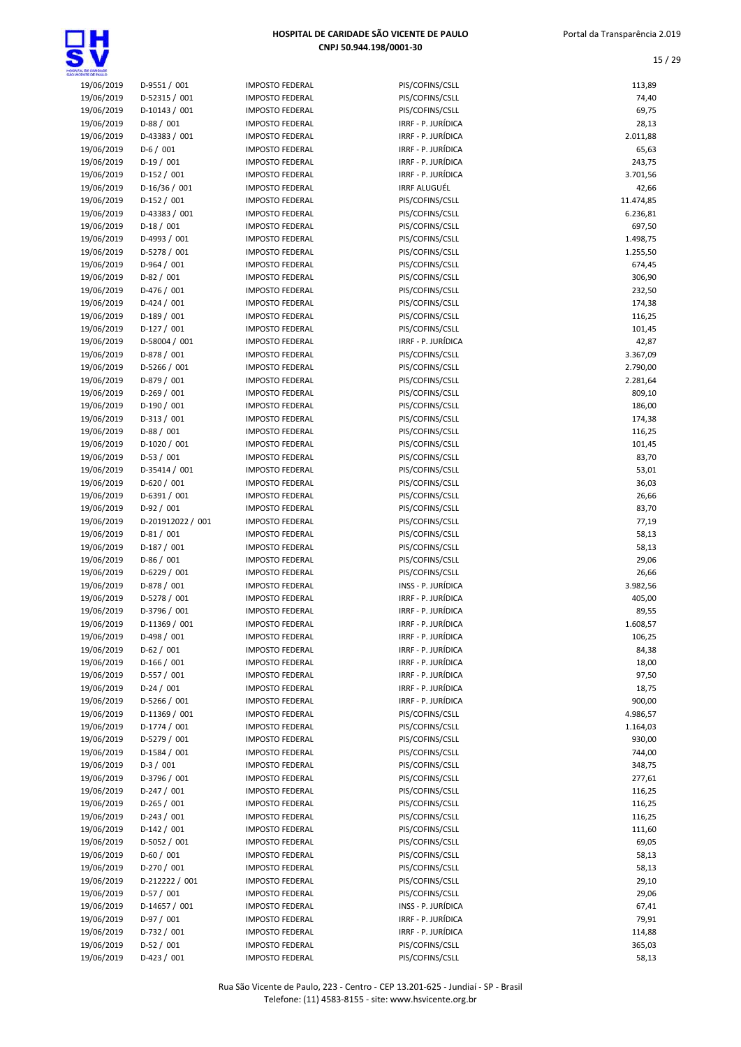

| NOTHING OF PAILLO |                   |            |
|-------------------|-------------------|------------|
| 19/06/2019        | D-9551 / 001      | IMP        |
| 19/06/2019        | D-52315 / 001     | IMP        |
| 19/06/2019        | D-10143 / 001     | <b>IMP</b> |
|                   |                   |            |
| 19/06/2019        | D-88 / 001        | <b>IMP</b> |
| 19/06/2019        | D-43383 / 001     | IMP        |
| 19/06/2019        | $D-6/001$         | IMP        |
| 19/06/2019        | $D-19/001$        | <b>IMP</b> |
| 19/06/2019        | D-152 / 001       | IMP        |
| 19/06/2019        | D-16/36 / 001     | IMP        |
| 19/06/2019        | D-152 / 001       | IMP        |
|                   |                   | IMP        |
| 19/06/2019        | D-43383 / 001     |            |
| 19/06/2019        | $D-18/001$        | IMP        |
| 19/06/2019        | D-4993 / 001      | IMP        |
| 19/06/2019        | D-5278 / 001      | <b>IMP</b> |
| 19/06/2019        | D-964 / 001       | IMP        |
| 19/06/2019        | $D-82/001$        | <b>IMP</b> |
| 19/06/2019        | D-476 / 001       | IMP        |
| 19/06/2019        | $D-424 / 001$     | IMP        |
|                   |                   | IMP        |
| 19/06/2019        | D-189 / 001       |            |
| 19/06/2019        | $D-127/001$       | IMP        |
| 19/06/2019        | D-58004 / 001     | IMP        |
| 19/06/2019        | D-878 / 001       | IMP        |
| 19/06/2019        | D-5266 / 001      | <b>IMP</b> |
| 19/06/2019        | D-879 / 001       | IMP        |
| 19/06/2019        | $D-269/001$       | IMP        |
| 19/06/2019        | D-190 / 001       | IMP        |
|                   |                   | <b>IMP</b> |
| 19/06/2019        | D-313 / 001       |            |
| 19/06/2019        | D-88 / 001        | IMP        |
| 19/06/2019        | D-1020 / 001      | IMP        |
| 19/06/2019        | $D-53/001$        | IMP        |
| 19/06/2019        | D-35414 / 001     | IMP        |
| 19/06/2019        | $D-620 / 001$     | IMP        |
| 19/06/2019        | D-6391 / 001      | IMP        |
| 19/06/2019        | D-92 / 001        | IMP        |
|                   |                   |            |
| 19/06/2019        | D-201912022 / 001 | IMP        |
| 19/06/2019        | $D-81/001$        | IMP        |
| 19/06/2019        | $D-187/001$       | IMP        |
| 19/06/2019        | D-86 / 001        | IMP        |
| 19/06/2019        | D-6229 / 001      | IMP        |
| 19/06/2019        | D-878 / 001       | IMP        |
| 19/06/2019        | D-5278 / 001      | IMP        |
| 19/06/2019        |                   | <b>IMP</b> |
|                   | D-3796 / 001      |            |
| 19/06/2019        | D-11369 / 001     | IMP        |
| 19/06/2019        | D-498 / 001       | IMP        |
| 19/06/2019        | $D-62 / 001$      | <b>IMP</b> |
| 19/06/2019        | $D-166/001$       | IMP        |
| 19/06/2019        | D-557 / 001       | <b>IMP</b> |
| 19/06/2019        | $D-24/001$        | <b>IMP</b> |
| 19/06/2019        | D-5266 / 001      | <b>IMP</b> |
|                   |                   |            |
| 19/06/2019        | D-11369 / 001     | IMP        |
| 19/06/2019        | D-1774 / 001      | <b>IMP</b> |
| 19/06/2019        | D-5279 / 001      | <b>IMP</b> |
| 19/06/2019        | D-1584 / 001      | <b>IMP</b> |
| 19/06/2019        | $D-3/001$         | IMP        |
| 19/06/2019        | D-3796 / 001      | IMP        |
| 19/06/2019        | D-247 / 001       | IMP        |
| 19/06/2019        | D-265 / 001       | IMP        |
|                   |                   | IMP        |
| 19/06/2019        | D-243 / 001       |            |
| 19/06/2019        | D-142 / 001       | IMP        |
| 19/06/2019        | D-5052 / 001      | IMP        |
| 19/06/2019        | $D-60/001$        | <b>IMP</b> |
| 19/06/2019        | D-270 / 001       | IMP        |
| 19/06/2019        | D-212222 / 001    | IMP        |
| 19/06/2019        | D-57 / 001        | <b>IMP</b> |
| 19/06/2019        | D-14657 / 001     | IMP        |
|                   |                   |            |
| 19/06/2019        | D-97 / 001        | <b>IMP</b> |
| 19/06/2019        | D-732 / 001       | IMP        |
| 19/06/2019        | D-52 / 001        | <b>IMP</b> |
| 19/06/2019        | D-423 / 001       | IMP        |

|                                                                     | JSIU FEDEI<br>:AL     |
|---------------------------------------------------------------------|-----------------------|
| <b>MPOSTO FEDERAL</b>                                               |                       |
| <b>IMPOSTO FEDERAL</b>                                              |                       |
| <b>IMPOSTO FEDERAL</b>                                              |                       |
|                                                                     |                       |
| <b>IMPOSTO FEDERAL</b>                                              |                       |
| <b>IMPOSTO FEDERAL</b>                                              |                       |
| <b>IMPOSTO FEDERAL</b>                                              |                       |
| <b>IMPOSTO FEDERAL</b>                                              |                       |
| <b>MPOSTO FEDERAL</b>                                               |                       |
|                                                                     |                       |
| <b>IMPOSTO FEDERAL</b>                                              |                       |
| <b>IMPOSTO FEDERAL</b>                                              |                       |
| <b>MPOSTO FEDERAL</b>                                               |                       |
| <b>MPOSTO FEDERAL</b>                                               |                       |
| <b>MPOSTO FEDERAL</b>                                               |                       |
|                                                                     |                       |
| <b>MPOSTO FEDERAL</b>                                               |                       |
| <b>IMPOSTO FEDERAL</b>                                              |                       |
| <b>MPOSTO FEDERAL</b>                                               |                       |
| <b>IMPOSTO FEDERAL</b>                                              |                       |
| <b>IMPOSTO FEDERAL</b>                                              |                       |
| <b>MPOSTO FEDERAL</b>                                               |                       |
|                                                                     |                       |
| <b>IMPOSTO FEDERAL</b>                                              |                       |
| <b>IMPOSTO FEDERAL</b>                                              |                       |
| <b>IMPOSTO FEDERAL</b>                                              |                       |
| <b>IMPOSTO FEDERAL</b>                                              |                       |
| <b>IMPOSTO FEDERAL</b>                                              |                       |
| <b>IMPOSTO FEDERAL</b>                                              |                       |
|                                                                     |                       |
| <b>IMPOSTO FEDERAL</b>                                              |                       |
| <b>IMPOSTO FEDERAL</b>                                              |                       |
| <b>IMPOSTO FEDERAL</b>                                              |                       |
| <b>IMPOSTO FEDERAL</b>                                              |                       |
| <b>IMPOSTO FEDERAL</b>                                              |                       |
| <b>MPOSTO FEDERAL</b>                                               |                       |
|                                                                     |                       |
| <b>IMPOSTO FEDERAL</b>                                              |                       |
|                                                                     |                       |
|                                                                     | <b>MPOSTO FEDERAL</b> |
| <b>IMPOSTO FEDERAL</b>                                              |                       |
| <b>IMPOSTO FEDERAL</b>                                              |                       |
| <b>IMPOSTO FEDERAL</b>                                              |                       |
|                                                                     |                       |
| <b>IMPOSTO FEDERAL</b>                                              |                       |
| <b>IMPOSTO FEDERAL</b>                                              |                       |
| <b>IMPOSTO FEDERAL</b>                                              |                       |
| <b>MPOSTO FEDERAL</b>                                               |                       |
| <b>MPOSTO FEDERAL</b>                                               |                       |
| <b>MPOSTO FEDERAL</b>                                               |                       |
|                                                                     |                       |
| <b>MPOSTO FEDERAL</b>                                               |                       |
| <b>IMPOSTO FEDERAL</b>                                              |                       |
| <b>IMPOSTO FEDERAL</b>                                              |                       |
| <b>IMPOSTO FEDERAL</b>                                              |                       |
| <b>IMPOSTO FEDERAL</b>                                              |                       |
| <b>IMPOSTO FEDERAL</b>                                              |                       |
| <b>MPOSTO FEDERAL</b>                                               |                       |
|                                                                     |                       |
| <b>IMPOSTO FEDERAL</b>                                              |                       |
| <b>MPOSTO FEDERAL</b>                                               |                       |
|                                                                     |                       |
| <b>MPOSTO FEDERAL</b><br><b>MPOSTO FEDERAL</b>                      |                       |
| <b>IMPOSTO FEDERAL</b>                                              |                       |
| <b>IMPOSTO FEDERAL</b>                                              |                       |
|                                                                     |                       |
|                                                                     |                       |
|                                                                     |                       |
| <b>IMPOSTO FEDERAL</b><br>IMPOSTO FEDERAL<br><b>IMPOSTO FEDERAL</b> |                       |
| IMPOSTO FEDERAL                                                     |                       |
|                                                                     |                       |
| <b>MPOSTO FEDERAL</b><br><b>IMPOSTO FEDERAL</b>                     |                       |
| <b>IMPOSTO FEDERAL</b>                                              |                       |
| <b>IMPOSTO FEDERAL</b>                                              |                       |
|                                                                     |                       |
| <b>IMPOSTO FEDERAL</b>                                              |                       |
| <b>IMPOSTO FEDERAL</b><br><b>IMPOSTO FEDERAL</b>                    |                       |

| IL DE CAMBADE<br>ENTE DE FAIX D |                              |                                                  |                                          |                      |
|---------------------------------|------------------------------|--------------------------------------------------|------------------------------------------|----------------------|
| 19/06/2019                      | D-9551 / 001                 | <b>IMPOSTO FEDERAL</b>                           | PIS/COFINS/CSLL                          | 113,89               |
| 19/06/2019                      | D-52315 / 001                | <b>IMPOSTO FEDERAL</b>                           | PIS/COFINS/CSLL                          | 74,40                |
| 19/06/2019                      | D-10143 / 001                | <b>IMPOSTO FEDERAL</b>                           | PIS/COFINS/CSLL                          | 69,75                |
| 19/06/2019                      | $D-88/001$                   | <b>IMPOSTO FEDERAL</b>                           | IRRF - P. JURÍDICA                       | 28,13                |
| 19/06/2019<br>19/06/2019        | D-43383 / 001<br>$D-6/001$   | <b>IMPOSTO FEDERAL</b>                           | IRRF - P. JURÍDICA<br>IRRF - P. JURÍDICA | 2.011,88             |
| 19/06/2019                      | $D-19/001$                   | <b>IMPOSTO FEDERAL</b><br><b>IMPOSTO FEDERAL</b> | IRRF - P. JURÍDICA                       | 65,63<br>243,75      |
| 19/06/2019                      | $D-152 / 001$                | <b>IMPOSTO FEDERAL</b>                           | IRRF - P. JURÍDICA                       | 3.701,56             |
| 19/06/2019                      | $D-16/36/001$                | <b>IMPOSTO FEDERAL</b>                           | <b>IRRF ALUGUÉL</b>                      | 42,66                |
| 19/06/2019                      | $D-152 / 001$                | <b>IMPOSTO FEDERAL</b>                           | PIS/COFINS/CSLL                          | 11.474,85            |
| 19/06/2019                      | D-43383 / 001                | <b>IMPOSTO FEDERAL</b>                           | PIS/COFINS/CSLL                          | 6.236,81             |
| 19/06/2019                      | $D-18/001$                   | <b>IMPOSTO FEDERAL</b>                           | PIS/COFINS/CSLL                          | 697,50               |
| 19/06/2019                      | D-4993 / 001                 | <b>IMPOSTO FEDERAL</b>                           | PIS/COFINS/CSLL                          | 1.498,75             |
| 19/06/2019                      | D-5278 / 001                 | <b>IMPOSTO FEDERAL</b>                           | PIS/COFINS/CSLL                          | 1.255,50             |
| 19/06/2019                      | $D-964 / 001$                | <b>IMPOSTO FEDERAL</b>                           | PIS/COFINS/CSLL                          | 674,45               |
| 19/06/2019                      | $D-82/001$                   | <b>IMPOSTO FEDERAL</b>                           | PIS/COFINS/CSLL                          | 306,90               |
| 19/06/2019                      | D-476 / 001                  | <b>IMPOSTO FEDERAL</b>                           | PIS/COFINS/CSLL                          | 232,50               |
| 19/06/2019                      | $D-424 / 001$                | <b>IMPOSTO FEDERAL</b>                           | PIS/COFINS/CSLL                          | 174,38               |
| 19/06/2019                      | $D-189/001$                  | <b>IMPOSTO FEDERAL</b>                           | PIS/COFINS/CSLL                          | 116,25               |
| 19/06/2019                      | $D-127/001$                  | <b>IMPOSTO FEDERAL</b>                           | PIS/COFINS/CSLL                          | 101,45               |
| 19/06/2019<br>19/06/2019        | D-58004 / 001<br>D-878 / 001 | <b>IMPOSTO FEDERAL</b>                           | IRRF - P. JURÍDICA<br>PIS/COFINS/CSLL    | 42,87                |
| 19/06/2019                      | D-5266 / 001                 | <b>IMPOSTO FEDERAL</b><br><b>IMPOSTO FEDERAL</b> | PIS/COFINS/CSLL                          | 3.367,09<br>2.790,00 |
| 19/06/2019                      | D-879 / 001                  | <b>IMPOSTO FEDERAL</b>                           | PIS/COFINS/CSLL                          | 2.281,64             |
| 19/06/2019                      | $D-269/001$                  | <b>IMPOSTO FEDERAL</b>                           | PIS/COFINS/CSLL                          | 809,10               |
| 19/06/2019                      | D-190 / 001                  | <b>IMPOSTO FEDERAL</b>                           | PIS/COFINS/CSLL                          | 186,00               |
| 19/06/2019                      | $D-313 / 001$                | <b>IMPOSTO FEDERAL</b>                           | PIS/COFINS/CSLL                          | 174,38               |
| 19/06/2019                      | $D-88/001$                   | <b>IMPOSTO FEDERAL</b>                           | PIS/COFINS/CSLL                          | 116,25               |
| 19/06/2019                      | D-1020 / 001                 | <b>IMPOSTO FEDERAL</b>                           | PIS/COFINS/CSLL                          | 101,45               |
| 19/06/2019                      | $D-53/001$                   | <b>IMPOSTO FEDERAL</b>                           | PIS/COFINS/CSLL                          | 83,70                |
| 19/06/2019                      | D-35414 / 001                | <b>IMPOSTO FEDERAL</b>                           | PIS/COFINS/CSLL                          | 53,01                |
| 19/06/2019                      | $D-620 / 001$                | <b>IMPOSTO FEDERAL</b>                           | PIS/COFINS/CSLL                          | 36,03                |
| 19/06/2019                      | D-6391 / 001                 | <b>IMPOSTO FEDERAL</b>                           | PIS/COFINS/CSLL                          | 26,66                |
| 19/06/2019                      | $D-92/001$                   | <b>IMPOSTO FEDERAL</b>                           | PIS/COFINS/CSLL                          | 83,70                |
| 19/06/2019                      | D-201912022 / 001            | <b>IMPOSTO FEDERAL</b>                           | PIS/COFINS/CSLL                          | 77,19                |
| 19/06/2019                      | $D-81/001$                   | <b>IMPOSTO FEDERAL</b>                           | PIS/COFINS/CSLL                          | 58,13                |
| 19/06/2019                      | $D-187/001$                  | <b>IMPOSTO FEDERAL</b>                           | PIS/COFINS/CSLL                          | 58,13                |
| 19/06/2019<br>19/06/2019        | $D-86/001$<br>D-6229 / 001   | <b>IMPOSTO FEDERAL</b><br><b>IMPOSTO FEDERAL</b> | PIS/COFINS/CSLL                          | 29,06<br>26,66       |
| 19/06/2019                      | D-878 / 001                  | <b>IMPOSTO FEDERAL</b>                           | PIS/COFINS/CSLL<br>INSS - P. JURÍDICA    | 3.982,56             |
| 19/06/2019                      | D-5278 / 001                 | <b>IMPOSTO FEDERAL</b>                           | IRRF - P. JURÍDICA                       | 405,00               |
| 19/06/2019                      | D-3796 / 001                 | <b>IMPOSTO FEDERAL</b>                           | IRRF - P. JURÍDICA                       | 89,55                |
| 19/06/2019                      | D-11369 / 001                | <b>IMPOSTO FEDERAL</b>                           | IRRF - P. JURÍDICA                       | 1.608,57             |
| 19/06/2019                      | D-498 / 001                  | <b>IMPOSTO FEDERAL</b>                           | IRRF - P. JURÍDICA                       | 106,25               |
| 19/06/2019                      | $D-62 / 001$                 | <b>IMPOSTO FEDERAL</b>                           | IRRF - P. JURÍDICA                       | 84,38                |
| 19/06/2019                      | $D-166 / 001$                | <b>IMPOSTO FEDERAL</b>                           | IRRF - P. JURÍDICA                       | 18,00                |
| 19/06/2019                      | $D-557/001$                  | <b>IMPOSTO FEDERAL</b>                           | IRRF - P. JURÍDICA                       | 97,50                |
| 19/06/2019                      | $D-24/001$                   | <b>IMPOSTO FEDERAL</b>                           | IRRF - P. JURÍDICA                       | 18,75                |
| 19/06/2019                      | D-5266 / 001                 | <b>IMPOSTO FEDERAL</b>                           | IRRF - P. JURÍDICA                       | 900,00               |
| 19/06/2019                      | D-11369 / 001                | <b>IMPOSTO FEDERAL</b>                           | PIS/COFINS/CSLL                          | 4.986,57             |
| 19/06/2019                      | D-1774 / 001                 | <b>IMPOSTO FEDERAL</b>                           | PIS/COFINS/CSLL                          | 1.164,03             |
| 19/06/2019                      | D-5279 / 001                 | <b>IMPOSTO FEDERAL</b>                           | PIS/COFINS/CSLL                          | 930,00               |
| 19/06/2019                      | D-1584 / 001<br>$D-3/001$    | <b>IMPOSTO FEDERAL</b>                           | PIS/COFINS/CSLL                          | 744,00               |
| 19/06/2019<br>19/06/2019        | D-3796 / 001                 | <b>IMPOSTO FEDERAL</b>                           | PIS/COFINS/CSLL<br>PIS/COFINS/CSLL       | 348,75               |
| 19/06/2019                      | $D-247/001$                  | <b>IMPOSTO FEDERAL</b><br><b>IMPOSTO FEDERAL</b> | PIS/COFINS/CSLL                          | 277,61<br>116,25     |
| 19/06/2019                      | $D-265 / 001$                | <b>IMPOSTO FEDERAL</b>                           | PIS/COFINS/CSLL                          | 116,25               |
| 19/06/2019                      | $D-243 / 001$                | <b>IMPOSTO FEDERAL</b>                           | PIS/COFINS/CSLL                          | 116,25               |
| 19/06/2019                      | $D-142 / 001$                | <b>IMPOSTO FEDERAL</b>                           | PIS/COFINS/CSLL                          | 111,60               |
| 19/06/2019                      | D-5052 / 001                 | <b>IMPOSTO FEDERAL</b>                           | PIS/COFINS/CSLL                          | 69,05                |
| 19/06/2019                      | $D-60/001$                   | <b>IMPOSTO FEDERAL</b>                           | PIS/COFINS/CSLL                          | 58,13                |
| 19/06/2019                      | D-270 / 001                  | <b>IMPOSTO FEDERAL</b>                           | PIS/COFINS/CSLL                          | 58,13                |
| 19/06/2019                      | D-212222 / 001               | <b>IMPOSTO FEDERAL</b>                           | PIS/COFINS/CSLL                          | 29,10                |
| 19/06/2019                      | $D-57/001$                   | <b>IMPOSTO FEDERAL</b>                           | PIS/COFINS/CSLL                          | 29,06                |
| 19/06/2019                      | D-14657 / 001                | <b>IMPOSTO FEDERAL</b>                           | INSS - P. JURÍDICA                       | 67,41                |
| 19/06/2019                      | $D-97/001$                   | <b>IMPOSTO FEDERAL</b>                           | IRRF - P. JURÍDICA                       | 79,91                |
| 19/06/2019                      | D-732 / 001                  | <b>IMPOSTO FEDERAL</b>                           | IRRF - P. JURÍDICA                       | 114,88               |
| 19/06/2019                      | $D-52 / 001$                 | <b>IMPOSTO FEDERAL</b>                           | PIS/COFINS/CSLL                          | 365,03               |
| 19/06/2019                      | $D-423 / 001$                | <b>IMPOSTO FEDERAL</b>                           | PIS/COFINS/CSLL                          | 58,13                |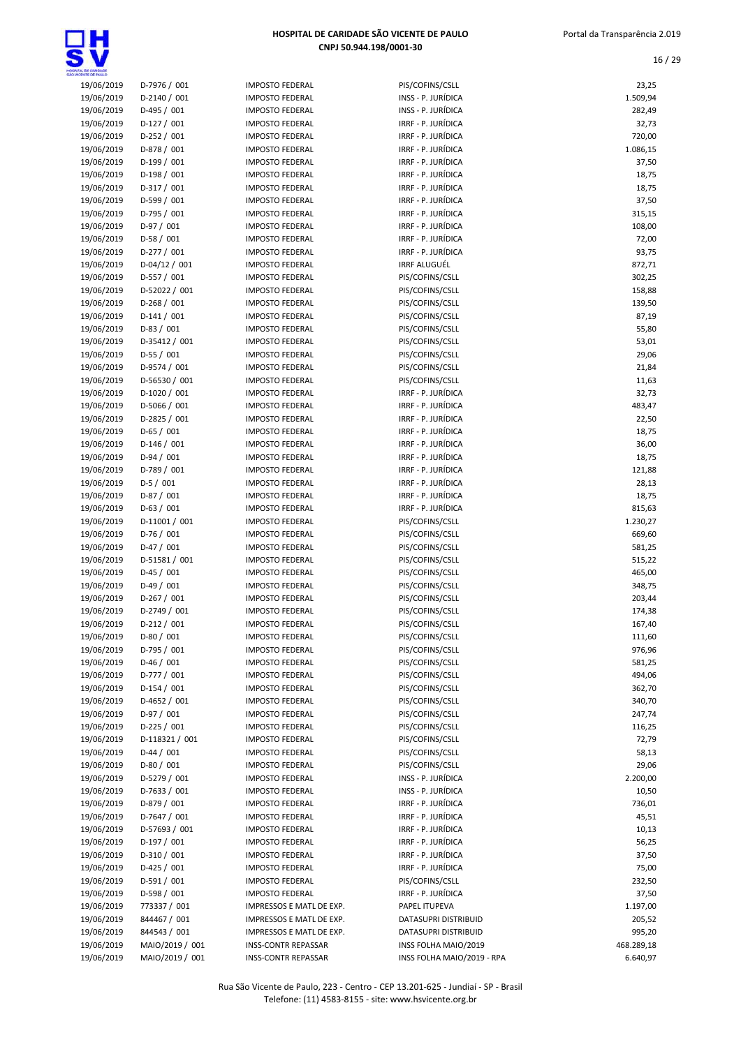

| 19/06/2019 | D-7976 / 001    | <b>IMPOSTO FEDERAL</b>     | PIS/COFINS/CSLL            | 23,25      |
|------------|-----------------|----------------------------|----------------------------|------------|
| 19/06/2019 | D-2140 / 001    | <b>IMPOSTO FEDERAL</b>     | INSS - P. JURÍDICA         | 1.509,94   |
| 19/06/2019 | D-495 / 001     | <b>IMPOSTO FEDERAL</b>     | INSS - P. JURÍDICA         | 282,49     |
| 19/06/2019 | D-127 / 001     | <b>IMPOSTO FEDERAL</b>     | IRRF - P. JURÍDICA         | 32,73      |
| 19/06/2019 | $D-252 / 001$   | <b>IMPOSTO FEDERAL</b>     | IRRF - P. JURÍDICA         | 720,00     |
| 19/06/2019 | D-878 / 001     | <b>IMPOSTO FEDERAL</b>     | IRRF - P. JURÍDICA         | 1.086,15   |
| 19/06/2019 | D-199 / 001     | <b>IMPOSTO FEDERAL</b>     | IRRF - P. JURÍDICA         | 37,50      |
| 19/06/2019 | $D-198/001$     | <b>IMPOSTO FEDERAL</b>     | IRRF - P. JURÍDICA         | 18,75      |
| 19/06/2019 | D-317 / 001     | <b>IMPOSTO FEDERAL</b>     | IRRF - P. JURÍDICA         | 18,75      |
| 19/06/2019 | D-599 / 001     | <b>IMPOSTO FEDERAL</b>     | IRRF - P. JURÍDICA         | 37,50      |
| 19/06/2019 | D-795 / 001     | <b>IMPOSTO FEDERAL</b>     | IRRF - P. JURÍDICA         | 315,15     |
| 19/06/2019 | $D-97/001$      | <b>IMPOSTO FEDERAL</b>     | IRRF - P. JURÍDICA         | 108,00     |
| 19/06/2019 | $D-58/001$      | <b>IMPOSTO FEDERAL</b>     | IRRF - P. JURÍDICA         | 72,00      |
| 19/06/2019 | $D-277/001$     | <b>IMPOSTO FEDERAL</b>     | IRRF - P. JURÍDICA         | 93,75      |
| 19/06/2019 | $D-04/12/001$   | <b>IMPOSTO FEDERAL</b>     | <b>IRRF ALUGUÉL</b>        | 872,71     |
| 19/06/2019 | D-557 / 001     | <b>IMPOSTO FEDERAL</b>     | PIS/COFINS/CSLL            | 302,25     |
| 19/06/2019 | D-52022 / 001   | <b>IMPOSTO FEDERAL</b>     | PIS/COFINS/CSLL            | 158,88     |
| 19/06/2019 | $D-268 / 001$   | <b>IMPOSTO FEDERAL</b>     | PIS/COFINS/CSLL            | 139,50     |
| 19/06/2019 | $D-141/001$     | <b>IMPOSTO FEDERAL</b>     | PIS/COFINS/CSLL            | 87,19      |
| 19/06/2019 | $D-83/001$      | <b>IMPOSTO FEDERAL</b>     | PIS/COFINS/CSLL            | 55,80      |
| 19/06/2019 | D-35412 / 001   | <b>IMPOSTO FEDERAL</b>     | PIS/COFINS/CSLL            | 53,01      |
| 19/06/2019 | $D-55/001$      | <b>IMPOSTO FEDERAL</b>     | PIS/COFINS/CSLL            | 29,06      |
|            |                 |                            |                            |            |
| 19/06/2019 | D-9574 / 001    | <b>IMPOSTO FEDERAL</b>     | PIS/COFINS/CSLL            | 21,84      |
| 19/06/2019 | D-56530 / 001   | <b>IMPOSTO FEDERAL</b>     | PIS/COFINS/CSLL            | 11,63      |
| 19/06/2019 | D-1020 / 001    | <b>IMPOSTO FEDERAL</b>     | IRRF - P. JURÍDICA         | 32,73      |
| 19/06/2019 | D-5066 / 001    | <b>IMPOSTO FEDERAL</b>     | IRRF - P. JURÍDICA         | 483,47     |
| 19/06/2019 | D-2825 / 001    | <b>IMPOSTO FEDERAL</b>     | IRRF - P. JURÍDICA         | 22,50      |
| 19/06/2019 | $D-65/001$      | <b>IMPOSTO FEDERAL</b>     | IRRF - P. JURÍDICA         | 18,75      |
| 19/06/2019 | $D-146/001$     | <b>IMPOSTO FEDERAL</b>     | IRRF - P. JURÍDICA         | 36,00      |
| 19/06/2019 | D-94 / 001      | <b>IMPOSTO FEDERAL</b>     | IRRF - P. JURÍDICA         | 18,75      |
| 19/06/2019 | D-789 / 001     | <b>IMPOSTO FEDERAL</b>     | IRRF - P. JURÍDICA         | 121,88     |
| 19/06/2019 | $D-5/001$       | <b>IMPOSTO FEDERAL</b>     | IRRF - P. JURÍDICA         | 28,13      |
| 19/06/2019 | $D-87/001$      | <b>IMPOSTO FEDERAL</b>     | IRRF - P. JURÍDICA         | 18,75      |
| 19/06/2019 | $D-63 / 001$    | <b>IMPOSTO FEDERAL</b>     | IRRF - P. JURÍDICA         | 815,63     |
| 19/06/2019 | D-11001 / 001   | <b>IMPOSTO FEDERAL</b>     | PIS/COFINS/CSLL            | 1.230,27   |
| 19/06/2019 | $D-76/001$      | <b>IMPOSTO FEDERAL</b>     | PIS/COFINS/CSLL            | 669,60     |
| 19/06/2019 | $D-47/001$      | <b>IMPOSTO FEDERAL</b>     | PIS/COFINS/CSLL            | 581,25     |
| 19/06/2019 | D-51581 / 001   | <b>IMPOSTO FEDERAL</b>     | PIS/COFINS/CSLL            | 515,22     |
| 19/06/2019 | $D-45/001$      | <b>IMPOSTO FEDERAL</b>     | PIS/COFINS/CSLL            | 465,00     |
| 19/06/2019 | $D-49/001$      | <b>IMPOSTO FEDERAL</b>     | PIS/COFINS/CSLL            | 348,75     |
| 19/06/2019 | $D-267/001$     | <b>IMPOSTO FEDERAL</b>     | PIS/COFINS/CSLL            | 203,44     |
| 19/06/2019 | D-2749 / 001    | <b>IMPOSTO FEDERAL</b>     | PIS/COFINS/CSLL            | 174,38     |
| 19/06/2019 | $D-212/001$     | <b>IMPOSTO FEDERAL</b>     | PIS/COFINS/CSLL            | 167,40     |
| 19/06/2019 | $D-80/001$      | <b>IMPOSTO FEDERAL</b>     | PIS/COFINS/CSLL            | 111,60     |
| 19/06/2019 | D-795 / 001     | <b>IMPOSTO FEDERAL</b>     | PIS/COFINS/CSLL            | 976,96     |
| 19/06/2019 | $D-46/001$      | <b>IMPOSTO FEDERAL</b>     | PIS/COFINS/CSLL            | 581,25     |
| 19/06/2019 | D-777 / 001     | <b>IMPOSTO FEDERAL</b>     | PIS/COFINS/CSLL            | 494,06     |
| 19/06/2019 | $D-154/001$     | <b>IMPOSTO FEDERAL</b>     | PIS/COFINS/CSLL            | 362,70     |
| 19/06/2019 | $D-4652 / 001$  | <b>IMPOSTO FEDERAL</b>     | PIS/COFINS/CSLL            | 340,70     |
| 19/06/2019 | $D-97/001$      | <b>IMPOSTO FEDERAL</b>     | PIS/COFINS/CSLL            | 247,74     |
| 19/06/2019 | $D-225 / 001$   | <b>IMPOSTO FEDERAL</b>     | PIS/COFINS/CSLL            | 116,25     |
| 19/06/2019 | D-118321 / 001  | <b>IMPOSTO FEDERAL</b>     | PIS/COFINS/CSLL            | 72,79      |
| 19/06/2019 | $D-44 / 001$    | <b>IMPOSTO FEDERAL</b>     | PIS/COFINS/CSLL            | 58,13      |
| 19/06/2019 | $D-80/001$      | <b>IMPOSTO FEDERAL</b>     | PIS/COFINS/CSLL            | 29,06      |
| 19/06/2019 | D-5279 / 001    | <b>IMPOSTO FEDERAL</b>     | INSS - P. JURÍDICA         | 2.200,00   |
| 19/06/2019 | D-7633 / 001    | <b>IMPOSTO FEDERAL</b>     | INSS - P. JURÍDICA         | 10,50      |
|            |                 |                            |                            |            |
| 19/06/2019 | D-879 / 001     | <b>IMPOSTO FEDERAL</b>     | IRRF - P. JURÍDICA         | 736,01     |
| 19/06/2019 | D-7647 / 001    | <b>IMPOSTO FEDERAL</b>     | IRRF - P. JURÍDICA         | 45,51      |
| 19/06/2019 | D-57693 / 001   | <b>IMPOSTO FEDERAL</b>     | IRRF - P. JURÍDICA         | 10,13      |
| 19/06/2019 | D-197 / 001     | <b>IMPOSTO FEDERAL</b>     | IRRF - P. JURÍDICA         | 56,25      |
| 19/06/2019 | D-310 / 001     | <b>IMPOSTO FEDERAL</b>     | IRRF - P. JURÍDICA         | 37,50      |
| 19/06/2019 | $D-425 / 001$   | <b>IMPOSTO FEDERAL</b>     | IRRF - P. JURÍDICA         | 75,00      |
| 19/06/2019 | D-591 / 001     | <b>IMPOSTO FEDERAL</b>     | PIS/COFINS/CSLL            | 232,50     |
| 19/06/2019 | D-598 / 001     | <b>IMPOSTO FEDERAL</b>     | IRRF - P. JURÍDICA         | 37,50      |
| 19/06/2019 | 773337 / 001    | IMPRESSOS E MATL DE EXP.   | PAPEL ITUPEVA              | 1.197,00   |
| 19/06/2019 | 844467 / 001    | IMPRESSOS E MATL DE EXP.   | DATASUPRI DISTRIBUID       | 205,52     |
| 19/06/2019 | 844543 / 001    | IMPRESSOS E MATL DE EXP.   | DATASUPRI DISTRIBUID       | 995,20     |
| 19/06/2019 | MAIO/2019 / 001 | <b>INSS-CONTR REPASSAR</b> | INSS FOLHA MAIO/2019       | 468.289,18 |
| 19/06/2019 | MAIO/2019 / 001 | <b>INSS-CONTR REPASSAR</b> | INSS FOLHA MAIO/2019 - RPA | 6.640,97   |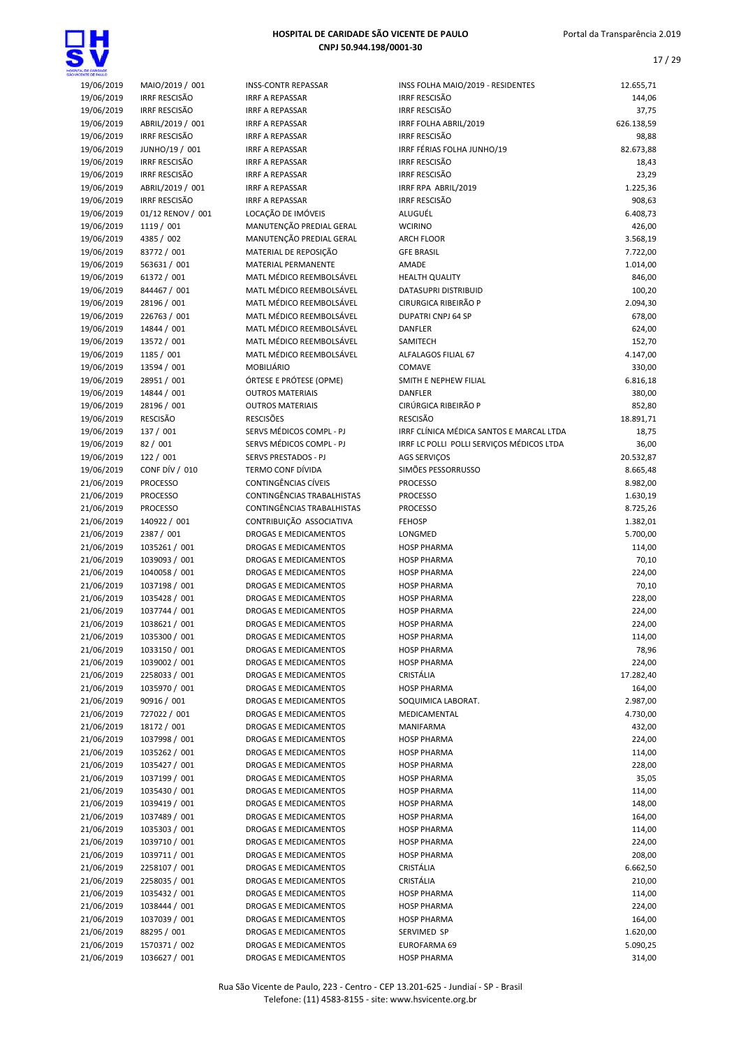17 / 29



| L DE CARDADE             |                                          |                                                       |                                               |                      |
|--------------------------|------------------------------------------|-------------------------------------------------------|-----------------------------------------------|----------------------|
| 19/06/2019               | MAIO/2019 / 001                          | <b>INSS-CONTR REPASSAR</b>                            | INSS FOLHA MAIO/2019 - RESIDENTES             | 12.655,71            |
| 19/06/2019               | <b>IRRF RESCISÃO</b>                     | <b>IRRF A REPASSAR</b>                                | <b>IRRF RESCISÃO</b>                          | 144,06               |
| 19/06/2019               | <b>IRRF RESCISÃO</b>                     | <b>IRRF A REPASSAR</b>                                | <b>IRRF RESCISÃO</b>                          | 37,75                |
| 19/06/2019<br>19/06/2019 | ABRIL/2019 / 001<br><b>IRRF RESCISÃO</b> | <b>IRRF A REPASSAR</b><br><b>IRRF A REPASSAR</b>      | IRRF FOLHA ABRIL/2019<br><b>IRRF RESCISÃO</b> | 626.138,59<br>98,88  |
| 19/06/2019               | JUNHO/19 / 001                           | <b>IRRF A REPASSAR</b>                                | IRRF FÉRIAS FOLHA JUNHO/19                    | 82.673,88            |
| 19/06/2019               | <b>IRRF RESCISÃO</b>                     | <b>IRRF A REPASSAR</b>                                | <b>IRRF RESCISÃO</b>                          | 18,43                |
| 19/06/2019               | IRRF RESCISÃO                            | <b>IRRF A REPASSAR</b>                                | <b>IRRF RESCISÃO</b>                          | 23,29                |
| 19/06/2019               | ABRIL/2019 / 001                         | <b>IRRF A REPASSAR</b>                                | IRRF RPA ABRIL/2019                           | 1.225,36             |
| 19/06/2019               | <b>IRRF RESCISÃO</b>                     | <b>IRRF A REPASSAR</b>                                | <b>IRRF RESCISÃO</b>                          | 908,63               |
| 19/06/2019               | 01/12 RENOV / 001                        | LOCAÇÃO DE IMÓVEIS                                    | ALUGUÉL                                       | 6.408,73             |
| 19/06/2019               | 1119 / 001                               | MANUTENÇÃO PREDIAL GERAL                              | <b>WCIRINO</b>                                | 426,00               |
| 19/06/2019               | 4385 / 002                               | MANUTENÇÃO PREDIAL GERAL                              | <b>ARCH FLOOR</b>                             | 3.568,19             |
| 19/06/2019               | 83772 / 001                              | MATERIAL DE REPOSIÇÃO                                 | <b>GFE BRASIL</b>                             | 7.722,00             |
| 19/06/2019               | 563631 / 001                             | MATERIAL PERMANENTE                                   | AMADE                                         | 1.014,00             |
| 19/06/2019               | 61372 / 001                              | MATL MÉDICO REEMBOLSÁVEL                              | <b>HEALTH QUALITY</b>                         | 846,00               |
| 19/06/2019<br>19/06/2019 | 844467 / 001<br>28196 / 001              | MATL MÉDICO REEMBOLSÁVEL<br>MATL MÉDICO REEMBOLSÁVEL  | DATASUPRI DISTRIBUID<br>CIRURGICA RIBEIRÃO P  | 100,20<br>2.094,30   |
| 19/06/2019               | 226763 / 001                             | MATL MÉDICO REEMBOLSÁVEL                              | <b>DUPATRI CNPJ 64 SP</b>                     | 678,00               |
| 19/06/2019               | 14844 / 001                              | MATL MÉDICO REEMBOLSÁVEL                              | <b>DANFLER</b>                                | 624,00               |
| 19/06/2019               | 13572 / 001                              | MATL MÉDICO REEMBOLSÁVEL                              | SAMITECH                                      | 152,70               |
| 19/06/2019               | 1185 / 001                               | MATL MÉDICO REEMBOLSÁVEL                              | ALFALAGOS FILIAL 67                           | 4.147,00             |
| 19/06/2019               | 13594 / 001                              | <b>MOBILIÁRIO</b>                                     | COMAVE                                        | 330,00               |
| 19/06/2019               | 28951 / 001                              | ÓRTESE E PRÓTESE (OPME)                               | SMITH E NEPHEW FILIAL                         | 6.816,18             |
| 19/06/2019               | 14844 / 001                              | <b>OUTROS MATERIAIS</b>                               | <b>DANFLER</b>                                | 380,00               |
| 19/06/2019               | 28196 / 001                              | <b>OUTROS MATERIAIS</b>                               | CIRÚRGICA RIBEIRÃO P                          | 852,80               |
| 19/06/2019               | <b>RESCISÃO</b>                          | <b>RESCISÕES</b>                                      | <b>RESCISÃO</b>                               | 18.891,71            |
| 19/06/2019               | 137 / 001                                | SERVS MÉDICOS COMPL - PJ                              | IRRF CLÍNICA MÉDICA SANTOS E MARCAL LTDA      | 18,75                |
| 19/06/2019               | 82 / 001                                 | SERVS MÉDICOS COMPL - PJ                              | IRRF LC POLLI POLLI SERVIÇOS MÉDICOS LTDA     | 36,00                |
| 19/06/2019               | 122 / 001                                | SERVS PRESTADOS - PJ                                  | <b>AGS SERVIÇOS</b>                           | 20.532,87            |
| 19/06/2019<br>21/06/2019 | <b>CONF DÍV / 010</b><br><b>PROCESSO</b> | TERMO CONF DÍVIDA<br>CONTINGÊNCIAS CÍVEIS             | SIMÕES PESSORRUSSO<br><b>PROCESSO</b>         | 8.665,48<br>8.982,00 |
| 21/06/2019               | <b>PROCESSO</b>                          | CONTINGÊNCIAS TRABALHISTAS                            | <b>PROCESSO</b>                               | 1.630,19             |
| 21/06/2019               | <b>PROCESSO</b>                          | CONTINGÊNCIAS TRABALHISTAS                            | <b>PROCESSO</b>                               | 8.725,26             |
| 21/06/2019               | 140922 / 001                             | CONTRIBUIÇÃO ASSOCIATIVA                              | <b>FEHOSP</b>                                 | 1.382,01             |
| 21/06/2019               | 2387 / 001                               | DROGAS E MEDICAMENTOS                                 | LONGMED                                       | 5.700,00             |
| 21/06/2019               | 1035261 / 001                            | DROGAS E MEDICAMENTOS                                 | <b>HOSP PHARMA</b>                            | 114,00               |
| 21/06/2019               | 1039093 / 001                            | DROGAS E MEDICAMENTOS                                 | <b>HOSP PHARMA</b>                            | 70,10                |
| 21/06/2019               | 1040058 / 001                            | DROGAS E MEDICAMENTOS                                 | <b>HOSP PHARMA</b>                            | 224,00               |
| 21/06/2019               | 1037198 / 001                            | DROGAS E MEDICAMENTOS                                 | <b>HOSP PHARMA</b>                            | 70,10                |
| 21/06/2019               | 1035428 / 001                            | <b>DROGAS E MEDICAMENTOS</b>                          | <b>HOSP PHARMA</b>                            | 228,00               |
| 21/06/2019<br>21/06/2019 | 1037744 / 001                            | <b>DROGAS E MEDICAMENTOS</b><br>DROGAS E MEDICAMENTOS | <b>HOSP PHARMA</b><br><b>HOSP PHARMA</b>      | 224,00               |
| 21/06/2019               | 1038621 / 001<br>1035300 / 001           | DROGAS E MEDICAMENTOS                                 | <b>HOSP PHARMA</b>                            | 224,00<br>114,00     |
| 21/06/2019               | 1033150 / 001                            | DROGAS E MEDICAMENTOS                                 | <b>HOSP PHARMA</b>                            | 78,96                |
| 21/06/2019               | 1039002 / 001                            | DROGAS E MEDICAMENTOS                                 | <b>HOSP PHARMA</b>                            | 224,00               |
| 21/06/2019               | 2258033 / 001                            | DROGAS E MEDICAMENTOS                                 | CRISTÁLIA                                     | 17.282,40            |
| 21/06/2019               | 1035970 / 001                            | <b>DROGAS E MEDICAMENTOS</b>                          | <b>HOSP PHARMA</b>                            | 164,00               |
| 21/06/2019               | 90916 / 001                              | DROGAS E MEDICAMENTOS                                 | SOQUIMICA LABORAT.                            | 2.987,00             |
| 21/06/2019               | 727022 / 001                             | DROGAS E MEDICAMENTOS                                 | MEDICAMENTAL                                  | 4.730,00             |
| 21/06/2019               | 18172 / 001                              | DROGAS E MEDICAMENTOS                                 | MANIFARMA                                     | 432,00               |
| 21/06/2019               | 1037998 / 001                            | DROGAS E MEDICAMENTOS                                 | <b>HOSP PHARMA</b>                            | 224,00               |
| 21/06/2019               | 1035262 / 001                            | DROGAS E MEDICAMENTOS                                 | <b>HOSP PHARMA</b>                            | 114,00               |
| 21/06/2019<br>21/06/2019 | 1035427 / 001<br>1037199 / 001           | DROGAS E MEDICAMENTOS<br>DROGAS E MEDICAMENTOS        | <b>HOSP PHARMA</b><br><b>HOSP PHARMA</b>      | 228,00<br>35,05      |
| 21/06/2019               | 1035430 / 001                            | DROGAS E MEDICAMENTOS                                 | <b>HOSP PHARMA</b>                            | 114,00               |
| 21/06/2019               | 1039419 / 001                            | DROGAS E MEDICAMENTOS                                 | <b>HOSP PHARMA</b>                            | 148,00               |
| 21/06/2019               | 1037489 / 001                            | DROGAS E MEDICAMENTOS                                 | <b>HOSP PHARMA</b>                            | 164,00               |
| 21/06/2019               | 1035303 / 001                            | DROGAS E MEDICAMENTOS                                 | <b>HOSP PHARMA</b>                            | 114,00               |
| 21/06/2019               | 1039710 / 001                            | DROGAS E MEDICAMENTOS                                 | <b>HOSP PHARMA</b>                            | 224,00               |
| 21/06/2019               | 1039711 / 001                            | DROGAS E MEDICAMENTOS                                 | <b>HOSP PHARMA</b>                            | 208,00               |
| 21/06/2019               | 2258107 / 001                            | DROGAS E MEDICAMENTOS                                 | CRISTÁLIA                                     | 6.662,50             |
| 21/06/2019               | 2258035 / 001                            | DROGAS E MEDICAMENTOS                                 | CRISTÁLIA                                     | 210,00               |
| 21/06/2019               | 1035432 / 001                            | DROGAS E MEDICAMENTOS                                 | <b>HOSP PHARMA</b>                            | 114,00               |
| 21/06/2019               | 1038444 / 001                            | DROGAS E MEDICAMENTOS                                 | <b>HOSP PHARMA</b>                            | 224,00               |
| 21/06/2019<br>21/06/2019 | 1037039 / 001<br>88295 / 001             | DROGAS E MEDICAMENTOS<br>DROGAS E MEDICAMENTOS        | <b>HOSP PHARMA</b><br>SERVIMED SP             | 164,00<br>1.620,00   |
| 21/06/2019               | 1570371 / 002                            | DROGAS E MEDICAMENTOS                                 | EUROFARMA 69                                  | 5.090,25             |
| 21/06/2019               | 1036627 / 001                            | DROGAS E MEDICAMENTOS                                 | <b>HOSP PHARMA</b>                            | 314,00               |
|                          |                                          |                                                       |                                               |                      |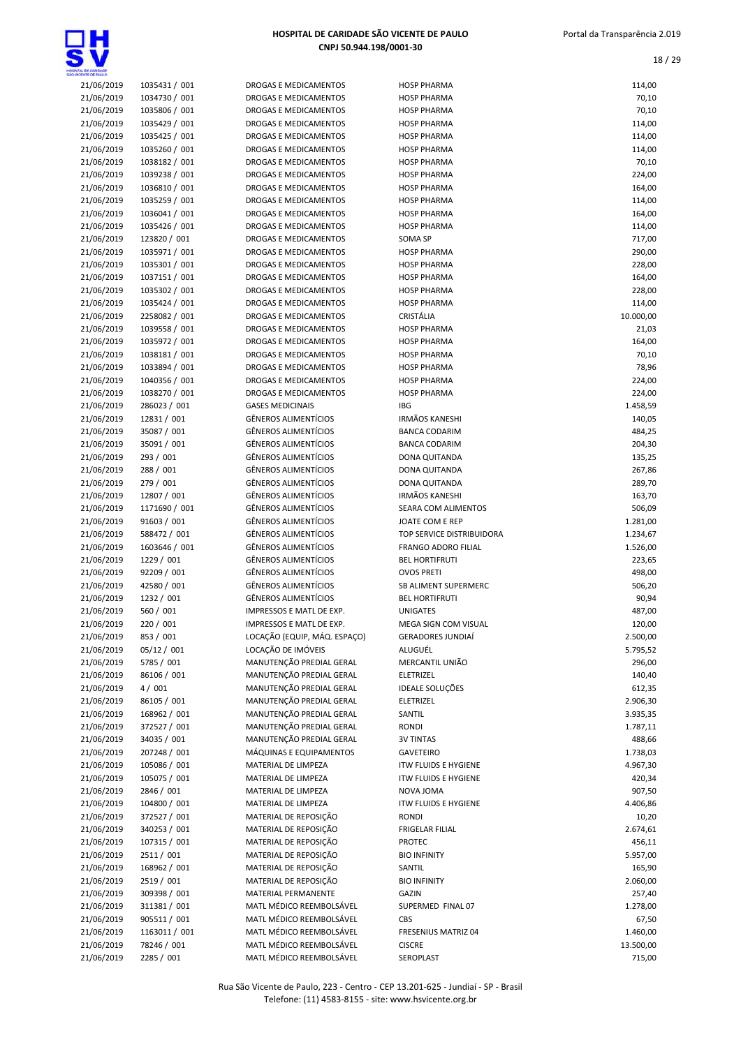

| HOSPITAL DE CARIDADE SÃO VICENTE DE PAULO |
|-------------------------------------------|
| CNPJ 50.944.198/0001-30                   |

| VTA, DE GANDADE<br>ACENTE DE PAULO |                                |                                                              |                                               |                       |
|------------------------------------|--------------------------------|--------------------------------------------------------------|-----------------------------------------------|-----------------------|
| 21/06/2019                         | 1035431 / 001                  | <b>DROGAS E MEDICAMENTOS</b>                                 | <b>HOSP PHARMA</b>                            | 114,00                |
| 21/06/2019                         | 1034730 / 001                  | DROGAS E MEDICAMENTOS                                        | <b>HOSP PHARMA</b>                            | 70,10                 |
| 21/06/2019                         | 1035806 / 001                  | DROGAS E MEDICAMENTOS                                        | <b>HOSP PHARMA</b>                            | 70,10                 |
| 21/06/2019<br>21/06/2019           | 1035429 / 001<br>1035425 / 001 | DROGAS E MEDICAMENTOS<br><b>DROGAS E MEDICAMENTOS</b>        | <b>HOSP PHARMA</b><br><b>HOSP PHARMA</b>      | 114,00<br>114,00      |
| 21/06/2019                         | 1035260 / 001                  | DROGAS E MEDICAMENTOS                                        | <b>HOSP PHARMA</b>                            | 114,00                |
| 21/06/2019                         | 1038182 / 001                  | <b>DROGAS E MEDICAMENTOS</b>                                 | <b>HOSP PHARMA</b>                            | 70,10                 |
| 21/06/2019                         | 1039238 / 001                  | <b>DROGAS E MEDICAMENTOS</b>                                 | <b>HOSP PHARMA</b>                            | 224,00                |
| 21/06/2019                         | 1036810 / 001                  | <b>DROGAS E MEDICAMENTOS</b>                                 | <b>HOSP PHARMA</b>                            | 164,00                |
| 21/06/2019                         | 1035259 / 001                  | <b>DROGAS E MEDICAMENTOS</b>                                 | <b>HOSP PHARMA</b>                            | 114,00                |
| 21/06/2019                         | 1036041 / 001                  | DROGAS E MEDICAMENTOS                                        | <b>HOSP PHARMA</b>                            | 164,00                |
| 21/06/2019<br>21/06/2019           | 1035426 / 001                  | <b>DROGAS E MEDICAMENTOS</b><br><b>DROGAS E MEDICAMENTOS</b> | <b>HOSP PHARMA</b>                            | 114,00                |
| 21/06/2019                         | 123820 / 001<br>1035971 / 001  | DROGAS E MEDICAMENTOS                                        | SOMA SP<br><b>HOSP PHARMA</b>                 | 717,00<br>290,00      |
| 21/06/2019                         | 1035301 / 001                  | <b>DROGAS E MEDICAMENTOS</b>                                 | <b>HOSP PHARMA</b>                            | 228,00                |
| 21/06/2019                         | 1037151 / 001                  | <b>DROGAS E MEDICAMENTOS</b>                                 | <b>HOSP PHARMA</b>                            | 164,00                |
| 21/06/2019                         | 1035302 / 001                  | <b>DROGAS E MEDICAMENTOS</b>                                 | <b>HOSP PHARMA</b>                            | 228,00                |
| 21/06/2019                         | 1035424 / 001                  | <b>DROGAS E MEDICAMENTOS</b>                                 | <b>HOSP PHARMA</b>                            | 114,00                |
| 21/06/2019                         | 2258082 / 001                  | DROGAS E MEDICAMENTOS                                        | CRISTÁLIA                                     | 10.000,00             |
| 21/06/2019                         | 1039558 / 001                  | DROGAS E MEDICAMENTOS                                        | <b>HOSP PHARMA</b>                            | 21,03                 |
| 21/06/2019                         | 1035972 / 001                  | <b>DROGAS E MEDICAMENTOS</b>                                 | <b>HOSP PHARMA</b>                            | 164,00                |
| 21/06/2019<br>21/06/2019           | 1038181 / 001<br>1033894 / 001 | <b>DROGAS E MEDICAMENTOS</b><br><b>DROGAS E MEDICAMENTOS</b> | <b>HOSP PHARMA</b><br><b>HOSP PHARMA</b>      | 70,10<br>78,96        |
| 21/06/2019                         | 1040356 / 001                  | <b>DROGAS E MEDICAMENTOS</b>                                 | <b>HOSP PHARMA</b>                            | 224,00                |
| 21/06/2019                         | 1038270 / 001                  | <b>DROGAS E MEDICAMENTOS</b>                                 | <b>HOSP PHARMA</b>                            | 224,00                |
| 21/06/2019                         | 286023 / 001                   | <b>GASES MEDICINAIS</b>                                      | <b>IBG</b>                                    | 1.458,59              |
| 21/06/2019                         | 12831 / 001                    | <b>GÊNEROS ALIMENTÍCIOS</b>                                  | <b>IRMÃOS KANESHI</b>                         | 140,05                |
| 21/06/2019                         | 35087 / 001                    | <b>GÊNEROS ALIMENTÍCIOS</b>                                  | <b>BANCA CODARIM</b>                          | 484,25                |
| 21/06/2019                         | 35091 / 001                    | <b>GÊNEROS ALIMENTÍCIOS</b>                                  | <b>BANCA CODARIM</b>                          | 204,30                |
| 21/06/2019                         | 293 / 001                      | <b>GÊNEROS ALIMENTÍCIOS</b>                                  | DONA QUITANDA                                 | 135,25                |
| 21/06/2019<br>21/06/2019           | 288 / 001<br>279 / 001         | <b>GÊNEROS ALIMENTÍCIOS</b><br><b>GÊNEROS ALIMENTÍCIOS</b>   | DONA QUITANDA<br>DONA QUITANDA                | 267,86<br>289,70      |
| 21/06/2019                         | 12807 / 001                    | <b>GÊNEROS ALIMENTÍCIOS</b>                                  | <b>IRMÃOS KANESHI</b>                         | 163,70                |
| 21/06/2019                         | 1171690 / 001                  | <b>GÊNEROS ALIMENTÍCIOS</b>                                  | SEARA COM ALIMENTOS                           | 506,09                |
| 21/06/2019                         | 91603 / 001                    | <b>GÊNEROS ALIMENTÍCIOS</b>                                  | JOATE COM E REP                               | 1.281,00              |
| 21/06/2019                         | 588472 / 001                   | <b>GÊNEROS ALIMENTÍCIOS</b>                                  | TOP SERVICE DISTRIBUIDORA                     | 1.234,67              |
| 21/06/2019                         | 1603646 / 001                  | <b>GÊNEROS ALIMENTÍCIOS</b>                                  | <b>FRANGO ADORO FILIAL</b>                    | 1.526,00              |
| 21/06/2019                         | 1229 / 001                     | <b>GÊNEROS ALIMENTÍCIOS</b>                                  | <b>BEL HORTIFRUTI</b>                         | 223,65                |
| 21/06/2019                         | 92209 / 001                    | <b>GÊNEROS ALIMENTÍCIOS</b><br><b>GÊNEROS ALIMENTÍCIOS</b>   | <b>OVOS PRETI</b>                             | 498,00                |
| 21/06/2019<br>21/06/2019           | 42580 / 001<br>1232 / 001      | <b>GÊNEROS ALIMENTÍCIOS</b>                                  | SB ALIMENT SUPERMERC<br><b>BEL HORTIFRUTI</b> | 506,20<br>90,94       |
| 21/06/2019                         | 560 / 001                      | IMPRESSOS E MATL DE EXP.                                     | <b>UNIGATES</b>                               | 487,00                |
| 21/06/2019                         | 220 / 001                      | IMPRESSOS E MATL DE EXP.                                     | MEGA SIGN COM VISUAL                          | 120,00                |
| 21/06/2019                         | 853 / 001                      | LOCAÇÃO (EQUIP, MÁQ. ESPAÇO)                                 | <b>GERADORES JUNDIAI</b>                      | 2.500,00              |
| 21/06/2019                         | 05/12 / 001                    | LOCAÇÃO DE IMÓVEIS                                           | ALUGUÉL                                       | 5.795,52              |
| 21/06/2019                         | 5785 / 001                     | MANUTENÇÃO PREDIAL GERAL                                     | MERCANTIL UNIÃO                               | 296,00                |
| 21/06/2019                         | 86106 / 001                    | MANUTENÇÃO PREDIAL GERAL                                     | <b>ELETRIZEL</b>                              | 140,40                |
| 21/06/2019<br>21/06/2019           | 4/001<br>86105 / 001           | MANUTENÇÃO PREDIAL GERAL<br>MANUTENÇÃO PREDIAL GERAL         | <b>IDEALE SOLUÇÕES</b><br><b>ELETRIZEL</b>    | 612,35<br>2.906,30    |
| 21/06/2019                         | 168962 / 001                   | MANUTENÇÃO PREDIAL GERAL                                     | SANTIL                                        | 3.935,35              |
| 21/06/2019                         | 372527 / 001                   | MANUTENÇÃO PREDIAL GERAL                                     | RONDI                                         | 1.787,11              |
| 21/06/2019                         | 34035 / 001                    | MANUTENÇÃO PREDIAL GERAL                                     | <b>3V TINTAS</b>                              | 488,66                |
| 21/06/2019                         | 207248 / 001                   | MÁQUINAS E EQUIPAMENTOS                                      | <b>GAVETEIRO</b>                              | 1.738,03              |
| 21/06/2019                         | 105086 / 001                   | MATERIAL DE LIMPEZA                                          | <b>ITW FLUIDS E HYGIENE</b>                   | 4.967,30              |
| 21/06/2019                         | 105075 / 001                   | MATERIAL DE LIMPEZA                                          | <b>ITW FLUIDS E HYGIENE</b>                   | 420,34                |
| 21/06/2019                         | 2846 / 001                     | MATERIAL DE LIMPEZA                                          | NOVA JOMA                                     | 907,50                |
| 21/06/2019                         | 104800 / 001                   | MATERIAL DE LIMPEZA                                          | <b>ITW FLUIDS E HYGIENE</b>                   | 4.406,86              |
| 21/06/2019<br>21/06/2019           | 372527 / 001<br>340253 / 001   | MATERIAL DE REPOSIÇÃO<br>MATERIAL DE REPOSIÇÃO               | <b>RONDI</b><br><b>FRIGELAR FILIAL</b>        | 10,20<br>2.674,61     |
| 21/06/2019                         | 107315 / 001                   | MATERIAL DE REPOSIÇÃO                                        | PROTEC                                        | 456,11                |
| 21/06/2019                         | 2511 / 001                     | MATERIAL DE REPOSIÇÃO                                        | <b>BIO INFINITY</b>                           | 5.957,00              |
| 21/06/2019                         | 168962 / 001                   | MATERIAL DE REPOSIÇÃO                                        | SANTIL                                        | 165,90                |
| 21/06/2019                         | 2519 / 001                     | MATERIAL DE REPOSIÇÃO                                        | <b>BIO INFINITY</b>                           | 2.060,00              |
| 21/06/2019                         | 309398 / 001                   | MATERIAL PERMANENTE                                          | <b>GAZIN</b>                                  | 257,40                |
| 21/06/2019                         | 311381 / 001                   | MATL MÉDICO REEMBOLSÁVEL                                     | SUPERMED FINAL 07                             | 1.278,00              |
| 21/06/2019                         | 905511 / 001                   | MATL MÉDICO REEMBOLSÁVEL                                     | CBS                                           | 67,50                 |
| 21/06/2019<br>21/06/2019           | 1163011 / 001<br>78246 / 001   | MATL MÉDICO REEMBOLSÁVEL<br>MATL MÉDICO REEMBOLSÁVEL         | FRESENIUS MATRIZ 04<br><b>CISCRE</b>          | 1.460,00<br>13.500,00 |
| 21/06/2019                         | 2285 / 001                     | MATL MÉDICO REEMBOLSÁVEL                                     | SEROPLAST                                     | 715,00                |
|                                    |                                |                                                              |                                               |                       |

| ENTE CE PALL O |               |                              |                             |           |
|----------------|---------------|------------------------------|-----------------------------|-----------|
| 21/06/2019     | 1035431 / 001 | DROGAS E MEDICAMENTOS        | <b>HOSP PHARMA</b>          | 114,00    |
| 21/06/2019     | 1034730 / 001 | DROGAS E MEDICAMENTOS        | <b>HOSP PHARMA</b>          | 70,10     |
| 21/06/2019     | 1035806 / 001 | DROGAS E MEDICAMENTOS        | <b>HOSP PHARMA</b>          | 70,10     |
| 21/06/2019     | 1035429 / 001 | DROGAS E MEDICAMENTOS        | <b>HOSP PHARMA</b>          | 114,00    |
| 21/06/2019     | 1035425 / 001 | <b>DROGAS E MEDICAMENTOS</b> | <b>HOSP PHARMA</b>          | 114,00    |
| 21/06/2019     | 1035260 / 001 | DROGAS E MEDICAMENTOS        | <b>HOSP PHARMA</b>          | 114,00    |
| 21/06/2019     | 1038182 / 001 | DROGAS E MEDICAMENTOS        | <b>HOSP PHARMA</b>          | 70,10     |
| 21/06/2019     | 1039238 / 001 | DROGAS E MEDICAMENTOS        | <b>HOSP PHARMA</b>          | 224,00    |
| 21/06/2019     | 1036810 / 001 | DROGAS E MEDICAMENTOS        | <b>HOSP PHARMA</b>          | 164,00    |
| 21/06/2019     | 1035259 / 001 | <b>DROGAS E MEDICAMENTOS</b> | <b>HOSP PHARMA</b>          | 114,00    |
| 21/06/2019     | 1036041 / 001 | DROGAS E MEDICAMENTOS        | <b>HOSP PHARMA</b>          | 164,00    |
| 21/06/2019     | 1035426 / 001 | DROGAS E MEDICAMENTOS        | <b>HOSP PHARMA</b>          | 114,00    |
| 21/06/2019     | 123820 / 001  | <b>DROGAS E MEDICAMENTOS</b> | SOMA SP                     | 717,00    |
| 21/06/2019     | 1035971 / 001 | DROGAS E MEDICAMENTOS        | <b>HOSP PHARMA</b>          | 290,00    |
| 21/06/2019     | 1035301 / 001 | DROGAS E MEDICAMENTOS        | <b>HOSP PHARMA</b>          | 228,00    |
| 21/06/2019     | 1037151 / 001 | DROGAS E MEDICAMENTOS        | <b>HOSP PHARMA</b>          | 164,00    |
| 21/06/2019     | 1035302 / 001 | DROGAS E MEDICAMENTOS        | <b>HOSP PHARMA</b>          | 228,00    |
| 21/06/2019     | 1035424 / 001 | DROGAS E MEDICAMENTOS        | <b>HOSP PHARMA</b>          | 114,00    |
| 21/06/2019     | 2258082 / 001 | <b>DROGAS E MEDICAMENTOS</b> | CRISTÁLIA                   | 10.000,00 |
| 21/06/2019     | 1039558 / 001 | <b>DROGAS E MEDICAMENTOS</b> | <b>HOSP PHARMA</b>          | 21,03     |
| 21/06/2019     | 1035972 / 001 | <b>DROGAS E MEDICAMENTOS</b> | <b>HOSP PHARMA</b>          | 164,00    |
| 21/06/2019     | 1038181 / 001 | DROGAS E MEDICAMENTOS        | <b>HOSP PHARMA</b>          | 70,10     |
| 21/06/2019     | 1033894 / 001 | <b>DROGAS E MEDICAMENTOS</b> | <b>HOSP PHARMA</b>          | 78,96     |
| 21/06/2019     | 1040356 / 001 | DROGAS E MEDICAMENTOS        | <b>HOSP PHARMA</b>          | 224,00    |
| 21/06/2019     | 1038270 / 001 | DROGAS E MEDICAMENTOS        | <b>HOSP PHARMA</b>          | 224,00    |
| 21/06/2019     | 286023 / 001  | <b>GASES MEDICINAIS</b>      | <b>IBG</b>                  | 1.458,59  |
| 21/06/2019     | 12831 / 001   | <b>GÊNEROS ALIMENTÍCIOS</b>  | <b>IRMÃOS KANESHI</b>       | 140,05    |
| 21/06/2019     | 35087 / 001   | <b>GÊNEROS ALIMENTÍCIOS</b>  | <b>BANCA CODARIM</b>        | 484,25    |
| 21/06/2019     | 35091 / 001   | GÊNEROS ALIMENTÍCIOS         | <b>BANCA CODARIM</b>        | 204,30    |
| 21/06/2019     | 293 / 001     | GÊNEROS ALIMENTÍCIOS         | DONA QUITANDA               | 135,25    |
| 21/06/2019     | 288 / 001     | GÊNEROS ALIMENTÍCIOS         | DONA QUITANDA               | 267,86    |
| 21/06/2019     | 279 / 001     | GÊNEROS ALIMENTÍCIOS         | DONA QUITANDA               | 289,70    |
| 21/06/2019     | 12807 / 001   | GÊNEROS ALIMENTÍCIOS         | <b>IRMÃOS KANESHI</b>       | 163,70    |
| 21/06/2019     | 1171690 / 001 | GÊNEROS ALIMENTÍCIOS         | SEARA COM ALIMENTOS         | 506,09    |
| 21/06/2019     | 91603 / 001   | <b>GÊNEROS ALIMENTÍCIOS</b>  | JOATE COM E REP             | 1.281,00  |
| 21/06/2019     | 588472 / 001  | GÊNEROS ALIMENTÍCIOS         | TOP SERVICE DISTRIBUIDORA   | 1.234,67  |
| 21/06/2019     | 1603646 / 001 | <b>GÊNEROS ALIMENTÍCIOS</b>  | <b>FRANGO ADORO FILIAL</b>  | 1.526,00  |
| 21/06/2019     | 1229 / 001    | GÊNEROS ALIMENTÍCIOS         | <b>BEL HORTIFRUTI</b>       | 223,65    |
| 21/06/2019     | 92209 / 001   | GÊNEROS ALIMENTÍCIOS         | <b>OVOS PRETI</b>           | 498,00    |
| 21/06/2019     | 42580 / 001   | <b>GÊNEROS ALIMENTÍCIOS</b>  | SB ALIMENT SUPERMERC        | 506,20    |
| 21/06/2019     | 1232 / 001    | <b>GÊNEROS ALIMENTÍCIOS</b>  | <b>BEL HORTIFRUTI</b>       | 90,94     |
| 21/06/2019     | 560 / 001     | IMPRESSOS E MATL DE EXP.     | <b>UNIGATES</b>             | 487,00    |
| 21/06/2019     | 220 / 001     | IMPRESSOS E MATL DE EXP.     | <b>MEGA SIGN COM VISUAL</b> | 120,00    |
| 21/06/2019     | 853 / 001     | LOCAÇÃO (EQUIP, MÁQ. ESPAÇO) | <b>GERADORES JUNDIAÍ</b>    | 2.500,00  |
| 21/06/2019     | 05/12 / 001   | LOCAÇÃO DE IMÓVEIS           | ALUGUÉL                     | 5.795,52  |
| 21/06/2019     | 5785 / 001    | MANUTENÇÃO PREDIAL GERAL     | MERCANTIL UNIÃO             | 296,00    |
| 21/06/2019     | 86106 / 001   | MANUTENÇÃO PREDIAL GERAL     | ELETRIZEL                   | 140,40    |
| 21/06/2019     | 4/001         | MANUTENÇÃO PREDIAL GERAL     | IDEALE SOLUÇÕES             | 612,35    |
| 21/06/2019     | 86105 / 001   | MANUTENÇÃO PREDIAL GERAL     | ELETRIZEL                   | 2.906,30  |
| 21/06/2019     | 168962 / 001  | MANUTENÇÃO PREDIAL GERAL     | SANTIL                      | 3.935,35  |
| 21/06/2019     | 372527 / 001  | MANUTENÇÃO PREDIAL GERAL     | <b>RONDI</b>                | 1.787,11  |
| 21/06/2019     | 34035 / 001   | MANUTENÇÃO PREDIAL GERAL     | <b>3V TINTAS</b>            |           |
|                |               |                              |                             | 488,66    |
| 21/06/2019     | 207248 / 001  | MÁQUINAS E EQUIPAMENTOS      | <b>GAVETEIRO</b>            | 1.738,03  |
| 21/06/2019     | 105086 / 001  | MATERIAL DE LIMPEZA          | <b>ITW FLUIDS E HYGIENE</b> | 4.967,30  |
| 21/06/2019     | 105075 / 001  | MATERIAL DE LIMPEZA          | <b>ITW FLUIDS E HYGIENE</b> | 420,34    |
| 21/06/2019     | 2846 / 001    | MATERIAL DE LIMPEZA          | NOVA JOMA                   | 907,50    |
| 21/06/2019     | 104800 / 001  | MATERIAL DE LIMPEZA          | <b>ITW FLUIDS E HYGIENE</b> | 4.406,86  |
| 21/06/2019     | 372527 / 001  | MATERIAL DE REPOSIÇÃO        | <b>RONDI</b>                | 10,20     |
| 21/06/2019     | 340253 / 001  | MATERIAL DE REPOSIÇÃO        | <b>FRIGELAR FILIAL</b>      | 2.674,61  |
| 21/06/2019     | 107315 / 001  | MATERIAL DE REPOSIÇÃO        | <b>PROTEC</b>               | 456,11    |
| 21/06/2019     | 2511 / 001    | MATERIAL DE REPOSIÇÃO        | <b>BIO INFINITY</b>         | 5.957,00  |
| 21/06/2019     | 168962 / 001  | MATERIAL DE REPOSIÇÃO        | SANTIL                      | 165,90    |
| 21/06/2019     | 2519 / 001    | MATERIAL DE REPOSIÇÃO        | <b>BIO INFINITY</b>         | 2.060,00  |
| 21/06/2019     | 309398 / 001  | MATERIAL PERMANENTE          | <b>GAZIN</b>                | 257,40    |
| 21/06/2019     | 311381 / 001  | MATL MÉDICO REEMBOLSÁVEL     | SUPERMED FINAL 07           | 1.278,00  |
| 21/06/2019     | 905511 / 001  | MATL MÉDICO REEMBOLSÁVEL     | <b>CBS</b>                  | 67,50     |
| 21/06/2019     | 1163011 / 001 | MATL MÉDICO REEMBOLSÁVEL     | FRESENIUS MATRIZ 04         | 1.460,00  |
| 21/06/2019     | 78246 / 001   | MATL MÉDICO REEMBOLSÁVEL     | <b>CISCRE</b>               | 13.500,00 |
|                |               |                              |                             |           |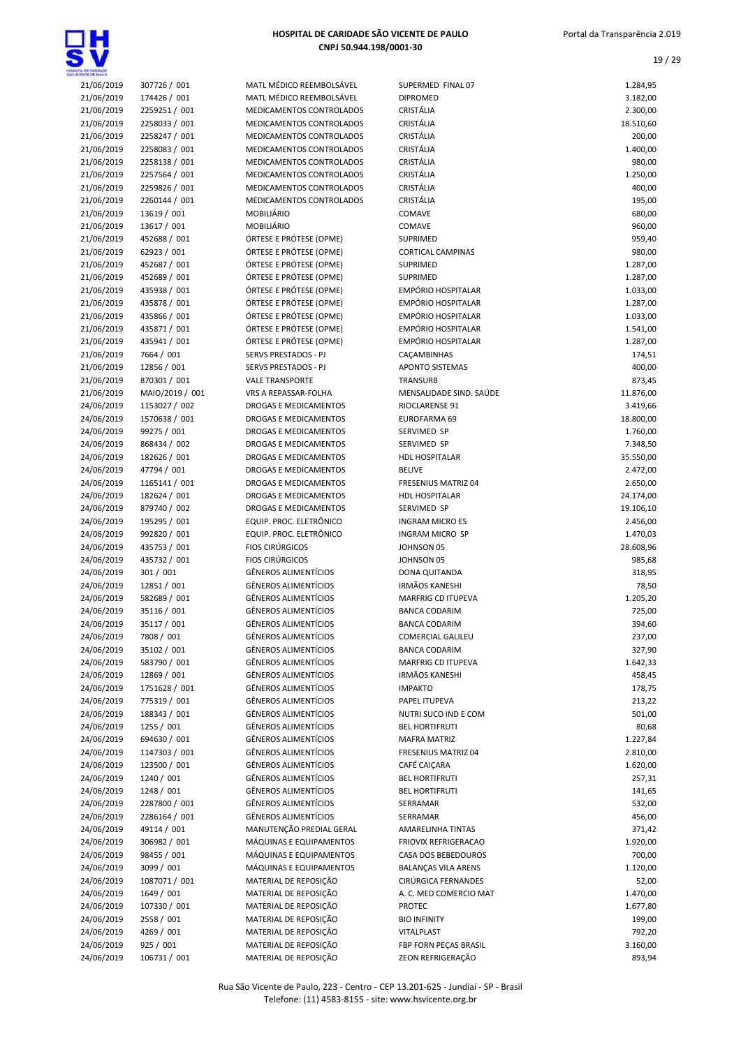

| HOSPITAL DE CARIDADE SÃO VICENTE DE PAULO |
|-------------------------------------------|
| CNPJ 50.944.198/0001-30                   |

| WOENTE DE BALLO          |                             |                                                  |
|--------------------------|-----------------------------|--------------------------------------------------|
| 21/06/2019               | 307726 / 001                | <b>MATL MÉDICO REEI</b>                          |
| 21/06/2019               | 174426 / 001                | <b>MATL MÉDICO REEI</b>                          |
| 21/06/2019               | 2259251 / 001               | <b>MEDICAMENTOS CO</b>                           |
| 21/06/2019               | 2258033 / 001               | <b>MEDICAMENTOS CO</b>                           |
| 21/06/2019               | 2258247 / 001               | <b>MEDICAMENTOS CO</b>                           |
| 21/06/2019               | 2258083 / 001               | <b>MEDICAMENTOS CO</b>                           |
| 21/06/2019               | 2258138 / 001               | <b>MEDICAMENTOS CO</b>                           |
| 21/06/2019               | 2257564 / 001               | <b>MEDICAMENTOS CO</b>                           |
| 21/06/2019               | 2259826 / 001               | <b>MEDICAMENTOS CO</b>                           |
| 21/06/2019               | 2260144 / 001               | <b>MEDICAMENTOS CO</b>                           |
| 21/06/2019               | 13619 / 001                 | MOBILIÁRIO                                       |
| 21/06/2019               | 13617 / 001                 | <b>MOBILIÁRIO</b>                                |
| 21/06/2019               | 452688 / 001                | ÓRTESE E PRÓTESE                                 |
| 21/06/2019               | 62923 / 001                 | ÓRTESE E PRÓTESE                                 |
| 21/06/2019               | 452687 / 001                | ÓRTESE E PRÓTESE                                 |
| 21/06/2019               | 452689 / 001                | ÓRTESE E PRÓTESE                                 |
| 21/06/2019               | 435938 / 001                | ÓRTESE E PRÓTESE                                 |
| 21/06/2019               | 435878 / 001                | ÓRTESE E PRÓTESE                                 |
| 21/06/2019               | 435866 / 001                | ÓRTESE E PRÓTESE                                 |
| 21/06/2019               | 435871 / 001                | ÓRTESE E PRÓTESE                                 |
| 21/06/2019               | 435941 / 001                | ÓRTESE E PRÓTESE                                 |
| 21/06/2019               | 7664 / 001                  | <b>SERVS PRESTADOS</b>                           |
| 21/06/2019               | 12856 / 001                 | <b>SERVS PRESTADOS</b>                           |
| 21/06/2019               | 870301 / 001                | <b>VALE TRANSPORTE</b>                           |
| 21/06/2019               | MAIO/2019 / 001             | VRS A REPASSAR-FO                                |
| 24/06/2019               | 1153027 / 002               | <b>DROGAS E MEDICAL</b>                          |
| 24/06/2019               | 1570638 / 001               | <b>DROGAS E MEDICAL</b>                          |
| 24/06/2019               | 99275 / 001                 | <b>DROGAS E MEDICAI</b>                          |
| 24/06/2019               | 868434 / 002                | <b>DROGAS E MEDICAL</b>                          |
| 24/06/2019               | 182626 / 001                | <b>DROGAS E MEDICAL</b>                          |
| 24/06/2019               | 47794 / 001                 | <b>DROGAS E MEDICAL</b>                          |
| 24/06/2019               | 1165141 / 001               | <b>DROGAS E MEDICAL</b>                          |
| 24/06/2019               | 182624 / 001                | <b>DROGAS E MEDICAL</b>                          |
| 24/06/2019               | 879740 / 002                | <b>DROGAS E MEDICAL</b>                          |
| 24/06/2019               | 195295 / 001                | <b>EQUIP. PROC. ELETI</b>                        |
| 24/06/2019               | 992820 / 001                | EQUIP. PROC. ELETI                               |
| 24/06/2019               | 435753 / 001                | <b>FIOS CIRÚRGICOS</b>                           |
| 24/06/2019               | 435732 / 001                | <b>FIOS CIRÚRGICOS</b>                           |
| 24/06/2019               | 301 / 001                   | <b>GÊNEROS ALIMENT</b><br><b>GÊNEROS ALIMENT</b> |
| 24/06/2019<br>24/06/2019 | 12851 / 001<br>582689 / 001 | <b>GÊNEROS ALIMENT</b>                           |
| 24/06/2019               | 35116 / 001                 | GÊNEROS ALIMENT                                  |
| 24/06/2019               | 35117 / 001                 | GÊNEROS ALIMENT                                  |
| 24/06/2019               | 7808 / 001                  | GÊNEROS ALIMENT                                  |
| 24/06/2019               | 35102 / 001                 | GÊNEROS ALIMENT                                  |
| 24/06/2019               | 583790 / 001                | GÊNEROS ALIMENT                                  |
| 24/06/2019               | 12869 / 001                 | <b>GÊNEROS ALIMENT</b>                           |
| 24/06/2019               | 1751628 / 001               | <b>GÊNEROS ALIMENT</b>                           |
| 24/06/2019               | 775319 / 001                | GÊNEROS ALIMENT                                  |
| 24/06/2019               | 188343 / 001                | <b>GÊNEROS ALIMENT</b>                           |
| 24/06/2019               | 1255 / 001                  | <b>GÊNEROS ALIMENT</b>                           |
| 24/06/2019               | 694630 / 001                | <b>GÊNEROS ALIMENT</b>                           |
| 24/06/2019               | 1147303 / 001               | GÊNEROS ALIMENT                                  |
| 24/06/2019               | 123500 / 001                | GÊNEROS ALIMENT                                  |
| 24/06/2019               | 1240 / 001                  | <b>GÊNEROS ALIMENT</b>                           |
| 24/06/2019               | 1248 / 001                  | <b>GÊNEROS ALIMENT</b>                           |
| 24/06/2019               | 2287800 / 001               | <b>GÊNEROS ALIMENT</b>                           |
| 24/06/2019               | 2286164 / 001               | <b>GÊNEROS ALIMENT</b>                           |
| 24/06/2019               | 49114 / 001                 | MANUTENÇÃO PRE                                   |
| 24/06/2019               | 306982 / 001                | MÁQUINAS E EQUII                                 |
| 24/06/2019               | 98455 / 001                 | MÁQUINAS E EQUII                                 |
| 24/06/2019               | 3099 / 001                  | MÁQUINAS E EQUII                                 |
| 24/06/2019               | 1087071 / 001               | MATERIAL DE REPO                                 |
| 24/06/2019               | 1649 / 001                  | <b>MATERIAL DE REPO</b>                          |
| 24/06/2019               | 107330 / 001                | <b>MATERIAL DE REPO</b>                          |
| 24/06/2019               | 2558 / 001                  | <b>MATERIAL DE REPO</b>                          |
| 24/06/2019               | 4269 / 001                  | <b>MATERIAL DE REPO</b>                          |
| 24/06/2019               | 925 / 001                   | MATERIAL DE REPO                                 |
| 24/06/2019               | 106731 / 001                | <b>MATERIAL DE REPO</b>                          |
|                          |                             |                                                  |

| 21/06/2019 | 307726 / 001    | MATL MÉDICO REEMBOLSÁVEL     | SUPERMED FINAL 07          | 1.284,95  |
|------------|-----------------|------------------------------|----------------------------|-----------|
| 21/06/2019 | 174426 / 001    | MATL MÉDICO REEMBOLSÁVEL     | <b>DIPROMED</b>            | 3.182,00  |
| 21/06/2019 | 2259251 / 001   | MEDICAMENTOS CONTROLADOS     | CRISTÁLIA                  | 2.300,00  |
| 21/06/2019 | 2258033 / 001   | MEDICAMENTOS CONTROLADOS     | CRISTÁLIA                  | 18.510,60 |
| 21/06/2019 | 2258247 / 001   | MEDICAMENTOS CONTROLADOS     | CRISTÁLIA                  | 200,00    |
| 21/06/2019 | 2258083 / 001   | MEDICAMENTOS CONTROLADOS     | CRISTÁLIA                  | 1.400,00  |
| 21/06/2019 | 2258138 / 001   | MEDICAMENTOS CONTROLADOS     | CRISTÁLIA                  | 980,00    |
| 21/06/2019 | 2257564 / 001   | MEDICAMENTOS CONTROLADOS     | CRISTÁLIA                  | 1.250,00  |
| 21/06/2019 | 2259826 / 001   | MEDICAMENTOS CONTROLADOS     | CRISTÁLIA                  | 400,00    |
| 21/06/2019 | 2260144 / 001   | MEDICAMENTOS CONTROLADOS     | CRISTÁLIA                  | 195,00    |
| 21/06/2019 | 13619 / 001     | MOBILIÁRIO                   | COMAVE                     | 680,00    |
| 21/06/2019 | 13617 / 001     | <b>MOBILIÁRIO</b>            | COMAVE                     | 960,00    |
| 21/06/2019 | 452688 / 001    | ÓRTESE E PRÓTESE (OPME)      | SUPRIMED                   | 959,40    |
| 21/06/2019 | 62923 / 001     | ÓRTESE E PRÓTESE (OPME)      | <b>CORTICAL CAMPINAS</b>   | 980,00    |
| 21/06/2019 | 452687 / 001    | ÓRTESE E PRÓTESE (OPME)      | SUPRIMED                   | 1.287,00  |
| 21/06/2019 | 452689 / 001    | ÓRTESE E PRÓTESE (OPME)      | <b>SUPRIMED</b>            | 1.287,00  |
| 21/06/2019 | 435938 / 001    | ÓRTESE E PRÓTESE (OPME)      | EMPÓRIO HOSPITALAR         | 1.033,00  |
| 21/06/2019 | 435878 / 001    | ÓRTESE E PRÓTESE (OPME)      | EMPÓRIO HOSPITALAR         | 1.287,00  |
| 21/06/2019 | 435866 / 001    | ÓRTESE E PRÓTESE (OPME)      | <b>EMPÓRIO HOSPITALAR</b>  | 1.033,00  |
| 21/06/2019 | 435871 / 001    | ÓRTESE E PRÓTESE (OPME)      | <b>EMPÓRIO HOSPITALAR</b>  |           |
|            | 435941 / 001    |                              | <b>EMPÓRIO HOSPITALAR</b>  | 1.541,00  |
| 21/06/2019 |                 | ÓRTESE E PRÓTESE (OPME)      |                            | 1.287,00  |
| 21/06/2019 | 7664 / 001      | SERVS PRESTADOS - PJ         | CAÇAMBINHAS                | 174,51    |
| 21/06/2019 | 12856 / 001     | SERVS PRESTADOS - PJ         | <b>APONTO SISTEMAS</b>     | 400,00    |
| 21/06/2019 | 870301 / 001    | <b>VALE TRANSPORTE</b>       | TRANSURB                   | 873,45    |
| 21/06/2019 | MAIO/2019 / 001 | VRS A REPASSAR-FOLHA         | MENSALIDADE SIND. SAÚDE    | 11.876,00 |
| 24/06/2019 | 1153027 / 002   | DROGAS E MEDICAMENTOS        | RIOCLARENSE 91             | 3.419,66  |
| 24/06/2019 | 1570638 / 001   | DROGAS E MEDICAMENTOS        | EUROFARMA 69               | 18.800,00 |
| 24/06/2019 | 99275 / 001     | DROGAS E MEDICAMENTOS        | SERVIMED SP                | 1.760,00  |
| 24/06/2019 | 868434 / 002    | <b>DROGAS E MEDICAMENTOS</b> | SERVIMED SP                | 7.348,50  |
| 24/06/2019 | 182626 / 001    | DROGAS E MEDICAMENTOS        | HDL HOSPITALAR             | 35.550,00 |
| 24/06/2019 | 47794 / 001     | DROGAS E MEDICAMENTOS        | <b>BELIVE</b>              | 2.472,00  |
| 24/06/2019 | 1165141 / 001   | DROGAS E MEDICAMENTOS        | FRESENIUS MATRIZ 04        | 2.650,00  |
| 24/06/2019 | 182624 / 001    | DROGAS E MEDICAMENTOS        | HDL HOSPITALAR             | 24.174,00 |
| 24/06/2019 | 879740 / 002    | DROGAS E MEDICAMENTOS        | SERVIMED SP                | 19.106,10 |
| 24/06/2019 | 195295 / 001    | EQUIP. PROC. ELETRÔNICO      | <b>INGRAM MICRO ES</b>     | 2.456,00  |
| 24/06/2019 | 992820 / 001    | EQUIP. PROC. ELETRÔNICO      | INGRAM MICRO SP            | 1.470,03  |
| 24/06/2019 | 435753 / 001    | <b>FIOS CIRÚRGICOS</b>       | JOHNSON 05                 | 28.608,96 |
| 24/06/2019 | 435732 / 001    | <b>FIOS CIRÚRGICOS</b>       | JOHNSON 05                 | 985,68    |
| 24/06/2019 | 301 / 001       | <b>GÊNEROS ALIMENTÍCIOS</b>  | DONA QUITANDA              | 318,95    |
| 24/06/2019 | 12851 / 001     | <b>GÊNEROS ALIMENTÍCIOS</b>  | <b>IRMÃOS KANESHI</b>      | 78,50     |
| 24/06/2019 | 582689 / 001    | <b>GÊNEROS ALIMENTÍCIOS</b>  | MARFRIG CD ITUPEVA         | 1.205,20  |
| 24/06/2019 | 35116 / 001     | <b>GÊNEROS ALIMENTÍCIOS</b>  | <b>BANCA CODARIM</b>       | 725,00    |
| 24/06/2019 | 35117 / 001     | <b>GÊNEROS ALIMENTÍCIOS</b>  | <b>BANCA CODARIM</b>       | 394,60    |
| 24/06/2019 | 7808 / 001      | <b>GENEROS ALIMENTICIOS</b>  | COMERCIAL GALILEU          | 237,00    |
| 24/06/2019 | 35102 / 001     | <b>GÊNEROS ALIMENTÍCIOS</b>  | <b>BANCA CODARIM</b>       | 327,90    |
| 24/06/2019 | 583790 / 001    | <b>GÊNEROS ALIMENTÍCIOS</b>  | <b>MARFRIG CD ITUPEVA</b>  | 1.642,33  |
| 24/06/2019 | 12869 / 001     | <b>GÊNEROS ALIMENTÍCIOS</b>  | <b>IRMÃOS KANESHI</b>      | 458,45    |
| 24/06/2019 | 1751628 / 001   | <b>GÊNEROS ALIMENTÍCIOS</b>  | <b>IMPAKTO</b>             | 178,75    |
| 24/06/2019 | 775319 / 001    | <b>GÊNEROS ALIMENTÍCIOS</b>  | PAPEL ITUPEVA              | 213,22    |
| 24/06/2019 | 188343 / 001    | <b>GÊNEROS ALIMENTÍCIOS</b>  | NUTRI SUCO IND E COM       | 501,00    |
| 24/06/2019 | 1255 / 001      | <b>GÊNEROS ALIMENTÍCIOS</b>  | <b>BEL HORTIFRUTI</b>      | 80,68     |
|            |                 | <b>GÊNEROS ALIMENTÍCIOS</b>  |                            |           |
| 24/06/2019 | 694630 / 001    |                              | <b>MAFRA MATRIZ</b>        | 1.227,84  |
| 24/06/2019 | 1147303 / 001   | <b>GÊNEROS ALIMENTÍCIOS</b>  | FRESENIUS MATRIZ 04        | 2.810,00  |
| 24/06/2019 | 123500 / 001    | <b>GÊNEROS ALIMENTÍCIOS</b>  | CAFÉ CAIÇARA               | 1.620,00  |
| 24/06/2019 | 1240 / 001      | <b>GÊNEROS ALIMENTÍCIOS</b>  | <b>BEL HORTIFRUTI</b>      | 257,31    |
| 24/06/2019 | 1248 / 001      | GÊNEROS ALIMENTÍCIOS         | <b>BEL HORTIFRUTI</b>      | 141,65    |
| 24/06/2019 | 2287800 / 001   | <b>GÊNEROS ALIMENTÍCIOS</b>  | SERRAMAR                   | 532,00    |
| 24/06/2019 | 2286164 / 001   | <b>GÊNEROS ALIMENTÍCIOS</b>  | SERRAMAR                   | 456,00    |
| 24/06/2019 | 49114 / 001     | MANUTENÇÃO PREDIAL GERAL     | AMARELINHA TINTAS          | 371,42    |
| 24/06/2019 | 306982 / 001    | MÁQUINAS E EQUIPAMENTOS      | FRIOVIX REFRIGERACAO       | 1.920,00  |
| 24/06/2019 | 98455 / 001     | MÁQUINAS E EQUIPAMENTOS      | CASA DOS BEBEDOUROS        | 700,00    |
| 24/06/2019 | 3099 / 001      | MÁQUINAS E EQUIPAMENTOS      | <b>BALANÇAS VILA ARENS</b> | 1.120,00  |
| 24/06/2019 | 1087071 / 001   | MATERIAL DE REPOSIÇÃO        | CIRÚRGICA FERNANDES        | 52,00     |
| 24/06/2019 | 1649 / 001      | MATERIAL DE REPOSIÇÃO        | A. C. MED COMERCIO MAT     | 1.470,00  |
| 24/06/2019 | 107330 / 001    | MATERIAL DE REPOSIÇÃO        | <b>PROTEC</b>              | 1.677,80  |
| 24/06/2019 | 2558 / 001      | MATERIAL DE REPOSIÇÃO        | <b>BIO INFINITY</b>        | 199,00    |
| 24/06/2019 | 4269 / 001      | MATERIAL DE REPOSIÇÃO        | VITALPLAST                 | 792,20    |
| 24/06/2019 | 925 / 001       | MATERIAL DE REPOSIÇÃO        | FBP FORN PECAS BRASIL      | 3.160,00  |
| 24/06/2019 | 106731 / 001    | MATERIAL DE REPOSIÇÃO        | ZEON REFRIGERAÇÃO          | 893,94    |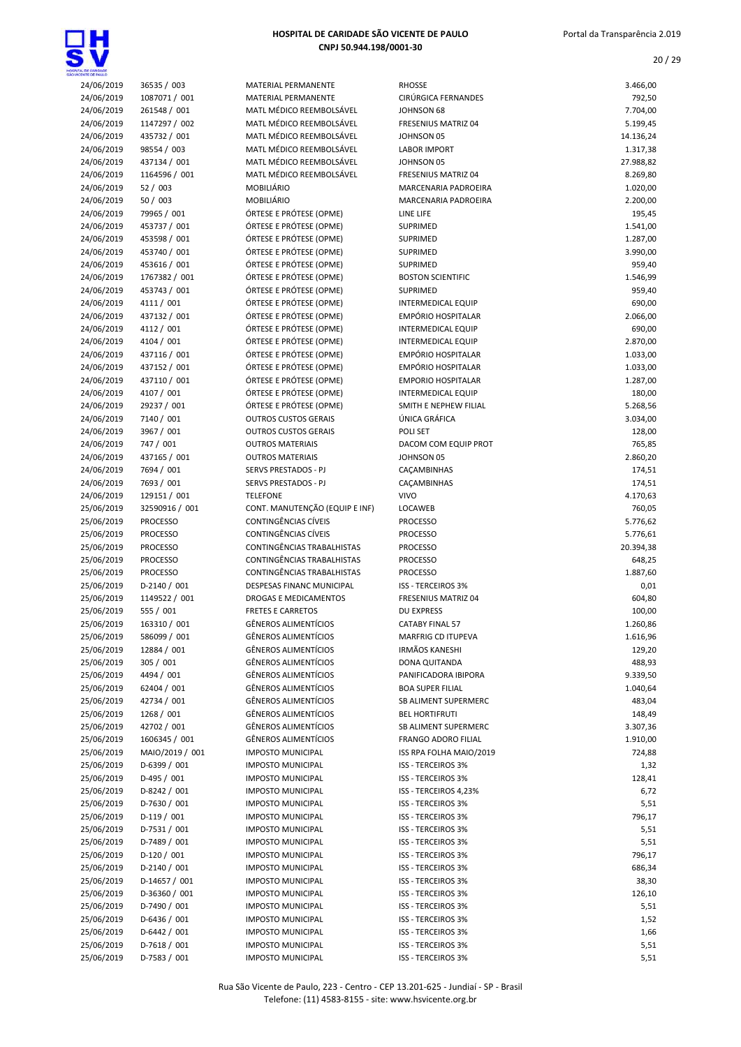

| ENTE CE PALL O           |                             |                                                    |                                                 |                    |
|--------------------------|-----------------------------|----------------------------------------------------|-------------------------------------------------|--------------------|
| 24/06/2019               | 36535 / 003                 | MATERIAL PERMANENTE                                | <b>RHOSSE</b>                                   | 3.466,00           |
| 24/06/2019               | 1087071 / 001               | MATERIAL PERMANENTE                                | <b>CIRÚRGICA FERNANDES</b>                      | 792,50             |
| 24/06/2019               | 261548 / 001                | MATL MÉDICO REEMBOLSÁVEL                           | JOHNSON 68                                      | 7.704,00           |
| 24/06/2019               | 1147297 / 002               | MATL MÉDICO REEMBOLSÁVEL                           | FRESENIUS MATRIZ 04                             | 5.199,45           |
| 24/06/2019               | 435732 / 001                | MATL MÉDICO REEMBOLSÁVEL                           | JOHNSON 05                                      | 14.136,24          |
| 24/06/2019               | 98554 / 003                 | MATL MÉDICO REEMBOLSÁVEL                           | <b>LABOR IMPORT</b>                             | 1.317,38           |
| 24/06/2019               | 437134 / 001                | MATL MÉDICO REEMBOLSÁVEL                           | JOHNSON 05                                      | 27.988,82          |
| 24/06/2019               | 1164596 / 001               | MATL MÉDICO REEMBOLSÁVEL                           | FRESENIUS MATRIZ 04                             | 8.269,80           |
| 24/06/2019               | 52 / 003                    | MOBILIÁRIO                                         | MARCENARIA PADROEIRA                            | 1.020,00           |
| 24/06/2019               | 50/003                      | MOBILIÁRIO                                         | MARCENARIA PADROEIRA                            | 2.200,00           |
| 24/06/2019               | 79965 / 001                 | ÓRTESE E PRÓTESE (OPME)                            | LINE LIFE                                       | 195,45             |
| 24/06/2019               | 453737 / 001                | ÓRTESE E PRÓTESE (OPME)                            | SUPRIMED                                        | 1.541,00           |
| 24/06/2019               | 453598 / 001                | ÓRTESE E PRÓTESE (OPME)                            | SUPRIMED                                        | 1.287,00           |
| 24/06/2019               | 453740 / 001                | ÓRTESE E PRÓTESE (OPME)                            | SUPRIMED                                        | 3.990,00           |
| 24/06/2019               | 453616 / 001                | ÓRTESE E PRÓTESE (OPME)                            | <b>SUPRIMED</b>                                 | 959,40             |
| 24/06/2019               | 1767382 / 001               | ÓRTESE E PRÓTESE (OPME)<br>ÓRTESE E PRÓTESE (OPME) | <b>BOSTON SCIENTIFIC</b>                        | 1.546,99           |
| 24/06/2019               | 453743 / 001                |                                                    | SUPRIMED                                        | 959,40             |
| 24/06/2019<br>24/06/2019 | 4111 / 001<br>437132 / 001  | ÓRTESE E PRÓTESE (OPME)<br>ÓRTESE E PRÓTESE (OPME) | <b>INTERMEDICAL EQUIP</b><br>EMPÓRIO HOSPITALAR | 690,00<br>2.066,00 |
| 24/06/2019               | 4112 / 001                  | ÓRTESE E PRÓTESE (OPME)                            | <b>INTERMEDICAL EQUIP</b>                       | 690,00             |
| 24/06/2019               | 4104 / 001                  | ÓRTESE E PRÓTESE (OPME)                            | <b>INTERMEDICAL EQUIP</b>                       | 2.870,00           |
| 24/06/2019               | 437116 / 001                | ÓRTESE E PRÓTESE (OPME)                            | <b>EMPÓRIO HOSPITALAR</b>                       | 1.033,00           |
| 24/06/2019               | 437152 / 001                | ÓRTESE E PRÓTESE (OPME)                            | EMPÓRIO HOSPITALAR                              | 1.033,00           |
| 24/06/2019               | 437110 / 001                | ÓRTESE E PRÓTESE (OPME)                            | <b>EMPORIO HOSPITALAR</b>                       | 1.287,00           |
| 24/06/2019               | 4107 / 001                  | ÓRTESE E PRÓTESE (OPME)                            | <b>INTERMEDICAL EQUIP</b>                       | 180,00             |
| 24/06/2019               | 29237 / 001                 | ÓRTESE E PRÓTESE (OPME)                            | SMITH E NEPHEW FILIAL                           | 5.268,56           |
| 24/06/2019               | 7140 / 001                  | <b>OUTROS CUSTOS GERAIS</b>                        | ÚNICA GRÁFICA                                   | 3.034,00           |
| 24/06/2019               | 3967 / 001                  | <b>OUTROS CUSTOS GERAIS</b>                        | POLI SET                                        | 128,00             |
| 24/06/2019               | 747 / 001                   | <b>OUTROS MATERIAIS</b>                            | DACOM COM EQUIP PROT                            | 765,85             |
| 24/06/2019               | 437165 / 001                | <b>OUTROS MATERIAIS</b>                            | JOHNSON 05                                      | 2.860,20           |
| 24/06/2019               | 7694 / 001                  | SERVS PRESTADOS - PJ                               | CAÇAMBINHAS                                     | 174,51             |
| 24/06/2019               | 7693 / 001                  | SERVS PRESTADOS - PJ                               | CAÇAMBINHAS                                     | 174,51             |
| 24/06/2019               | 129151 / 001                | <b>TELEFONE</b>                                    | <b>VIVO</b>                                     | 4.170,63           |
| 25/06/2019               | 32590916 / 001              | CONT. MANUTENÇÃO (EQUIP E INF)                     | LOCAWEB                                         | 760,05             |
| 25/06/2019               | <b>PROCESSO</b>             | CONTINGÊNCIAS CÍVEIS                               | <b>PROCESSO</b>                                 | 5.776,62           |
| 25/06/2019               | <b>PROCESSO</b>             | CONTINGÊNCIAS CÍVEIS                               | <b>PROCESSO</b>                                 | 5.776,61           |
| 25/06/2019               | <b>PROCESSO</b>             | CONTINGÊNCIAS TRABALHISTAS                         | <b>PROCESSO</b>                                 | 20.394,38          |
| 25/06/2019               | <b>PROCESSO</b>             | CONTINGÊNCIAS TRABALHISTAS                         | <b>PROCESSO</b>                                 | 648,25             |
| 25/06/2019               | <b>PROCESSO</b>             | CONTINGÊNCIAS TRABALHISTAS                         | <b>PROCESSO</b>                                 | 1.887,60           |
| 25/06/2019               | D-2140 / 001                | DESPESAS FINANC MUNICIPAL                          | <b>ISS - TERCEIROS 3%</b>                       | 0,01               |
| 25/06/2019               | 1149522 / 001               | <b>DROGAS E MEDICAMENTOS</b>                       | FRESENIUS MATRIZ 04                             | 604,80             |
| 25/06/2019               | 555 / 001                   | <b>FRETES E CARRETOS</b>                           | <b>DU EXPRESS</b>                               | 100,00             |
| 25/06/2019               | 163310 / 001                | <b>GÊNEROS ALIMENTÍCIOS</b>                        | <b>CATABY FINAL 57</b>                          | 1.260,86           |
| 25/06/2019               | 586099 / 001                | <b>GÊNEROS ALIMENTÍCIOS</b>                        | MARFRIG CD ITUPEVA                              | 1.616,96           |
| 25/06/2019               | 12884 / 001                 | <b>GÊNEROS ALIMENTÍCIOS</b>                        | <b>IRMÃOS KANESHI</b>                           | 129,20             |
| 25/06/2019               | 305 / 001                   | <b>GÊNEROS ALIMENTÍCIOS</b>                        | <b>DONA QUITANDA</b>                            | 488,93             |
| 25/06/2019               | 4494 / 001                  | GÊNEROS ALIMENTÍCIOS                               | PANIFICADORA IBIPORA                            | 9.339,50           |
| 25/06/2019               | 62404 / 001                 | <b>GÊNEROS ALIMENTÍCIOS</b>                        | <b>BOA SUPER FILIAL</b>                         | 1.040,64           |
| 25/06/2019               | 42734 / 001                 | <b>GÊNEROS ALIMENTÍCIOS</b>                        | SB ALIMENT SUPERMERC                            | 483,04             |
| 25/06/2019               | 1268 / 001                  | <b>GÊNEROS ALIMENTÍCIOS</b>                        | <b>BEL HORTIFRUTI</b>                           | 148,49             |
| 25/06/2019               | 42702 / 001                 | <b>GÊNEROS ALIMENTÍCIOS</b>                        | SB ALIMENT SUPERMERC                            | 3.307,36           |
| 25/06/2019               | 1606345 / 001               | <b>GÊNEROS ALIMENTÍCIOS</b>                        | <b>FRANGO ADORO FILIAL</b>                      | 1.910,00           |
| 25/06/2019               | MAIO/2019 / 001             | <b>IMPOSTO MUNICIPAL</b>                           | ISS RPA FOLHA MAIO/2019                         | 724,88             |
| 25/06/2019               | D-6399 / 001                | <b>IMPOSTO MUNICIPAL</b>                           | <b>ISS - TERCEIROS 3%</b>                       | 1,32               |
| 25/06/2019               | D-495 / 001                 | <b>IMPOSTO MUNICIPAL</b>                           | ISS - TERCEIROS 3%                              | 128,41             |
| 25/06/2019               | D-8242 / 001                | <b>IMPOSTO MUNICIPAL</b>                           | ISS - TERCEIROS 4,23%                           | 6,72               |
| 25/06/2019               | D-7630 / 001                | <b>IMPOSTO MUNICIPAL</b>                           | <b>ISS - TERCEIROS 3%</b>                       | 5,51               |
| 25/06/2019               | $D-119/001$                 | <b>IMPOSTO MUNICIPAL</b>                           | ISS - TERCEIROS 3%                              | 796,17             |
| 25/06/2019               | $D-7531/001$                | <b>IMPOSTO MUNICIPAL</b>                           | <b>ISS - TERCEIROS 3%</b>                       | 5,51               |
| 25/06/2019               | D-7489 / 001                | <b>IMPOSTO MUNICIPAL</b>                           | <b>ISS - TERCEIROS 3%</b>                       | 5,51               |
| 25/06/2019<br>25/06/2019 | $D-120/001$<br>D-2140 / 001 | <b>IMPOSTO MUNICIPAL</b>                           | ISS - TERCEIROS 3%                              | 796,17             |
|                          |                             | <b>IMPOSTO MUNICIPAL</b>                           | <b>ISS - TERCEIROS 3%</b>                       | 686,34             |
| 25/06/2019               | D-14657 / 001               | <b>IMPOSTO MUNICIPAL</b>                           | <b>ISS - TERCEIROS 3%</b>                       | 38,30              |
| 25/06/2019               | D-36360 / 001               | <b>IMPOSTO MUNICIPAL</b>                           | <b>ISS - TERCEIROS 3%</b>                       | 126,10             |
| 25/06/2019               | D-7490 / 001                | <b>IMPOSTO MUNICIPAL</b>                           | <b>ISS - TERCEIROS 3%</b>                       | 5,51               |
| 25/06/2019               | $D-6436 / 001$              | <b>IMPOSTO MUNICIPAL</b>                           | <b>ISS - TERCEIROS 3%</b>                       | 1,52               |
| 25/06/2019               | $D-6442 / 001$              | <b>IMPOSTO MUNICIPAL</b>                           | <b>ISS - TERCEIROS 3%</b>                       | 1,66               |
| 25/06/2019               | D-7618 / 001                | <b>IMPOSTO MUNICIPAL</b>                           | <b>ISS - TERCEIROS 3%</b>                       | 5,51               |
| 25/06/2019               | D-7583 / 001                | <b>IMPOSTO MUNICIPAL</b>                           | ISS - TERCEIROS 3%                              | 5,51               |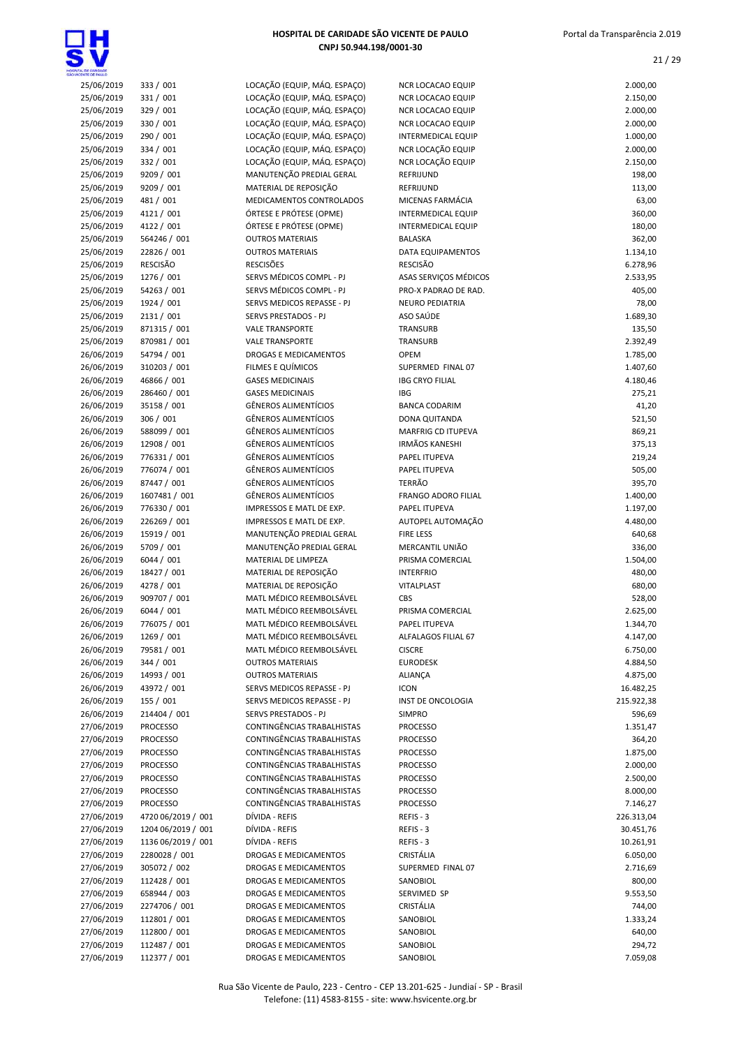

| a, ce caridade<br>Ente ce paix.c |                            |
|----------------------------------|----------------------------|
| 25/06/2019                       | 333 / 001                  |
| 25/06/2019                       | 331/001                    |
| 25/06/2019                       | 329 / 001                  |
| 25/06/2019                       | 330 / 001                  |
| 25/06/2019                       | 290 / 001                  |
| 25/06/2019                       | 334 / 001                  |
| 25/06/2019                       | 332 / 001                  |
| 25/06/2019                       | 9209 / 001                 |
| 25/06/2019                       | 9209 / 001                 |
| 25/06/2019                       | 481 / 001                  |
| 25/06/2019                       | 4121 / 001                 |
| 25/06/2019                       | 4122 / 001                 |
| 25/06/2019                       | 564246 / 001               |
| 25/06/2019                       | 22826 / 001                |
| 25/06/2019                       | RESCISÃO                   |
| 25/06/2019                       | 1276 / 001                 |
| 25/06/2019                       | 54263 / 001                |
| 25/06/2019                       | 1924 / 001                 |
| 25/06/2019                       | 2131/001                   |
| 25/06/2019                       | 871315 / 001               |
| 25/06/2019                       | 870981 / 001               |
| 26/06/2019                       | 54794 / 001                |
| 26/06/2019                       | 310203 / 001               |
| 26/06/2019                       | 46866 / 001                |
| 26/06/2019                       | 286460 / 001               |
| 26/06/2019                       | 35158 / 001                |
| 26/06/2019                       | 306 / 001                  |
| 26/06/2019                       | 588099 / 001               |
| 26/06/2019                       | 12908 / 001                |
| 26/06/2019                       | 776331/001                 |
| 26/06/2019                       | 776074/001                 |
| 26/06/2019                       | 87447 / 001                |
| 26/06/2019                       | 1607481 / 001              |
| 26/06/2019                       | 776330 / 001               |
| 26/06/2019                       | 226269 / 001               |
| 26/06/2019                       | 15919 / 001                |
| 26/06/2019                       | 5709 / 001                 |
| 26/06/2019                       | 6044 / 001                 |
| 26/06/2019                       | 18427 / 001                |
| 26/06/2019                       | 4278 / 001                 |
| 26/06/2019                       | 909707 / 001               |
| 26/06/2019<br>26/06/2019         | 6044 / 001<br>776075 / 001 |
|                                  |                            |
| 26/06/2019<br>26/06/2019         | 1269 / 001<br>79581 / 001  |
| 26/06/2019                       | 344 / 001                  |
| 26/06/2019                       | 14993 / 001                |
| 26/06/2019                       | 43972 / 001                |
| 26/06/2019                       | 155 / 001                  |
| 26/06/2019                       | 214404 / 001               |
| 27/06/2019                       | <b>PROCESSO</b>            |
| 27/06/2019                       | <b>PROCESSO</b>            |
| 27/06/2019                       | <b>PROCESSO</b>            |
| 27/06/2019                       | <b>PROCESSO</b>            |
| 27/06/2019                       | <b>PROCESSO</b>            |
| 27/06/2019                       | <b>PROCESSO</b>            |
| 27/06/2019                       | PROCESSO                   |
| 27/06/2019                       | 4720 06/2019 / 001         |
| 27/06/2019                       | 1204 06/2019 / 001         |
| 27/06/2019                       | 1136 06/2019 / 001         |
| 27/06/2019                       | 2280028 / 001              |
| 27/06/2019                       | 305072 / 002               |
| 27/06/2019                       | 112428 / 001               |
| 27/06/2019                       | 658944 / 003               |
| 27/06/2019                       | 2274706 / 001              |
| 27/06/2019                       | 112801 / 001               |

## LOCAÇÃO (EQUIP, MÁQ. ESPAÇO) LOCAÇÃO (EQUIP, MÁQ. ESPAÇO) LOCAÇÃO (EQUIP, MÁQ. ESPAÇO) LOCAÇÃO (EQUIP, MÁQ. ESPAÇO) LOCAÇÃO (EQUIP, MÁQ. ESPAÇO) LOCAÇÃO (EQUIP, MÁQ. ESPAÇO) LOCAÇÃO (EQUIP, MÁQ. ESPAÇO) MANUTENÇÃO PREDIAL GERAL MATERIAL DE REPOSIÇÃO MEDICAMENTOS CONTROLADOS ÓRTESE E PRÓTESE (OPME) ÓRTESE E PRÓTESE (OPME) OUTROS MATERIAIS **OUTROS MATERIAIS** SERVS MÉDICOS COMPL - PJ SERVS MÉDICOS COMPL - PJ SERVS MEDICOS REPASSE - PJ VALE TRANSPORTE DROGAS E MEDICAMENTOS FILMES E QUÍMICOS **GASES MEDICINAIS** GÊNEROS ALIMENTÍCIOS GÊNEROS ALIMENTÍCIOS GÊNEROS ALIMENTÍCIOS GÊNEROS ALIMENTÍCIOS GÊNEROS ALIMENTÍCIOS GÊNEROS ALIMENTÍCIOS GÊNEROS ALIMENTÍCIOS GÊNEROS ALIMENTÍCIOS IMPRESSOS E MATL DE EXP. IMPRESSOS E MATL DE EXP. MANUTENÇÃO PREDIAL GERAL MANUTENÇÃO PREDIAL GERAL MATERIAL DE LIMPEZA MATERIAL DE REPOSIÇÃO MATERIAL DE REPOSIÇÃO MATL MÉDICO REEMBOLSÁVEL MATL MÉDICO REEMBOLSÁVEL MATL MÉDICO REEMBOLSÁVEL MATL MÉDICO REEMBOLSÁVEL MATL MÉDICO REEMBOLSÁVEL **OUTROS MATERIAIS** SERVS MEDICOS REPASSE - PJ SERVS MEDICOS REPASSE - PJ SERVS PRESTADOS - PJ CONTINGÊNCIAS TRABALHISTAS CONTINGÊNCIAS TRABALHISTAS CONTINGÊNCIAS TRABALHISTAS CONTINGÊNCIAS TRABALHISTAS CONTINGÊNCIAS TRABALHISTAS CONTINGÊNCIAS TRABALHISTAS CONTINGÊNCIAS TRABALHISTAS DROGAS E MEDICAMENTOS DROGAS E MEDICAMENTOS DROGAS E MEDICAMENTOS DROGAS E MEDICAMENTOS DROGAS E MEDICAMENTOS DROGAS E MEDICAMENTOS 27/06/2019 112800 / 001 DROGAS E MEDICAMENTOS 27/06/2019 112487 / 001 DROGAS E MEDICAMENTOS<br>27/06/2019 112377 / 001 DROGAS E MEDICAMENTOS DROGAS E MEDICAMENTOS

HOSPITAL DE CARIDADE SÃO VICENTE DE PAULO CNPJ 50.944.198/0001-30

| L DE CAMBADE<br>ENTE DE PAULO |                              |                                                            |                                               | 2                    |
|-------------------------------|------------------------------|------------------------------------------------------------|-----------------------------------------------|----------------------|
| 25/06/2019                    | 333 / 001                    | LOCAÇÃO (EQUIP, MÁQ. ESPAÇO)                               | <b>NCR LOCACAO EQUIP</b>                      | 2.000,00             |
| 25/06/2019                    | 331 / 001                    | LOCAÇÃO (EQUIP, MÁQ. ESPAÇO)                               | <b>NCR LOCACAO EQUIP</b>                      | 2.150,00             |
| 25/06/2019                    | 329 / 001                    | LOCAÇÃO (EQUIP, MÁQ. ESPAÇO)                               | NCR LOCACAO EQUIP                             | 2.000,00             |
| 25/06/2019                    | 330 / 001                    | LOCAÇÃO (EQUIP, MÁQ. ESPAÇO)                               | <b>NCR LOCACAO EQUIP</b>                      | 2.000,00             |
| 25/06/2019                    | 290 / 001                    | LOCAÇÃO (EQUIP, MÁQ. ESPAÇO)                               | <b>INTERMEDICAL EQUIP</b>                     | 1.000,00             |
| 25/06/2019                    | 334 / 001                    | LOCAÇÃO (EQUIP, MÁQ. ESPAÇO)                               | NCR LOCAÇÃO EQUIP<br>NCR LOCAÇÃO EQUIP        | 2.000,00             |
| 25/06/2019<br>25/06/2019      | 332 / 001<br>9209 / 001      | LOCAÇÃO (EQUIP, MÁQ. ESPAÇO)<br>MANUTENÇÃO PREDIAL GERAL   | REFRIJUND                                     | 2.150,00<br>198,00   |
| 25/06/2019                    | 9209 / 001                   | MATERIAL DE REPOSIÇÃO                                      | REFRIJUND                                     | 113,00               |
| 25/06/2019                    | 481 / 001                    | MEDICAMENTOS CONTROLADOS                                   | MICENAS FARMÁCIA                              | 63,00                |
| 25/06/2019                    | 4121 / 001                   | ÓRTESE E PRÓTESE (OPME)                                    | <b>INTERMEDICAL EQUIP</b>                     | 360,00               |
| 25/06/2019                    | 4122 / 001                   | ÓRTESE E PRÓTESE (OPME)                                    | <b>INTERMEDICAL EQUIP</b>                     | 180,00               |
| 25/06/2019                    | 564246 / 001                 | <b>OUTROS MATERIAIS</b>                                    | <b>BALASKA</b>                                | 362,00               |
| 25/06/2019                    | 22826 / 001                  | <b>OUTROS MATERIAIS</b>                                    | <b>DATA EQUIPAMENTOS</b>                      | 1.134,10             |
| 25/06/2019                    | RESCISÃO                     | <b>RESCISÕES</b>                                           | <b>RESCISÃO</b>                               | 6.278,96             |
| 25/06/2019<br>25/06/2019      | 1276 / 001<br>54263 / 001    | SERVS MÉDICOS COMPL - PJ<br>SERVS MÉDICOS COMPL - PJ       | ASAS SERVIÇOS MÉDICOS<br>PRO-X PADRAO DE RAD. | 2.533,95<br>405,00   |
| 25/06/2019                    | 1924 / 001                   | SERVS MEDICOS REPASSE - PJ                                 | <b>NEURO PEDIATRIA</b>                        | 78,00                |
| 25/06/2019                    | 2131 / 001                   | SERVS PRESTADOS - PJ                                       | ASO SAÚDE                                     | 1.689,30             |
| 25/06/2019                    | 871315 / 001                 | <b>VALE TRANSPORTE</b>                                     | TRANSURB                                      | 135,50               |
| 25/06/2019                    | 870981 / 001                 | <b>VALE TRANSPORTE</b>                                     | <b>TRANSURB</b>                               | 2.392,49             |
| 26/06/2019                    | 54794 / 001                  | <b>DROGAS E MEDICAMENTOS</b>                               | <b>OPEM</b>                                   | 1.785,00             |
| 26/06/2019                    | 310203 / 001                 | FILMES E QUÍMICOS                                          | SUPERMED FINAL 07                             | 1.407,60             |
| 26/06/2019                    | 46866 / 001                  | <b>GASES MEDICINAIS</b>                                    | <b>IBG CRYO FILIAL</b>                        | 4.180,46             |
| 26/06/2019                    | 286460 / 001<br>35158 / 001  | <b>GASES MEDICINAIS</b>                                    | <b>IBG</b>                                    | 275,21               |
| 26/06/2019<br>26/06/2019      | 306 / 001                    | <b>GÊNEROS ALIMENTÍCIOS</b><br><b>GÊNEROS ALIMENTÍCIOS</b> | <b>BANCA CODARIM</b><br>DONA QUITANDA         | 41,20<br>521,50      |
| 26/06/2019                    | 588099 / 001                 | <b>GÊNEROS ALIMENTÍCIOS</b>                                | <b>MARFRIG CD ITUPEVA</b>                     | 869,21               |
| 26/06/2019                    | 12908 / 001                  | <b>GÊNEROS ALIMENTÍCIOS</b>                                | <b>IRMÃOS KANESHI</b>                         | 375,13               |
| 26/06/2019                    | 776331 / 001                 | <b>GÊNEROS ALIMENTÍCIOS</b>                                | PAPEL ITUPEVA                                 | 219,24               |
| 26/06/2019                    | 776074 / 001                 | <b>GÊNEROS ALIMENTÍCIOS</b>                                | PAPEL ITUPEVA                                 | 505,00               |
| 26/06/2019                    | 87447 / 001                  | <b>GÊNEROS ALIMENTÍCIOS</b>                                | <b>TERRÃO</b>                                 | 395,70               |
| 26/06/2019                    | 1607481 / 001                | <b>GÊNEROS ALIMENTÍCIOS</b>                                | <b>FRANGO ADORO FILIAL</b>                    | 1.400,00             |
| 26/06/2019                    | 776330 / 001                 | IMPRESSOS E MATL DE EXP.                                   | PAPEL ITUPEVA                                 | 1.197,00             |
| 26/06/2019                    | 226269 / 001                 | IMPRESSOS E MATL DE EXP.                                   | AUTOPEL AUTOMAÇÃO                             | 4.480,00             |
| 26/06/2019<br>26/06/2019      | 15919 / 001<br>5709 / 001    | MANUTENÇÃO PREDIAL GERAL<br>MANUTENÇÃO PREDIAL GERAL       | <b>FIRE LESS</b><br>MERCANTIL UNIÃO           | 640,68<br>336,00     |
| 26/06/2019                    | 6044 / 001                   | MATERIAL DE LIMPEZA                                        | PRISMA COMERCIAL                              | 1.504,00             |
| 26/06/2019                    | 18427 / 001                  | MATERIAL DE REPOSIÇÃO                                      | <b>INTERFRIO</b>                              | 480,00               |
| 26/06/2019                    | 4278 / 001                   | MATERIAL DE REPOSIÇÃO                                      | VITALPLAST                                    | 680,00               |
| 26/06/2019                    | 909707 / 001                 | MATL MÉDICO REEMBOLSÁVEL                                   | CBS                                           | 528,00               |
| 26/06/2019                    | 6044 / 001                   | MATL MÉDICO REEMBOLSÁVEL                                   | PRISMA COMERCIAL                              | 2.625,00             |
| 26/06/2019                    | 776075 / 001                 | MATL MÉDICO REEMBOLSÁVEL                                   | PAPEL ITUPEVA                                 | 1.344,70             |
| 26/06/2019                    | 1269 / 001                   | MATL MÉDICO REEMBOLSÁVEL                                   | ALFALAGOS FILIAL 67                           | 4.147,00             |
| 26/06/2019                    | 79581 / 001                  | MATL MÉDICO REEMBOLSÁVEL                                   | <b>CISCRE</b>                                 | 6.750,00             |
| 26/06/2019<br>26/06/2019      | 344 / 001<br>14993 / 001     | <b>OUTROS MATERIAIS</b><br><b>OUTROS MATERIAIS</b>         | <b>EURODESK</b><br>ALIANÇA                    | 4.884,50<br>4.875,00 |
| 26/06/2019                    | 43972 / 001                  | SERVS MEDICOS REPASSE - PJ                                 | <b>ICON</b>                                   | 16.482,25            |
| 26/06/2019                    | 155 / 001                    | SERVS MEDICOS REPASSE - PJ                                 | INST DE ONCOLOGIA                             | 215.922,38           |
| 26/06/2019                    | 214404 / 001                 | SERVS PRESTADOS - PJ                                       | <b>SIMPRO</b>                                 | 596,69               |
| 27/06/2019                    | <b>PROCESSO</b>              | CONTINGÊNCIAS TRABALHISTAS                                 | <b>PROCESSO</b>                               | 1.351,47             |
| 27/06/2019                    | <b>PROCESSO</b>              | CONTINGÊNCIAS TRABALHISTAS                                 | <b>PROCESSO</b>                               | 364,20               |
| 27/06/2019                    | <b>PROCESSO</b>              | CONTINGÊNCIAS TRABALHISTAS                                 | <b>PROCESSO</b>                               | 1.875,00             |
| 27/06/2019                    | <b>PROCESSO</b>              | CONTINGÊNCIAS TRABALHISTAS                                 | <b>PROCESSO</b>                               | 2.000,00             |
| 27/06/2019                    | <b>PROCESSO</b>              | CONTINGÊNCIAS TRABALHISTAS                                 | <b>PROCESSO</b>                               | 2.500,00             |
| 27/06/2019<br>27/06/2019      | PROCESSO<br><b>PROCESSO</b>  | CONTINGÊNCIAS TRABALHISTAS<br>CONTINGÊNCIAS TRABALHISTAS   | <b>PROCESSO</b><br><b>PROCESSO</b>            | 8.000,00<br>7.146,27 |
| 27/06/2019                    | 4720 06/2019 / 001           | DÍVIDA - REFIS                                             | REFIS-3                                       | 226.313,04           |
| 27/06/2019                    | 1204 06/2019 / 001           | DÍVIDA - REFIS                                             | REFIS-3                                       | 30.451,76            |
| 27/06/2019                    | 1136 06/2019 / 001           | DÍVIDA - REFIS                                             | REFIS - 3                                     | 10.261,91            |
| 27/06/2019                    | 2280028 / 001                | DROGAS E MEDICAMENTOS                                      | CRISTÁLIA                                     | 6.050,00             |
| 27/06/2019                    | 305072 / 002                 | DROGAS E MEDICAMENTOS                                      | SUPERMED FINAL 07                             | 2.716,69             |
| 27/06/2019                    | 112428 / 001                 | DROGAS E MEDICAMENTOS                                      | SANOBIOL                                      | 800,00               |
| 27/06/2019                    | 658944 / 003                 | DROGAS E MEDICAMENTOS                                      | SERVIMED SP                                   | 9.553,50             |
| 27/06/2019                    | 2274706 / 001                | DROGAS E MEDICAMENTOS                                      | CRISTÁLIA                                     | 744,00               |
| 27/06/2019<br>27/06/2019      | 112801 / 001<br>112800 / 001 | DROGAS E MEDICAMENTOS                                      | SANOBIOL                                      | 1.333,24             |
| 27/06/2019                    | 112487 / 001                 | DROGAS E MEDICAMENTOS<br>DROGAS E MEDICAMENTOS             | SANOBIOL<br>SANOBIOL                          | 640,00<br>294,72     |
| 27/06/2019                    | 112377 / 001                 | DROGAS E MEDICAMENTOS                                      | SANOBIOL                                      | 7.059,08             |
|                               |                              |                                                            |                                               |                      |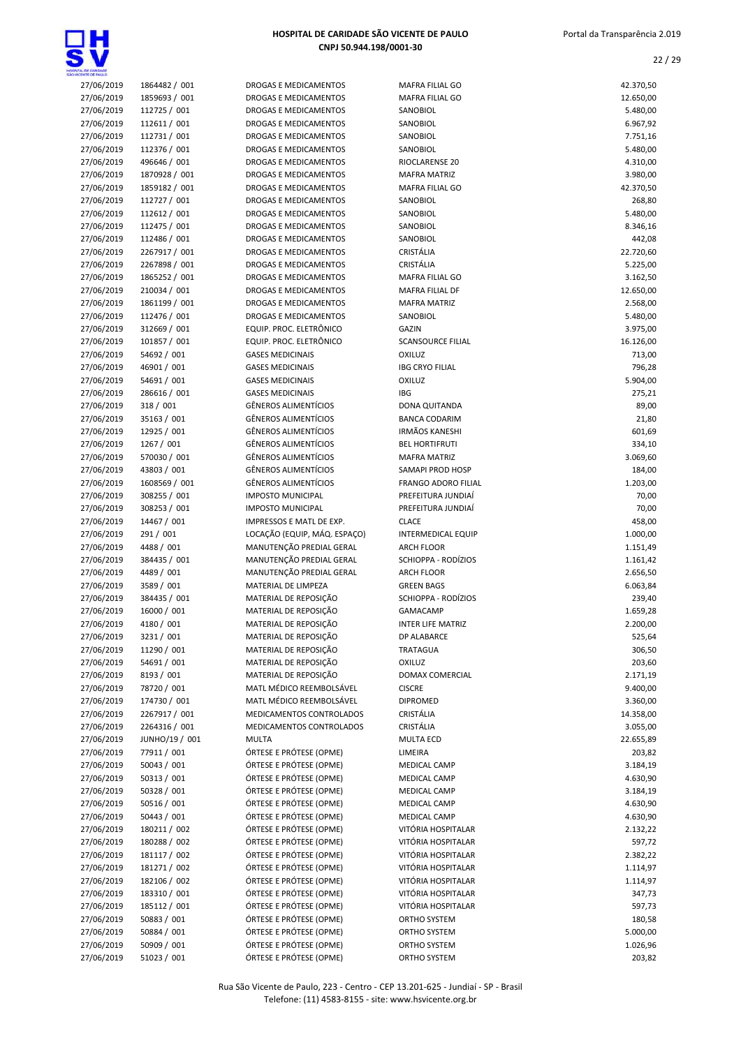

| HOSPITAL DE CARIDADE SÃO VICENTE DE PAULO |
|-------------------------------------------|
| CNPJ 50.944.198/0001-30                   |

| CENTE CE PAIX O          |                              |                                                          |                                           |                      |
|--------------------------|------------------------------|----------------------------------------------------------|-------------------------------------------|----------------------|
| 27/06/2019               | 1864482 / 001                | DROGAS E MEDICAMENTOS                                    | MAFRA FILIAL GO                           | 42.370,50            |
| 27/06/2019               | 1859693 / 001                | DROGAS E MEDICAMENTOS                                    | MAFRA FILIAL GO                           | 12.650,00            |
| 27/06/2019               | 112725 / 001                 | DROGAS E MEDICAMENTOS                                    | SANOBIOL                                  | 5.480,00             |
| 27/06/2019               | 112611 / 001                 | DROGAS E MEDICAMENTOS                                    | SANOBIOL                                  | 6.967,92             |
| 27/06/2019               | 112731 / 001                 | <b>DROGAS E MEDICAMENTOS</b>                             | <b>SANOBIOL</b>                           | 7.751,16             |
| 27/06/2019               | 112376 / 001                 | <b>DROGAS E MEDICAMENTOS</b>                             | SANOBIOL                                  | 5.480,00             |
| 27/06/2019               | 496646 / 001                 | DROGAS E MEDICAMENTOS                                    | RIOCLARENSE 20                            | 4.310,00             |
| 27/06/2019               | 1870928 / 001                | DROGAS E MEDICAMENTOS                                    | <b>MAFRA MATRIZ</b>                       | 3.980,00             |
| 27/06/2019               | 1859182 / 001                | DROGAS E MEDICAMENTOS                                    | <b>MAFRA FILIAL GO</b>                    | 42.370,50            |
| 27/06/2019               | 112727 / 001                 | DROGAS E MEDICAMENTOS                                    | SANOBIOL                                  | 268,80               |
| 27/06/2019<br>27/06/2019 | 112612 / 001                 | DROGAS E MEDICAMENTOS                                    | SANOBIOL                                  | 5.480,00             |
| 27/06/2019               | 112475 / 001<br>112486 / 001 | DROGAS E MEDICAMENTOS<br>DROGAS E MEDICAMENTOS           | SANOBIOL<br>SANOBIOL                      | 8.346,16<br>442,08   |
| 27/06/2019               | 2267917 / 001                | DROGAS E MEDICAMENTOS                                    | CRISTÁLIA                                 | 22.720,60            |
| 27/06/2019               | 2267898 / 001                | DROGAS E MEDICAMENTOS                                    | CRISTÁLIA                                 | 5.225,00             |
| 27/06/2019               | 1865252 / 001                | DROGAS E MEDICAMENTOS                                    | <b>MAFRA FILIAL GO</b>                    | 3.162,50             |
| 27/06/2019               | 210034 / 001                 | DROGAS E MEDICAMENTOS                                    | MAFRA FILIAL DF                           | 12.650,00            |
| 27/06/2019               | 1861199 / 001                | DROGAS E MEDICAMENTOS                                    | <b>MAFRA MATRIZ</b>                       | 2.568,00             |
| 27/06/2019               | 112476 / 001                 | DROGAS E MEDICAMENTOS                                    | SANOBIOL                                  | 5.480,00             |
| 27/06/2019               | 312669 / 001                 | EQUIP. PROC. ELETRÔNICO                                  | <b>GAZIN</b>                              | 3.975,00             |
| 27/06/2019               | 101857 / 001                 | EQUIP. PROC. ELETRÔNICO                                  | <b>SCANSOURCE FILIAL</b>                  | 16.126,00            |
| 27/06/2019               | 54692 / 001                  | <b>GASES MEDICINAIS</b>                                  | <b>OXILUZ</b>                             | 713,00               |
| 27/06/2019               | 46901 / 001                  | <b>GASES MEDICINAIS</b>                                  | <b>IBG CRYO FILIAL</b>                    | 796,28               |
| 27/06/2019               | 54691 / 001                  | <b>GASES MEDICINAIS</b>                                  | <b>OXILUZ</b>                             | 5.904,00             |
| 27/06/2019               | 286616 / 001                 | <b>GASES MEDICINAIS</b>                                  | <b>IBG</b>                                | 275,21               |
| 27/06/2019               | 318 / 001                    | <b>GÊNEROS ALIMENTÍCIOS</b>                              | DONA QUITANDA                             | 89,00                |
| 27/06/2019               | 35163 / 001                  | <b>GÊNEROS ALIMENTÍCIOS</b>                              | <b>BANCA CODARIM</b>                      | 21,80                |
| 27/06/2019               | 12925 / 001                  | <b>GÊNEROS ALIMENTÍCIOS</b>                              | <b>IRMÃOS KANESHI</b>                     | 601,69               |
| 27/06/2019               | 1267 / 001                   | <b>GÊNEROS ALIMENTÍCIOS</b>                              | <b>BEL HORTIFRUTI</b>                     | 334,10               |
| 27/06/2019               | 570030 / 001                 | <b>GÊNEROS ALIMENTÍCIOS</b>                              | <b>MAFRA MATRIZ</b>                       | 3.069,60             |
| 27/06/2019               | 43803 / 001                  | <b>GÊNEROS ALIMENTÍCIOS</b>                              | SAMAPI PROD HOSP                          | 184,00               |
| 27/06/2019               | 1608569 / 001                | <b>GÊNEROS ALIMENTÍCIOS</b>                              | <b>FRANGO ADORO FILIAL</b>                | 1.203,00             |
| 27/06/2019               | 308255 / 001                 | <b>IMPOSTO MUNICIPAL</b>                                 | PREFEITURA JUNDIAÍ                        | 70,00                |
| 27/06/2019               | 308253 / 001                 | <b>IMPOSTO MUNICIPAL</b>                                 | PREFEITURA JUNDIAÍ                        | 70,00                |
| 27/06/2019<br>27/06/2019 | 14467 / 001<br>291 / 001     | IMPRESSOS E MATL DE EXP.<br>LOCAÇÃO (EQUIP, MÁQ. ESPAÇO) | <b>CLACE</b><br><b>INTERMEDICAL EQUIP</b> | 458,00<br>1.000,00   |
| 27/06/2019               | 4488 / 001                   | MANUTENÇÃO PREDIAL GERAL                                 | <b>ARCH FLOOR</b>                         | 1.151,49             |
| 27/06/2019               | 384435 / 001                 | MANUTENÇÃO PREDIAL GERAL                                 | SCHIOPPA - RODÍZIOS                       | 1.161,42             |
| 27/06/2019               | 4489 / 001                   | MANUTENÇÃO PREDIAL GERAL                                 | <b>ARCH FLOOR</b>                         | 2.656,50             |
| 27/06/2019               | 3589 / 001                   | MATERIAL DE LIMPEZA                                      | <b>GREEN BAGS</b>                         | 6.063,84             |
| 27/06/2019               | 384435 / 001                 | MATERIAL DE REPOSIÇÃO                                    | SCHIOPPA - RODÍZIOS                       | 239,40               |
| 27/06/2019               | 16000 / 001                  | MATERIAL DE REPOSIÇÃO                                    | <b>GAMACAMP</b>                           | 1.659,28             |
| 27/06/2019               | 4180 / 001                   | MATERIAL DE REPOSIÇÃO                                    | <b>INTER LIFE MATRIZ</b>                  | 2.200,00             |
| 27/06/2019               | 3231/001                     | MATERIAL DE REPOSIÇÃO                                    | DP ALABARCE                               | 525,64               |
| 27/06/2019               | 11290 / 001                  | MATERIAL DE REPOSIÇÃO                                    | TRATAGUA                                  | 306,50               |
| 27/06/2019               | 54691 / 001                  | MATERIAL DE REPOSIÇÃO                                    | <b>OXILUZ</b>                             | 203,60               |
| 27/06/2019               | 8193 / 001                   | MATERIAL DE REPOSIÇÃO                                    | DOMAX COMERCIAL                           | 2.171,19             |
| 27/06/2019               | 78720 / 001                  | MATL MÉDICO REEMBOLSÁVEL                                 | <b>CISCRE</b>                             | 9.400,00             |
| 27/06/2019               | 174730 / 001                 | MATL MÉDICO REEMBOLSÁVEL                                 | <b>DIPROMED</b>                           | 3.360,00             |
| 27/06/2019               | 2267917 / 001                | MEDICAMENTOS CONTROLADOS                                 | CRISTÁLIA                                 | 14.358,00            |
| 27/06/2019               | 2264316 / 001                | MEDICAMENTOS CONTROLADOS                                 | CRISTÁLIA                                 | 3.055,00             |
| 27/06/2019               | JUNHO/19 / 001               | <b>MULTA</b>                                             | <b>MULTA ECD</b>                          | 22.655,89            |
| 27/06/2019               | 77911 / 001                  | ÓRTESE E PRÓTESE (OPME)                                  | LIMEIRA                                   | 203,82               |
| 27/06/2019               | 50043 / 001                  | ÓRTESE E PRÓTESE (OPME)                                  | MEDICAL CAMP                              | 3.184,19             |
| 27/06/2019<br>27/06/2019 | 50313 / 001<br>50328 / 001   | ÓRTESE E PRÓTESE (OPME)<br>ÓRTESE E PRÓTESE (OPME)       | MEDICAL CAMP<br>MEDICAL CAMP              | 4.630,90<br>3.184,19 |
| 27/06/2019               | 50516 / 001                  | ÓRTESE E PRÓTESE (OPME)                                  | MEDICAL CAMP                              | 4.630,90             |
| 27/06/2019               | 50443 / 001                  | ÓRTESE E PRÓTESE (OPME)                                  | <b>MEDICAL CAMP</b>                       | 4.630,90             |
| 27/06/2019               | 180211 / 002                 | ÓRTESE E PRÓTESE (OPME)                                  | VITÓRIA HOSPITALAR                        | 2.132,22             |
| 27/06/2019               | 180288 / 002                 | ÓRTESE E PRÓTESE (OPME)                                  | VITÓRIA HOSPITALAR                        | 597,72               |
| 27/06/2019               | 181117 / 002                 | ÓRTESE E PRÓTESE (OPME)                                  | VITÓRIA HOSPITALAR                        | 2.382,22             |
| 27/06/2019               | 181271 / 002                 | ÓRTESE E PRÓTESE (OPME)                                  | VITÓRIA HOSPITALAR                        | 1.114,97             |
| 27/06/2019               | 182106 / 002                 | ÓRTESE E PRÓTESE (OPME)                                  | VITÓRIA HOSPITALAR                        | 1.114,97             |
| 27/06/2019               | 183310 / 001                 | ÓRTESE E PRÓTESE (OPME)                                  | VITÓRIA HOSPITALAR                        | 347,73               |
| 27/06/2019               | 185112 / 001                 | ÓRTESE E PRÓTESE (OPME)                                  | VITÓRIA HOSPITALAR                        | 597,73               |
| 27/06/2019               | 50883 / 001                  | ÓRTESE E PRÓTESE (OPME)                                  | ORTHO SYSTEM                              | 180,58               |
| 27/06/2019               | 50884 / 001                  | ÓRTESE E PRÓTESE (OPME)                                  | ORTHO SYSTEM                              | 5.000,00             |
| 27/06/2019               | 50909 / 001                  | ÓRTESE E PRÓTESE (OPME)                                  | ORTHO SYSTEM                              | 1.026,96             |
| 27/06/2019               | 51023 / 001                  | ÓRTESE E PRÓTESE (OPME)                                  | ORTHO SYSTEM                              | 203,82               |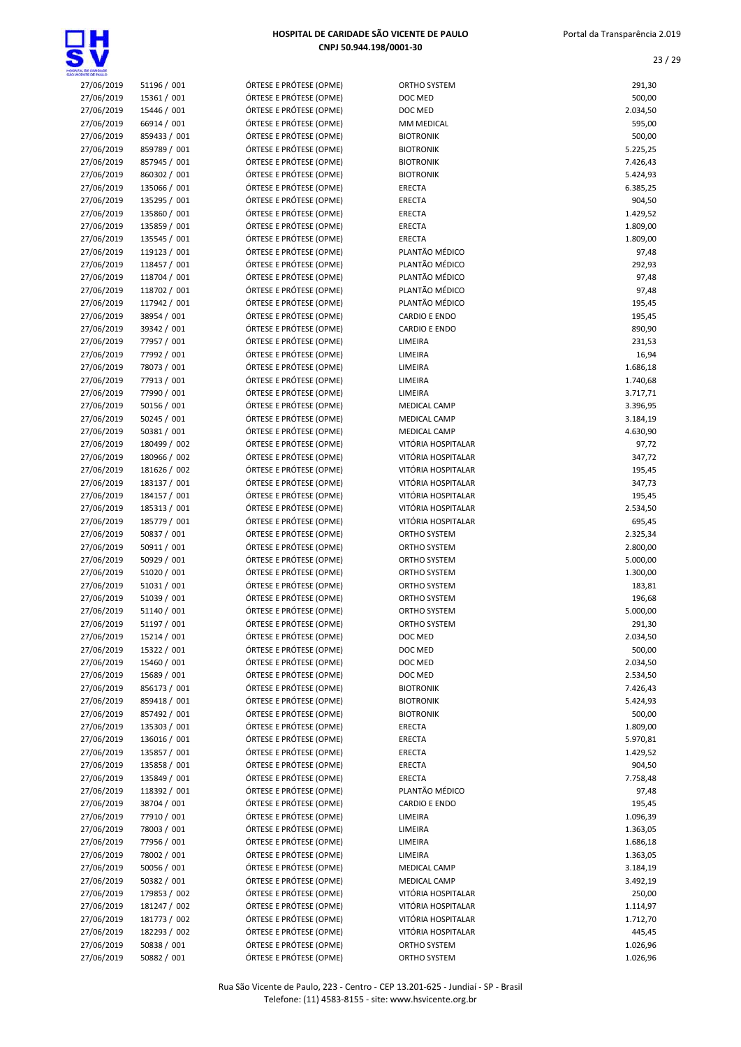

| OWCENTE CE PALLO         |                              |                                                    |                                          |                      |
|--------------------------|------------------------------|----------------------------------------------------|------------------------------------------|----------------------|
| 27/06/2019               | 51196 / 001                  | ÓRTESE E PRÓTESE (OPME)                            | ORTHO SYSTEM                             | 291,30               |
| 27/06/2019               | 15361 / 001                  | ÓRTESE E PRÓTESE (OPME)                            | DOC MED                                  | 500,00               |
| 27/06/2019               | 15446 / 001                  | ÓRTESE E PRÓTESE (OPME)                            | DOC MED                                  | 2.034,50             |
| 27/06/2019               | 66914 / 001<br>859433 / 001  | ÓRTESE E PRÓTESE (OPME)                            | MM MEDICAL<br><b>BIOTRONIK</b>           | 595,00               |
| 27/06/2019<br>27/06/2019 | 859789 / 001                 | ÓRTESE E PRÓTESE (OPME)<br>ÓRTESE E PRÓTESE (OPME) | <b>BIOTRONIK</b>                         | 500,00<br>5.225,25   |
| 27/06/2019               | 857945 / 001                 | ÓRTESE E PRÓTESE (OPME)                            | <b>BIOTRONIK</b>                         | 7.426,43             |
| 27/06/2019               | 860302 / 001                 | ÓRTESE E PRÓTESE (OPME)                            | <b>BIOTRONIK</b>                         | 5.424,93             |
| 27/06/2019               | 135066 / 001                 | ÓRTESE E PRÓTESE (OPME)                            | ERECTA                                   | 6.385,25             |
| 27/06/2019               | 135295 / 001                 | ÓRTESE E PRÓTESE (OPME)                            | ERECTA                                   | 904,50               |
| 27/06/2019               | 135860 / 001                 | ÓRTESE E PRÓTESE (OPME)                            | ERECTA                                   | 1.429,52             |
| 27/06/2019               | 135859 / 001                 | ÓRTESE E PRÓTESE (OPME)                            | ERECTA                                   | 1.809,00             |
| 27/06/2019               | 135545 / 001                 | ÓRTESE E PRÓTESE (OPME)                            | <b>ERECTA</b>                            | 1.809,00             |
| 27/06/2019               | 119123 / 001                 | ÓRTESE E PRÓTESE (OPME)                            | PLANTÃO MÉDICO                           | 97,48                |
| 27/06/2019               | 118457 / 001                 | ÓRTESE E PRÓTESE (OPME)                            | PLANTÃO MÉDICO                           | 292,93               |
| 27/06/2019               | 118704 / 001                 | ÓRTESE E PRÓTESE (OPME)                            | PLANTÃO MÉDICO<br>PLANTÃO MÉDICO         | 97,48                |
| 27/06/2019<br>27/06/2019 | 118702 / 001<br>117942 / 001 | ÓRTESE E PRÓTESE (OPME)<br>ÓRTESE E PRÓTESE (OPME) | PLANTÃO MÉDICO                           | 97,48<br>195,45      |
| 27/06/2019               | 38954 / 001                  | ÓRTESE E PRÓTESE (OPME)                            | <b>CARDIO E ENDO</b>                     | 195,45               |
| 27/06/2019               | 39342 / 001                  | ÓRTESE E PRÓTESE (OPME)                            | <b>CARDIO E ENDO</b>                     | 890,90               |
| 27/06/2019               | 77957 / 001                  | ÓRTESE E PRÓTESE (OPME)                            | LIMEIRA                                  | 231,53               |
| 27/06/2019               | 77992 / 001                  | ÓRTESE E PRÓTESE (OPME)                            | LIMEIRA                                  | 16,94                |
| 27/06/2019               | 78073 / 001                  | ÓRTESE E PRÓTESE (OPME)                            | LIMEIRA                                  | 1.686,18             |
| 27/06/2019               | 77913 / 001                  | ÓRTESE E PRÓTESE (OPME)                            | LIMEIRA                                  | 1.740,68             |
| 27/06/2019               | 77990 / 001                  | ÓRTESE E PRÓTESE (OPME)                            | LIMEIRA                                  | 3.717,71             |
| 27/06/2019               | 50156 / 001                  | ÓRTESE E PRÓTESE (OPME)                            | <b>MEDICAL CAMP</b>                      | 3.396,95             |
| 27/06/2019               | 50245 / 001                  | ÓRTESE E PRÓTESE (OPME)                            | MEDICAL CAMP                             | 3.184,19             |
| 27/06/2019               | 50381 / 001                  | ÓRTESE E PRÓTESE (OPME)                            | MEDICAL CAMP                             | 4.630,90             |
| 27/06/2019               | 180499 / 002                 | ÓRTESE E PRÓTESE (OPME)                            | VITÓRIA HOSPITALAR<br>VITÓRIA HOSPITALAR | 97,72                |
| 27/06/2019<br>27/06/2019 | 180966 / 002<br>181626 / 002 | ÓRTESE E PRÓTESE (OPME)<br>ÓRTESE E PRÓTESE (OPME) | VITÓRIA HOSPITALAR                       | 347,72<br>195,45     |
| 27/06/2019               | 183137 / 001                 | ÓRTESE E PRÓTESE (OPME)                            | VITÓRIA HOSPITALAR                       | 347,73               |
| 27/06/2019               | 184157 / 001                 | ÓRTESE E PRÓTESE (OPME)                            | VITÓRIA HOSPITALAR                       | 195,45               |
| 27/06/2019               | 185313 / 001                 | ÓRTESE E PRÓTESE (OPME)                            | VITÓRIA HOSPITALAR                       | 2.534,50             |
| 27/06/2019               | 185779 / 001                 | ÓRTESE E PRÓTESE (OPME)                            | VITÓRIA HOSPITALAR                       | 695,45               |
| 27/06/2019               | 50837 / 001                  | ÓRTESE E PRÓTESE (OPME)                            | ORTHO SYSTEM                             | 2.325,34             |
| 27/06/2019               | 50911 / 001                  | ÓRTESE E PRÓTESE (OPME)                            | ORTHO SYSTEM                             | 2.800,00             |
| 27/06/2019               | 50929 / 001                  | ÓRTESE E PRÓTESE (OPME)                            | ORTHO SYSTEM                             | 5.000,00             |
| 27/06/2019               | 51020 / 001                  | ÓRTESE E PRÓTESE (OPME)                            | ORTHO SYSTEM                             | 1.300,00             |
| 27/06/2019               | 51031 / 001                  | ÓRTESE E PRÓTESE (OPME)                            | ORTHO SYSTEM                             | 183,81               |
| 27/06/2019<br>27/06/2019 | 51039 / 001                  | ÓRTESE E PRÓTESE (OPME)                            | ORTHO SYSTEM                             | 196,68<br>5.000,00   |
| 27/06/2019               | 51140 / 001<br>51197 / 001   | ÓRTESE E PRÓTESE (OPME)<br>ÓRTESE E PRÓTESE (OPME) | ORTHO SYSTEM<br>ORTHO SYSTEM             | 291,30               |
| 27/06/2019               | 15214 / 001                  | ÓRTESE E PRÓTESE (OPME)                            | DOC MED                                  | 2.034,50             |
| 27/06/2019               | 15322 / 001                  | ÓRTESE E PRÓTESE (OPME)                            | DOC MED                                  | 500,00               |
| 27/06/2019               | 15460 / 001                  | ÓRTESE E PRÓTESE (OPME)                            | DOC MED                                  | 2.034,50             |
| 27/06/2019               | 15689 / 001                  | ÓRTESE E PRÓTESE (OPME)                            | DOC MED                                  | 2.534,50             |
| 27/06/2019               | 856173 / 001                 | ÓRTESE E PRÓTESE (OPME)                            | <b>BIOTRONIK</b>                         | 7.426,43             |
| 27/06/2019               | 859418 / 001                 | ÓRTESE E PRÓTESE (OPME)                            | <b>BIOTRONIK</b>                         | 5.424,93             |
| 27/06/2019               | 857492 / 001                 | ÓRTESE E PRÓTESE (OPME)                            | <b>BIOTRONIK</b>                         | 500,00               |
| 27/06/2019               | 135303 / 001                 | ÓRTESE E PRÓTESE (OPME)                            | <b>ERECTA</b>                            | 1.809,00             |
| 27/06/2019               | 136016 / 001                 | ÓRTESE E PRÓTESE (OPME)                            | <b>ERECTA</b>                            | 5.970,81             |
| 27/06/2019               | 135857 / 001                 | ÓRTESE E PRÓTESE (OPME)                            | ERECTA                                   | 1.429,52             |
| 27/06/2019<br>27/06/2019 | 135858 / 001<br>135849 / 001 | ÓRTESE E PRÓTESE (OPME)<br>ÓRTESE E PRÓTESE (OPME) | <b>ERECTA</b><br>ERECTA                  | 904,50<br>7.758,48   |
| 27/06/2019               | 118392 / 001                 | ÓRTESE E PRÓTESE (OPME)                            | PLANTÃO MÉDICO                           | 97,48                |
| 27/06/2019               | 38704 / 001                  | ÓRTESE E PRÓTESE (OPME)                            | <b>CARDIO E ENDO</b>                     | 195,45               |
| 27/06/2019               | 77910 / 001                  | ÓRTESE E PRÓTESE (OPME)                            | LIMEIRA                                  | 1.096,39             |
| 27/06/2019               | 78003 / 001                  | ÓRTESE E PRÓTESE (OPME)                            | LIMEIRA                                  | 1.363,05             |
| 27/06/2019               | 77956 / 001                  | ÓRTESE E PRÓTESE (OPME)                            | LIMEIRA                                  | 1.686,18             |
| 27/06/2019               | 78002 / 001                  | ÓRTESE E PRÓTESE (OPME)                            | LIMEIRA                                  | 1.363,05             |
| 27/06/2019               | 50056 / 001                  | ÓRTESE E PRÓTESE (OPME)                            | MEDICAL CAMP                             | 3.184,19             |
| 27/06/2019               | 50382 / 001                  | ÓRTESE E PRÓTESE (OPME)                            | MEDICAL CAMP                             | 3.492,19             |
| 27/06/2019               | 179853 / 002                 | ÓRTESE E PRÓTESE (OPME)                            | VITÓRIA HOSPITALAR                       | 250,00               |
| 27/06/2019               | 181247 / 002                 | ÓRTESE E PRÓTESE (OPME)                            | VITÓRIA HOSPITALAR                       | 1.114,97             |
| 27/06/2019               | 181773 / 002                 | ÓRTESE E PRÓTESE (OPME)                            | VITÓRIA HOSPITALAR                       | 1.712,70             |
| 27/06/2019               | 182293 / 002                 | ÓRTESE E PRÓTESE (OPME)<br>ÓRTESE E PRÓTESE (OPME) | VITÓRIA HOSPITALAR                       | 445,45               |
| 27/06/2019<br>27/06/2019 | 50838 / 001<br>50882 / 001   | ÓRTESE E PRÓTESE (OPME)                            | ORTHO SYSTEM<br>ORTHO SYSTEM             | 1.026,96<br>1.026,96 |
|                          |                              |                                                    |                                          |                      |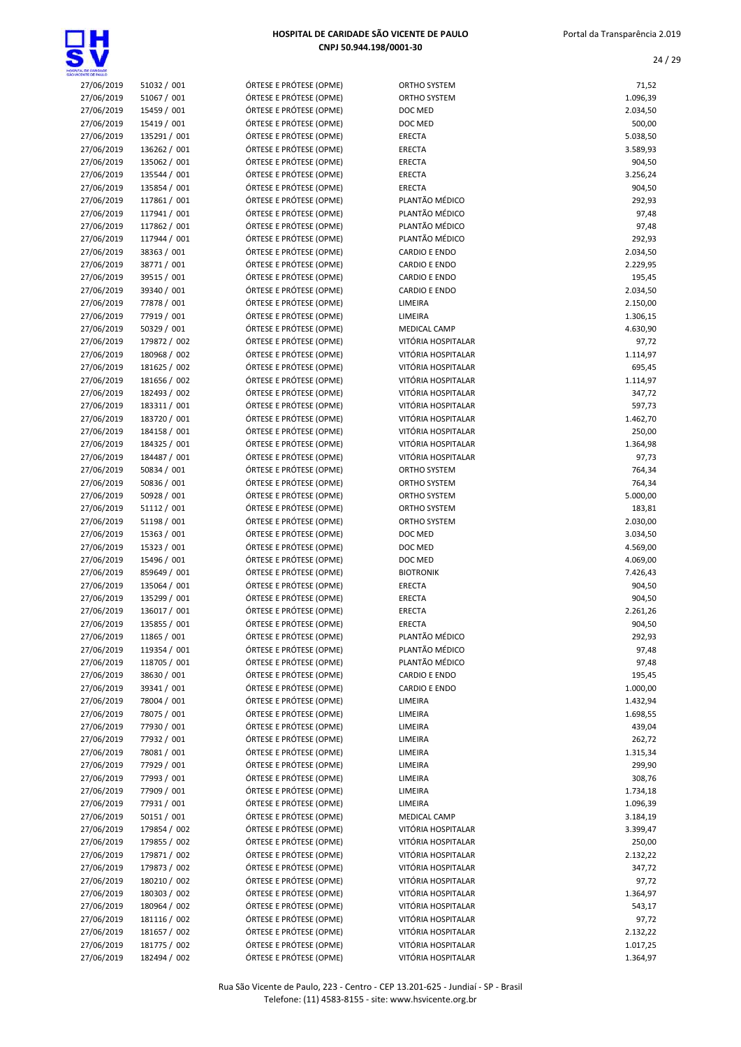

| HOSPITAL DE CARIDADE SÃO VICENTE DE PAULO |
|-------------------------------------------|
| CNPJ 50.944.198/0001-30                   |

| <b>DONTAL DE CARDADE</b><br>O VICENTE DE PAIX D |                              |                                                    |                                          |                      |
|-------------------------------------------------|------------------------------|----------------------------------------------------|------------------------------------------|----------------------|
| 27/06/2019                                      | 51032 / 001                  | ÓRTESE E PRÓTESE (OPME)                            | ORTHO SYSTEM                             | 71,52                |
| 27/06/2019                                      | 51067 / 001                  | ÓRTESE E PRÓTESE (OPME)                            | ORTHO SYSTEM                             | 1.096,39             |
| 27/06/2019                                      | 15459 / 001                  | ÓRTESE E PRÓTESE (OPME)                            | DOC MED                                  | 2.034,50             |
| 27/06/2019                                      | 15419 / 001                  | ÓRTESE E PRÓTESE (OPME)                            | DOC MED                                  | 500,00               |
| 27/06/2019                                      | 135291 / 001                 | ÓRTESE E PRÓTESE (OPME)                            | <b>ERECTA</b>                            | 5.038,50             |
| 27/06/2019<br>27/06/2019                        | 136262 / 001<br>135062 / 001 | ÓRTESE E PRÓTESE (OPME)<br>ÓRTESE E PRÓTESE (OPME) | <b>ERECTA</b><br>ERECTA                  | 3.589,93<br>904,50   |
| 27/06/2019                                      | 135544 / 001                 | ÓRTESE E PRÓTESE (OPME)                            | ERECTA                                   | 3.256,24             |
| 27/06/2019                                      | 135854 / 001                 | ÓRTESE E PRÓTESE (OPME)                            | <b>ERECTA</b>                            | 904,50               |
| 27/06/2019                                      | 117861 / 001                 | ÓRTESE E PRÓTESE (OPME)                            | PLANTÃO MÉDICO                           | 292,93               |
| 27/06/2019                                      | 117941 / 001                 | ÓRTESE E PRÓTESE (OPME)                            | PLANTÃO MÉDICO                           | 97,48                |
| 27/06/2019                                      | 117862 / 001                 | ÓRTESE E PRÓTESE (OPME)                            | PLANTÃO MÉDICO                           | 97,48                |
| 27/06/2019                                      | 117944 / 001                 | ÓRTESE E PRÓTESE (OPME)                            | PLANTÃO MÉDICO                           | 292,93               |
| 27/06/2019                                      | 38363 / 001                  | ÓRTESE E PRÓTESE (OPME)                            | <b>CARDIO E ENDO</b>                     | 2.034,50             |
| 27/06/2019                                      | 38771 / 001                  | ÓRTESE E PRÓTESE (OPME)                            | <b>CARDIO E ENDO</b>                     | 2.229,95             |
| 27/06/2019                                      | 39515 / 001                  | ÓRTESE E PRÓTESE (OPME)                            | <b>CARDIO E ENDO</b>                     | 195,45               |
| 27/06/2019<br>27/06/2019                        | 39340 / 001<br>77878 / 001   | ÓRTESE E PRÓTESE (OPME)<br>ÓRTESE E PRÓTESE (OPME) | <b>CARDIO E ENDO</b><br>LIMEIRA          | 2.034,50<br>2.150,00 |
| 27/06/2019                                      | 77919 / 001                  | ÓRTESE E PRÓTESE (OPME)                            | LIMEIRA                                  | 1.306,15             |
| 27/06/2019                                      | 50329 / 001                  | ÓRTESE E PRÓTESE (OPME)                            | <b>MEDICAL CAMP</b>                      | 4.630,90             |
| 27/06/2019                                      | 179872 / 002                 | ÓRTESE E PRÓTESE (OPME)                            | VITÓRIA HOSPITALAR                       | 97,72                |
| 27/06/2019                                      | 180968 / 002                 | ÓRTESE E PRÓTESE (OPME)                            | VITÓRIA HOSPITALAR                       | 1.114,97             |
| 27/06/2019                                      | 181625 / 002                 | ÓRTESE E PRÓTESE (OPME)                            | VITÓRIA HOSPITALAR                       | 695,45               |
| 27/06/2019                                      | 181656 / 002                 | ÓRTESE E PRÓTESE (OPME)                            | VITÓRIA HOSPITALAR                       | 1.114,97             |
| 27/06/2019                                      | 182493 / 002                 | ÓRTESE E PRÓTESE (OPME)                            | VITÓRIA HOSPITALAR                       | 347,72               |
| 27/06/2019                                      | 183311 / 001                 | ÓRTESE E PRÓTESE (OPME)                            | VITÓRIA HOSPITALAR                       | 597,73               |
| 27/06/2019                                      | 183720 / 001                 | ÓRTESE E PRÓTESE (OPME)                            | VITÓRIA HOSPITALAR                       | 1.462,70             |
| 27/06/2019<br>27/06/2019                        | 184158 / 001<br>184325 / 001 | ÓRTESE E PRÓTESE (OPME)<br>ÓRTESE E PRÓTESE (OPME) | VITÓRIA HOSPITALAR<br>VITÓRIA HOSPITALAR | 250,00               |
| 27/06/2019                                      | 184487 / 001                 | ÓRTESE E PRÓTESE (OPME)                            | VITÓRIA HOSPITALAR                       | 1.364,98<br>97,73    |
| 27/06/2019                                      | 50834 / 001                  | ÓRTESE E PRÓTESE (OPME)                            | ORTHO SYSTEM                             | 764,34               |
| 27/06/2019                                      | 50836 / 001                  | ÓRTESE E PRÓTESE (OPME)                            | ORTHO SYSTEM                             | 764,34               |
| 27/06/2019                                      | 50928 / 001                  | ÓRTESE E PRÓTESE (OPME)                            | ORTHO SYSTEM                             | 5.000,00             |
| 27/06/2019                                      | 51112 / 001                  | ÓRTESE E PRÓTESE (OPME)                            | ORTHO SYSTEM                             | 183,81               |
| 27/06/2019                                      | 51198 / 001                  | ÓRTESE E PRÓTESE (OPME)                            | ORTHO SYSTEM                             | 2.030,00             |
| 27/06/2019                                      | 15363 / 001                  | ÓRTESE E PRÓTESE (OPME)                            | DOC MED                                  | 3.034,50             |
| 27/06/2019                                      | 15323 / 001                  | ÓRTESE E PRÓTESE (OPME)                            | DOC MED                                  | 4.569,00             |
| 27/06/2019                                      | 15496 / 001                  | ÓRTESE E PRÓTESE (OPME)                            | DOC MED                                  | 4.069,00             |
| 27/06/2019                                      | 859649 / 001                 | ÓRTESE E PRÓTESE (OPME)                            | <b>BIOTRONIK</b>                         | 7.426,43             |
| 27/06/2019<br>27/06/2019                        | 135064 / 001<br>135299 / 001 | ÓRTESE E PRÓTESE (OPME)<br>ÓRTESE E PRÓTESE (OPME) | ERECTA<br>ERECTA                         | 904,50<br>904,50     |
| 27/06/2019                                      | 136017 / 001                 | ÓRTESE E PRÓTESE (OPME)                            | <b>ERECTA</b>                            | 2.261,26             |
| 27/06/2019                                      | 135855 / 001                 | ÓRTESE E PRÓTESE (OPME)                            | ERECTA                                   | 904,50               |
| 27/06/2019                                      | 11865 / 001                  | ÓRTESE E PRÓTESE (OPME)                            | PLANTÃO MÉDICO                           | 292,93               |
| 27/06/2019                                      | 119354 / 001                 | ÓRTESE E PRÓTESE (OPME)                            | PLANTÃO MÉDICO                           | 97,48                |
| 27/06/2019                                      | 118705 / 001                 | ÓRTESE E PRÓTESE (OPME)                            | PLANTÃO MÉDICO                           | 97,48                |
| 27/06/2019                                      | 38630 / 001                  | ÓRTESE E PRÓTESE (OPME)                            | <b>CARDIO E ENDO</b>                     | 195,45               |
| 27/06/2019                                      | 39341 / 001                  | ÓRTESE E PRÓTESE (OPME)                            | <b>CARDIO E ENDO</b>                     | 1.000,00             |
| 27/06/2019                                      | 78004 / 001                  | ÓRTESE E PRÓTESE (OPME)                            | LIMEIRA                                  | 1.432,94             |
| 27/06/2019                                      | 78075 / 001                  | ÓRTESE E PRÓTESE (OPME)                            | LIMEIRA                                  | 1.698,55             |
| 27/06/2019<br>27/06/2019                        | 77930 / 001<br>77932 / 001   | ÓRTESE E PRÓTESE (OPME)<br>ÓRTESE E PRÓTESE (OPME) | LIMEIRA<br>LIMEIRA                       | 439,04<br>262,72     |
| 27/06/2019                                      | 78081 / 001                  | ÓRTESE E PRÓTESE (OPME)                            | LIMEIRA                                  | 1.315,34             |
| 27/06/2019                                      | 77929 / 001                  | ÓRTESE E PRÓTESE (OPME)                            | LIMEIRA                                  | 299,90               |
| 27/06/2019                                      | 77993 / 001                  | ÓRTESE E PRÓTESE (OPME)                            | LIMEIRA                                  | 308,76               |
| 27/06/2019                                      | 77909 / 001                  | ÓRTESE E PRÓTESE (OPME)                            | LIMEIRA                                  | 1.734,18             |
| 27/06/2019                                      | 77931 / 001                  | ÓRTESE E PRÓTESE (OPME)                            | LIMEIRA                                  | 1.096,39             |
| 27/06/2019                                      | 50151 / 001                  | ÓRTESE E PRÓTESE (OPME)                            | MEDICAL CAMP                             | 3.184,19             |
| 27/06/2019                                      | 179854 / 002                 | ÓRTESE E PRÓTESE (OPME)                            | VITÓRIA HOSPITALAR                       | 3.399,47             |
| 27/06/2019                                      | 179855 / 002                 | ÓRTESE E PRÓTESE (OPME)                            | VITÓRIA HOSPITALAR                       | 250,00               |
| 27/06/2019                                      | 179871 / 002                 | ÓRTESE E PRÓTESE (OPME)                            | VITÓRIA HOSPITALAR                       | 2.132,22             |
| 27/06/2019                                      | 179873 / 002                 | ÓRTESE E PRÓTESE (OPME)                            | VITÓRIA HOSPITALAR                       | 347,72               |
| 27/06/2019<br>27/06/2019                        | 180210 / 002<br>180303 / 002 | ÓRTESE E PRÓTESE (OPME)<br>ÓRTESE E PRÓTESE (OPME) | VITÓRIA HOSPITALAR<br>VITÓRIA HOSPITALAR | 97,72<br>1.364,97    |
| 27/06/2019                                      | 180964 / 002                 | ÓRTESE E PRÓTESE (OPME)                            | VITÓRIA HOSPITALAR                       | 543,17               |
| 27/06/2019                                      | 181116 / 002                 | ÓRTESE E PRÓTESE (OPME)                            | VITÓRIA HOSPITALAR                       | 97,72                |
| 27/06/2019                                      | 181657 / 002                 | ÓRTESE E PRÓTESE (OPME)                            | VITÓRIA HOSPITALAR                       | 2.132,22             |
| 27/06/2019                                      | 181775 / 002                 | ÓRTESE E PRÓTESE (OPME)                            | VITÓRIA HOSPITALAR                       | 1.017,25             |
| 27/06/2019                                      | 182494 / 002                 | ÓRTESE E PRÓTESE (OPME)                            | VITÓRIA HOSPITALAR                       | 1.364,97             |

| ORTHO SYSTEM                                 | 71,52                |
|----------------------------------------------|----------------------|
| <b>ORTHO SYSTEM</b>                          | 1.096,39             |
| DOC MED                                      | 2.034,50             |
| DOC MED                                      | 500,00               |
| ERECTA<br>ERECTA                             | 5.038,50<br>3.589,93 |
| ERECTA                                       | 904,50               |
| ERECTA                                       | 3.256,24             |
| <b>ERECTA</b>                                | 904,50               |
| PLANTÃO MÉDICO                               | 292,93               |
| PLANTÃO MÉDICO                               | 97,48                |
| PLANTÃO MÉDICO                               | 97,48                |
| PLANTÃO MÉDICO                               | 292,93               |
| <b>CARDIO E ENDO</b>                         | 2.034,50             |
| <b>CARDIO E ENDO</b>                         | 2.229,95             |
| <b>CARDIO E ENDO</b><br><b>CARDIO E ENDO</b> | 195,45<br>2.034,50   |
| LIMEIRA                                      | 2.150,00             |
| LIMEIRA                                      | 1.306,15             |
| <b>MEDICAL CAMP</b>                          | 4.630,90             |
| VITÓRIA HOSPITALAR                           | 97,72                |
| VITÓRIA HOSPITALAR                           | 1.114,97             |
| VITÓRIA HOSPITALAR                           | 695,45               |
| VITÓRIA HOSPITALAR                           | 1.114,97             |
| VITÓRIA HOSPITALAR                           | 347,72               |
| VITÓRIA HOSPITALAR                           | 597,73               |
| VITÓRIA HOSPITALAR<br>VITÓRIA HOSPITALAR     | 1.462,70<br>250,00   |
| VITÓRIA HOSPITALAR                           | 1.364,98             |
| VITÓRIA HOSPITALAR                           | 97,73                |
| <b>ORTHO SYSTEM</b>                          | 764,34               |
| <b>ORTHO SYSTEM</b>                          | 764,34               |
| <b>ORTHO SYSTEM</b>                          | 5.000,00             |
| ORTHO SYSTEM                                 | 183,81               |
| ORTHO SYSTEM                                 | 2.030,00             |
| DOC MED                                      | 3.034,50             |
| DOC MED                                      | 4.569,00             |
| DOC MED<br><b>BIOTRONIK</b>                  | 4.069,00<br>7.426,43 |
| ERECTA                                       | 904,50               |
| ERECTA                                       | 904,50               |
| <b>ERECTA</b>                                | 2.261,26             |
| ERECTA                                       | 904,50               |
| PLANTÃO MÉDICO                               | 292,93               |
| PLANTÃO MÉDICO                               | 97,48                |
| PLANTÃO MÉDICO                               | 97,48                |
| <b>CARDIO E ENDO</b>                         | 195,45               |
| <b>CARDIO E ENDO</b><br>LIMEIRA              | 1.000,00<br>1.432,94 |
| LIMEIRA                                      | 1.698,55             |
| LIMEIRA                                      | 439,04               |
| LIMEIRA                                      | 262,72               |
| LIMEIRA                                      | 1.315,34             |
| LIMEIRA                                      | 299,90               |
| LIMEIRA                                      | 308,76               |
| LIMEIRA                                      | 1.734,18             |
| LIMEIRA                                      | 1.096,39             |
| <b>MEDICAL CAMP</b>                          | 3.184,19             |
| VITÓRIA HOSPITALAR<br>VITÓRIA HOSPITALAR     | 3.399,47             |
| VITÓRIA HOSPITALAR                           | 250,00<br>2.132,22   |
| VITÓRIA HOSPITALAR                           | 347,72               |
| VITÓRIA HOSPITALAR                           | 97,72                |
| VITÓRIA HOSPITALAR                           | 1.364,97             |
| VITÓRIA HOSPITALAR                           | 543,17               |
| VITÓRIA HOSPITALAR                           | 97,72                |
| VITÓRIA HOSPITALAR                           | 2.132,22             |
| VITÓRIA HOSPITALAR                           | 1.017,25             |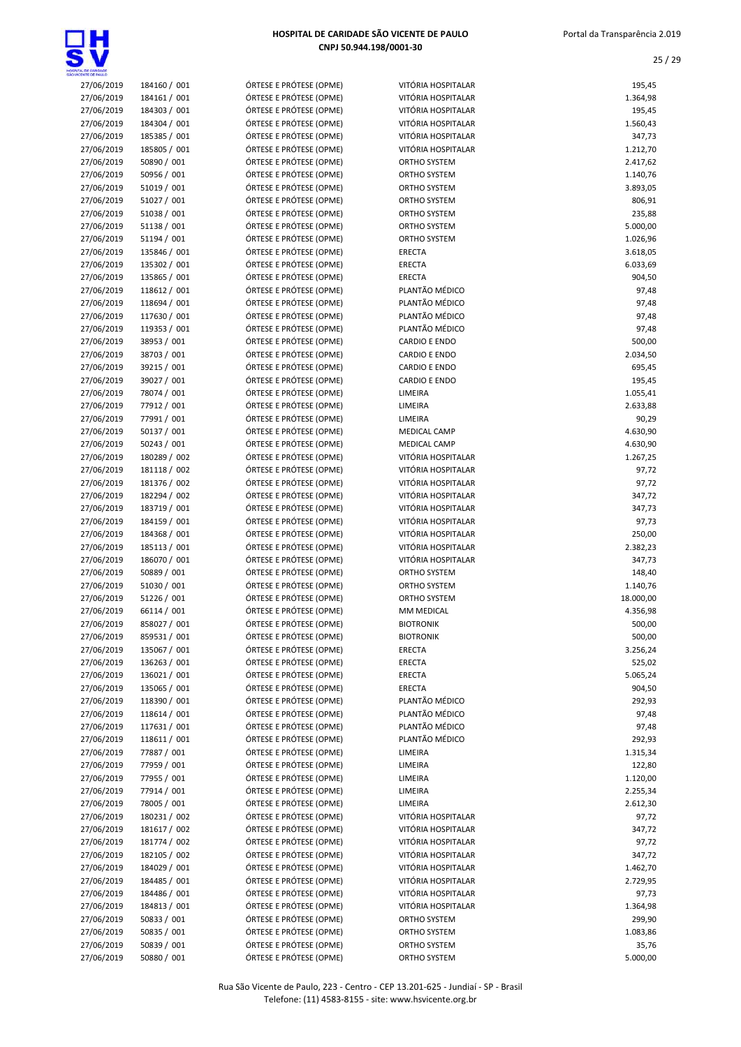

| NOTHER CE PALL O         |                              |                                                    |                                 |                |
|--------------------------|------------------------------|----------------------------------------------------|---------------------------------|----------------|
| 27/06/2019               | 184160 / 001                 | ÓRTESE E PRÓTESE (OPME)                            | VITÓRIA HOSPITALAR              | 195,45         |
| 27/06/2019               | 184161 / 001                 | ÓRTESE E PRÓTESE (OPME)                            | VITÓRIA HOSPITALAR              | 1.364,98       |
| 27/06/2019               | 184303 / 001                 | ÓRTESE E PRÓTESE (OPME)                            | VITÓRIA HOSPITALAR              | 195,45         |
| 27/06/2019               | 184304 / 001                 | ÓRTESE E PRÓTESE (OPME)                            | VITÓRIA HOSPITALAR              | 1.560,43       |
| 27/06/2019               | 185385 / 001                 | ÓRTESE E PRÓTESE (OPME)                            | VITÓRIA HOSPITALAR              | 347,73         |
| 27/06/2019               | 185805 / 001                 | ÓRTESE E PRÓTESE (OPME)                            | VITÓRIA HOSPITALAR              | 1.212,70       |
| 27/06/2019               | 50890 / 001                  | ÓRTESE E PRÓTESE (OPME)                            | ORTHO SYSTEM                    | 2.417,62       |
| 27/06/2019               | 50956 / 001                  | ÓRTESE E PRÓTESE (OPME)                            | ORTHO SYSTEM                    | 1.140,76       |
| 27/06/2019               | 51019 / 001                  | ÓRTESE E PRÓTESE (OPME)                            | ORTHO SYSTEM                    | 3.893,05       |
| 27/06/2019               | 51027 / 001                  | ÓRTESE E PRÓTESE (OPME)                            | ORTHO SYSTEM                    | 806,91         |
| 27/06/2019               | 51038 / 001                  | ÓRTESE E PRÓTESE (OPME)                            | <b>ORTHO SYSTEM</b>             | 235,88         |
| 27/06/2019               | 51138 / 001                  | ÓRTESE E PRÓTESE (OPME)                            | <b>ORTHO SYSTEM</b>             | 5.000,00       |
| 27/06/2019               | 51194 / 001                  | ÓRTESE E PRÓTESE (OPME)                            | ORTHO SYSTEM                    | 1.026,96       |
| 27/06/2019               | 135846 / 001                 | ÓRTESE E PRÓTESE (OPME)                            | ERECTA                          | 3.618,05       |
| 27/06/2019               | 135302 / 001                 | ÓRTESE E PRÓTESE (OPME)                            | ERECTA                          | 6.033,69       |
| 27/06/2019               | 135865 / 001                 | ÓRTESE E PRÓTESE (OPME)                            | <b>ERECTA</b><br>PLANTÃO MÉDICO | 904,50         |
| 27/06/2019               | 118612 / 001                 | ÓRTESE E PRÓTESE (OPME)                            | PLANTÃO MÉDICO                  | 97,48          |
| 27/06/2019<br>27/06/2019 | 118694 / 001<br>117630 / 001 | ÓRTESE E PRÓTESE (OPME)<br>ÓRTESE E PRÓTESE (OPME) | PLANTÃO MÉDICO                  | 97,48<br>97,48 |
| 27/06/2019               | 119353 / 001                 | ÓRTESE E PRÓTESE (OPME)                            | PLANTÃO MÉDICO                  | 97,48          |
| 27/06/2019               | 38953 / 001                  | ÓRTESE E PRÓTESE (OPME)                            | <b>CARDIO E ENDO</b>            | 500,00         |
| 27/06/2019               | 38703 / 001                  | ÓRTESE E PRÓTESE (OPME)                            | <b>CARDIO E ENDO</b>            | 2.034,50       |
| 27/06/2019               | 39215 / 001                  | ÓRTESE E PRÓTESE (OPME)                            | <b>CARDIO E ENDO</b>            | 695,45         |
| 27/06/2019               | 39027 / 001                  | ÓRTESE E PRÓTESE (OPME)                            | <b>CARDIO E ENDO</b>            | 195,45         |
| 27/06/2019               | 78074 / 001                  | ÓRTESE E PRÓTESE (OPME)                            | LIMEIRA                         | 1.055,41       |
| 27/06/2019               | 77912 / 001                  | ÓRTESE E PRÓTESE (OPME)                            | LIMEIRA                         | 2.633,88       |
| 27/06/2019               | 77991 / 001                  | ÓRTESE E PRÓTESE (OPME)                            | LIMEIRA                         | 90,29          |
| 27/06/2019               | 50137 / 001                  | ÓRTESE E PRÓTESE (OPME)                            | <b>MEDICAL CAMP</b>             | 4.630,90       |
| 27/06/2019               | 50243 / 001                  | ÓRTESE E PRÓTESE (OPME)                            | <b>MEDICAL CAMP</b>             | 4.630,90       |
| 27/06/2019               | 180289 / 002                 | ÓRTESE E PRÓTESE (OPME)                            | VITÓRIA HOSPITALAR              | 1.267,25       |
| 27/06/2019               | 181118 / 002                 | ÓRTESE E PRÓTESE (OPME)                            | VITÓRIA HOSPITALAR              | 97,72          |
| 27/06/2019               | 181376 / 002                 | ÓRTESE E PRÓTESE (OPME)                            | VITÓRIA HOSPITALAR              | 97,72          |
| 27/06/2019               | 182294 / 002                 | ÓRTESE E PRÓTESE (OPME)                            | VITÓRIA HOSPITALAR              | 347,72         |
| 27/06/2019               | 183719 / 001                 | ÓRTESE E PRÓTESE (OPME)                            | VITÓRIA HOSPITALAR              | 347,73         |
| 27/06/2019               | 184159 / 001                 | ÓRTESE E PRÓTESE (OPME)                            | VITÓRIA HOSPITALAR              | 97,73          |
| 27/06/2019               | 184368 / 001                 | ÓRTESE E PRÓTESE (OPME)                            | VITÓRIA HOSPITALAR              | 250,00         |
| 27/06/2019               | 185113 / 001                 | ÓRTESE E PRÓTESE (OPME)                            | VITÓRIA HOSPITALAR              | 2.382,23       |
| 27/06/2019               | 186070 / 001                 | ÓRTESE E PRÓTESE (OPME)                            | VITÓRIA HOSPITALAR              | 347,73         |
| 27/06/2019               | 50889 / 001                  | ÓRTESE E PRÓTESE (OPME)                            | ORTHO SYSTEM                    | 148,40         |
| 27/06/2019               | 51030 / 001                  | ÓRTESE E PRÓTESE (OPME)                            | <b>ORTHO SYSTEM</b>             | 1.140,76       |
| 27/06/2019               | 51226 / 001                  | ÓRTESE E PRÓTESE (OPME)                            | <b>ORTHO SYSTEM</b>             | 18.000,00      |
| 27/06/2019               | 66114 / 001                  | ÓRTESE E PRÓTESE (OPME)                            | MM MEDICAL                      | 4.356,98       |
| 27/06/2019               | 858027 / 001                 | ÓRTESE E PRÓTESE (OPME)                            | <b>BIOTRONIK</b>                | 500,00         |
| 27/06/2019               | 859531 / 001                 | ÓRTESE E PRÓTESE (OPME)                            | <b>BIOTRONIK</b>                | 500,00         |
| 27/06/2019               | 135067 / 001                 | ÓRTESE E PRÓTESE (OPME)                            | ERECTA                          | 3.256,24       |
| 27/06/2019               | 136263 / 001                 | ÓRTESE E PRÓTESE (OPME)                            | ERECTA                          | 525,02         |
| 27/06/2019               | 136021/001                   | ÓRTESE E PRÓTESE (OPME)                            | ERECTA                          | 5.065,24       |
| 27/06/2019               | 135065 / 001                 | ÓRTESE E PRÓTESE (OPME)                            | <b>ERECTA</b>                   | 904,50         |
| 27/06/2019               | 118390 / 001                 | ÓRTESE E PRÓTESE (OPME)                            | PLANTÃO MÉDICO                  | 292,93         |
| 27/06/2019               | 118614 / 001                 | ÓRTESE E PRÓTESE (OPME)                            | PLANTÃO MÉDICO                  | 97,48          |
| 27/06/2019               | 117631 / 001                 | ÓRTESE E PRÓTESE (OPME)                            | PLANTÃO MÉDICO                  | 97,48          |
| 27/06/2019               | 118611 / 001                 | ÓRTESE E PRÓTESE (OPME)                            | PLANTÃO MÉDICO                  | 292,93         |
| 27/06/2019               | 77887 / 001                  | ÓRTESE E PRÓTESE (OPME)                            | LIMEIRA                         | 1.315,34       |
| 27/06/2019               | 77959 / 001                  | ÓRTESE E PRÓTESE (OPME)                            | LIMEIRA                         | 122,80         |
| 27/06/2019               | 77955 / 001                  | ÓRTESE E PRÓTESE (OPME)                            | LIMEIRA                         | 1.120,00       |
| 27/06/2019               | 77914 / 001                  | ÓRTESE E PRÓTESE (OPME)                            | LIMEIRA                         | 2.255,34       |
| 27/06/2019               | 78005 / 001                  | ÓRTESE E PRÓTESE (OPME)                            | LIMEIRA                         | 2.612,30       |
| 27/06/2019               | 180231 / 002                 | ÓRTESE E PRÓTESE (OPME)                            | VITÓRIA HOSPITALAR              | 97,72          |
| 27/06/2019               | 181617 / 002                 | ÓRTESE E PRÓTESE (OPME)                            | VITÓRIA HOSPITALAR              | 347,72         |
| 27/06/2019               | 181774 / 002                 | ÓRTESE E PRÓTESE (OPME)                            | VITÓRIA HOSPITALAR              | 97,72          |
| 27/06/2019               | 182105 / 002                 | ÓRTESE E PRÓTESE (OPME)                            | VITÓRIA HOSPITALAR              | 347,72         |
| 27/06/2019               | 184029 / 001                 | ÓRTESE E PRÓTESE (OPME)                            | VITÓRIA HOSPITALAR              | 1.462,70       |
| 27/06/2019               | 184485 / 001                 | ÓRTESE E PRÓTESE (OPME)                            | VITÓRIA HOSPITALAR              | 2.729,95       |
| 27/06/2019               | 184486 / 001                 | ÓRTESE E PRÓTESE (OPME)                            | VITÓRIA HOSPITALAR              | 97,73          |
| 27/06/2019               | 184813 / 001                 | ÓRTESE E PRÓTESE (OPME)                            | VITÓRIA HOSPITALAR              | 1.364,98       |
| 27/06/2019               | 50833 / 001                  | ÓRTESE E PRÓTESE (OPME)                            | <b>ORTHO SYSTEM</b>             | 299,90         |
| 27/06/2019               | 50835 / 001                  | ÓRTESE E PRÓTESE (OPME)                            | ORTHO SYSTEM                    | 1.083,86       |
| 27/06/2019               | 50839 / 001                  | ÓRTESE E PRÓTESE (OPME)                            | ORTHO SYSTEM                    | 35,76          |
| 27/06/2019               | 50880 / 001                  | ÓRTESE E PRÓTESE (OPME)                            | <b>ORTHO SYSTEM</b>             | 5.000,00       |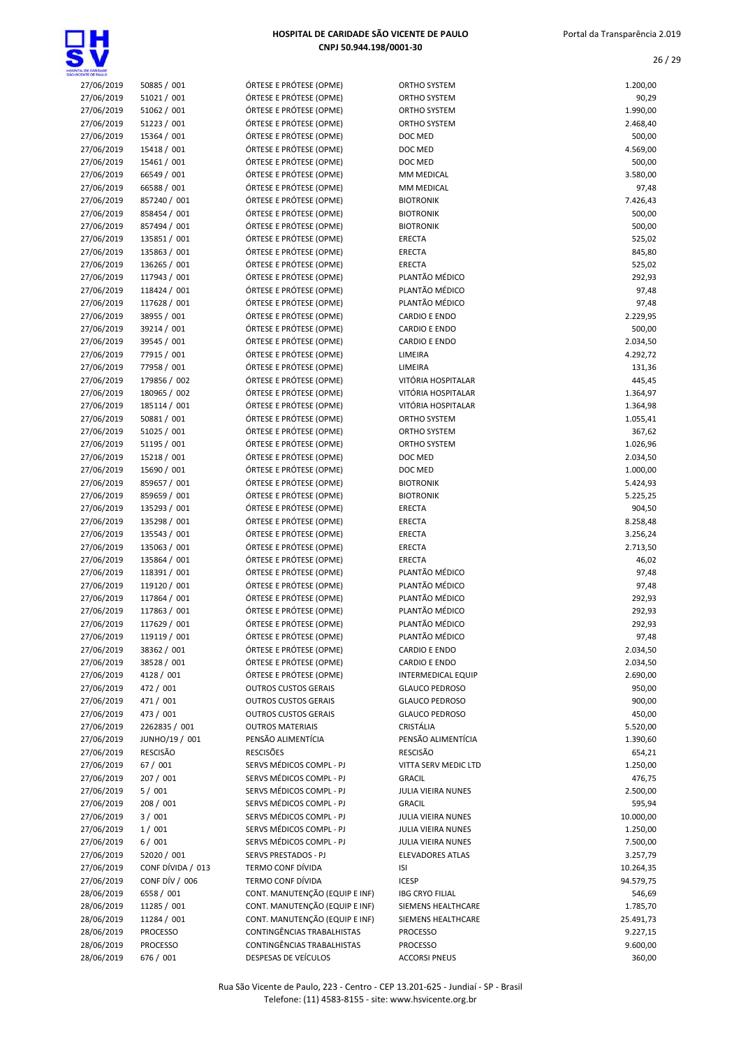

### $27/06/2019$  50885 / 001 ÓRTESE E PRÓTESE (OPME) O 27/06/2019 51021 / 001 ÓRTESE E PRÓTESE (OPME) ORTHO SYSTEM 90,29 27/06/2019 51062 / 001 ÓRTESE E PRÓTESE (OPME) O 27/06/2019 51223 / 001 ÓRTESE E PRÓTESE (OPME) O 27/06/2019 15364 / 001 ÓRTESE E PRÓTESE (OPME) DI 27/06/2019 15418 / 001 ÓRTESE E PRÓTESE (OPME) 27/06/2019 15461 / 001 ÓRTESE E PRÓTESE (OPME) DI 27/06/2019 66549 / 001 ÓRTESE E PRÓTESE (OPME) M 27/06/2019 66588 / 001 ÓRTESE E PRÓTESE (OPME) M 27/06/2019 857240 / 001 ÓRTESE E PRÓTESE (OPME) BI 27/06/2019 858454 / 001 ÓRTESE E PRÓTESE (OPME) 27/06/2019 857494 / 001 ÓRTESE E PRÓTESE (OPME) 27/06/2019 135851 / 001 ÓRTESE E PRÓTESE (OPME) ERECTA 525,02 27/06/2019 135863 / 001 ÓRTESE E PRÓTESE (OPME) ER 27/06/2019 136265 / 001 ÓRTESE E PRÓTESE (OPME) ER 27/06/2019 117943 / 001 ÓRTESE E PRÓTESE (OPME) PI 27/06/2019 118424 / 001 ÓRTESE E PRÓTESE (OPME) PL 27/06/2019 117628 / 001 ÓRTESE E PRÓTESE (OPME) PI 27/06/2019 38955 / 001 ÓRTESE E PRÓTESE (OPME) C 27/06/2019 39214 / 001 ÓRTESE E PRÓTESE (OPME) 27/06/2019 39545 / 001 ÓRTESE E PRÓTESE (OPME) C 27/06/2019 77915 / 001 ÓRTESE E PRÓTESE (OPME) LI 27/06/2019 77958 / 001 ÓRTESE E PRÓTESE (OPME) 27/06/2019 179856 / 002 ÓRTESE E PRÓTESE (OPME) VI 27/06/2019 180965 / 002 ÓRTESE E PRÓTESE (OPME) VI 27/06/2019 185114 / 001 ÓRTESE E PRÓTESE (OPME) VI  $27/06/2019$  50881 / 001 ÓRTESE E PRÓTESE (OPME) O 27/06/2019 51025 / 001 ÓRTESE E PRÓTESE (OPME) O 27/06/2019 51195 / 001 ÓRTESE E PRÓTESE (OPME) O 27/06/2019 15218 / 001 ÓRTESE E PRÓTESE (OPME) 27/06/2019 15690 / 001 ÓRTESE E PRÓTESE (OPME) 27/06/2019 859657 / 001 ÓRTESE E PRÓTESE (OPME) BI 27/06/2019 859659 / 001 ÓRTESE E PRÓTESE (OPME) BI 27/06/2019 135293 / 001 ÓRTESE E PRÓTESE (OPME) ER 27/06/2019 135298 / 001 ÓRTESE E PRÓTESE (OPME) 27/06/2019 135543 / 001 ÓRTESE E PRÓTESE (OPME) ER 27/06/2019 135063 / 001 ÓRTESE E PRÓTESE (OPME) ER 27/06/2019 135864 / 001 ÓRTESE E PRÓTESE (OPME) ER 27/06/2019 118391 / 001 ÓRTESE E PRÓTESE (OPME) PI 27/06/2019 119120 / 001 ÓRTESE E PRÓTESE (OPME) PI 27/06/2019 117864 / 001 ÓRTESE E PRÓTESE (OPME) PI 27/06/2019 117863 / 001 ÓRTESE E PRÓTESE (OPME) PL 27/06/2019 117629 / 001 ÓRTESE E PRÓTESE (OPME) PI

HOSPITAL DE CARIDADE SÃO VICENTE DE PAULO CNPJ 50.944.198/0001-30

| TA, DE CARDADE           |                              |                                                    |                                  |                      |
|--------------------------|------------------------------|----------------------------------------------------|----------------------------------|----------------------|
| 27/06/2019               | 50885 / 001                  | ÓRTESE E PRÓTESE (OPME)                            | <b>ORTHO SYSTEM</b>              | 1.200,00             |
| 27/06/2019               | 51021 / 001                  | ÓRTESE E PRÓTESE (OPME)                            | <b>ORTHO SYSTEM</b>              | 90,29                |
| 27/06/2019               | 51062 / 001                  | ÓRTESE E PRÓTESE (OPME)                            | ORTHO SYSTEM                     | 1.990,00             |
| 27/06/2019               | 51223 / 001                  | ÓRTESE E PRÓTESE (OPME)                            | ORTHO SYSTEM                     | 2.468,40             |
| 27/06/2019               | 15364 / 001                  | ÓRTESE E PRÓTESE (OPME)                            | DOC MED                          | 500,00               |
| 27/06/2019<br>27/06/2019 | 15418 / 001<br>15461 / 001   | ÓRTESE E PRÓTESE (OPME)<br>ÓRTESE E PRÓTESE (OPME) | DOC MED<br>DOC MED               | 4.569,00<br>500,00   |
| 27/06/2019               | 66549 / 001                  | ÓRTESE E PRÓTESE (OPME)                            | MM MEDICAL                       | 3.580,00             |
| 27/06/2019               | 66588 / 001                  | ÓRTESE E PRÓTESE (OPME)                            | MM MEDICAL                       | 97,48                |
| 27/06/2019               | 857240 / 001                 | ÓRTESE E PRÓTESE (OPME)                            | <b>BIOTRONIK</b>                 | 7.426,43             |
| 27/06/2019               | 858454 / 001                 | ÓRTESE E PRÓTESE (OPME)                            | <b>BIOTRONIK</b>                 | 500,00               |
| 27/06/2019               | 857494 / 001                 | ÓRTESE E PRÓTESE (OPME)                            | <b>BIOTRONIK</b>                 | 500,00               |
| 27/06/2019               | 135851 / 001                 | ÓRTESE E PRÓTESE (OPME)                            | ERECTA                           | 525,02               |
| 27/06/2019               | 135863 / 001                 | ÓRTESE E PRÓTESE (OPME)                            | ERECTA                           | 845,80               |
| 27/06/2019               | 136265 / 001                 | ÓRTESE E PRÓTESE (OPME)                            | ERECTA                           | 525,02               |
| 27/06/2019               | 117943 / 001                 | ÓRTESE E PRÓTESE (OPME)                            | PLANTÃO MÉDICO                   | 292,93               |
| 27/06/2019<br>27/06/2019 | 118424 / 001<br>117628 / 001 | ÓRTESE E PRÓTESE (OPME)<br>ÓRTESE E PRÓTESE (OPME) | PLANTÃO MÉDICO<br>PLANTÃO MÉDICO | 97,48<br>97,48       |
| 27/06/2019               | 38955 / 001                  | ÓRTESE E PRÓTESE (OPME)                            | <b>CARDIO E ENDO</b>             | 2.229,95             |
| 27/06/2019               | 39214 / 001                  | ÓRTESE E PRÓTESE (OPME)                            | <b>CARDIO E ENDO</b>             | 500,00               |
| 27/06/2019               | 39545 / 001                  | ÓRTESE E PRÓTESE (OPME)                            | <b>CARDIO E ENDO</b>             | 2.034,50             |
| 27/06/2019               | 77915 / 001                  | ÓRTESE E PRÓTESE (OPME)                            | LIMEIRA                          | 4.292,72             |
| 27/06/2019               | 77958 / 001                  | ÓRTESE E PRÓTESE (OPME)                            | LIMEIRA                          | 131,36               |
| 27/06/2019               | 179856 / 002                 | ÓRTESE E PRÓTESE (OPME)                            | VITÓRIA HOSPITALAR               | 445,45               |
| 27/06/2019               | 180965 / 002                 | ÓRTESE E PRÓTESE (OPME)                            | VITÓRIA HOSPITALAR               | 1.364,97             |
| 27/06/2019               | 185114 / 001                 | ÓRTESE E PRÓTESE (OPME)                            | VITÓRIA HOSPITALAR               | 1.364,98             |
| 27/06/2019               | 50881 / 001                  | ÓRTESE E PRÓTESE (OPME)                            | ORTHO SYSTEM                     | 1.055,41             |
| 27/06/2019               | 51025 / 001                  | ÓRTESE E PRÓTESE (OPME)                            | ORTHO SYSTEM                     | 367,62               |
| 27/06/2019<br>27/06/2019 | 51195 / 001<br>15218 / 001   | ÓRTESE E PRÓTESE (OPME)<br>ÓRTESE E PRÓTESE (OPME) | <b>ORTHO SYSTEM</b><br>DOC MED   | 1.026,96<br>2.034,50 |
| 27/06/2019               | 15690 / 001                  | ÓRTESE E PRÓTESE (OPME)                            | DOC MED                          | 1.000,00             |
| 27/06/2019               | 859657 / 001                 | ÓRTESE E PRÓTESE (OPME)                            | <b>BIOTRONIK</b>                 | 5.424,93             |
| 27/06/2019               | 859659 / 001                 | ÓRTESE E PRÓTESE (OPME)                            | <b>BIOTRONIK</b>                 | 5.225,25             |
| 27/06/2019               | 135293 / 001                 | ÓRTESE E PRÓTESE (OPME)                            | ERECTA                           | 904,50               |
| 27/06/2019               | 135298 / 001                 | ÓRTESE E PRÓTESE (OPME)                            | ERECTA                           | 8.258,48             |
| 27/06/2019               | 135543 / 001                 | ÓRTESE E PRÓTESE (OPME)                            | ERECTA                           | 3.256,24             |
| 27/06/2019               | 135063 / 001                 | ÓRTESE E PRÓTESE (OPME)                            | ERECTA                           | 2.713,50             |
| 27/06/2019               | 135864 / 001                 | ÓRTESE E PRÓTESE (OPME)                            | <b>ERECTA</b>                    | 46,02                |
| 27/06/2019               | 118391 / 001                 | ÓRTESE E PRÓTESE (OPME)<br>ÓRTESE E PRÓTESE (OPME) | PLANTÃO MÉDICO<br>PLANTÃO MÉDICO | 97,48                |
| 27/06/2019<br>27/06/2019 | 119120 / 001<br>117864 / 001 | ÓRTESE E PRÓTESE (OPME)                            | PLANTÃO MÉDICO                   | 97,48<br>292,93      |
| 27/06/2019               | 117863 / 001                 | ÓRTESE E PRÓTESE (OPME)                            | PLANTÃO MÉDICO                   | 292,93               |
| 27/06/2019               | 117629 / 001                 | ÓRTESE E PRÓTESE (OPME)                            | PLANTÃO MÉDICO                   | 292,93               |
| 27/06/2019               | 119119 / 001                 | ÓRTESE E PRÓTESE (OPME)                            | PLANTÃO MÉDICO                   | 97,48                |
| 27/06/2019               | 38362 / 001                  | ÓRTESE E PRÓTESE (OPME)                            | <b>CARDIO E ENDO</b>             | 2.034,50             |
| 27/06/2019               | 38528 / 001                  | ÓRTESE E PRÓTESE (OPME)                            | <b>CARDIO E ENDO</b>             | 2.034,50             |
| 27/06/2019               | 4128 / 001                   | ÓRTESE E PRÓTESE (OPME)                            | <b>INTERMEDICAL EQUIP</b>        | 2.690,00             |
| 27/06/2019               | 472 / 001                    | <b>OUTROS CUSTOS GERAIS</b>                        | <b>GLAUCO PEDROSO</b>            | 950,00               |
| 27/06/2019               | 471 / 001                    | <b>OUTROS CUSTOS GERAIS</b>                        | <b>GLAUCO PEDROSO</b>            | 900,00               |
| 27/06/2019               | 473 / 001<br>2262835 / 001   | <b>OUTROS CUSTOS GERAIS</b>                        | <b>GLAUCO PEDROSO</b>            | 450,00               |
| 27/06/2019<br>27/06/2019 | JUNHO/19 / 001               | <b>OUTROS MATERIAIS</b><br>PENSÃO ALIMENTÍCIA      | CRISTÁLIA<br>PENSÃO ALIMENTÍCIA  | 5.520,00<br>1.390,60 |
| 27/06/2019               | RESCISÃO                     | <b>RESCISÕES</b>                                   | RESCISÃO                         | 654,21               |
| 27/06/2019               | 67 / 001                     | SERVS MÉDICOS COMPL - PJ                           | VITTA SERV MEDIC LTD             | 1.250,00             |
| 27/06/2019               | 207 / 001                    | SERVS MÉDICOS COMPL - PJ                           | <b>GRACIL</b>                    | 476,75               |
| 27/06/2019               | 5/001                        | SERVS MÉDICOS COMPL - PJ                           | JULIA VIEIRA NUNES               | 2.500,00             |
| 27/06/2019               | 208 / 001                    | SERVS MÉDICOS COMPL - PJ                           | <b>GRACIL</b>                    | 595,94               |
| 27/06/2019               | 3 / 001                      | SERVS MÉDICOS COMPL - PJ                           | JULIA VIEIRA NUNES               | 10.000,00            |
| 27/06/2019               | 1/001                        | SERVS MÉDICOS COMPL - PJ                           | JULIA VIEIRA NUNES               | 1.250,00             |
| 27/06/2019               | 6/001                        | SERVS MÉDICOS COMPL - PJ                           | JULIA VIEIRA NUNES               | 7.500,00             |
| 27/06/2019               | 52020 / 001                  | SERVS PRESTADOS - PJ                               | <b>ELEVADORES ATLAS</b>          | 3.257,79             |
| 27/06/2019               | CONF DÍVIDA / 013            | TERMO CONF DÍVIDA<br>TERMO CONF DÍVIDA             | ISI<br><b>ICESP</b>              | 10.264,35            |
| 27/06/2019<br>28/06/2019 | CONF DÍV / 006<br>6558 / 001 | CONT. MANUTENÇÃO (EQUIP E INF)                     | <b>IBG CRYO FILIAL</b>           | 94.579,75<br>546,69  |
| 28/06/2019               | 11285 / 001                  | CONT. MANUTENÇÃO (EQUIP E INF)                     | SIEMENS HEALTHCARE               | 1.785,70             |
| 28/06/2019               | 11284 / 001                  | CONT. MANUTENÇÃO (EQUIP E INF)                     | SIEMENS HEALTHCARE               | 25.491,73            |
| 28/06/2019               | <b>PROCESSO</b>              | CONTINGÊNCIAS TRABALHISTAS                         | <b>PROCESSO</b>                  | 9.227,15             |
| 28/06/2019               | PROCESSO                     | CONTINGÊNCIAS TRABALHISTAS                         | <b>PROCESSO</b>                  | 9.600,00             |
| 28/06/2019               | 676 / 001                    | DESPESAS DE VEÍCULOS                               | <b>ACCORSI PNEUS</b>             | 360.00               |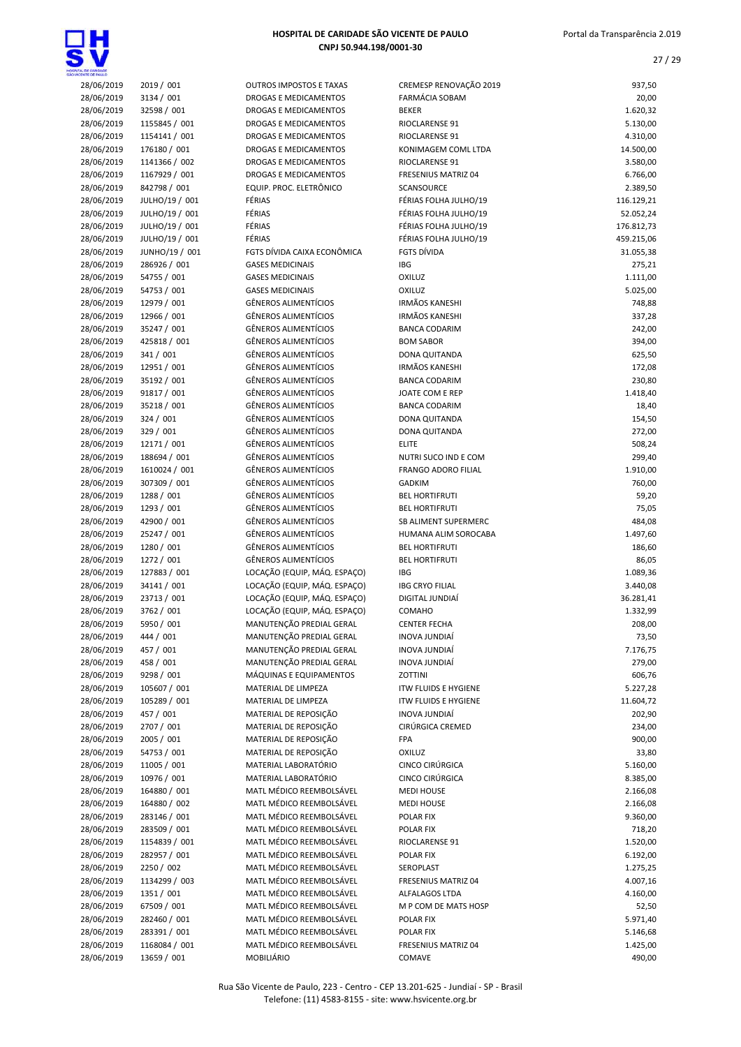

| HOSPITAL DE CARIDADE SÃO VICENTE DE PAULO |
|-------------------------------------------|
| CNPJ 50.944.198/0001-30                   |

| 'a, ce cundace<br>:Ente ce paulò |                               |
|----------------------------------|-------------------------------|
| 28/06/2019                       | 2019 / 001                    |
| 28/06/2019                       | 3134 / 001                    |
| 28/06/2019                       | 32598 / 001                   |
| 28/06/2019                       | 1155845 / 001                 |
| 28/06/2019                       | 1154141 / 001                 |
| 28/06/2019                       | 176180 / 001                  |
| 28/06/2019                       | 1141366 / 002                 |
| 28/06/2019<br>28/06/2019         | 1167929 / 001<br>842798 / 001 |
| 28/06/2019                       | JULHO/19 / 001                |
| 28/06/2019                       | JULHO/19 / 001                |
| 28/06/2019                       | JULHO/19 / 001                |
| 28/06/2019                       | JULHO/19 / 001                |
| 28/06/2019                       | JUNHO/19 / 001                |
| 28/06/2019                       | 286926 / 001                  |
| 28/06/2019                       | 54755 / 001                   |
| 28/06/2019                       | 54753 / 001                   |
| 28/06/2019                       | 12979 / 001                   |
| 28/06/2019                       | 12966 / 001                   |
| 28/06/2019                       | 35247 / 001                   |
| 28/06/2019                       | 425818 / 001                  |
| 28/06/2019                       | 341 / 001                     |
| 28/06/2019                       | 12951 / 001                   |
| 28/06/2019                       | 35192 / 001                   |
| 28/06/2019                       | 91817 / 001                   |
| 28/06/2019                       | 35218 / 001                   |
| 28/06/2019                       | 324 / 001<br>329 / 001        |
| 28/06/2019<br>28/06/2019         | 12171 / 001                   |
| 28/06/2019                       | 188694 / 001                  |
| 28/06/2019                       | 1610024 / 001                 |
| 28/06/2019                       | 307309 / 001                  |
| 28/06/2019                       | 1288 / 001                    |
| 28/06/2019                       | 1293 / 001                    |
| 28/06/2019                       | 42900 / 001                   |
| 28/06/2019                       | 25247 / 001                   |
| 28/06/2019                       | 1280 / 001                    |
| 28/06/2019                       | 1272 / 001                    |
| 28/06/2019                       | 127883/001                    |
| 28/06/2019                       | 34141 / 001                   |
| 28/06/2019                       | 23713 / 001                   |
| 28/06/2019                       | 3762 / 001                    |
| 28/06/2019<br>28/06/2019         | 5950 / 001<br>444 / 001       |
| 28/06/2019                       | 457 / 001                     |
| 28/06/2019                       | 458 / 001                     |
| 28/06/2019                       | 9298 / 001                    |
| 28/06/2019                       | 105607 / 001                  |
| 28/06/2019                       | 105289 / 001                  |
| 28/06/2019                       | 457 / 001                     |
| 28/06/2019                       | 2707 / 001                    |
| 28/06/2019                       | 2005 / 001                    |
| 28/06/2019                       | 54753 / 001                   |
| 28/06/2019                       | 11005 / 001                   |
| 28/06/2019                       | 10976 / 001                   |
| 28/06/2019                       | 164880 / 001                  |
| 28/06/2019                       | 164880 / 002                  |
| 28/06/2019                       | 283146 / 001                  |
| 28/06/2019                       | 283509 / 001                  |
| 28/06/2019                       | 1154839 / 001                 |
| 28/06/2019                       | 282957 / 001<br>2250 / 002    |
| 28/06/2019<br>28/06/2019         | 1134299 / 003                 |
| 28/06/2019                       | 1351 / 001                    |
| 28/06/2019                       | 67509 / 001                   |
| 28/06/2019                       | 282460 / 001                  |
| 28/06/2019                       | 283391 / 001                  |
| 28/06/2019                       | 1168084 / 001                 |
| 28/06/2019                       | 13659 / 001                   |

| <b>OUTROS IMPOSTOS E TAXAS</b>                             |
|------------------------------------------------------------|
| <b>DROGAS E MEDICAMENTOS</b>                               |
| <b>DROGAS E MEDICAMENTOS</b>                               |
| <b>DROGAS E MEDICAMENTOS</b>                               |
| <b>DROGAS E MEDICAMENTOS</b>                               |
| <b>DROGAS E MEDICAMENTOS</b>                               |
| <b>DROGAS E MEDICAMENTOS</b>                               |
| DROGAS E MEDICAMENTOS<br>EQUIP. PROC. ELETRÔNICO           |
| FÉRIAS                                                     |
| FÉRIAS                                                     |
| FÉRIAS                                                     |
| FÉRIAS                                                     |
| FGTS DÍVIDA CAIXA ECONÔMICA                                |
| <b>GASES MEDICINAIS</b>                                    |
| <b>GASES MEDICINAIS</b>                                    |
| <b>GASES MEDICINAIS</b>                                    |
| <b>GÊNEROS ALIMENTÍCIOS</b>                                |
| GÊNEROS ALIMENTÍCIOS                                       |
| <b>GÊNEROS ALIMENTÍCIOS</b>                                |
| <b>GÊNEROS ALIMENTÍCIOS</b><br><b>GÊNEROS ALIMENTÍCIOS</b> |
| <b>GÊNEROS ALIMENTÍCIOS</b>                                |
| <b>GÊNEROS ALIMENTÍCIOS</b>                                |
| <b>GÊNEROS ALIMENTÍCIOS</b>                                |
| <b>GÊNEROS ALIMENTÍCIOS</b>                                |
| <b>GÊNEROS ALIMENTÍCIOS</b>                                |
| <b>GÊNEROS ALIMENTÍCIOS</b>                                |
| <b>GÊNEROS ALIMENTÍCIOS</b>                                |
| <b>GÊNEROS ALIMENTÍCIOS</b>                                |
| <b>GÊNEROS ALIMENTÍCIOS</b>                                |
| <b>GÊNEROS ALIMENTÍCIOS</b>                                |
| <b>GÊNEROS ALIMENTÍCIOS</b>                                |
| <b>GÊNEROS ALIMENTÍCIOS</b>                                |
| <b>GÊNEROS ALIMENTÍCIOS</b><br><b>GÊNEROS ALIMENTÍCIOS</b> |
| <b>GÊNEROS ALIMENTÍCIOS</b>                                |
| <b>GÊNEROS ALIMENTÍCIOS</b>                                |
| LOCAÇÃO (EQUIP, MÁQ. ESPAÇO)                               |
| LOCAÇÃO (EQUIP, MÁQ. ESPAÇO)                               |
| LOCAÇÃO (EQUIP, MÁQ. ESPAÇO)                               |
| LOCAÇÃO (EQUIP, MÁQ. ESPAÇO)                               |
| MANUTENÇÃO PREDIAL GERAL                                   |
| MANUTENÇÃO PREDIAL GERAL                                   |
| MANUTENÇÃO PREDIAL GERAL                                   |
| MANUTENÇÃO PREDIAL GERAL                                   |
| MÁQUINAS E EQUIPAMENTOS                                    |
| MATERIAL DE LIMPEZA<br>MATERIAL DE LIMPEZA                 |
| MATERIAL DE REPOSIÇÃO                                      |
| MATERIAL DE REPOSIÇÃO                                      |
| MATERIAL DE REPOSIÇÃO                                      |
| MATERIAL DE REPOSIÇÃO                                      |
| MATERIAL LABORATÓRIO                                       |
| MATERIAL LABORATÓRIO                                       |
| MATL MÉDICO REEMBOLSÁVEL                                   |
| MATL MÉDICO REEMBOLSÁVEL                                   |
| MATL MÉDICO REEMBOLSÁVEL                                   |
| MATL MÉDICO REEMBOLSÁVEL                                   |
| MATL MÉDICO REEMBOLSÁVEL<br>MATL MÉDICO REEMBOLSÁVEL       |
| MATL MÉDICO REEMBOLSÁVEL                                   |
| MATL MÉDICO REEMBOLSÁVEL                                   |
| MATL MÉDICO REEMBOLSÁVEL                                   |
| MATL MÉDICO REEMBOLSÁVEL                                   |
| MATL MÉDICO REEMBOLSÁVEL                                   |
| MATL MÉDICO REEMBOLSÁVEL                                   |
| MATL MÉDICO REEMBOLSÁVEL                                   |
|                                                            |

| L DE CARDADE<br>ENTE CE PAULO |                               |                                                            |                                       |                       |
|-------------------------------|-------------------------------|------------------------------------------------------------|---------------------------------------|-----------------------|
| 28/06/2019                    | 2019 / 001                    | <b>OUTROS IMPOSTOS E TAXAS</b>                             | CREMESP RENOVAÇÃO 2019                | 937,50                |
| 28/06/2019                    | 3134 / 001                    | DROGAS E MEDICAMENTOS                                      | <b>FARMÁCIA SOBAM</b>                 | 20,00                 |
| 28/06/2019                    | 32598 / 001                   | DROGAS E MEDICAMENTOS                                      | <b>BEKER</b>                          | 1.620,32              |
| 28/06/2019                    | 1155845 / 001                 | DROGAS E MEDICAMENTOS                                      | RIOCLARENSE 91                        | 5.130,00              |
| 28/06/2019                    | 1154141 / 001                 | <b>DROGAS E MEDICAMENTOS</b>                               | RIOCLARENSE 91                        | 4.310,00              |
| 28/06/2019<br>28/06/2019      | 176180 / 001<br>1141366 / 002 | <b>DROGAS E MEDICAMENTOS</b><br>DROGAS E MEDICAMENTOS      | KONIMAGEM COML LTDA<br>RIOCLARENSE 91 | 14.500,00<br>3.580,00 |
| 28/06/2019                    | 1167929 / 001                 | <b>DROGAS E MEDICAMENTOS</b>                               | FRESENIUS MATRIZ 04                   | 6.766,00              |
| 28/06/2019                    | 842798 / 001                  | EQUIP. PROC. ELETRÔNICO                                    | <b>SCANSOURCE</b>                     | 2.389,50              |
| 28/06/2019                    | JULHO/19 / 001                | FÉRIAS                                                     | FÉRIAS FOLHA JULHO/19                 | 116.129,21            |
| 28/06/2019                    | JULHO/19 / 001                | FÉRIAS                                                     | FÉRIAS FOLHA JULHO/19                 | 52.052,24             |
| 28/06/2019                    | JULHO/19 / 001                | FÉRIAS                                                     | FÉRIAS FOLHA JULHO/19                 | 176.812,73            |
| 28/06/2019                    | JULHO/19 / 001                | FÉRIAS                                                     | FÉRIAS FOLHA JULHO/19                 | 459.215,06            |
| 28/06/2019                    | JUNHO/19 / 001                | FGTS DÍVIDA CAIXA ECONÔMICA                                | FGTS DÍVIDA                           | 31.055,38             |
| 28/06/2019                    | 286926 / 001                  | <b>GASES MEDICINAIS</b>                                    | <b>IBG</b>                            | 275,21                |
| 28/06/2019                    | 54755 / 001                   | <b>GASES MEDICINAIS</b>                                    | OXILUZ                                | 1.111,00              |
| 28/06/2019                    | 54753 / 001                   | <b>GASES MEDICINAIS</b>                                    | OXILUZ                                | 5.025,00              |
| 28/06/2019                    | 12979 / 001                   | <b>GÊNEROS ALIMENTÍCIOS</b>                                | <b>IRMÃOS KANESHI</b>                 | 748,88                |
| 28/06/2019                    | 12966 / 001                   | <b>GÊNEROS ALIMENTÍCIOS</b>                                | <b>IRMÃOS KANESHI</b>                 | 337,28                |
| 28/06/2019                    | 35247 / 001                   | <b>GÊNEROS ALIMENTÍCIOS</b>                                | <b>BANCA CODARIM</b>                  | 242,00                |
| 28/06/2019                    | 425818 / 001                  | <b>GÊNEROS ALIMENTÍCIOS</b>                                | <b>BOM SABOR</b>                      | 394,00                |
| 28/06/2019                    | 341 / 001                     | <b>GÊNEROS ALIMENTÍCIOS</b>                                | <b>DONA QUITANDA</b>                  | 625,50                |
| 28/06/2019                    | 12951 / 001                   | <b>GÊNEROS ALIMENTÍCIOS</b>                                | <b>IRMÃOS KANESHI</b>                 | 172,08                |
| 28/06/2019                    | 35192 / 001                   | <b>GÊNEROS ALIMENTÍCIOS</b>                                | <b>BANCA CODARIM</b>                  | 230,80                |
| 28/06/2019                    | 91817 / 001<br>35218 / 001    | <b>GÊNEROS ALIMENTÍCIOS</b><br><b>GÊNEROS ALIMENTÍCIOS</b> | JOATE COM E REP                       | 1.418,40              |
| 28/06/2019<br>28/06/2019      | 324 / 001                     | <b>GÊNEROS ALIMENTÍCIOS</b>                                | <b>BANCA CODARIM</b><br>DONA QUITANDA | 18,40                 |
| 28/06/2019                    | 329 / 001                     | <b>GÊNEROS ALIMENTÍCIOS</b>                                | DONA QUITANDA                         | 154,50<br>272,00      |
| 28/06/2019                    | 12171 / 001                   | <b>GÊNEROS ALIMENTÍCIOS</b>                                | <b>ELITE</b>                          | 508,24                |
| 28/06/2019                    | 188694 / 001                  | <b>GÊNEROS ALIMENTÍCIOS</b>                                | NUTRI SUCO IND E COM                  | 299,40                |
| 28/06/2019                    | 1610024 / 001                 | <b>GÊNEROS ALIMENTÍCIOS</b>                                | <b>FRANGO ADORO FILIAL</b>            | 1.910,00              |
| 28/06/2019                    | 307309 / 001                  | <b>GÊNEROS ALIMENTÍCIOS</b>                                | <b>GADKIM</b>                         | 760,00                |
| 28/06/2019                    | 1288 / 001                    | <b>GÊNEROS ALIMENTÍCIOS</b>                                | <b>BEL HORTIFRUTI</b>                 | 59,20                 |
| 28/06/2019                    | 1293 / 001                    | <b>GÊNEROS ALIMENTÍCIOS</b>                                | <b>BEL HORTIFRUTI</b>                 | 75,05                 |
| 28/06/2019                    | 42900 / 001                   | <b>GÊNEROS ALIMENTÍCIOS</b>                                | SB ALIMENT SUPERMERC                  | 484,08                |
| 28/06/2019                    | 25247 / 001                   | <b>GÊNEROS ALIMENTÍCIOS</b>                                | HUMANA ALIM SOROCABA                  | 1.497,60              |
| 28/06/2019                    | 1280 / 001                    | <b>GÊNEROS ALIMENTÍCIOS</b>                                | <b>BEL HORTIFRUTI</b>                 | 186,60                |
| 28/06/2019                    | 1272 / 001                    | <b>GÊNEROS ALIMENTÍCIOS</b>                                | <b>BEL HORTIFRUTI</b>                 | 86,05                 |
| 28/06/2019                    | 127883 / 001                  | LOCAÇÃO (EQUIP, MÁQ. ESPAÇO)                               | IBG                                   | 1.089,36              |
| 28/06/2019                    | 34141 / 001                   | LOCAÇÃO (EQUIP, MÁQ. ESPAÇO)                               | <b>IBG CRYO FILIAL</b>                | 3.440,08              |
| 28/06/2019                    | 23713 / 001                   | LOCAÇÃO (EQUIP, MÁQ. ESPAÇO)                               | DIGITAL JUNDIAÍ                       | 36.281,41             |
| 28/06/2019                    | 3762 / 001                    | LOCAÇÃO (EQUIP, MÁQ. ESPAÇO)<br>MANUTENCÃO PREDIAL GERAL   | COMAHO<br><b>CENTER FECHA</b>         | 1.332,99              |
| 28/06/2019<br>28/06/2019      | 5950 / 001<br>444 / 001       | MANUTENÇÃO PREDIAL GERAL                                   | <b>INOVA JUNDIAÍ</b>                  | 208,00                |
| 28/06/2019                    | 457 / 001                     | MANUTENÇÃO PREDIAL GERAL                                   | INOVA JUNDIAÍ                         | 73,50<br>7.176,75     |
| 28/06/2019                    | 458 / 001                     | MANUTENÇÃO PREDIAL GERAL                                   | INOVA JUNDIAÍ                         | 279,00                |
| 28/06/2019                    | 9298 / 001                    | MÁQUINAS E EQUIPAMENTOS                                    | ZOTTINI                               | 606,76                |
| 28/06/2019                    | 105607 / 001                  | MATERIAL DE LIMPEZA                                        | <b>ITW FLUIDS E HYGIENE</b>           | 5.227,28              |
| 28/06/2019                    | 105289 / 001                  | MATERIAL DE LIMPEZA                                        | <b>ITW FLUIDS E HYGIENE</b>           | 11.604,72             |
| 28/06/2019                    | 457 / 001                     | MATERIAL DE REPOSIÇÃO                                      | INOVA JUNDIAÍ                         | 202,90                |
| 28/06/2019                    | 2707 / 001                    | MATERIAL DE REPOSIÇÃO                                      | CIRÚRGICA CREMED                      | 234,00                |
| 28/06/2019                    | 2005 / 001                    | MATERIAL DE REPOSIÇÃO                                      | FPA                                   | 900,00                |
| 28/06/2019                    | 54753 / 001                   | MATERIAL DE REPOSIÇÃO                                      | <b>OXILUZ</b>                         | 33,80                 |
| 28/06/2019                    | 11005 / 001                   | MATERIAL LABORATÓRIO                                       | CINCO CIRÚRGICA                       | 5.160,00              |
| 28/06/2019                    | 10976 / 001                   | MATERIAL LABORATÓRIO                                       | CINCO CIRÚRGICA                       | 8.385,00              |
| 28/06/2019                    | 164880 / 001                  | MATL MÉDICO REEMBOLSÁVEL                                   | <b>MEDI HOUSE</b>                     | 2.166,08              |
| 28/06/2019                    | 164880 / 002                  | MATL MÉDICO REEMBOLSÁVEL                                   | <b>MEDI HOUSE</b>                     | 2.166,08              |
| 28/06/2019                    | 283146 / 001                  | MATL MÉDICO REEMBOLSÁVEL                                   | POLAR FIX                             | 9.360,00              |
| 28/06/2019                    | 283509 / 001                  | MATL MÉDICO REEMBOLSÁVEL                                   | POLAR FIX                             | 718,20                |
| 28/06/2019                    | 1154839 / 001                 | MATL MÉDICO REEMBOLSÁVEL                                   | RIOCLARENSE 91                        | 1.520,00              |
| 28/06/2019                    | 282957 / 001                  | MATL MÉDICO REEMBOLSÁVEL                                   | POLAR FIX                             | 6.192,00              |
| 28/06/2019<br>28/06/2019      | 2250 / 002<br>1134299 / 003   | MATL MÉDICO REEMBOLSÁVEL<br>MATL MÉDICO REEMBOLSÁVEL       | SEROPLAST<br>FRESENIUS MATRIZ 04      | 1.275,25              |
| 28/06/2019                    | 1351 / 001                    | MATL MÉDICO REEMBOLSÁVEL                                   | ALFALAGOS LTDA                        | 4.007,16<br>4.160,00  |
| 28/06/2019                    | 67509 / 001                   | MATL MÉDICO REEMBOLSÁVEL                                   | M P COM DE MATS HOSP                  | 52,50                 |
| 28/06/2019                    | 282460 / 001                  | MATL MÉDICO REEMBOLSÁVEL                                   | POLAR FIX                             | 5.971,40              |
| 28/06/2019                    | 283391 / 001                  | MATL MÉDICO REEMBOLSÁVEL                                   | POLAR FIX                             | 5.146,68              |
| 28/06/2019                    | 1168084 / 001                 | MATL MÉDICO REEMBOLSÁVEL                                   | FRESENIUS MATRIZ 04                   | 1.425,00              |
| 28/06/2019                    | 13659 / 001                   | MOBILIÁRIO                                                 | COMAVE                                | 490,00                |
|                               |                               |                                                            |                                       |                       |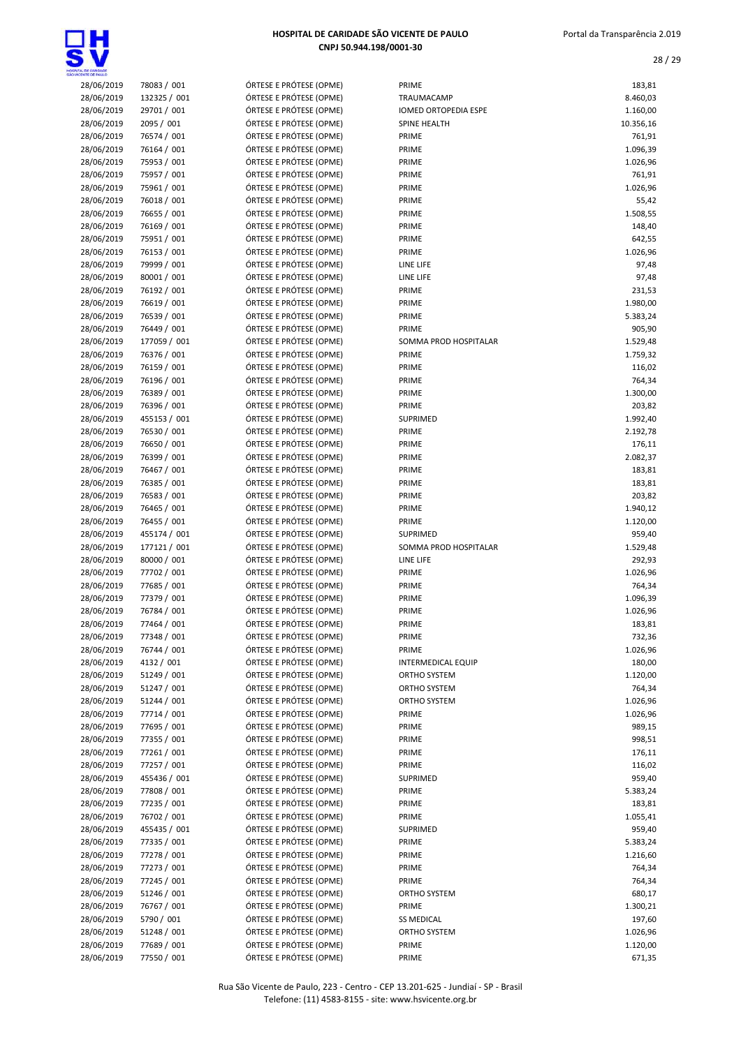

# HOSPITAL DE CARIDADE SÃO VICENTE DE PAULO

| 28/06/2019 | 78083 / 001  | ÓRTESE E PRÓTESE (OPME) | PRIME                 | 183,81    |
|------------|--------------|-------------------------|-----------------------|-----------|
| 28/06/2019 | 132325 / 001 | ÓRTESE E PRÓTESE (OPME) | TRAUMACAMP            | 8.460,03  |
| 28/06/2019 | 29701 / 001  | ÓRTESE E PRÓTESE (OPME) | IOMED ORTOPEDIA ESPE  | 1.160,00  |
| 28/06/2019 | 2095 / 001   | ÓRTESE E PRÓTESE (OPME) | SPINE HEALTH          | 10.356,16 |
| 28/06/2019 | 76574 / 001  | ÓRTESE E PRÓTESE (OPME) | PRIME                 | 761,91    |
| 28/06/2019 | 76164 / 001  | ÓRTESE E PRÓTESE (OPME) | PRIME                 | 1.096,39  |
| 28/06/2019 | 75953 / 001  | ÓRTESE E PRÓTESE (OPME) | PRIME                 | 1.026,96  |
| 28/06/2019 | 75957 / 001  | ÓRTESE E PRÓTESE (OPME) | PRIME                 | 761,91    |
| 28/06/2019 | 75961 / 001  | ÓRTESE E PRÓTESE (OPME) | PRIME                 | 1.026,96  |
| 28/06/2019 | 76018 / 001  | ÓRTESE E PRÓTESE (OPME) | PRIME                 | 55,42     |
| 28/06/2019 | 76655 / 001  | ÓRTESE E PRÓTESE (OPME) | PRIME                 | 1.508,55  |
| 28/06/2019 | 76169 / 001  | ÓRTESE E PRÓTESE (OPME) | PRIME                 | 148,40    |
| 28/06/2019 | 75951 / 001  | ÓRTESE E PRÓTESE (OPME) | PRIME                 | 642,55    |
| 28/06/2019 | 76153 / 001  | ÓRTESE E PRÓTESE (OPME) | PRIME                 | 1.026,96  |
| 28/06/2019 | 79999 / 001  | ÓRTESE E PRÓTESE (OPME) | LINE LIFE             | 97,48     |
| 28/06/2019 | 80001 / 001  | ÓRTESE E PRÓTESE (OPME) | LINE LIFE             | 97,48     |
| 28/06/2019 | 76192 / 001  | ÓRTESE E PRÓTESE (OPME) | PRIME                 | 231,53    |
| 28/06/2019 | 76619 / 001  | ÓRTESE E PRÓTESE (OPME) | PRIME                 | 1.980,00  |
| 28/06/2019 | 76539 / 001  | ÓRTESE E PRÓTESE (OPME) | PRIME                 | 5.383,24  |
| 28/06/2019 | 76449 / 001  | ÓRTESE E PRÓTESE (OPME) | PRIME                 | 905,90    |
| 28/06/2019 | 177059 / 001 | ÓRTESE E PRÓTESE (OPME) | SOMMA PROD HOSPITALAR | 1.529,48  |
| 28/06/2019 | 76376 / 001  | ÓRTESE E PRÓTESE (OPME) | PRIME                 | 1.759,32  |
| 28/06/2019 | 76159 / 001  | ÓRTESE E PRÓTESE (OPME) | PRIME                 | 116,02    |
| 28/06/2019 | 76196 / 001  | ÓRTESE E PRÓTESE (OPME) | PRIME                 | 764,34    |
| 28/06/2019 | 76389 / 001  | ÓRTESE E PRÓTESE (OPME) | PRIME                 | 1.300,00  |
| 28/06/2019 | 76396 / 001  | ÓRTESE E PRÓTESE (OPME) | PRIME                 | 203,82    |
| 28/06/2019 | 455153 / 001 | ÓRTESE E PRÓTESE (OPME) | <b>SUPRIMED</b>       | 1.992,40  |
| 28/06/2019 | 76530 / 001  | ÓRTESE E PRÓTESE (OPME) | PRIME                 | 2.192,78  |
| 28/06/2019 | 76650 / 001  | ÓRTESE E PRÓTESE (OPME) | PRIME                 | 176,11    |
| 28/06/2019 | 76399 / 001  | ÓRTESE E PRÓTESE (OPME) | PRIME                 | 2.082,37  |
| 28/06/2019 | 76467 / 001  | ÓRTESE E PRÓTESE (OPME) | PRIME                 | 183,81    |
| 28/06/2019 | 76385 / 001  | ÓRTESE E PRÓTESE (OPME) | PRIME                 | 183,81    |
| 28/06/2019 | 76583 / 001  | ÓRTESE E PRÓTESE (OPME) | PRIME                 | 203,82    |
| 28/06/2019 | 76465 / 001  | ÓRTESE E PRÓTESE (OPME) | PRIME                 | 1.940,12  |
| 28/06/2019 | 76455 / 001  | ÓRTESE E PRÓTESE (OPME) | PRIME                 | 1.120,00  |
| 28/06/2019 | 455174 / 001 | ÓRTESE E PRÓTESE (OPME) | <b>SUPRIMED</b>       | 959,40    |
| 28/06/2019 | 177121 / 001 | ÓRTESE E PRÓTESE (OPME) | SOMMA PROD HOSPITALAR | 1.529,48  |
| 28/06/2019 | 80000 / 001  | ÓRTESE E PRÓTESE (OPME) | LINE LIFE             | 292,93    |
| 28/06/2019 | 77702 / 001  | ÓRTESE E PRÓTESE (OPME) | PRIME                 | 1.026,96  |
| 28/06/2019 | 77685 / 001  | ÓRTESE E PRÓTESE (OPME) | PRIME                 | 764,34    |
| 28/06/2019 | 77379 / 001  | ÓRTESE E PRÓTESE (OPME) | PRIME                 | 1.096,39  |
| 28/06/2019 | 76784 / 001  | ÓRTESE E PRÓTESE (OPME) | PRIME                 | 1.026,96  |
| 28/06/2019 | 77464 / 001  | ÓRTESE E PRÓTESE (OPME) | PRIME                 | 183,81    |
| 28/06/2019 | 77348 / 001  | ÓRTESE E PRÓTESE (OPME) | PRIME                 | 732,36    |
| 28/06/2019 | 76744 / 001  | ÓRTESE E PRÓTESE (OPME) | PRIME                 | 1.026,96  |
| 28/06/2019 | 4132 / 001   | ÓRTESE E PRÓTESE (OPME) | INTERMEDICAL EQUIP    | 180,00    |
| 28/06/2019 | 51249 / 001  | ÓRTESE E PRÓTESE (OPME) | ORTHO SYSTEM          | 1.120,00  |
| 28/06/2019 | 51247 / 001  | ÓRTESE E PRÓTESE (OPME) | ORTHO SYSTEM          | 764,34    |
| 28/06/2019 | 51244 / 001  | ÓRTESE E PRÓTESE (OPME) | ORTHO SYSTEM          | 1.026,96  |
| 28/06/2019 | 77714 / 001  | ÓRTESE E PRÓTESE (OPME) | PRIME                 | 1.026,96  |
| 28/06/2019 | 77695 / 001  | ÓRTESE E PRÓTESE (OPME) | PRIME                 | 989,15    |
| 28/06/2019 | 77355 / 001  | ÓRTESE E PRÓTESE (OPME) | PRIME                 | 998,51    |
| 28/06/2019 | 77261 / 001  | ÓRTESE E PRÓTESE (OPME) | PRIME                 | 176,11    |
| 28/06/2019 | 77257 / 001  | ÓRTESE E PRÓTESE (OPME) | PRIME                 | 116,02    |
| 28/06/2019 | 455436 / 001 | ÓRTESE E PRÓTESE (OPME) | SUPRIMED              | 959,40    |
| 28/06/2019 | 77808 / 001  | ÓRTESE E PRÓTESE (OPME) | PRIME                 | 5.383,24  |
| 28/06/2019 | 77235 / 001  | ÓRTESE E PRÓTESE (OPME) | PRIME                 | 183,81    |
| 28/06/2019 | 76702 / 001  | ÓRTESE E PRÓTESE (OPME) | PRIME                 | 1.055,41  |
| 28/06/2019 | 455435 / 001 | ÓRTESE E PRÓTESE (OPME) | SUPRIMED              | 959,40    |
| 28/06/2019 | 77335 / 001  | ÓRTESE E PRÓTESE (OPME) | PRIME                 | 5.383,24  |
| 28/06/2019 | 77278 / 001  | ÓRTESE E PRÓTESE (OPME) | PRIME                 | 1.216,60  |
| 28/06/2019 | 77273 / 001  | ÓRTESE E PRÓTESE (OPME) | PRIME                 | 764,34    |
| 28/06/2019 | 77245 / 001  | ÓRTESE E PRÓTESE (OPME) | PRIME                 | 764,34    |
| 28/06/2019 | 51246 / 001  | ÓRTESE E PRÓTESE (OPME) | ORTHO SYSTEM          | 680,17    |
| 28/06/2019 | 76767 / 001  | ÓRTESE E PRÓTESE (OPME) | PRIME                 | 1.300,21  |
| 28/06/2019 | 5790 / 001   | ÓRTESE E PRÓTESE (OPME) | <b>SS MEDICAL</b>     | 197,60    |
| 28/06/2019 | 51248 / 001  | ÓRTESE E PRÓTESE (OPME) | ORTHO SYSTEM          | 1.026,96  |
| 28/06/2019 | 77689 / 001  | ÓRTESE E PRÓTESE (OPME) | PRIME                 | 1.120,00  |
| 28/06/2019 | 77550 / 001  | ÓRTESE E PRÓTESE (OPME) | PRIME                 | 671,35    |
|            |              |                         |                       |           |

CNPJ 50.944.198/0001-30

| Portal da Transparência 2.019 |
|-------------------------------|
|                               |

| LOE CARDADE              |                             |                                                    |                             |                      |
|--------------------------|-----------------------------|----------------------------------------------------|-----------------------------|----------------------|
| 28/06/2019               | 78083 / 001                 | ÓRTESE E PRÓTESE (OPME)                            | PRIME                       | 183,81               |
| 28/06/2019               | 132325 / 001                | ÓRTESE E PRÓTESE (OPME)                            | TRAUMACAMP                  | 8.460,03             |
| 28/06/2019               | 29701 / 001                 | ÓRTESE E PRÓTESE (OPME)                            | <b>IOMED ORTOPEDIA ESPE</b> | 1.160,00             |
| 28/06/2019<br>28/06/2019 | 2095 / 001<br>76574 / 001   | ÓRTESE E PRÓTESE (OPME)<br>ÓRTESE E PRÓTESE (OPME) | SPINE HEALTH<br>PRIME       | 10.356,16<br>761,91  |
| 28/06/2019               | 76164 / 001                 | ÓRTESE E PRÓTESE (OPME)                            | PRIME                       | 1.096,39             |
| 28/06/2019               | 75953 / 001                 | ÓRTESE E PRÓTESE (OPME)                            | PRIME                       | 1.026,96             |
| 28/06/2019               | 75957 / 001                 | ÓRTESE E PRÓTESE (OPME)                            | PRIME                       | 761,91               |
| 28/06/2019               | 75961 / 001                 | ÓRTESE E PRÓTESE (OPME)                            | PRIME                       | 1.026,96             |
| 28/06/2019               | 76018 / 001                 | ÓRTESE E PRÓTESE (OPME)                            | PRIME                       | 55,42                |
| 28/06/2019               | 76655 / 001                 | ÓRTESE E PRÓTESE (OPME)                            | PRIME                       | 1.508,55             |
| 28/06/2019               | 76169 / 001                 | ÓRTESE E PRÓTESE (OPME)                            | PRIME                       | 148,40               |
| 28/06/2019<br>28/06/2019 | 75951 / 001<br>76153 / 001  | ÓRTESE E PRÓTESE (OPME)<br>ÓRTESE E PRÓTESE (OPME) | PRIME<br>PRIME              | 642,55<br>1.026,96   |
| 28/06/2019               | 79999 / 001                 | ÓRTESE E PRÓTESE (OPME)                            | LINE LIFE                   | 97,48                |
| 28/06/2019               | 80001 / 001                 | ÓRTESE E PRÓTESE (OPME)                            | LINE LIFE                   | 97,48                |
| 28/06/2019               | 76192 / 001                 | ÓRTESE E PRÓTESE (OPME)                            | PRIME                       | 231,53               |
| 28/06/2019               | 76619 / 001                 | ÓRTESE E PRÓTESE (OPME)                            | PRIME                       | 1.980,00             |
| 28/06/2019               | 76539 / 001                 | ÓRTESE E PRÓTESE (OPME)                            | PRIME                       | 5.383,24             |
| 28/06/2019               | 76449 / 001                 | ÓRTESE E PRÓTESE (OPME)                            | PRIME                       | 905,90               |
| 28/06/2019               | 177059 / 001                | ÓRTESE E PRÓTESE (OPME)                            | SOMMA PROD HOSPITALAR       | 1.529,48             |
| 28/06/2019               | 76376 / 001                 | ÓRTESE E PRÓTESE (OPME)                            | PRIME                       | 1.759,32             |
| 28/06/2019               | 76159 / 001                 | ÓRTESE E PRÓTESE (OPME)<br>ÓRTESE E PRÓTESE (OPME) | PRIME                       | 116,02               |
| 28/06/2019<br>28/06/2019 | 76196 / 001<br>76389 / 001  | ÓRTESE E PRÓTESE (OPME)                            | PRIME<br>PRIME              | 764,34<br>1.300,00   |
| 28/06/2019               | 76396 / 001                 | ÓRTESE E PRÓTESE (OPME)                            | PRIME                       | 203,82               |
| 28/06/2019               | 455153 / 001                | ÓRTESE E PRÓTESE (OPME)                            | <b>SUPRIMED</b>             | 1.992,40             |
| 28/06/2019               | 76530 / 001                 | ÓRTESE E PRÓTESE (OPME)                            | PRIME                       | 2.192,78             |
| 28/06/2019               | 76650 / 001                 | ÓRTESE E PRÓTESE (OPME)                            | PRIME                       | 176,11               |
| 28/06/2019               | 76399 / 001                 | ÓRTESE E PRÓTESE (OPME)                            | PRIME                       | 2.082,37             |
| 28/06/2019               | 76467 / 001                 | ÓRTESE E PRÓTESE (OPME)                            | PRIME                       | 183,81               |
| 28/06/2019               | 76385 / 001                 | ÓRTESE E PRÓTESE (OPME)                            | PRIME                       | 183,81               |
| 28/06/2019               | 76583 / 001                 | ÓRTESE E PRÓTESE (OPME)                            | PRIME                       | 203,82               |
| 28/06/2019<br>28/06/2019 | 76465 / 001<br>76455 / 001  | ÓRTESE E PRÓTESE (OPME)<br>ÓRTESE E PRÓTESE (OPME) | PRIME<br>PRIME              | 1.940,12<br>1.120,00 |
| 28/06/2019               | 455174 / 001                | ÓRTESE E PRÓTESE (OPME)                            | <b>SUPRIMED</b>             | 959,40               |
| 28/06/2019               | 177121 / 001                | ÓRTESE E PRÓTESE (OPME)                            | SOMMA PROD HOSPITALAR       | 1.529,48             |
| 28/06/2019               | 80000 / 001                 | ÓRTESE E PRÓTESE (OPME)                            | LINE LIFE                   | 292,93               |
| 28/06/2019               | 77702 / 001                 | ÓRTESE E PRÓTESE (OPME)                            | PRIME                       | 1.026,96             |
| 28/06/2019               | 77685 / 001                 | ÓRTESE E PRÓTESE (OPME)                            | PRIME                       | 764,34               |
| 28/06/2019               | 77379 / 001                 | ÓRTESE E PRÓTESE (OPME)                            | PRIME                       | 1.096,39             |
| 28/06/2019               | 76784 / 001                 | ÓRTESE E PRÓTESE (OPME)                            | PRIME                       | 1.026,96             |
| 28/06/2019<br>28/06/2019 | 77464 / 001                 | ÓRTESE E PRÓTESE (OPME)<br>ÓRTESE E PRÓTESE (OPME) | PRIME                       | 183,81               |
| 28/06/2019               | 77348 / 001<br>76744 / 001  | ÓRTESE E PRÓTESE (OPME)                            | PRIME<br>PRIME              | 732,36<br>1.026,96   |
| 28/06/2019               | 4132 / 001                  | ÓRTESE E PRÓTESE (OPME)                            | <b>INTERMEDICAL EQUIP</b>   | 180,00               |
| 28/06/2019               | 51249 / 001                 | ÓRTESE E PRÓTESE (OPME)                            | ORTHO SYSTEM                | 1.120,00             |
| 28/06/2019               | 51247 / 001                 | ÓRTESE E PRÓTESE (OPME)                            | ORTHO SYSTEM                | 764,34               |
| 28/06/2019               | 51244 / 001                 | ÓRTESE E PRÓTESE (OPME)                            | ORTHO SYSTEM                | 1.026,96             |
| 28/06/2019               | 77714 / 001                 | ÓRTESE E PRÓTESE (OPME)                            | PRIME                       | 1.026,96             |
| 28/06/2019               | 77695 / 001                 | ÓRTESE E PRÓTESE (OPME)                            | PRIME                       | 989,15               |
| 28/06/2019               | 77355 / 001                 | ÓRTESE E PRÓTESE (OPME)                            | PRIME                       | 998,51               |
| 28/06/2019<br>28/06/2019 | 77261 / 001                 | ÓRTESE E PRÓTESE (OPME)                            | PRIME                       | 176,11               |
| 28/06/2019               | 77257 / 001<br>455436 / 001 | ÓRTESE E PRÓTESE (OPME)<br>ÓRTESE E PRÓTESE (OPME) | PRIME<br>SUPRIMED           | 116,02<br>959,40     |
| 28/06/2019               | 77808 / 001                 | ÓRTESE E PRÓTESE (OPME)                            | PRIME                       | 5.383,24             |
| 28/06/2019               | 77235 / 001                 | ÓRTESE E PRÓTESE (OPME)                            | PRIME                       | 183,81               |
| 28/06/2019               | 76702 / 001                 | ÓRTESE E PRÓTESE (OPME)                            | PRIME                       | 1.055,41             |
| 28/06/2019               | 455435 / 001                | ÓRTESE E PRÓTESE (OPME)                            | SUPRIMED                    | 959,40               |
| 28/06/2019               | 77335 / 001                 | ÓRTESE E PRÓTESE (OPME)                            | PRIME                       | 5.383,24             |
| 28/06/2019               | 77278 / 001                 | ÓRTESE E PRÓTESE (OPME)                            | PRIME                       | 1.216,60             |
| 28/06/2019               | 77273 / 001                 | ÓRTESE E PRÓTESE (OPME)                            | PRIME                       | 764,34               |
| 28/06/2019               | 77245 / 001                 | ÓRTESE E PRÓTESE (OPME)                            | PRIME                       | 764,34               |
| 28/06/2019<br>28/06/2019 | 51246 / 001<br>76767 / 001  | ÓRTESE E PRÓTESE (OPME)<br>ÓRTESE E PRÓTESE (OPME) | ORTHO SYSTEM<br>PRIME       | 680,17<br>1.300,21   |
| 28/06/2019               | 5790 / 001                  | ÓRTESE E PRÓTESE (OPME)                            | <b>SS MEDICAL</b>           | 197,60               |
| 28/06/2019               | 51248 / 001                 | ÓRTESE E PRÓTESE (OPME)                            | ORTHO SYSTEM                | 1.026,96             |
| 28/06/2019               | 77689 / 001                 | ÓRTESE E PRÓTESE (OPME)                            | PRIME                       | 1.120,00             |
|                          |                             |                                                    |                             |                      |